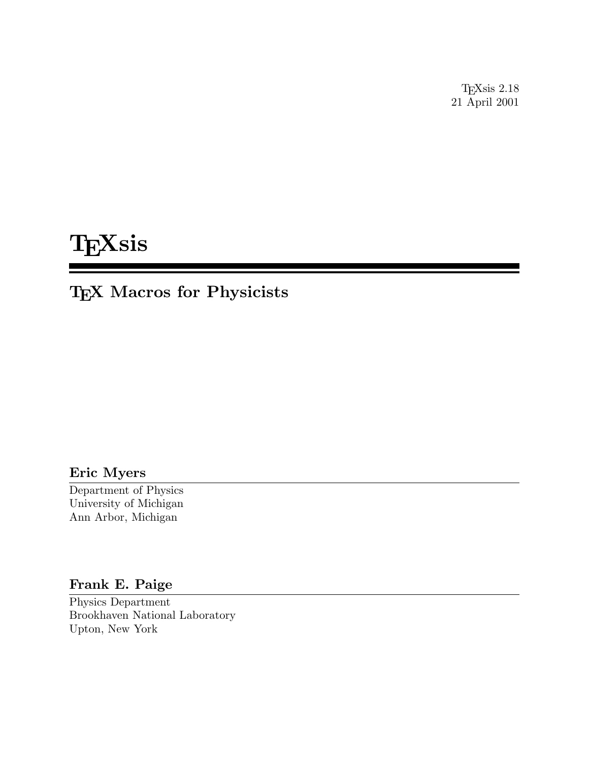TEXsis 2.18 21 April 2001

# **TEXsis**

## TEX Macros for Physicists

### Eric Myers

Department of Physics University of Michigan Ann Arbor, Michigan

### Frank E. Paige

Physics Department Brookhaven National Laboratory Upton, New York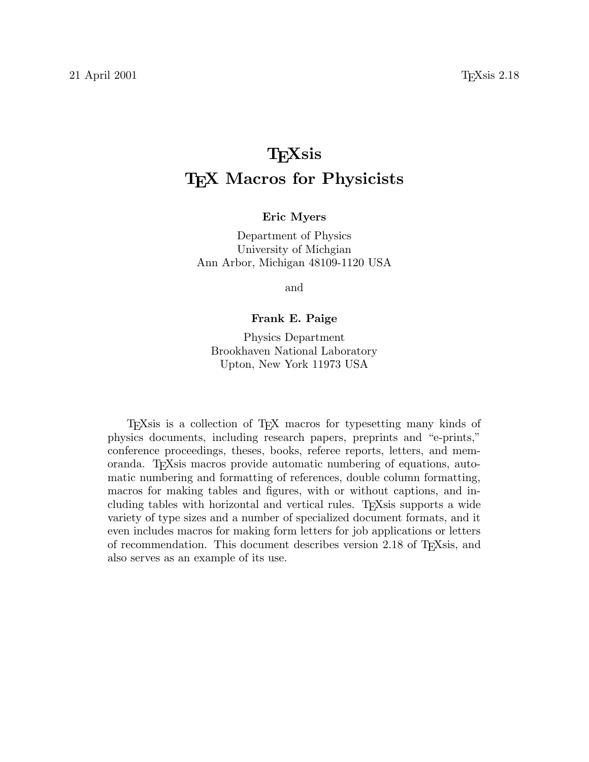# **T<sub>E</sub>X**sis T<sub>F</sub>X Macros for Physicists

#### Eric Myers

Department of Physics University of Michgian Ann Arbor, Michigan 48109-1120 USA

and

#### Frank E. Paige

Physics Department Brookhaven National Laboratory Upton, New York 11973 USA

TEXsis is a collection of TEX macros for typesetting many kinds of physics documents, including research papers, preprints and "e-prints," conference proceedings, theses, books, referee reports, letters, and memoranda. TEXsis macros provide automatic numbering of equations, automatic numbering and formatting of references, double column formatting, macros for making tables and figures, with or without captions, and including tables with horizontal and vertical rules. TEXsis supports a wide variety of type sizes and a number of specialized document formats, and it even includes macros for making form letters for job applications or letters of recommendation. This document describes version 2.18 of TEXsis, and also serves as an example of its use.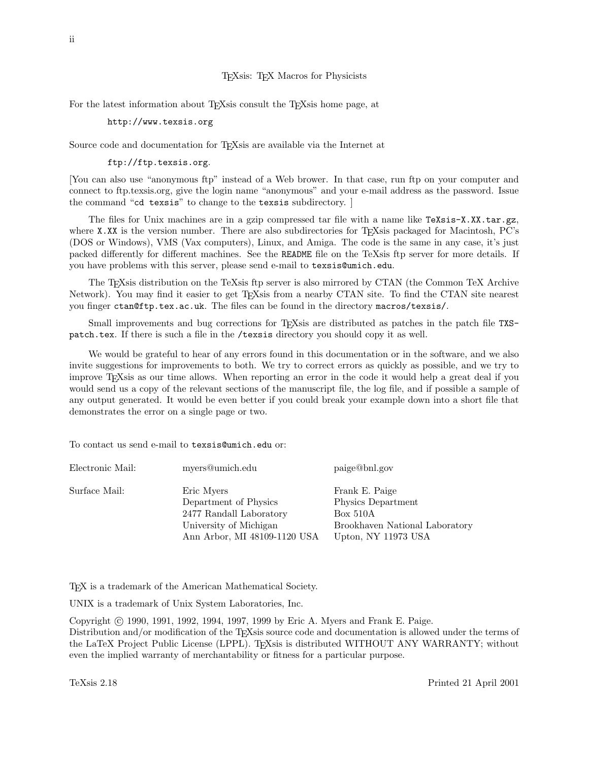#### TEXsis: TEX Macros for Physicists

For the latest information about T<sub>E</sub>Xsis consult the T<sub>E</sub>Xsis home page, at

http://www.texsis.org

Source code and documentation for TEXsis are available via the Internet at

ftp://ftp.texsis.org.

[You can also use "anonymous ftp" instead of a Web brower. In that case, run ftp on your computer and connect to ftp.texsis.org, give the login name "anonymous" and your e-mail address as the password. Issue the command "cd texsis" to change to the texsis subdirectory. ]

The files for Unix machines are in a gzip compressed tar file with a name like TeXsis-X.XX.tar.gz, where X.XX is the version number. There are also subdirectories for T<sub>E</sub>Xsis packaged for Macintosh, PC's (DOS or Windows), VMS (Vax computers), Linux, and Amiga. The code is the same in any case, it's just packed differently for different machines. See the README file on the TeXsis ftp server for more details. If you have problems with this server, please send e-mail to texsis@umich.edu.

The TEXsis distribution on the TeXsis ftp server is also mirrored by CTAN (the Common TeX Archive Network). You may find it easier to get T<sub>E</sub>Xsis from a nearby CTAN site. To find the CTAN site nearest you finger ctan@ftp.tex.ac.uk. The files can be found in the directory macros/texsis/.

Small improvements and bug corrections for T<sub>E</sub>Xsis are distributed as patches in the patch file TXSpatch.tex. If there is such a file in the /texsis directory you should copy it as well.

We would be grateful to hear of any errors found in this documentation or in the software, and we also invite suggestions for improvements to both. We try to correct errors as quickly as possible, and we try to improve TEXsis as our time allows. When reporting an error in the code it would help a great deal if you would send us a copy of the relevant sections of the manuscript file, the log file, and if possible a sample of any output generated. It would be even better if you could break your example down into a short file that demonstrates the error on a single page or two.

To contact us send e-mail to texsis@umich.edu or:

| Surface Mail:<br>Frank E. Paige<br>Eric Myers                                                                                                                                                         |  |
|-------------------------------------------------------------------------------------------------------------------------------------------------------------------------------------------------------|--|
| Physics Department<br>Department of Physics<br>2477 Randall Laboratory<br>Box~510A<br>University of Michigan<br>Brookhaven National Laboratory<br>Ann Arbor, MI 48109-1120 USA<br>Upton, NY 11973 USA |  |

TEX is a trademark of the American Mathematical Society.

UNIX is a trademark of Unix System Laboratories, Inc.

Copyright © 1990, 1991, 1992, 1994, 1997, 1999 by Eric A. Myers and Frank E. Paige. Distribution and/or modification of the T<sub>E</sub>Xsis source code and documentation is allowed under the terms of the LaTeX Project Public License (LPPL). TrXsis is distributed WITHOUT ANY WARRANTY; without even the implied warranty of merchantability or fitness for a particular purpose.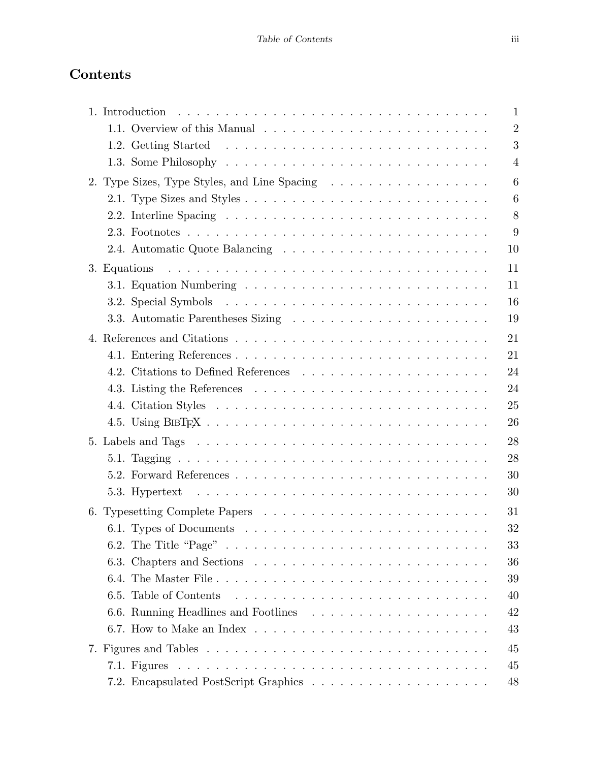### Contents

| <u>. A series and a series and a series and a series and a series and a series and</u><br>1. Introduction | $\mathbf{1}$   |
|-----------------------------------------------------------------------------------------------------------|----------------|
|                                                                                                           | $\overline{2}$ |
|                                                                                                           | 3              |
|                                                                                                           | $\overline{4}$ |
| 2. Type Sizes, Type Styles, and Line Spacing                                                              | 6              |
|                                                                                                           | 6              |
|                                                                                                           | 8              |
|                                                                                                           | 9              |
|                                                                                                           | 10             |
|                                                                                                           | 11             |
|                                                                                                           | 11             |
|                                                                                                           | 16             |
|                                                                                                           | 19             |
|                                                                                                           | 21             |
|                                                                                                           | 21             |
|                                                                                                           | 24             |
|                                                                                                           | 24             |
|                                                                                                           | 25             |
|                                                                                                           | 26             |
|                                                                                                           | 28             |
|                                                                                                           | 28             |
|                                                                                                           | 30             |
|                                                                                                           | 30             |
|                                                                                                           | 31             |
|                                                                                                           | 32             |
|                                                                                                           | 33             |
|                                                                                                           | 36             |
|                                                                                                           | 39             |
| 6.5. Table of Contents                                                                                    | 40             |
|                                                                                                           | 42             |
|                                                                                                           | 43             |
|                                                                                                           | 45             |
|                                                                                                           | 45             |
|                                                                                                           | 48             |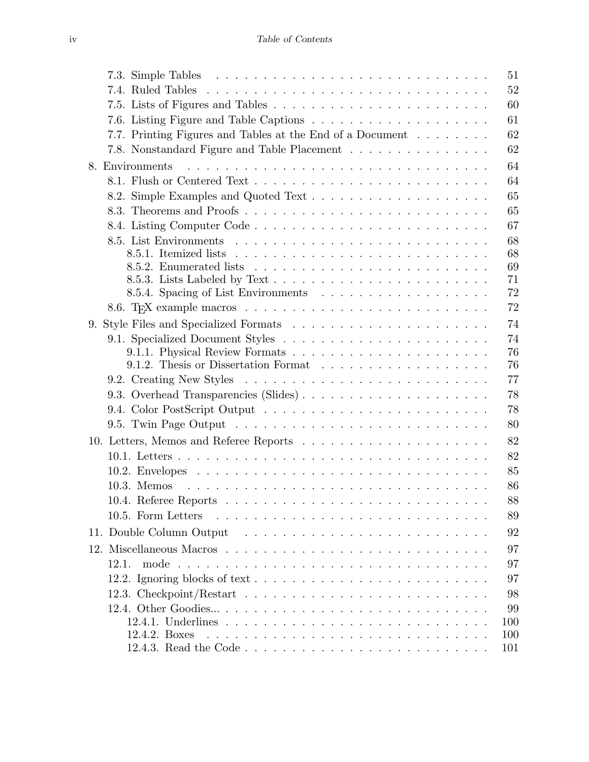|                                                                                                                                                                                                                                                   | 51       |
|---------------------------------------------------------------------------------------------------------------------------------------------------------------------------------------------------------------------------------------------------|----------|
|                                                                                                                                                                                                                                                   | 52       |
|                                                                                                                                                                                                                                                   | 60       |
|                                                                                                                                                                                                                                                   | 61       |
| 7.7. Printing Figures and Tables at the End of a Document                                                                                                                                                                                         | 62       |
| 7.8. Nonstandard Figure and Table Placement                                                                                                                                                                                                       | 62       |
| and the contract of the contract of the contract of the contract of the contract of the contract of the contract of the contract of the contract of the contract of the contract of the contract of the contract of the contra<br>8. Environments | 64       |
|                                                                                                                                                                                                                                                   | 64       |
|                                                                                                                                                                                                                                                   | 65       |
|                                                                                                                                                                                                                                                   | 65       |
|                                                                                                                                                                                                                                                   | 67       |
|                                                                                                                                                                                                                                                   | 68       |
|                                                                                                                                                                                                                                                   | 68       |
|                                                                                                                                                                                                                                                   | 69       |
|                                                                                                                                                                                                                                                   | 71       |
|                                                                                                                                                                                                                                                   | 72       |
|                                                                                                                                                                                                                                                   | 72       |
|                                                                                                                                                                                                                                                   | 74       |
|                                                                                                                                                                                                                                                   | 74       |
|                                                                                                                                                                                                                                                   | 76       |
|                                                                                                                                                                                                                                                   | 76<br>77 |
|                                                                                                                                                                                                                                                   | 78       |
| 9.3. Overhead Transparencies (Slides)                                                                                                                                                                                                             | 78       |
|                                                                                                                                                                                                                                                   | 80       |
|                                                                                                                                                                                                                                                   |          |
| 10. Letters, Memos and Referee Reports $\dots \dots \dots \dots \dots \dots \dots \dots$                                                                                                                                                          | 82       |
|                                                                                                                                                                                                                                                   | 82       |
|                                                                                                                                                                                                                                                   | 85       |
|                                                                                                                                                                                                                                                   | 86       |
|                                                                                                                                                                                                                                                   | 88       |
| 10.5. Form Letters                                                                                                                                                                                                                                | 89       |
| 11. Double Column Output                                                                                                                                                                                                                          | 92       |
|                                                                                                                                                                                                                                                   | 97       |
| 12.1.                                                                                                                                                                                                                                             | 97       |
|                                                                                                                                                                                                                                                   | 97       |
|                                                                                                                                                                                                                                                   | 98       |
|                                                                                                                                                                                                                                                   | 99       |
|                                                                                                                                                                                                                                                   | 100      |
| 12.4.2. Boxes<br>the contract of the contract of the contract of the contract of the contract of the contract of the contract of                                                                                                                  | 100      |
|                                                                                                                                                                                                                                                   | 101      |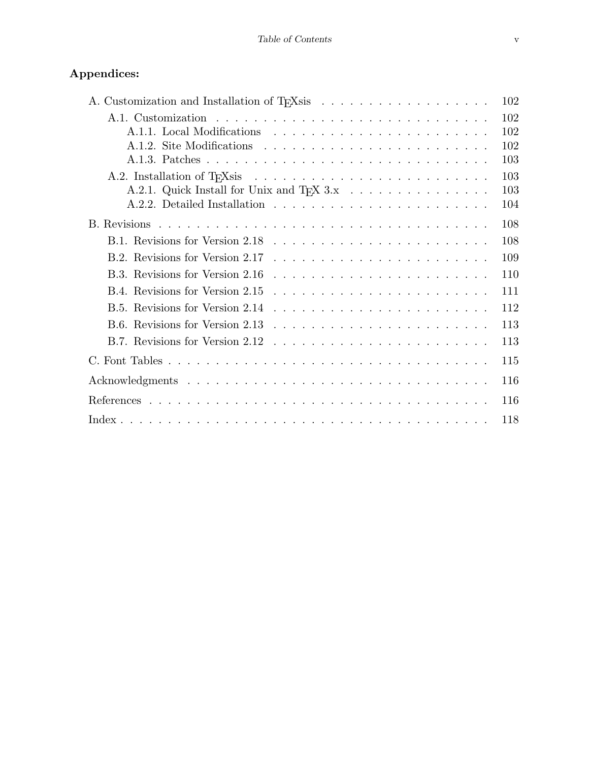### Appendices:

|                                                                                                                                          | 102 |
|------------------------------------------------------------------------------------------------------------------------------------------|-----|
|                                                                                                                                          | 102 |
|                                                                                                                                          | 102 |
|                                                                                                                                          | 102 |
|                                                                                                                                          | 103 |
|                                                                                                                                          | 103 |
| A.2.1. Quick Install for Unix and TEX 3.x                                                                                                | 103 |
|                                                                                                                                          | 104 |
|                                                                                                                                          | 108 |
|                                                                                                                                          | 108 |
| B.2. Revisions for Version 2.17                                                                                                          | 109 |
| B.3. Revisions for Version 2.16                                                                                                          | 110 |
| B.4. Revisions for Version 2.15<br><u>. A series and a series and a series and a series and</u>                                          | 111 |
| B.5. Revisions for Version 2.14<br>$\mathcal{A}$ , and a set of the set of the set of the set of the set of the set of the $\mathcal{A}$ | 112 |
| B.6. Revisions for Version 2.13<br><u>. A series and a series and a series and a series and a series and</u>                             | 113 |
| B.7. Revisions for Version $2.12 \ldots \ldots \ldots \ldots \ldots \ldots \ldots \ldots \ldots$                                         | 113 |
|                                                                                                                                          | 115 |
|                                                                                                                                          | 116 |
|                                                                                                                                          | 116 |
|                                                                                                                                          | 118 |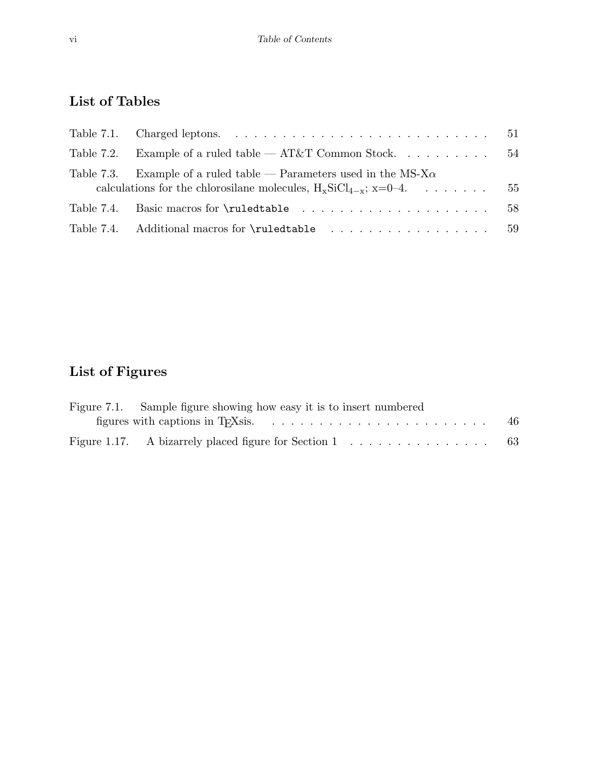### List of Tables

| Table 7.1. Charged leptons. $\ldots \ldots \ldots \ldots \ldots \ldots \ldots \ldots \ldots \ldots \ldots 51$                                          |     |
|--------------------------------------------------------------------------------------------------------------------------------------------------------|-----|
|                                                                                                                                                        |     |
| Table 7.3. Example of a ruled table — Parameters used in the MS-X $\alpha$<br>calculations for the chlorosilane molecules, $H_xSiCl_{4-x}$ ; $x=0-4$ . | 55  |
|                                                                                                                                                        | -58 |
|                                                                                                                                                        |     |

### List of Figures

| Figure 7.1. Sample figure showing how easy it is to insert numbered                  |    |
|--------------------------------------------------------------------------------------|----|
|                                                                                      | 46 |
| Figure 1.17. A bizarrely placed figure for Section 1 $\dots \dots \dots \dots \dots$ | 63 |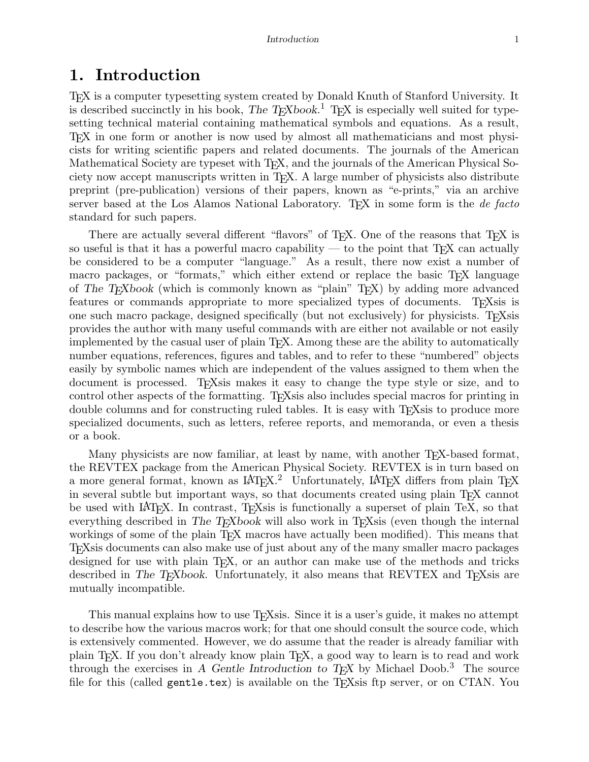### 1. Introduction

TEX is a computer typesetting system created by Donald Knuth of Stanford University. It is described succinctly in his book, The  $T_{E}X$ book.<sup>1</sup> T<sub>E</sub>X is especially well suited for typesetting technical material containing mathematical symbols and equations. As a result, TEX in one form or another is now used by almost all mathematicians and most physicists for writing scientific papers and related documents. The journals of the American Mathematical Society are typeset with T<sub>E</sub>X, and the journals of the American Physical Society now accept manuscripts written in TEX. A large number of physicists also distribute preprint (pre-publication) versions of their papers, known as "e-prints," via an archive server based at the Los Alamos National Laboratory. T<sub>EX</sub> in some form is the *de facto* standard for such papers.

There are actually several different "flavors" of T<sub>E</sub>X. One of the reasons that T<sub>E</sub>X is so useful is that it has a powerful macro capability — to the point that  $T_{\text{F}}X$  can actually be considered to be a computer "language." As a result, there now exist a number of macro packages, or "formats," which either extend or replace the basic T<sub>F</sub>X language of The TEXbook (which is commonly known as "plain" TEX) by adding more advanced features or commands appropriate to more specialized types of documents. T<sub>E</sub>Xsis is one such macro package, designed specifically (but not exclusively) for physicists. TEXsis provides the author with many useful commands with are either not available or not easily implemented by the casual user of plain T<sub>E</sub>X. Among these are the ability to automatically number equations, references, figures and tables, and to refer to these "numbered" objects easily by symbolic names which are independent of the values assigned to them when the document is processed. TEXsis makes it easy to change the type style or size, and to control other aspects of the formatting. TEXsis also includes special macros for printing in double columns and for constructing ruled tables. It is easy with T<sub>E</sub>Xsis to produce more specialized documents, such as letters, referee reports, and memoranda, or even a thesis or a book.

Many physicists are now familiar, at least by name, with another T<sub>E</sub>X-based format, the REVTEX package from the American Physical Society. REVTEX is in turn based on a more general format, known as  $\text{IATF}X$ .<sup>2</sup> Unfortunately,  $\text{IATF}X$  differs from plain TFX in several subtle but important ways, so that documents created using plain T<sub>E</sub>X cannot be used with LAT<sub>EX</sub>. In contrast, T<sub>E</sub>X<sub>s</sub> is functionally a superset of plain TeX, so that everything described in The  $T_{F}X$ book will also work in  $T_{F}X$ sis (even though the internal workings of some of the plain T<sub>EX</sub> macros have actually been modified). This means that TEXsis documents can also make use of just about any of the many smaller macro packages designed for use with plain T<sub>E</sub>X, or an author can make use of the methods and tricks described in The T<sub>E</sub>Xbook. Unfortunately, it also means that REVTEX and T<sub>E</sub>Xsis are mutually incompatible.

This manual explains how to use T<sub>E</sub>Xsis. Since it is a user's guide, it makes no attempt to describe how the various macros work; for that one should consult the source code, which is extensively commented. However, we do assume that the reader is already familiar with plain TEX. If you don't already know plain TEX, a good way to learn is to read and work through the exercises in A Gentle Introduction to TFX by Michael Doob.<sup>3</sup> The source file for this (called gentle.tex) is available on the TEXsis ftp server, or on CTAN. You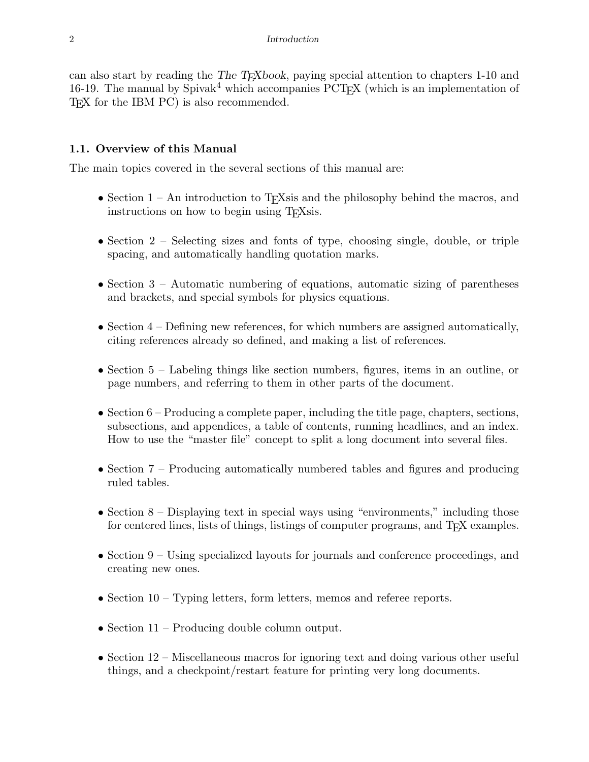can also start by reading the The T<sub>E</sub>Xbook, paying special attention to chapters 1-10 and 16-19. The manual by Spivak<sup>4</sup> which accompanies  $PCTFX$  (which is an implementation of T<sub>E</sub>X for the IBM PC) is also recommended.

#### 1.1. Overview of this Manual

The main topics covered in the several sections of this manual are:

- Section  $1 An$  introduction to T<sub>E</sub>Xs and the philosophy behind the macros, and instructions on how to begin using T<sub>E</sub>Xsis.
- Section 2 Selecting sizes and fonts of type, choosing single, double, or triple spacing, and automatically handling quotation marks.
- Section 3 Automatic numbering of equations, automatic sizing of parentheses and brackets, and special symbols for physics equations.
- Section 4 Defining new references, for which numbers are assigned automatically, citing references already so defined, and making a list of references.
- Section 5 Labeling things like section numbers, figures, items in an outline, or page numbers, and referring to them in other parts of the document.
- Section 6 Producing a complete paper, including the title page, chapters, sections, subsections, and appendices, a table of contents, running headlines, and an index. How to use the "master file" concept to split a long document into several files.
- Section 7 Producing automatically numbered tables and figures and producing ruled tables.
- Section 8 Displaying text in special ways using "environments," including those for centered lines, lists of things, listings of computer programs, and TEX examples.
- Section 9 Using specialized layouts for journals and conference proceedings, and creating new ones.
- Section 10 Typing letters, form letters, memos and referee reports.
- Section 11 Producing double column output.
- Section 12 Miscellaneous macros for ignoring text and doing various other useful things, and a checkpoint/restart feature for printing very long documents.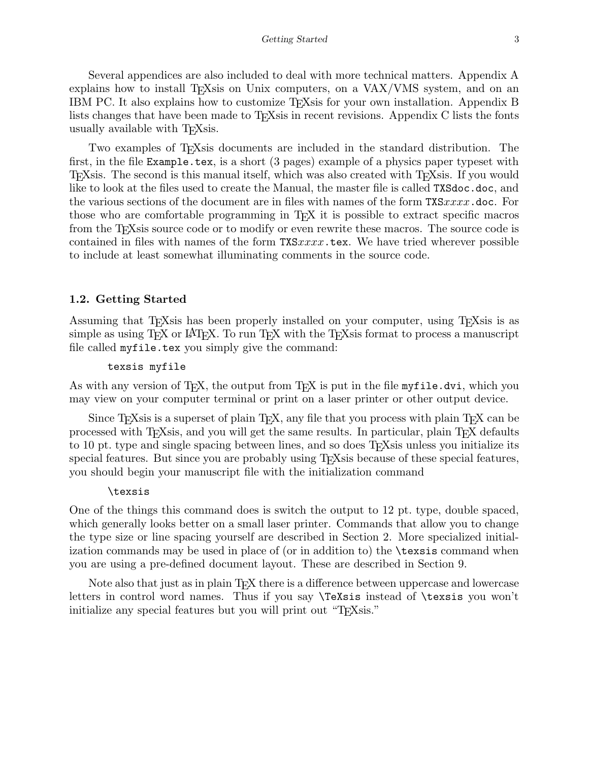Several appendices are also included to deal with more technical matters. Appendix A explains how to install T<sub>E</sub>Xsis on Unix computers, on a  $VAX/VMS$  system, and on an IBM PC. It also explains how to customize T<sub>E</sub>Xsis for your own installation. Appendix B lists changes that have been made to T<sub>E</sub>Xsis in recent revisions. Appendix C lists the fonts usually available with T<sub>E</sub>Xsis.

Two examples of T<sub>E</sub>X<sub>sis</sub> documents are included in the standard distribution. The first, in the file Example.tex, is a short (3 pages) example of a physics paper typeset with TEXsis. The second is this manual itself, which was also created with TEXsis. If you would like to look at the files used to create the Manual, the master file is called TXSdoc.doc, and the various sections of the document are in files with names of the form  $TXSxxxx$ .doc. For those who are comfortable programming in T<sub>E</sub>X it is possible to extract specific macros from the T<sub>E</sub>Xs is source code or to modify or even rewrite these macros. The source code is contained in files with names of the form  $TXSxxxx.$  tex. We have tried wherever possible to include at least somewhat illuminating comments in the source code.

#### 1.2. Getting Started

Assuming that TEXsis has been properly installed on your computer, using TEXsis is as simple as using T<sub>E</sub>X or LAT<sub>E</sub>X. To run T<sub>E</sub>X with the T<sub>E</sub>Xsis format to process a manuscript file called myfile.tex you simply give the command:

#### texsis myfile

As with any version of  $T_{F}X$ , the output from  $T_{F}X$  is put in the file mytile.dvi, which you may view on your computer terminal or print on a laser printer or other output device.

Since T<sub>E</sub>Xsis is a superset of plain T<sub>E</sub>X, any file that you process with plain T<sub>E</sub>X can be processed with TEXsis, and you will get the same results. In particular, plain TEX defaults to 10 pt. type and single spacing between lines, and so does T<sub>E</sub>Xsis unless you initialize its special features. But since you are probably using T<sub>E</sub>Xs is because of these special features, you should begin your manuscript file with the initialization command

#### \texsis

One of the things this command does is switch the output to 12 pt. type, double spaced, which generally looks better on a small laser printer. Commands that allow you to change the type size or line spacing yourself are described in Section 2. More specialized initialization commands may be used in place of (or in addition to) the \texsis command when you are using a pre-defined document layout. These are described in Section 9.

Note also that just as in plain TEX there is a difference between uppercase and lowercase letters in control word names. Thus if you say \TeXsis instead of \texsis you won't initialize any special features but you will print out "T<sub>E</sub>Xsis."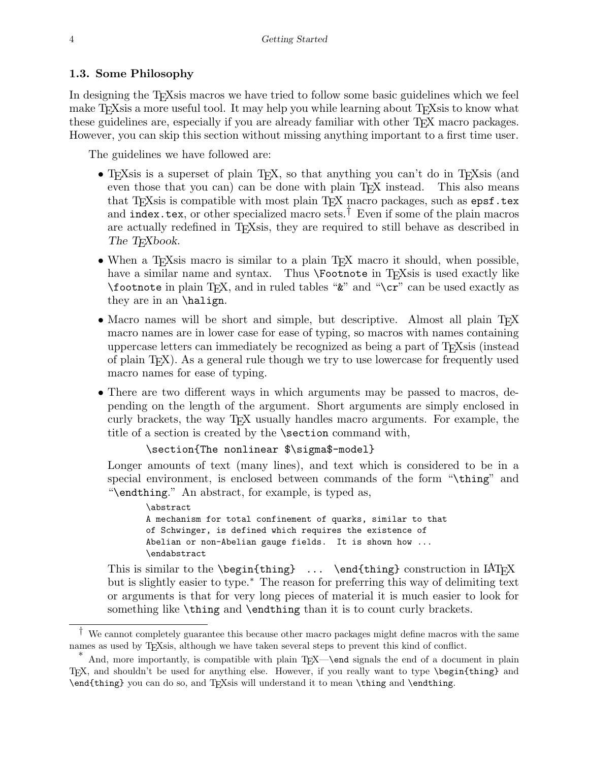#### 1.3. Some Philosophy

In designing the T<sub>E</sub>Xsis macros we have tried to follow some basic guidelines which we feel make T<sub>E</sub>Xsis a more useful tool. It may help you while learning about T<sub>E</sub>Xsis to know what these guidelines are, especially if you are already familiar with other TEX macro packages. However, you can skip this section without missing anything important to a first time user.

The guidelines we have followed are:

- T<sub>EX</sub>sis is a superset of plain T<sub>EX</sub>, so that anything you can't do in T<sub>EX</sub>sis (and even those that you can) can be done with plain T<sub>E</sub>X instead. This also means that T<sub>E</sub>Xsis is compatible with most plain T<sub>E</sub>X macro packages, such as  $epsf.$ tex and index.tex, or other specialized macro sets.<sup>†</sup> Even if some of the plain macros are actually redefined in T<sub>E</sub>Xsis, they are required to still behave as described in The T<sub>E</sub>Xbook.
- When a T<sub>E</sub>Xsis macro is similar to a plain T<sub>E</sub>X macro it should, when possible, have a similar name and syntax. Thus **\Footnote** in T<sub>E</sub>Xsis is used exactly like \footnote in plain TEX, and in ruled tables "&" and "\cr" can be used exactly as they are in an \halign.
- Macro names will be short and simple, but descriptive. Almost all plain TFX macro names are in lower case for ease of typing, so macros with names containing uppercase letters can immediately be recognized as being a part of T<sub>E</sub>Xsis (instead of plain TEX). As a general rule though we try to use lowercase for frequently used macro names for ease of typing.
- There are two different ways in which arguments may be passed to macros, depending on the length of the argument. Short arguments are simply enclosed in curly brackets, the way TEX usually handles macro arguments. For example, the title of a section is created by the \section command with,

```
\section{The nonlinear $\sigma$-model}
```
Longer amounts of text (many lines), and text which is considered to be in a special environment, is enclosed between commands of the form "\thing" and "\endthing." An abstract, for example, is typed as,

```
\abstract
A mechanism for total confinement of quarks, similar to that
of Schwinger, is defined which requires the existence of
Abelian or non-Abelian gauge fields. It is shown how ...
\endabstract
```
This is similar to the  $\begin{min}$ ...  $\end{min}$  construction in LAT<sub>EX</sub> but is slightly easier to type.<sup>∗</sup> The reason for preferring this way of delimiting text or arguments is that for very long pieces of material it is much easier to look for something like \thing and \endthing than it is to count curly brackets.

<sup>†</sup> We cannot completely guarantee this because other macro packages might define macros with the same names as used by T<sub>E</sub>Xsis, although we have taken several steps to prevent this kind of conflict.

<sup>\*</sup> And, more importantly, is compatible with plain TEX—\end signals the end of <sup>a</sup> document in plain TEX, and shouldn't be used for anything else. However, if you really want to type \begin{thing} and \end{thing} you can do so, and TEXsis will understand it to mean \thing and \endthing.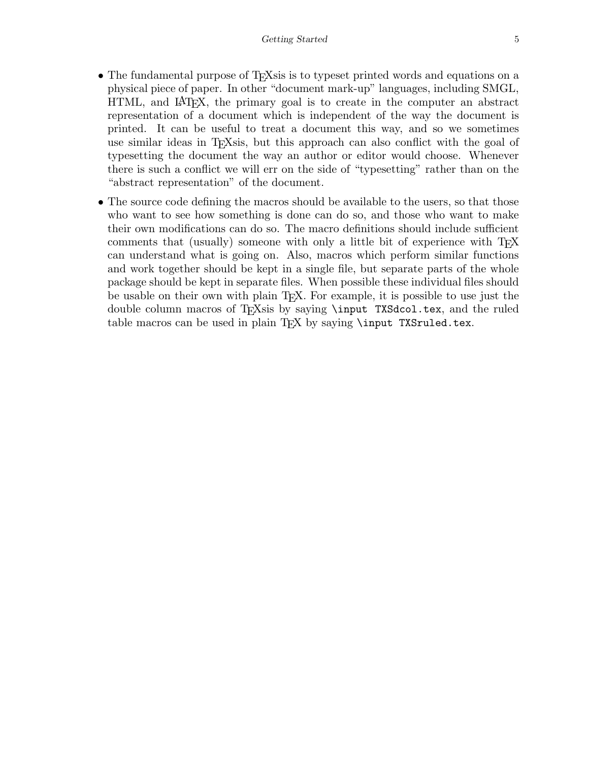- The fundamental purpose of T<sub>EX</sub>s is to typeset printed words and equations on a physical piece of paper. In other "document mark-up" languages, including SMGL, HTML, and LATEX, the primary goal is to create in the computer an abstract representation of a document which is independent of the way the document is printed. It can be useful to treat a document this way, and so we sometimes use similar ideas in T<sub>E</sub>Xsis, but this approach can also conflict with the goal of typesetting the document the way an author or editor would choose. Whenever there is such a conflict we will err on the side of "typesetting" rather than on the "abstract representation" of the document.
- The source code defining the macros should be available to the users, so that those who want to see how something is done can do so, and those who want to make their own modifications can do so. The macro definitions should include sufficient comments that (usually) someone with only a little bit of experience with T<sub>E</sub>X can understand what is going on. Also, macros which perform similar functions and work together should be kept in a single file, but separate parts of the whole package should be kept in separate files. When possible these individual files should be usable on their own with plain TEX. For example, it is possible to use just the double column macros of T<sub>E</sub>Xsis by saying **\input TXSdcol.tex**, and the ruled table macros can be used in plain T<sub>EX</sub> by saying \input TXSruled.tex.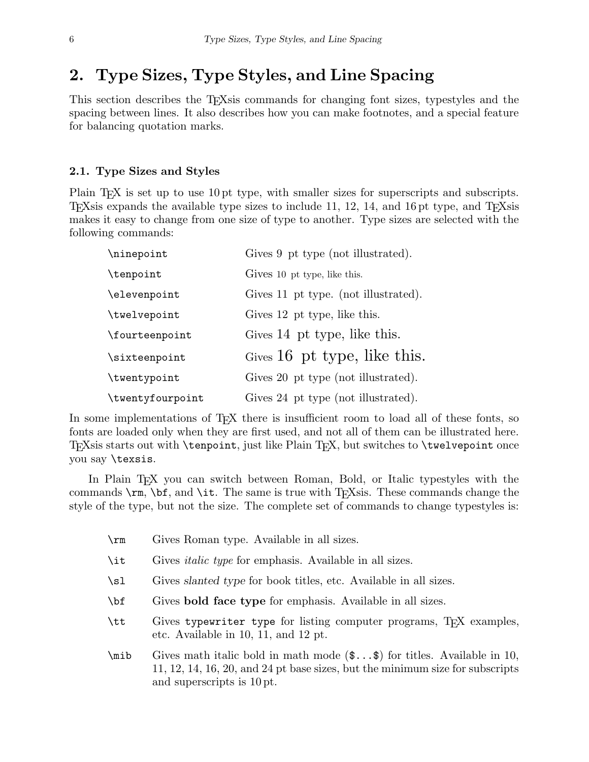### 2. Type Sizes, Type Styles, and Line Spacing

This section describes the TEXsis commands for changing font sizes, typestyles and the spacing between lines. It also describes how you can make footnotes, and a special feature for balancing quotation marks.

#### 2.1. Type Sizes and Styles

Plain T<sub>E</sub>X is set up to use 10 pt type, with smaller sizes for superscripts and subscripts. TEXsis expands the available type sizes to include 11, 12, 14, and 16 pt type, and TEXsis makes it easy to change from one size of type to another. Type sizes are selected with the following commands:

| \ninepoint       | Gives 9 pt type (not illustrated).   |
|------------------|--------------------------------------|
| \tenpoint        | Gives 10 pt type, like this.         |
| \elevenpoint     | Gives 11 pt type. (not illustrated). |
| \twelvepoint     | Gives 12 pt type, like this.         |
| \fourteenpoint   | Gives 14 pt type, like this.         |
| \sixteenpoint    | Gives 16 pt type, like this.         |
| \twentypoint     | Gives 20 pt type (not illustrated).  |
| \twentyfourpoint | Gives 24 pt type (not illustrated).  |

In some implementations of T<sub>E</sub>X there is insufficient room to load all of these fonts, so fonts are loaded only when they are first used, and not all of them can be illustrated here. TEXsis starts out with \tenpoint, just like Plain TEX, but switches to \twelvepoint once you say \texsis.

In Plain TEX you can switch between Roman, Bold, or Italic typestyles with the commands  $\rm\Im$ ,  $\rm\Im$ ,  $\rm\Im$ ,  $\rm\Im$ , and  $\rm\Im$ . The same is true with T<sub>E</sub>Xsis. These commands change the style of the type, but not the size. The complete set of commands to change typestyles is:

- \rm Gives Roman type. Available in all sizes.
- \it Gives italic type for emphasis. Available in all sizes.
- \sl Gives slanted type for book titles, etc. Available in all sizes.
- \bf Gives bold face type for emphasis. Available in all sizes.
- \tt Gives typewriter type for listing computer programs, TEX examples, etc. Available in 10, 11, and 12 pt.
- $\mathcal{S}$  Gives math italic bold in math mode  $(\mathcal{S} \dots \mathcal{S})$  for titles. Available in 10, 11, 12, 14, 16, 20, and 24 pt base sizes, but the minimum size for subscripts and superscripts is 10 pt.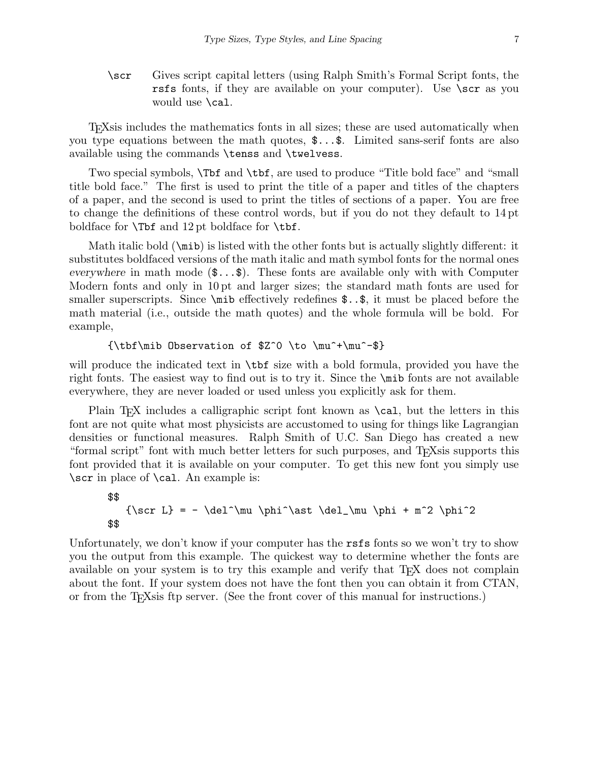\scr Gives script capital letters (using Ralph Smith's Formal Script fonts, the rsfs fonts, if they are available on your computer). Use \scr as you would use \cal.

TEXsis includes the mathematics fonts in all sizes; these are used automatically when you type equations between the math quotes, \$...\$. Limited sans-serif fonts are also available using the commands \tenss and \twelvess.

Two special symbols, \Tbf and \tbf, are used to produce "Title bold face" and "small title bold face." The first is used to print the title of a paper and titles of the chapters of a paper, and the second is used to print the titles of sections of a paper. You are free to change the definitions of these control words, but if you do not they default to 14 pt boldface for \Tbf and 12 pt boldface for \tbf.

Math italic bold (\mib) is listed with the other fonts but is actually slightly different: it substitutes boldfaced versions of the math italic and math symbol fonts for the normal ones everywhere in math mode  $(\mathcal{F} \dots \mathcal{F})$ . These fonts are available only with with Computer Modern fonts and only in 10 pt and larger sizes; the standard math fonts are used for smaller superscripts. Since  $\mid$  is effectively redefines  $\$ .. $\$ , it must be placed before the math material (i.e., outside the math quotes) and the whole formula will be bold. For example,

#### ${\thf\min}$  Observation of \$Z^0 \to \mu^+\mu^-\$}

will produce the indicated text in  $\text{tbf}$  size with a bold formula, provided you have the right fonts. The easiest way to find out is to try it. Since the \mib fonts are not available everywhere, they are never loaded or used unless you explicitly ask for them.

Plain T<sub>EX</sub> includes a calligraphic script font known as **\cal**, but the letters in this font are not quite what most physicists are accustomed to using for things like Lagrangian densities or functional measures. Ralph Smith of U.C. San Diego has created a new "formal script" font with much better letters for such purposes, and TEXsis supports this font provided that it is available on your computer. To get this new font you simply use \scr in place of \cal. An example is:

\$\$  $\{\scr L\} = - \delta^\mu \phi^\ast \delta^\mu \phi + m^2 \phi^2$ \$\$

Unfortunately, we don't know if your computer has the rsfs fonts so we won't try to show you the output from this example. The quickest way to determine whether the fonts are available on your system is to try this example and verify that T<sub>E</sub>X does not complain about the font. If your system does not have the font then you can obtain it from CTAN, or from the T<sub>E</sub>Xs is ftp server. (See the front cover of this manual for instructions.)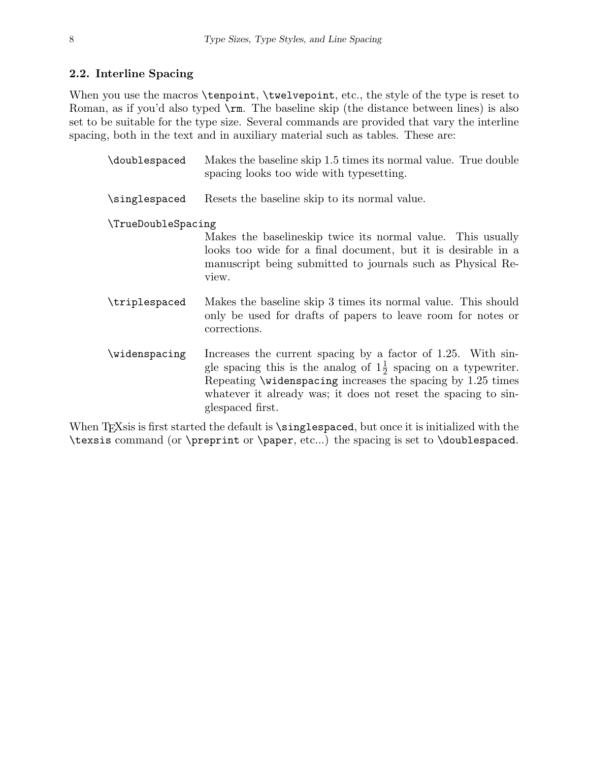#### 2.2. Interline Spacing

When you use the macros \tenpoint, \twelvepoint, etc., the style of the type is reset to Roman, as if you'd also typed \rm. The baseline skip (the distance between lines) is also set to be suitable for the type size. Several commands are provided that vary the interline spacing, both in the text and in auxiliary material such as tables. These are:

| \doublespaced      | Makes the baseline skip 1.5 times its normal value. True double<br>spacing looks too wide with typesetting.                                                                                                                                                                                                         |  |
|--------------------|---------------------------------------------------------------------------------------------------------------------------------------------------------------------------------------------------------------------------------------------------------------------------------------------------------------------|--|
| \singlespaced      | Resets the baseline skip to its normal value.                                                                                                                                                                                                                                                                       |  |
| \TrueDoubleSpacing | Makes the baselineskip twice its normal value. This usually<br>looks too wide for a final document, but it is desirable in a<br>manuscript being submitted to journals such as Physical Re-<br>view.                                                                                                                |  |
| \triplespaced      | Makes the baseline skip 3 times its normal value. This should<br>only be used for drafts of papers to leave room for notes or<br>corrections.                                                                                                                                                                       |  |
| \widenspacing      | Increases the current spacing by a factor of 1.25. With sin-<br>gle spacing this is the analog of $1\frac{1}{2}$ spacing on a typewriter.<br>Repeating $\widetilde{\text{widenspaceing}}$ increases the spacing by 1.25 times<br>whatever it already was; it does not reset the spacing to sin-<br>glespaced first. |  |

When  $T_{F}X$ sis is first started the default is  $\sigma$ , but once it is initialized with the \texsis command (or \preprint or \paper, etc...) the spacing is set to \doublespaced.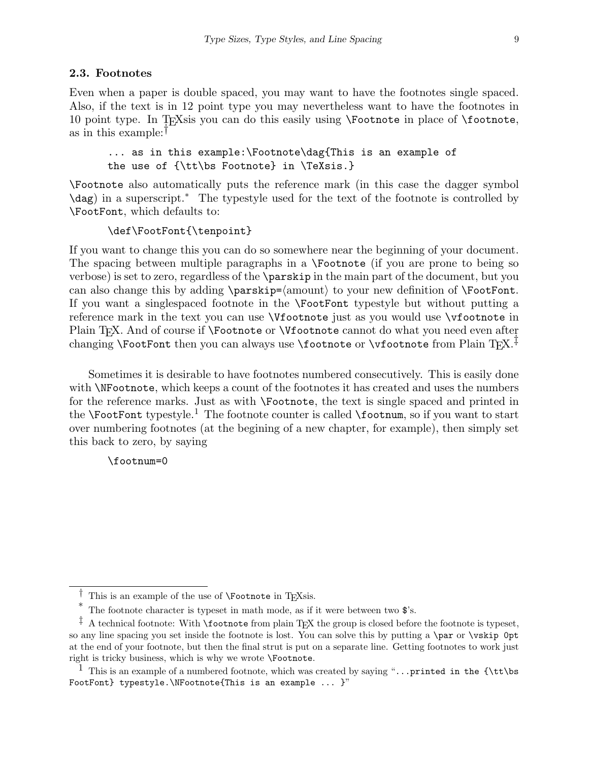#### 2.3. Footnotes

Even when a paper is double spaced, you may want to have the footnotes single spaced. Also, if the text is in 12 point type you may nevertheless want to have the footnotes in 10 point type. In TEXsis you can do this easily using \Footnote in place of \footnote, as in this example:†

... as in this example:\Footnote\dag{This is an example of the use of {\tt\bs Footnote} in \TeXsis.}

\Footnote also automatically puts the reference mark (in this case the dagger symbol \dag) in a superscript.<sup>∗</sup> The typestyle used for the text of the footnote is controlled by \FootFont, which defaults to:

```
\def\FootFont{\tenpoint}
```
If you want to change this you can do so somewhere near the beginning of your document. The spacing between multiple paragraphs in a \Footnote (if you are prone to being so verbose) is set to zero, regardless of the \parskip in the main part of the document, but you can also change this by adding  $\parrow$   $\text{amount}$  to your new definition of  $\footnotesize \text{footFont}.$ If you want a singlespaced footnote in the \FootFont typestyle but without putting a reference mark in the text you can use \Vfootnote just as you would use \vfootnote in Plain T<sub>EX</sub>. And of course if \Footnote or \Vfootnote cannot do what you need even after changing \FootFont then you can always use \footnote or \vfootnote from Plain T<sub>E</sub>X.<sup>+</sup>

Sometimes it is desirable to have footnotes numbered consecutively. This is easily done with \NFootnote, which keeps a count of the footnotes it has created and uses the numbers for the reference marks. Just as with \Footnote, the text is single spaced and printed in the **\FootFont** typestyle.<sup>1</sup> The footnote counter is called **\footnum**, so if you want to start over numbering footnotes (at the begining of a new chapter, for example), then simply set this back to zero, by saying

\footnum=0

 $\dagger$  This is an example of the use of **\Footnote** in T<sub>E</sub>Xsis.

The footnote character is typeset in math mode, as if it were between two  $\hat{\mathbf{x}}$ 's.

 $\ddagger$  A technical footnote: With **\footnote** from plain T<sub>E</sub>X the group is closed before the footnote is typeset, so any line spacing you set inside the footnote is lost. You can solve this by putting a \par or \vskip 0pt at the end of your footnote, but then the final strut is put on a separate line. Getting footnotes to work just right is tricky business, which is why we wrote \Footnote.

<sup>&</sup>lt;sup>1</sup> This is an example of a numbered footnote, which was created by saying "...printed in the  $\{\t{tt}\$ FootFont} typestyle.\NFootnote{This is an example ... }"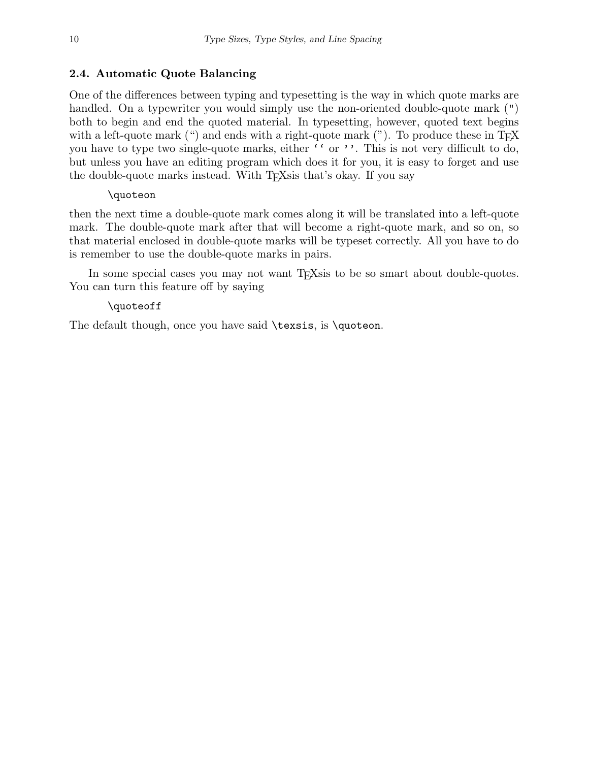#### 2.4. Automatic Quote Balancing

One of the differences between typing and typesetting is the way in which quote marks are handled. On a typewriter you would simply use the non-oriented double-quote mark  $(")$ both to begin and end the quoted material. In typesetting, however, quoted text begins with a left-quote mark  $($ ") and ends with a right-quote mark  $($ "). To produce these in T<sub>E</sub>X you have to type two single-quote marks, either '' or ''. This is not very difficult to do, but unless you have an editing program which does it for you, it is easy to forget and use the double-quote marks instead. With TEXsis that's okay. If you say

#### \quoteon

then the next time a double-quote mark comes along it will be translated into a left-quote mark. The double-quote mark after that will become a right-quote mark, and so on, so that material enclosed in double-quote marks will be typeset correctly. All you have to do is remember to use the double-quote marks in pairs.

In some special cases you may not want T<sub>E</sub>Xs is to be so smart about double-quotes. You can turn this feature off by saying

#### \quoteoff

The default though, once you have said \texsis, is \quoteon.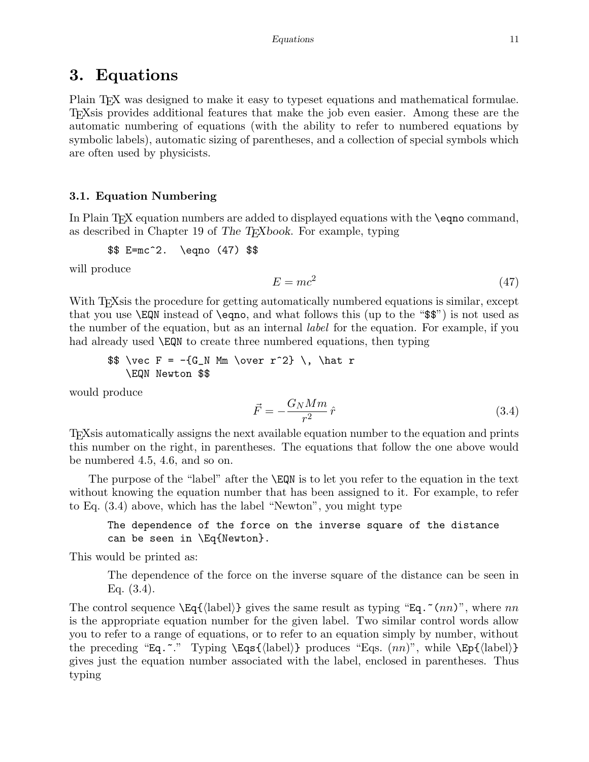### 3. Equations

Plain T<sub>EX</sub> was designed to make it easy to typeset equations and mathematical formulae. TEXsis provides additional features that make the job even easier. Among these are the automatic numbering of equations (with the ability to refer to numbered equations by symbolic labels), automatic sizing of parentheses, and a collection of special symbols which are often used by physicists.

#### 3.1. Equation Numbering

In Plain T<sub>EX</sub> equation numbers are added to displayed equations with the  $\epsilon$  eqno command, as described in Chapter 19 of The T<sub>E</sub>Xbook. For example, typing

$$
$E=mc^2.
$$
 \neq 47)  $$$ 

will produce

$$
E = mc^2 \tag{47}
$$

With T<sub>E</sub>Xsis the procedure for getting automatically numbered equations is similar, except that you use \EQN instead of \eqno, and what follows this (up to the "\$\$") is not used as the number of the equation, but as an internal label for the equation. For example, if you had already used **\EQN** to create three numbered equations, then typing

 $\$  \vec F = -{G\_N Mm \over r^2} \, \hat r \EQN Newton \$\$

would produce

$$
\vec{F} = -\frac{G_N M m}{r^2} \hat{r}
$$
\n(3.4)

TEXsis automatically assigns the next available equation number to the equation and prints this number on the right, in parentheses. The equations that follow the one above would be numbered 4.5, 4.6, and so on.

The purpose of the "label" after the \EQN is to let you refer to the equation in the text without knowing the equation number that has been assigned to it. For example, to refer to Eq. (3.4) above, which has the label "Newton", you might type

The dependence of the force on the inverse square of the distance can be seen in \Eq{Newton}.

This would be printed as:

The dependence of the force on the inverse square of the distance can be seen in Eq. (3.4).

The control sequence  $\E{q}({\text{label}})$  gives the same result as typing "Eq.~(nn)", where nn is the appropriate equation number for the given label. Two similar control words allow you to refer to a range of equations, or to refer to an equation simply by number, without the preceding "Eq."." Typing  $\E{label}$  Eqs. (label) produces "Eqs.  $(nn)$ ", while  $\E{label}$ gives just the equation number associated with the label, enclosed in parentheses. Thus typing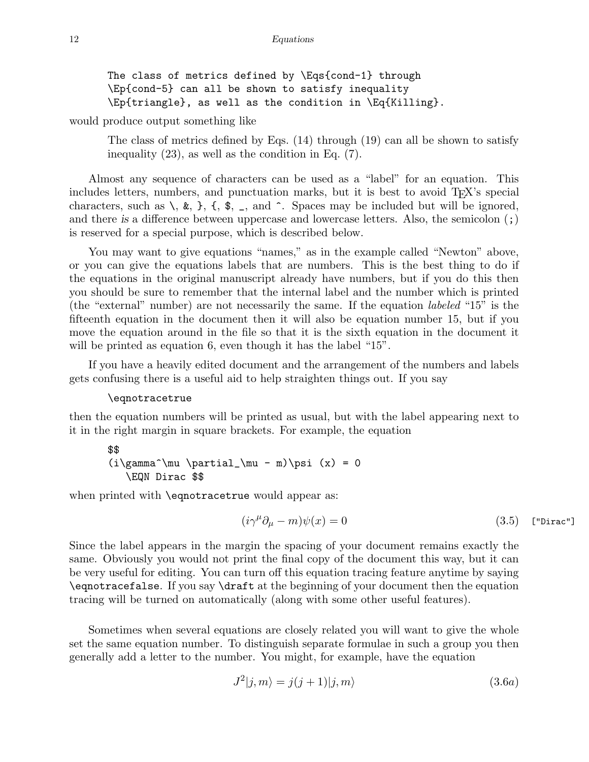The class of metrics defined by \Eqs{cond-1} through \Ep{cond-5} can all be shown to satisfy inequality \Ep{triangle}, as well as the condition in \Eq{Killing}.

would produce output something like

The class of metrics defined by Eqs. (14) through (19) can all be shown to satisfy inequality (23), as well as the condition in Eq. (7).

Almost any sequence of characters can be used as a "label" for an equation. This includes letters, numbers, and punctuation marks, but it is best to avoid T<sub>E</sub>X's special characters, such as  $\lambda$ ,  $\&$ ,  $\}$ ,  $\{$ ,  $\&$ ,  $\Box$ , and  $\hat{\ }$ . Spaces may be included but will be ignored, and there is a difference between uppercase and lowercase letters. Also, the semicolon  $(; )$ is reserved for a special purpose, which is described below.

You may want to give equations "names," as in the example called "Newton" above, or you can give the equations labels that are numbers. This is the best thing to do if the equations in the original manuscript already have numbers, but if you do this then you should be sure to remember that the internal label and the number which is printed (the "external" number) are not necessarily the same. If the equation labeled "15" is the fifteenth equation in the document then it will also be equation number 15, but if you move the equation around in the file so that it is the sixth equation in the document it will be printed as equation 6, even though it has the label "15".

If you have a heavily edited document and the arrangement of the numbers and labels gets confusing there is a useful aid to help straighten things out. If you say

#### \eqnotracetrue

then the equation numbers will be printed as usual, but with the label appearing next to it in the right margin in square brackets. For example, the equation

#### \$\$  $(i\gamma^{\mu} \partial_{\mu} - m)\psi (x) = 0$ \EQN Dirac \$\$

when printed with **\eqnotracetrue** would appear as:

$$
(i\gamma^{\mu}\partial_{\mu} - m)\psi(x) = 0 \qquad (3.5) \qquad \text{["Dirac"]}
$$

Since the label appears in the margin the spacing of your document remains exactly the same. Obviously you would not print the final copy of the document this way, but it can be very useful for editing. You can turn off this equation tracing feature anytime by saying \eqnotracefalse. If you say \draft at the beginning of your document then the equation tracing will be turned on automatically (along with some other useful features).

Sometimes when several equations are closely related you will want to give the whole set the same equation number. To distinguish separate formulae in such a group you then generally add a letter to the number. You might, for example, have the equation

$$
J^2|j,m\rangle = j(j+1)|j,m\rangle \tag{3.6a}
$$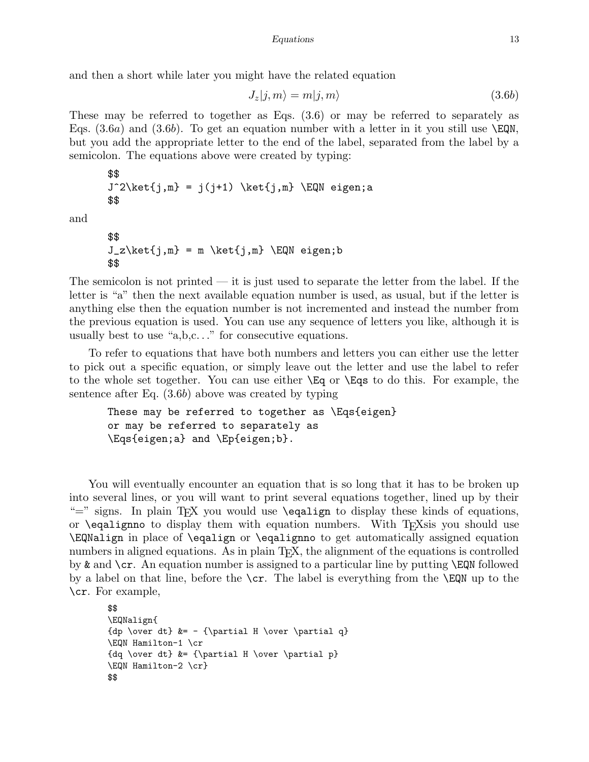and then a short while later you might have the related equation

$$
J_z|j,m\rangle = m|j,m\rangle \tag{3.6b}
$$

These may be referred to together as Eqs. (3.6) or may be referred to separately as Eqs.  $(3.6a)$  and  $(3.6b)$ . To get an equation number with a letter in it you still use  $\E{QN}$ , but you add the appropriate letter to the end of the label, separated from the label by a semicolon. The equations above were created by typing:

\$\$ J^2\ket{j,m} = j(j+1) \ket{j,m} \EQN eigen;a \$\$

and

```
$$
J_z\ket{j,m} = m \ket{ket{j,m}} \EQN eigen;b$$
```
The semicolon is not printed — it is just used to separate the letter from the label. If the letter is "a" then the next available equation number is used, as usual, but if the letter is anything else then the equation number is not incremented and instead the number from the previous equation is used. You can use any sequence of letters you like, although it is usually best to use "a,b,c. . ." for consecutive equations.

To refer to equations that have both numbers and letters you can either use the letter to pick out a specific equation, or simply leave out the letter and use the label to refer to the whole set together. You can use either \Eq or \Eqs to do this. For example, the sentence after Eq. (3.6b) above was created by typing

```
These may be referred to together as \Eqs{eigen}
or may be referred to separately as
\Eqs{eigen;a} and \Ep{eigen;b}.
```
You will eventually encounter an equation that is so long that it has to be broken up into several lines, or you will want to print several equations together, lined up by their " $\equiv$ " signs. In plain T<sub>EX</sub> you would use \equations to display these kinds of equations, or \eqalignno to display them with equation numbers. With TEXsis you should use \EQNalign in place of \eqalign or \eqalignno to get automatically assigned equation numbers in aligned equations. As in plain T<sub>EX</sub>, the alignment of the equations is controlled by  $\&$  and  $\csc A$ n equation number is assigned to a particular line by putting  $\E Q$ N followed by a label on that line, before the  $\csc$ . The label is everything from the  $\E{QN}$  up to the \cr. For example,

\$\$ \EQNalign{ {dp \over dt}  $k = - {\partial H \over \partial q}$ \EQN Hamilton-1 \cr {dq \over dt}  $&= {\partial H \over \partial p}$ \EQN Hamilton-2 \cr} \$\$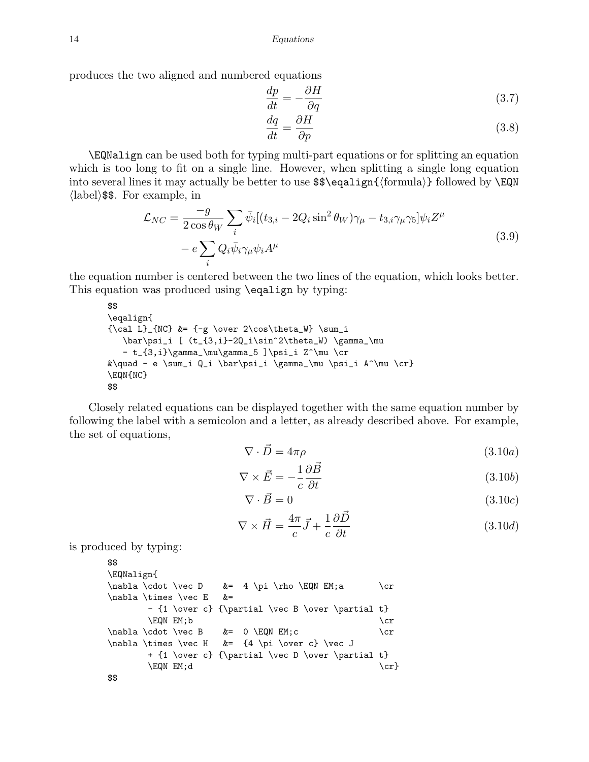produces the two aligned and numbered equations

$$
\frac{dp}{dt} = -\frac{\partial H}{\partial q} \tag{3.7}
$$

$$
\frac{dq}{dt} = \frac{\partial H}{\partial p} \tag{3.8}
$$

\EQNalign can be used both for typing multi-part equations or for splitting an equation which is too long to fit on a single line. However, when splitting a single long equation into several lines it may actually be better to use  $\$ \ $\qquad$   ${\formula}$  followed by  $\EqN$  $\langle$ label $\rangle$ \$\$. For example, in

$$
\mathcal{L}_{NC} = \frac{-g}{2\cos\theta_W} \sum_i \bar{\psi}_i [(t_{3,i} - 2Q_i \sin^2\theta_W)\gamma_\mu - t_{3,i}\gamma_\mu\gamma_5] \psi_i Z^\mu \n- e \sum_i Q_i \bar{\psi}_i \gamma_\mu \psi_i A^\mu
$$
\n(3.9)

the equation number is centered between the two lines of the equation, which looks better. This equation was produced using \eqalign by typing:

```
$$
\eqalign{
\{ \cal L \}_\{NC\} &= \{-g \over 2\cos\theta_W\} \sum_i\bar\psi_i [ (t_{3,i}-2Q_i\sin^2\theta_W) \gamma_\mu
   - t_{3,i}\gamma_\mu\gamma_5 ]\psi_i Z^\mu \cr
\ell \quad - e \sum_i Q_i \bar{\psi} \gamma_\mu \psi \gamma_\mu \gamma\EQN{NC}
$$
```
Closely related equations can be displayed together with the same equation number by following the label with a semicolon and a letter, as already described above. For example, the set of equations,

$$
\nabla \cdot \vec{D} = 4\pi\rho \tag{3.10a}
$$

$$
\nabla \times \vec{E} = -\frac{1}{c} \frac{\partial \vec{B}}{\partial t}
$$
 (3.10*b*)

$$
\nabla \cdot \vec{B} = 0 \tag{3.10c}
$$

$$
\nabla \times \vec{H} = \frac{4\pi}{c}\vec{J} + \frac{1}{c}\frac{\partial \vec{D}}{\partial t}
$$
\n(3.10*d*)

is produced by typing:

```
$$
\EQNalign{
\nabla \cdot \vec D &= 4 \pi \rho \EQN EM;a \cr
\nabla \times \vec E &=
      - {1 \over c} {\partial \vec B \over \partial t}
      \E{QN} EM; b \operatorname{Cer}\nabla \cdot \cdot \cdot B &= 0 \EQN EM; c \cr
\nabla \times \vec H &= {4 \pi \over c} \vec J
      + {1 \over c} {\partial \vec D \over \partial t}
      \sum_{c} EM; d
```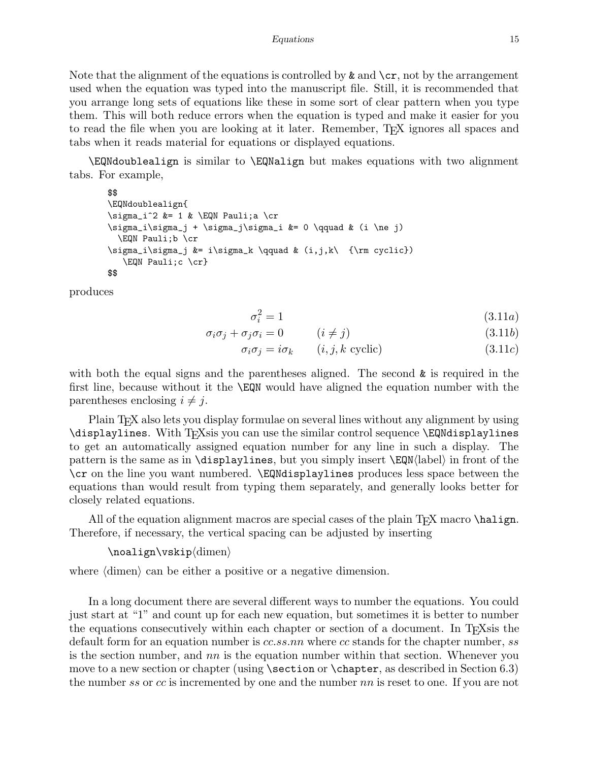Note that the alignment of the equations is controlled by  $\&$  and  $\csc$ , not by the arrangement used when the equation was typed into the manuscript file. Still, it is recommended that you arrange long sets of equations like these in some sort of clear pattern when you type them. This will both reduce errors when the equation is typed and make it easier for you to read the file when you are looking at it later. Remember, TEX ignores all spaces and tabs when it reads material for equations or displayed equations.

\EQNdoublealign is similar to \EQNalign but makes equations with two alignment tabs. For example,

```
$$
\EQNdoublealign{
\sigma_i^2 &= 1 & \EQN Pauli;a \cr
\sigma_i\sigma_j + \sigma_j\sigma_i &= 0 \qquad & (i \ne j)
  \EQN Pauli;b \cr
\sigma_i\sigma_j &= i\sigma_k \qquad k (i,j,k) {\rm cyclic})
   \EQN Pauli;c \cr}
$$
```
produces

$$
\sigma_i^2 = 1\tag{3.11a}
$$

$$
\sigma_i \sigma_j + \sigma_j \sigma_i = 0 \qquad (i \neq j) \tag{3.11b}
$$

$$
\sigma_i \sigma_j = i \sigma_k \qquad (i, j, k \text{ cyclic}) \tag{3.11c}
$$

with both the equal signs and the parentheses aligned. The second  $\&$  is required in the first line, because without it the \EQN would have aligned the equation number with the parentheses enclosing  $i \neq j$ .

Plain TEX also lets you display formulae on several lines without any alignment by using  $\ddot{\text{displays}}$ . With T<sub>E</sub>Xsis you can use the similar control sequence  $\text{EqNdisplays}}$ to get an automatically assigned equation number for any line in such a display. The pattern is the same as in  $\displaystyle \Delta$ isplaylines, but you simply insert  $\operatorname{LQN}(label)$  in front of the \cr on the line you want numbered. \EQNdisplaylines produces less space between the equations than would result from typing them separately, and generally looks better for closely related equations.

All of the equation alignment macros are special cases of the plain  $T_FX$  macro  $\hbar$ ign. Therefore, if necessary, the vertical spacing can be adjusted by inserting

```
\n\cdot\
```
where  $\langle$  dimen $\rangle$  can be either a positive or a negative dimension.

In a long document there are several different ways to number the equations. You could just start at "1" and count up for each new equation, but sometimes it is better to number the equations consecutively within each chapter or section of a document. In TEXsis the default form for an equation number is cc.ss.nn where cc stands for the chapter number, ss is the section number, and  $nn$  is the equation number within that section. Whenever you move to a new section or chapter (using \section or \chapter, as described in Section 6.3) the number ss or cc is incremented by one and the number nn is reset to one. If you are not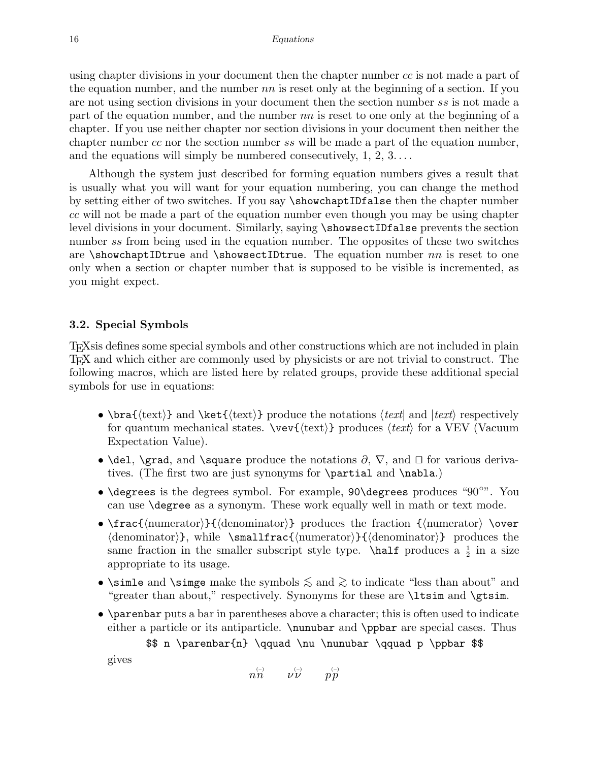using chapter divisions in your document then the chapter number cc is not made a part of the equation number, and the number  $nn$  is reset only at the beginning of a section. If you are not using section divisions in your document then the section number ss is not made a part of the equation number, and the number  $nn$  is reset to one only at the beginning of a chapter. If you use neither chapter nor section divisions in your document then neither the chapter number cc nor the section number ss will be made a part of the equation number, and the equations will simply be numbered consecutively,  $1, 2, 3, \ldots$ 

Although the system just described for forming equation numbers gives a result that is usually what you will want for your equation numbering, you can change the method by setting either of two switches. If you say \showchaptIDfalse then the chapter number cc will not be made a part of the equation number even though you may be using chapter level divisions in your document. Similarly, saying \showsectIDfalse prevents the section number ss from being used in the equation number. The opposites of these two switches are \showchaptIDtrue and \showsectIDtrue. The equation number  $nn$  is reset to one only when a section or chapter number that is supposed to be visible is incremented, as you might expect.

#### 3.2. Special Symbols

TEXsis defines some special symbols and other constructions which are not included in plain TEX and which either are commonly used by physicists or are not trivial to construct. The following macros, which are listed here by related groups, provide these additional special symbols for use in equations:

- \bra{\dext\}} and \ket{\dext\} produce the notations  $\text{text}$  and  $|text\rangle$  respectively for quantum mechanical states.  $\text{text}}$  produces  $\text{text}$  for a VEV (Vacuum Expectation Value).
- \del, \grad, and \square produce the notations  $\partial$ ,  $\nabla$ , and  $\square$  for various derivatives. (The first two are just synonyms for \partial and \nabla.)
- \degrees is the degrees symbol. For example, 90\degrees produces "90◦". You can use \degree as a synonym. These work equally well in math or text mode.
- \frac{\mumerator\}{\denominator\} produces the fraction {\mumerator\ \over  $\text{denominator}\$ , while  $\smallsetminus\mathsf{numerator}\$  (denominator) produces the same fraction in the smaller subscript style type.  $\hbox{half produces a } \frac{1}{2}$  in a size appropriate to its usage.
- \simle and \simge make the symbols  $\leq$  and  $\geq$  to indicate "less than about" and "greater than about," respectively. Synonyms for these are \ltsim and \gtsim.
- \parenbar puts a bar in parentheses above a character; this is often used to indicate either a particle or its antiparticle.  $\text{and } \text{pbar}$  are special cases. Thus

\$\$ n \parenbar{n} \qquad \nu \nunubar \qquad p \ppbar \$\$ gives

$$
n\overset{\scriptscriptstyle(-)}{\hat n}\qquad \nu\overset{\scriptscriptstyle(-)}{\nu}\qquad \quad p\overset{\scriptscriptstyle(-)}{p}
$$

n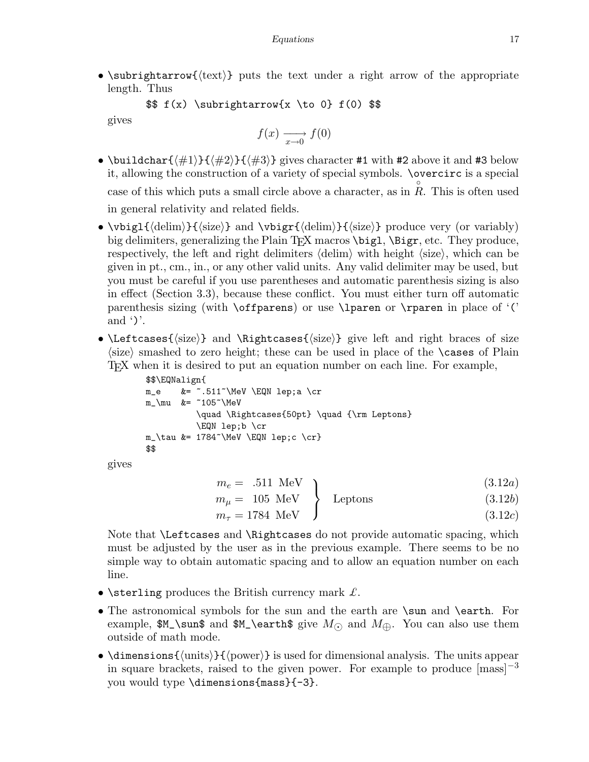• \subrightarrow{ $\text{text}}$ } puts the text under a right arrow of the appropriate length. Thus

 $\$  f(x) \subrightarrow{x \to 0} f(0)  $\$ gives

 $f(x) \longrightarrow f(0)$ 

- \buildchar{ $\{\#1\}$ { $\{\#2\}$ }  $\{\#3\}$  gives character #1 with #2 above it and #3 below it, allowing the construction of a variety of special symbols. \overcirc is a special case of this which puts a small circle above a character, as in ◦ R. This is often used in general relativity and related fields.
- \vbigl{\delim}}{\size}} and \vbigr{\delim}}{\size}} produce very (or variably) big delimiters, generalizing the Plain T<sub>EX</sub> macros  $\big\{\begin{array}{c}\n\big\}\n\big\}$  etc. They produce, respectively, the left and right delimiters  $\langle$ delim $\rangle$  with height  $\langle$ size $\rangle$ , which can be given in pt., cm., in., or any other valid units. Any valid delimiter may be used, but you must be careful if you use parentheses and automatic parenthesis sizing is also in effect (Section 3.3), because these conflict. You must either turn off automatic parenthesis sizing (with \offparens) or use \lparen or \rparen in place of '(' and  $\cdot$ )'.
- \Leftcases $\{size\}$  and \Rightcases $\{size\}$  give left and right braces of size  $\langle$  smashed to zero height; these can be used in place of the  $\langle$  cases of Plain TEX when it is desired to put an equation number on each line. For example,

```
$$\EQNalign{
m_e &= ~.511~\MeV \EQN lep;a \cr
m_\mu w = 105^\circ\MeV\quad \Rightcases{50pt} \quad {\rm Leptons}
           \EQN lep;b \cr
m_\tau \tau \&= 1784^\circ \text{MeV} \EQN lep; c \cr$$
```
gives

$$
m_e = .511 \text{ MeV} \quad (3.12a)
$$

$$
m_{\mu} = 105 \text{ MeV} \quad \left\{\text{Leptons} \tag{3.12b} \right\}
$$

$$
m_{\tau} = 1784 \text{ MeV} \quad \text{J} \tag{3.12c}
$$

Note that \Leftcases and \Rightcases do not provide automatic spacing, which must be adjusted by the user as in the previous example. There seems to be no simple way to obtain automatic spacing and to allow an equation number on each line.

- \sterling produces the British currency mark  $\mathcal{L}$ .
- The astronomical symbols for the sun and the earth are \sun and \earth. For example, \$M\_\sun\$ and \$M\_\earth\$ give  $M_{\odot}$  and  $M_{\oplus}$ . You can also use them outside of math mode.
- $\dimensions{\langle units\rangle}{\langle power\rangle}$  is used for dimensional analysis. The units appear in square brackets, raised to the given power. For example to produce  ${\rm [mass]}^{-3}$ you would type \dimensions{mass}{-3}.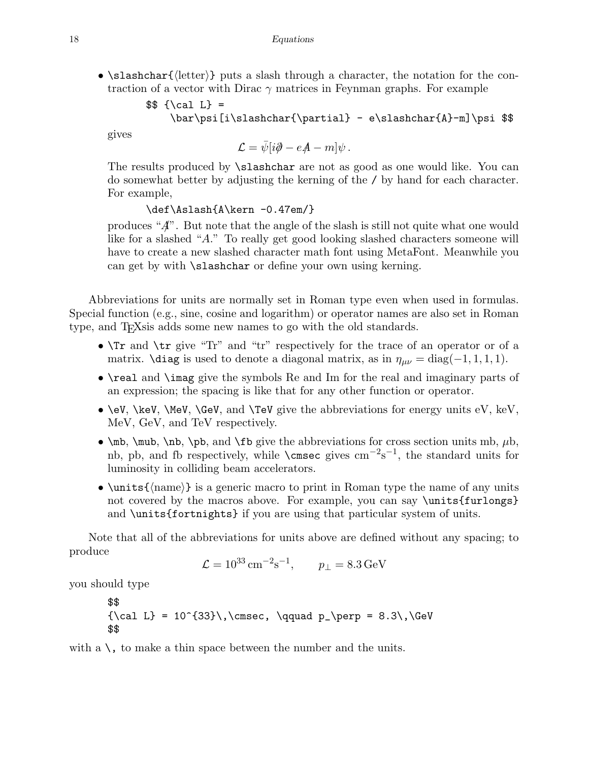•  $\simeq$  \slashchar{ $\{\text{letter}\}\$  puts a slash through a character, the notation for the contraction of a vector with Dirac  $\gamma$  matrices in Feynman graphs. For example

```
$  {\cal L} =
```

```
\bar\psi[i\slashchar{\partial} - e\slashchar{A}-m]\psi $$
```
gives

$$
\mathcal{L} = \bar{\psi}[i\partial - eA - m]\psi.
$$

The results produced by \slashchar are not as good as one would like. You can do somewhat better by adjusting the kerning of the / by hand for each character. For example,

#### \def\Aslash{A\kern -0.47em/}

produces "A/". But note that the angle of the slash is still not quite what one would like for a slashed "A." To really get good looking slashed characters someone will have to create a new slashed character math font using MetaFont. Meanwhile you can get by with \slashchar or define your own using kerning.

Abbreviations for units are normally set in Roman type even when used in formulas. Special function (e.g., sine, cosine and logarithm) or operator names are also set in Roman type, and T<sub>E</sub>Xs is adds some new names to go with the old standards.

- \Tr and \tr give "Tr" and "tr" respectively for the trace of an operator or of a matrix.  $\langle \text{diag} \rangle$  is used to denote a diagonal matrix, as in  $\eta_{\mu\nu} = \text{diag}(-1, 1, 1, 1)$ .
- \real and \imag give the symbols Re and Im for the real and imaginary parts of an expression; the spacing is like that for any other function or operator.
- \eV, \keV, \MeV, \GeV, and \TeV give the abbreviations for energy units  $eV$ ,  $keV$ , MeV, GeV, and TeV respectively.
- $\mathbb{ab}$ ,  $\mathbb{ab}$ ,  $\mathbb{ab}$ ,  $\mathbb{ab}$ ,  $\mathbb{ab}$ ,  $\mathbb{ab}$  and  $\mathbb{ab}$  for cross section units mb,  $\mu$ b, nb, pb, and fb respectively, while **\cmsec** gives  $cm^{-2}s^{-1}$ , the standard units for luminosity in colliding beam accelerators.
- \units{ $\langle$ name}} is a generic macro to print in Roman type the name of any units not covered by the macros above. For example, you can say \units{furlongs} and \units{fortnights} if you are using that particular system of units.

Note that all of the abbreviations for units above are defined without any spacing; to produce

$$
\mathcal{L} = 10^{33} \,\mathrm{cm}^{-2} \mathrm{s}^{-1}, \qquad p_{\perp} = 8.3 \,\mathrm{GeV}
$$

you should type

\$\$ {\cal L} = 10^{33}\,\cmsec, \qquad p\_\perp = 8.3\,\GeV \$\$

with a  $\lambda$ , to make a thin space between the number and the units.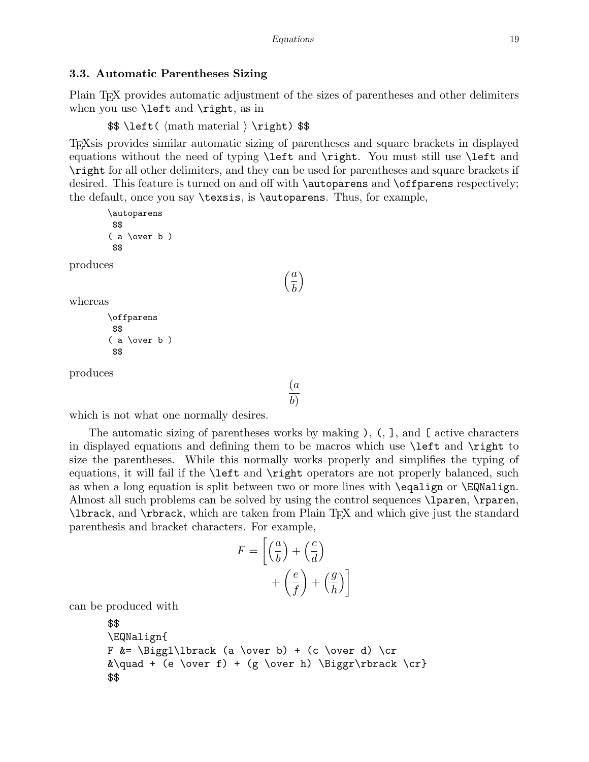#### 3.3. Automatic Parentheses Sizing

Plain T<sub>EX</sub> provides automatic adjustment of the sizes of parentheses and other delimiters when you use **\left** and **\right**, as in

 $\$  \left(  $\{ \text{math material } \rightarrow \$ 

TEXsis provides similar automatic sizing of parentheses and square brackets in displayed equations without the need of typing \left and \right. You must still use \left and \right for all other delimiters, and they can be used for parentheses and square brackets if desired. This feature is turned on and off with **\autoparens** and **\offparens** respectively; the default, once you say \texsis, is \autoparens. Thus, for example,

```
\autoparens
$$
( a \over b )
$$
```
produces

whereas

```
\offparens
$$
( a \over b )
$$
```
produces

 $\overline{a}$ b)

 $\frac{a}{2}$ b ´

which is not what one normally desires.

The automatic sizing of parentheses works by making ), (, ], and [ active characters in displayed equations and defining them to be macros which use \left and \right to size the parentheses. While this normally works properly and simplifies the typing of equations, it will fail if the **\left** and **\right** operators are not properly balanced, such as when a long equation is split between two or more lines with \eqalign or \EQNalign. Almost all such problems can be solved by using the control sequences  $\langle \rangle$  haren,  $\langle \rangle$ \lbrack, and \rbrack, which are taken from Plain TEX and which give just the standard parenthesis and bracket characters. For example,

$$
F = \left[ \left( \frac{a}{b} \right) + \left( \frac{c}{d} \right) + \left( \frac{e}{f} \right) + \left( \frac{g}{h} \right) \right]
$$

can be produced with

```
$$
\EQNalign{
F &= \Big\langle \Biggl\lbrack (a \over b) + (c \over d) \cr
\&\quad + (e \over f) + (g \over h) \Big|$$
```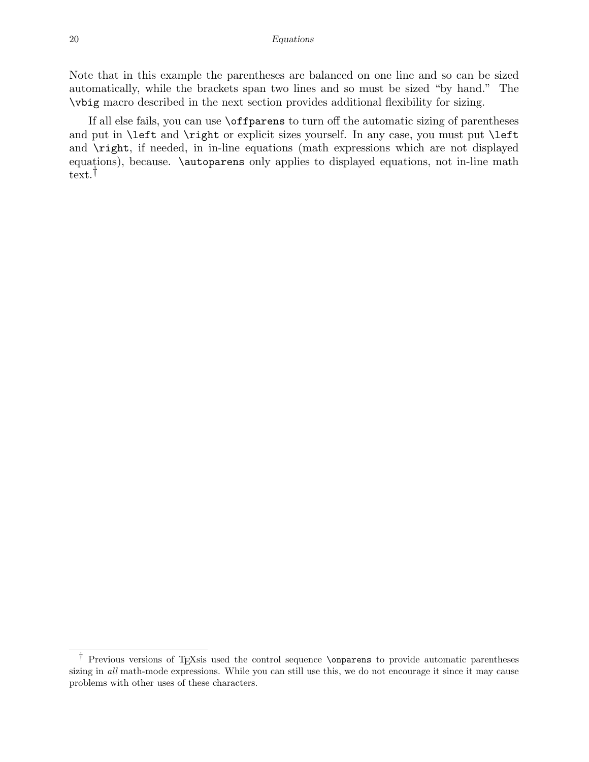Note that in this example the parentheses are balanced on one line and so can be sized automatically, while the brackets span two lines and so must be sized "by hand." The \vbig macro described in the next section provides additional flexibility for sizing.

If all else fails, you can use \offparens to turn off the automatic sizing of parentheses and put in **\left** and **\right** or explicit sizes yourself. In any case, you must put **\left** and \right, if needed, in in-line equations (math expressions which are not displayed equations), because. \autoparens only applies to displayed equations, not in-line math text.†

<sup>†</sup> Previous versions of TEXsis used the control sequence \onparens to provide automatic parentheses sizing in all math-mode expressions. While you can still use this, we do not encourage it since it may cause problems with other uses of these characters.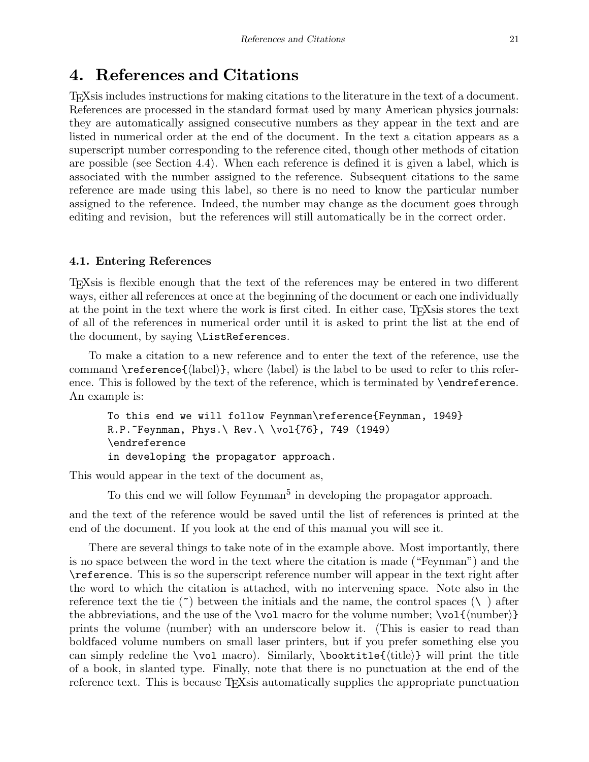### 4. References and Citations

TEXsis includes instructions for making citations to the literature in the text of a document. References are processed in the standard format used by many American physics journals: they are automatically assigned consecutive numbers as they appear in the text and are listed in numerical order at the end of the document. In the text a citation appears as a superscript number corresponding to the reference cited, though other methods of citation are possible (see Section 4.4). When each reference is defined it is given a label, which is associated with the number assigned to the reference. Subsequent citations to the same reference are made using this label, so there is no need to know the particular number assigned to the reference. Indeed, the number may change as the document goes through editing and revision, but the references will still automatically be in the correct order.

#### 4.1. Entering References

TEXsis is flexible enough that the text of the references may be entered in two different ways, either all references at once at the beginning of the document or each one individually at the point in the text where the work is first cited. In either case, TEXsis stores the text of all of the references in numerical order until it is asked to print the list at the end of the document, by saying \ListReferences.

To make a citation to a new reference and to enter the text of the reference, use the command  $\ref{label}$ , where  $\langle$  label) is the label to be used to refer to this reference. This is followed by the text of the reference, which is terminated by \endreference. An example is:

```
To this end we will follow Feynman\reference{Feynman, 1949}
R.P.~Feynman, Phys.\ Rev.\ \vol{76}, 749 (1949)
\endreference
in developing the propagator approach.
```
This would appear in the text of the document as,

To this end we will follow Feynman<sup>5</sup> in developing the propagator approach.

and the text of the reference would be saved until the list of references is printed at the end of the document. If you look at the end of this manual you will see it.

There are several things to take note of in the example above. Most importantly, there is no space between the word in the text where the citation is made ("Feynman") and the \reference. This is so the superscript reference number will appear in the text right after the word to which the citation is attached, with no intervening space. Note also in the reference text the tie  $(\tilde{\phantom{a}})$  between the initials and the name, the control spaces  $(\nabla)$  after the abbreviations, and the use of the  $\vol$  macro for the volume number;  $\vol({\text{number}})$ prints the volume  $\langle$  number $\rangle$  with an underscore below it. (This is easier to read than boldfaced volume numbers on small laser printers, but if you prefer something else you can simply redefine the \vol macro). Similarly, \booktitle{ $\{title\}$ } will print the title of a book, in slanted type. Finally, note that there is no punctuation at the end of the reference text. This is because T<sub>E</sub>Xsis automatically supplies the appropriate punctuation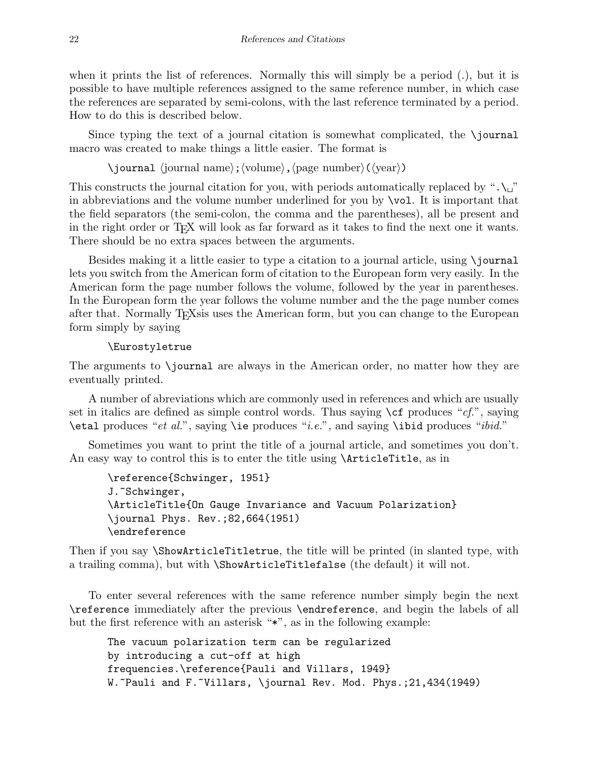when it prints the list of references. Normally this will simply be a period (.), but it is possible to have multiple references assigned to the same reference number, in which case the references are separated by semi-colons, with the last reference terminated by a period. How to do this is described below.

Since typing the text of a journal citation is somewhat complicated, the \journal macro was created to make things a little easier. The format is

 $\langle$ journal  $\langle$ journal name $\rangle$ ; $\langle$ volume $\rangle$ , $\langle$ page number $\rangle(\langle$ year $\rangle)$ 

This constructs the journal citation for you, with periods automatically replaced by " $\lambda_{\mathbf{u}}$ " in abbreviations and the volume number underlined for you by \vol. It is important that the field separators (the semi-colon, the comma and the parentheses), all be present and in the right order or T<sub>E</sub>X will look as far forward as it takes to find the next one it wants. There should be no extra spaces between the arguments.

Besides making it a little easier to type a citation to a journal article, using \journal lets you switch from the American form of citation to the European form very easily. In the American form the page number follows the volume, followed by the year in parentheses. In the European form the year follows the volume number and the the page number comes after that. Normally TEXsis uses the American form, but you can change to the European form simply by saying

#### \Eurostyletrue

The arguments to \journal are always in the American order, no matter how they are eventually printed.

A number of abreviations which are commonly used in references and which are usually set in italics are defined as simple control words. Thus saying  $\csc^2 c f$ , saying  $\eta$  \etal produces "*et al.*", saying \ie produces "*i.e.*", and saying \ibid produces "*ibid.*"

Sometimes you want to print the title of a journal article, and sometimes you don't. An easy way to control this is to enter the title using \ArticleTitle, as in

```
\reference{Schwinger, 1951}
J. "Schwinger,
\ArticleTitle{On Gauge Invariance and Vacuum Polarization}
\journal Phys. Rev.;82,664(1951)
\endreference
```
Then if you say \ShowArticleTitletrue, the title will be printed (in slanted type, with a trailing comma), but with \ShowArticleTitlefalse (the default) it will not.

To enter several references with the same reference number simply begin the next \reference immediately after the previous \endreference, and begin the labels of all but the first reference with an asterisk "\*", as in the following example:

The vacuum polarization term can be regularized by introducing a cut-off at high frequencies.\reference{Pauli and Villars, 1949} W.~Pauli and F.~Villars, \journal Rev. Mod. Phys.;21,434(1949)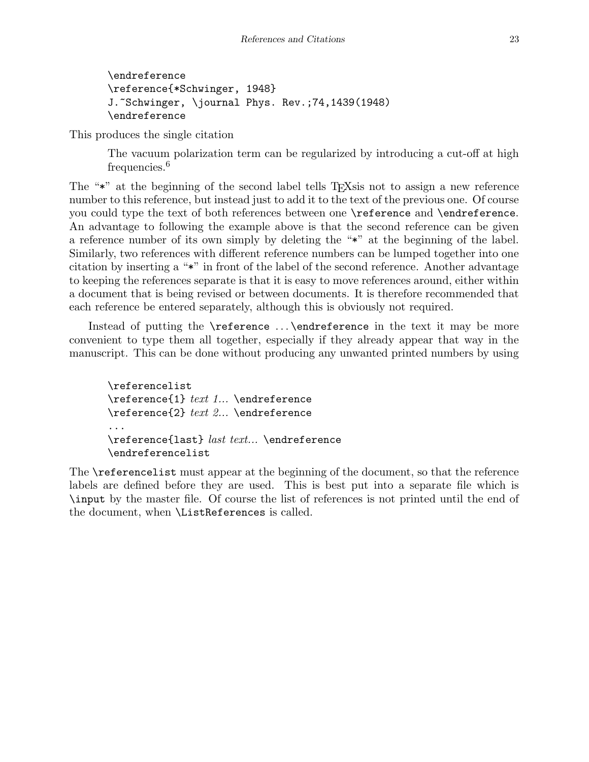```
\endreference
\reference{*Schwinger, 1948}
J.~Schwinger, \journal Phys. Rev.;74,1439(1948)
\endreference
```
This produces the single citation

The vacuum polarization term can be regularized by introducing a cut-off at high frequencies.<sup>6</sup>

The "\*" at the beginning of the second label tells T<sub>E</sub>Xsis not to assign a new reference number to this reference, but instead just to add it to the text of the previous one. Of course you could type the text of both references between one \reference and \endreference. An advantage to following the example above is that the second reference can be given a reference number of its own simply by deleting the "\*" at the beginning of the label. Similarly, two references with different reference numbers can be lumped together into one citation by inserting a "\*" in front of the label of the second reference. Another advantage to keeping the references separate is that it is easy to move references around, either within a document that is being revised or between documents. It is therefore recommended that each reference be entered separately, although this is obviously not required.

Instead of putting the **\reference** ... **\endreference** in the text it may be more convenient to type them all together, especially if they already appear that way in the manuscript. This can be done without producing any unwanted printed numbers by using

\referencelist \reference{1} text 1... \endreference \reference{2} text 2... \endreference ...  $\ref{last} last \text{...} end reference$ \endreferencelist

The \referencelist must appear at the beginning of the document, so that the reference labels are defined before they are used. This is best put into a separate file which is \input by the master file. Of course the list of references is not printed until the end of the document, when \ListReferences is called.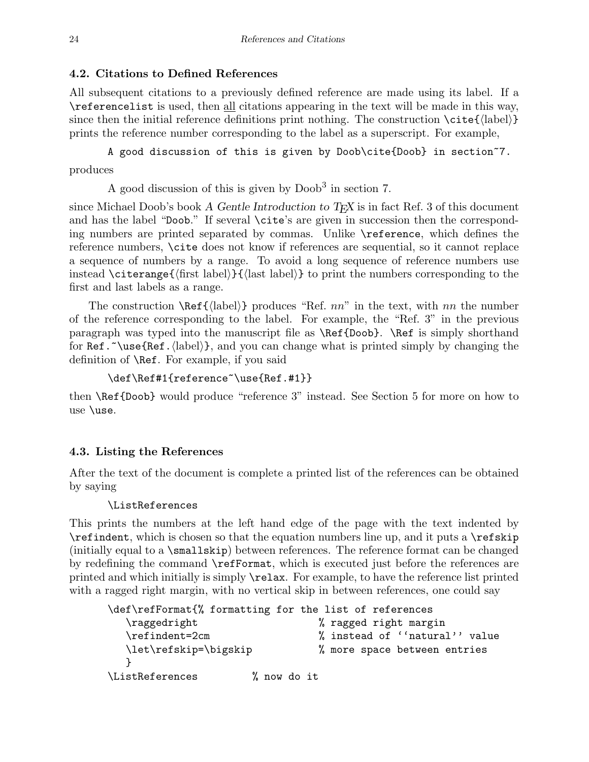#### 4.2. Citations to Defined References

All subsequent citations to a previously defined reference are made using its label. If a \referencelist is used, then all citations appearing in the text will be made in this way, since then the initial reference definitions print nothing. The construction  $\c{cite{label}}$ prints the reference number corresponding to the label as a superscript. For example,

A good discussion of this is given by Doob\cite{Doob} in section~7. produces

A good discussion of this is given by Doob<sup>3</sup> in section 7.

since Michael Doob's book A Gentle Introduction to  $TFX$  is in fact Ref. 3 of this document and has the label "Doob." If several \cite's are given in succession then the corresponding numbers are printed separated by commas. Unlike \reference, which defines the reference numbers, \cite does not know if references are sequential, so it cannot replace a sequence of numbers by a range. To avoid a long sequence of reference numbers use instead  $\ci$ terange ${\frac{\frac{\xi t}{\xi}}{k}}$  label) ${\frac{\xi t}{\xi}}$  to print the numbers corresponding to the first and last labels as a range.

The construction  $\Re\{label\}$  produces "Ref. nn" in the text, with nn the number of the reference corresponding to the label. For example, the "Ref. 3" in the previous paragraph was typed into the manuscript file as \Ref{Doob}. \Ref is simply shorthand for Ref.  $\text{Ref}$ .  $\langle \text{label} \rangle$ , and you can change what is printed simply by changing the definition of \Ref. For example, if you said

```
\def\Ref#1{reference~\use{Ref.#1}}
```
then \Ref{Doob} would produce "reference 3" instead. See Section 5 for more on how to use \use.

#### 4.3. Listing the References

After the text of the document is complete a printed list of the references can be obtained by saying

#### \ListReferences

This prints the numbers at the left hand edge of the page with the text indented by \refindent, which is chosen so that the equation numbers line up, and it puts a \refskip (initially equal to a \smallskip) between references. The reference format can be changed by redefining the command \refFormat, which is executed just before the references are printed and which initially is simply \relax. For example, to have the reference list printed with a ragged right margin, with no vertical skip in between references, one could say

```
\def\refFormat{% formatting for the list of references
  \raggedright % ragged right margin
  \refindent=2cm % instead of ''natural'' value
  \let\refskip=\bigskip % more space between entries
  }
\ListReferences % now do it
```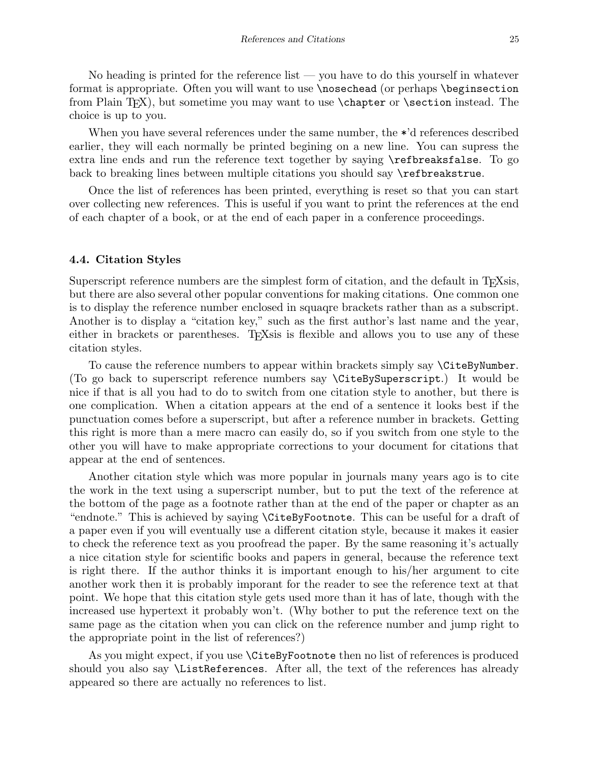No heading is printed for the reference list — you have to do this yourself in whatever format is appropriate. Often you will want to use \nosechead (or perhaps \beginsection from Plain T<sub>EX</sub>), but sometime you may want to use  $\Lambda$  resolution instead. The choice is up to you.

When you have several references under the same number, the \*'d references described earlier, they will each normally be printed begining on a new line. You can supress the extra line ends and run the reference text together by saying \refbreaksfalse. To go back to breaking lines between multiple citations you should say \refbreakstrue.

Once the list of references has been printed, everything is reset so that you can start over collecting new references. This is useful if you want to print the references at the end of each chapter of a book, or at the end of each paper in a conference proceedings.

#### 4.4. Citation Styles

Superscript reference numbers are the simplest form of citation, and the default in T<sub>E</sub>Xsis, but there are also several other popular conventions for making citations. One common one is to display the reference number enclosed in squaqre brackets rather than as a subscript. Another is to display a "citation key," such as the first author's last name and the year, either in brackets or parentheses. TEXsis is flexible and allows you to use any of these citation styles.

To cause the reference numbers to appear within brackets simply say \CiteByNumber. (To go back to superscript reference numbers say \CiteBySuperscript.) It would be nice if that is all you had to do to switch from one citation style to another, but there is one complication. When a citation appears at the end of a sentence it looks best if the punctuation comes before a superscript, but after a reference number in brackets. Getting this right is more than a mere macro can easily do, so if you switch from one style to the other you will have to make appropriate corrections to your document for citations that appear at the end of sentences.

Another citation style which was more popular in journals many years ago is to cite the work in the text using a superscript number, but to put the text of the reference at the bottom of the page as a footnote rather than at the end of the paper or chapter as an "endnote." This is achieved by saying \CiteByFootnote. This can be useful for a draft of a paper even if you will eventually use a different citation style, because it makes it easier to check the reference text as you proofread the paper. By the same reasoning it's actually a nice citation style for scientific books and papers in general, because the reference text is right there. If the author thinks it is important enough to his/her argument to cite another work then it is probably imporant for the reader to see the reference text at that point. We hope that this citation style gets used more than it has of late, though with the increased use hypertext it probably won't. (Why bother to put the reference text on the same page as the citation when you can click on the reference number and jump right to the appropriate point in the list of references?)

As you might expect, if you use \CiteByFootnote then no list of references is produced should you also say \ListReferences. After all, the text of the references has already appeared so there are actually no references to list.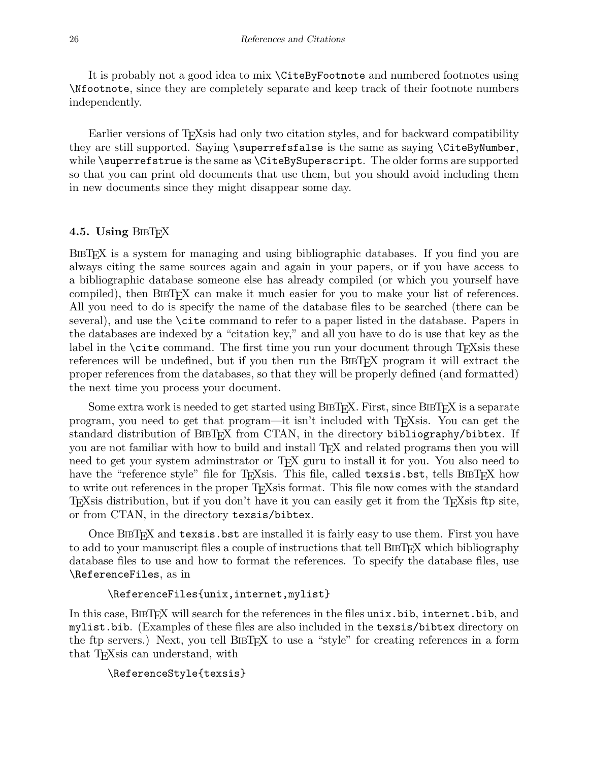It is probably not a good idea to mix \CiteByFootnote and numbered footnotes using \Nfootnote, since they are completely separate and keep track of their footnote numbers independently.

Earlier versions of TEXsis had only two citation styles, and for backward compatibility they are still supported. Saying \superrefsfalse is the same as saying \CiteByNumber, while \superrefstrue is the same as \CiteBySuperscript. The older forms are supported so that you can print old documents that use them, but you should avoid including them in new documents since they might disappear some day.

#### 4.5. Using BIBTFX

BIBT<sub>EX</sub> is a system for managing and using bibliographic databases. If you find you are always citing the same sources again and again in your papers, or if you have access to a bibliographic database someone else has already compiled (or which you yourself have compiled), then BIBT<sub>EX</sub> can make it much easier for you to make your list of references. All you need to do is specify the name of the database files to be searched (there can be several), and use the \cite command to refer to a paper listed in the database. Papers in the databases are indexed by a "citation key," and all you have to do is use that key as the label in the \cite command. The first time you run your document through T<sub>E</sub>Xs is these references will be undefined, but if you then run the BIBT<sub>EX</sub> program it will extract the proper references from the databases, so that they will be properly defined (and formatted) the next time you process your document.

Some extra work is needed to get started using BIBT<sub>E</sub>X. First, since BIBT<sub>E</sub>X is a separate program, you need to get that program—it isn't included with TEXsis. You can get the standard distribution of BIBTEX from CTAN, in the directory bibliography/bibtex. If you are not familiar with how to build and install TEX and related programs then you will need to get your system adminstrator or TEX guru to install it for you. You also need to have the "reference style" file for T<sub>E</sub>Xsis. This file, called texsis.bst, tells BIBT<sub>E</sub>X how to write out references in the proper T<sub>E</sub>Xs is format. This file now comes with the standard TEXsis distribution, but if you don't have it you can easily get it from the TEXsis ftp site, or from CTAN, in the directory texsis/bibtex.

Once BIBT<sub>E</sub>X and texsis.bst are installed it is fairly easy to use them. First you have to add to your manuscript files a couple of instructions that tell BIBTEX which bibliography database files to use and how to format the references. To specify the database files, use \ReferenceFiles, as in

#### \ReferenceFiles{unix,internet,mylist}

In this case, BIBTEX will search for the references in the files unix.bib, internet.bib, and mylist.bib. (Examples of these files are also included in the texsis/bibtex directory on the ftp servers.) Next, you tell BIBTEX to use a "style" for creating references in a form that T<sub>E</sub>Xsis can understand, with

```
\ReferenceStyle{texsis}
```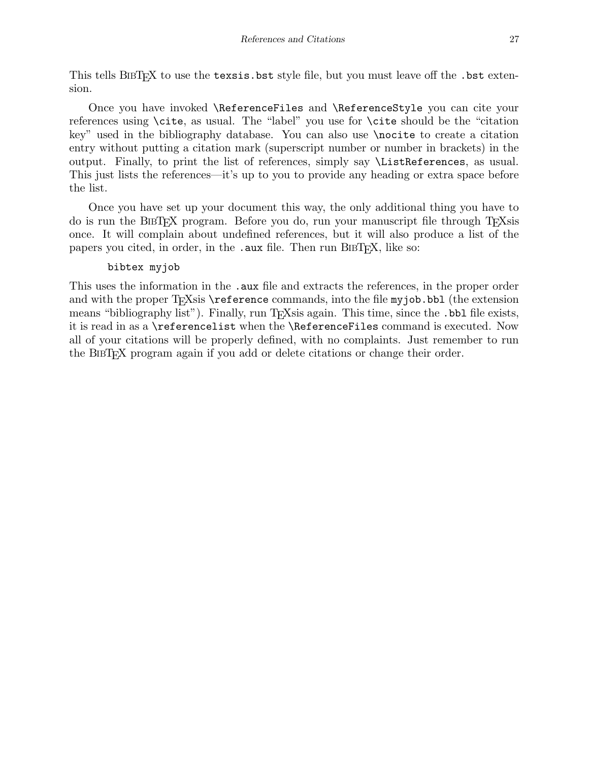This tells BIBTEX to use the texs is. bst style file, but you must leave off the . bst extension.

Once you have invoked \ReferenceFiles and \ReferenceStyle you can cite your references using \cite, as usual. The "label" you use for \cite should be the "citation key" used in the bibliography database. You can also use \nocite to create a citation entry without putting a citation mark (superscript number or number in brackets) in the output. Finally, to print the list of references, simply say \ListReferences, as usual. This just lists the references—it's up to you to provide any heading or extra space before the list.

Once you have set up your document this way, the only additional thing you have to do is run the BIBTEX program. Before you do, run your manuscript file through TEXsis once. It will complain about undefined references, but it will also produce a list of the papers you cited, in order, in the .aux file. Then run BIBT<sub>F</sub>X, like so:

#### bibtex myjob

This uses the information in the . aux file and extracts the references, in the proper order and with the proper  $T<sub>F</sub>X$ sis  $\ref{erence commands}$ , into the file myjob.bbl (the extension means "bibliography list"). Finally, run T<sub>E</sub>Xsis again. This time, since the .bbl file exists, it is read in as a \referencelist when the \ReferenceFiles command is executed. Now all of your citations will be properly defined, with no complaints. Just remember to run the BIBTEX program again if you add or delete citations or change their order.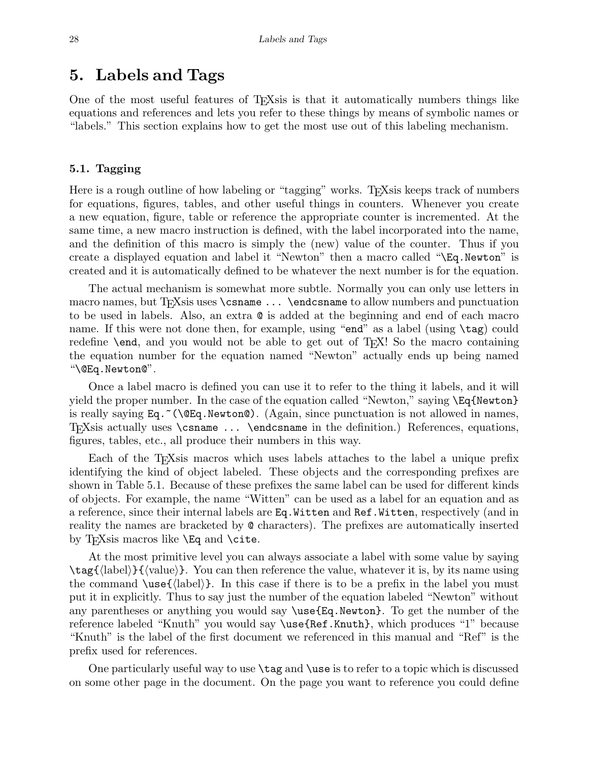### 5. Labels and Tags

One of the most useful features of T<sub>E</sub>Xsis is that it automatically numbers things like equations and references and lets you refer to these things by means of symbolic names or "labels." This section explains how to get the most use out of this labeling mechanism.

#### 5.1. Tagging

Here is a rough outline of how labeling or "tagging" works. T<sub>E</sub>Xsis keeps track of numbers for equations, figures, tables, and other useful things in counters. Whenever you create a new equation, figure, table or reference the appropriate counter is incremented. At the same time, a new macro instruction is defined, with the label incorporated into the name, and the definition of this macro is simply the (new) value of the counter. Thus if you create a displayed equation and label it "Newton" then a macro called "\Eq.Newton" is created and it is automatically defined to be whatever the next number is for the equation.

The actual mechanism is somewhat more subtle. Normally you can only use letters in macro names, but T<sub>E</sub>Xs uses  $\cos \cdot \cdot \cdot$  bendcsname to allow numbers and punctuation to be used in labels. Also, an extra @ is added at the beginning and end of each macro name. If this were not done then, for example, using "end" as a label (using  $\tau$ ) could redefine  $\end{math}$  and you would not be able to get out of T<sub>E</sub>X! So the macro containing the equation number for the equation named "Newton" actually ends up being named "\@Eq.Newton@".

Once a label macro is defined you can use it to refer to the thing it labels, and it will yield the proper number. In the case of the equation called "Newton," saying  $\Eq{Newton}$ is really saying Eq.  $\sim$  (\CEq.NewtonQ). (Again, since punctuation is not allowed in names, TEXsis actually uses \csname ... \endcsname in the definition.) References, equations, figures, tables, etc., all produce their numbers in this way.

Each of the T<sub>E</sub>Xs is macros which uses labels attaches to the label a unique prefix identifying the kind of object labeled. These objects and the corresponding prefixes are shown in Table 5.1. Because of these prefixes the same label can be used for different kinds of objects. For example, the name "Witten" can be used as a label for an equation and as a reference, since their internal labels are Eq.Witten and Ref.Witten, respectively (and in reality the names are bracketed by @ characters). The prefixes are automatically inserted by T<sub>E</sub>Xsis macros like  $\Eq$  and  $\cite$ .

At the most primitive level you can always associate a label with some value by saying  $\text{diag}\{\langle label \}$   $\{\langle value \rangle\}$ . You can then reference the value, whatever it is, by its name using the command  $\text{use}(\label{label}$ . In this case if there is to be a prefix in the label you must put it in explicitly. Thus to say just the number of the equation labeled "Newton" without any parentheses or anything you would say \use{Eq.Newton}. To get the number of the reference labeled "Knuth" you would say \use{Ref.Knuth}, which produces "1" because "Knuth" is the label of the first document we referenced in this manual and "Ref" is the prefix used for references.

One particularly useful way to use \tag and \use is to refer to a topic which is discussed on some other page in the document. On the page you want to reference you could define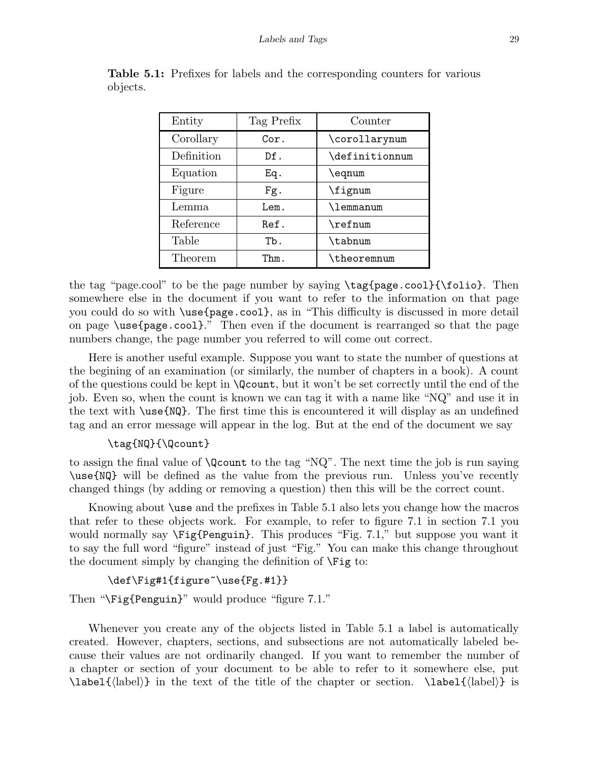| Entity     | Tag Prefix | Counter          |
|------------|------------|------------------|
| Corollary  | Cor.       | \corollarynum    |
| Definition | Df.        | \definitionnum   |
| Equation   | Eq.        | \eqnum           |
| Figure     | Fg.        | \fignum          |
| Lemma      | Lem.       | \lemmanum        |
| Reference  | Ref.       | $\verb \refnum $ |
| Table      | Tb.        | \tabnum          |
| Theorem    | Thm.       | \theoremnum      |

Table 5.1: Prefixes for labels and the corresponding counters for various objects.

the tag "page.cool" to be the page number by saying \tag{page.cool}{\folio}. Then somewhere else in the document if you want to refer to the information on that page you could do so with \use{page.cool}, as in "This difficulty is discussed in more detail on page \use{page.cool}." Then even if the document is rearranged so that the page numbers change, the page number you referred to will come out correct.

Here is another useful example. Suppose you want to state the number of questions at the begining of an examination (or similarly, the number of chapters in a book). A count of the questions could be kept in  $\Q$ count, but it won't be set correctly until the end of the job. Even so, when the count is known we can tag it with a name like "NQ" and use it in the text with \use{NQ}. The first time this is encountered it will display as an undefined tag and an error message will appear in the log. But at the end of the document we say

#### \tag{NQ}{\Qcount}

to assign the final value of \Qcount to the tag "NQ". The next time the job is run saying \use{NQ} will be defined as the value from the previous run. Unless you've recently changed things (by adding or removing a question) then this will be the correct count.

Knowing about \use and the prefixes in Table 5.1 also lets you change how the macros that refer to these objects work. For example, to refer to figure 7.1 in section 7.1 you would normally say \Fig{Penguin}. This produces "Fig. 7.1," but suppose you want it to say the full word "figure" instead of just "Fig." You can make this change throughout the document simply by changing the definition of \Fig to:

```
\def\Fig#1{figure~\use{Fg.#1}}
```
Then "\Fig{Penguin}" would produce "figure 7.1."

Whenever you create any of the objects listed in Table 5.1 a label is automatically created. However, chapters, sections, and subsections are not automatically labeled because their values are not ordinarily changed. If you want to remember the number of a chapter or section of your document to be able to refer to it somewhere else, put  $\langle \label{eq:label{label} \Delta b}$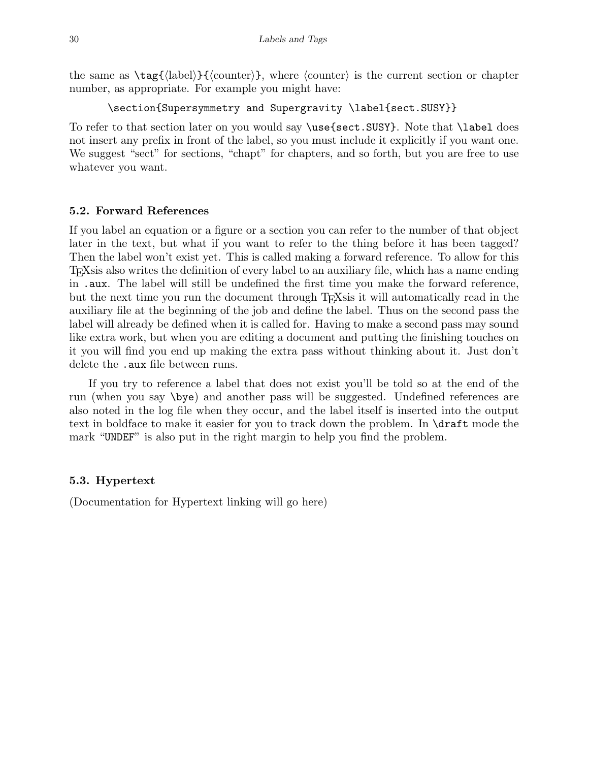the same as  $\text{tag}$ label) $\}$ { $\langle$ counter}, where  $\langle$ counter} is the current section or chapter number, as appropriate. For example you might have:

```
\section{Supersymmetry and Supergravity \label{sect.SUSY}}
```
To refer to that section later on you would say \use{sect.SUSY}. Note that \label does not insert any prefix in front of the label, so you must include it explicitly if you want one. We suggest "sect" for sections, "chapt" for chapters, and so forth, but you are free to use whatever you want.

# 5.2. Forward References

If you label an equation or a figure or a section you can refer to the number of that object later in the text, but what if you want to refer to the thing before it has been tagged? Then the label won't exist yet. This is called making a forward reference. To allow for this TEXsis also writes the definition of every label to an auxiliary file, which has a name ending in .aux. The label will still be undefined the first time you make the forward reference, but the next time you run the document through T<sub>E</sub>Xs it will automatically read in the auxiliary file at the beginning of the job and define the label. Thus on the second pass the label will already be defined when it is called for. Having to make a second pass may sound like extra work, but when you are editing a document and putting the finishing touches on it you will find you end up making the extra pass without thinking about it. Just don't delete the .aux file between runs.

If you try to reference a label that does not exist you'll be told so at the end of the run (when you say \bye) and another pass will be suggested. Undefined references are also noted in the log file when they occur, and the label itself is inserted into the output text in boldface to make it easier for you to track down the problem. In \draft mode the mark "UNDEF" is also put in the right margin to help you find the problem.

# 5.3. Hypertext

(Documentation for Hypertext linking will go here)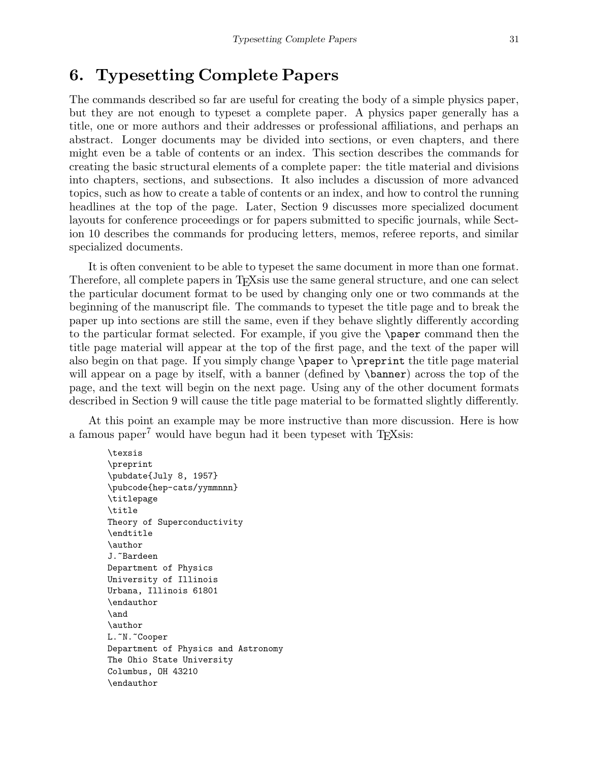# 6. Typesetting Complete Papers

The commands described so far are useful for creating the body of a simple physics paper, but they are not enough to typeset a complete paper. A physics paper generally has a title, one or more authors and their addresses or professional affiliations, and perhaps an abstract. Longer documents may be divided into sections, or even chapters, and there might even be a table of contents or an index. This section describes the commands for creating the basic structural elements of a complete paper: the title material and divisions into chapters, sections, and subsections. It also includes a discussion of more advanced topics, such as how to create a table of contents or an index, and how to control the running headlines at the top of the page. Later, Section 9 discusses more specialized document layouts for conference proceedings or for papers submitted to specific journals, while Section 10 describes the commands for producing letters, memos, referee reports, and similar specialized documents.

It is often convenient to be able to typeset the same document in more than one format. Therefore, all complete papers in T<sub>E</sub>Xsis use the same general structure, and one can select the particular document format to be used by changing only one or two commands at the beginning of the manuscript file. The commands to typeset the title page and to break the paper up into sections are still the same, even if they behave slightly differently according to the particular format selected. For example, if you give the \paper command then the title page material will appear at the top of the first page, and the text of the paper will also begin on that page. If you simply change \paper to \preprint the title page material will appear on a page by itself, with a banner (defined by **\banner**) across the top of the page, and the text will begin on the next page. Using any of the other document formats described in Section 9 will cause the title page material to be formatted slightly differently.

At this point an example may be more instructive than more discussion. Here is how a famous paper<sup>7</sup> would have begun had it been typeset with  $T_F X$ sis:

```
\texsis
\preprint
\pubdate{July 8, 1957}
\pubcode{hep-cats/yymmnnn}
\titlepage
\title
Theory of Superconductivity
\endtitle
\author
J.~Bardeen
Department of Physics
University of Illinois
Urbana, Illinois 61801
\endauthor
\and
\author
L. N. Cooper
Department of Physics and Astronomy
The Ohio State University
Columbus, OH 43210
\endauthor
```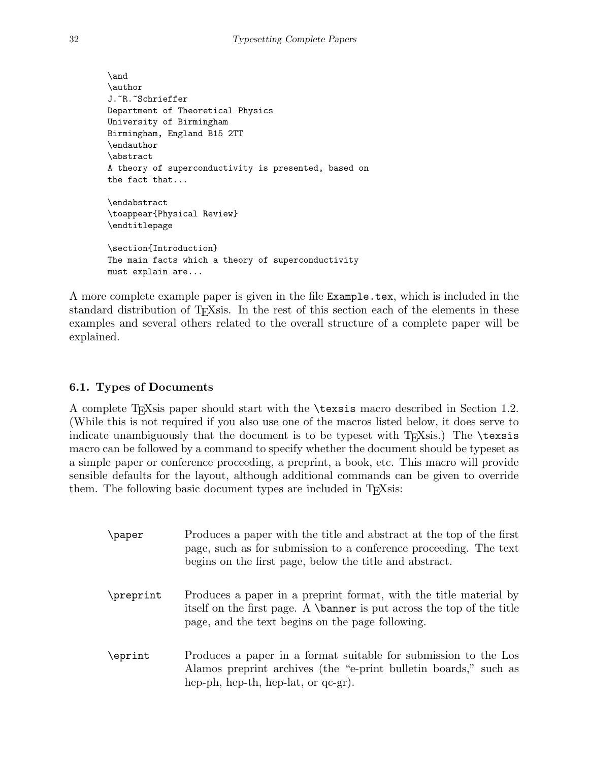```
\and
\author
J.~R.~Schrieffer
Department of Theoretical Physics
University of Birmingham
Birmingham, England B15 2TT
\endauthor
\abstract
A theory of superconductivity is presented, based on
the fact that...
\endabstract
\toappear{Physical Review}
\endtitlepage
\section{Introduction}
The main facts which a theory of superconductivity
must explain are...
```
A more complete example paper is given in the file Example.tex, which is included in the standard distribution of TEXsis. In the rest of this section each of the elements in these examples and several others related to the overall structure of a complete paper will be explained.

# 6.1. Types of Documents

A complete T<sub>E</sub>Xs is paper should start with the **\texsis** macro described in Section 1.2. (While this is not required if you also use one of the macros listed below, it does serve to indicate unambiguously that the document is to be typeset with  $T<sub>F</sub>Xsis.$ ) The  $\text{tex}$ macro can be followed by a command to specify whether the document should be typeset as a simple paper or conference proceeding, a preprint, a book, etc. This macro will provide sensible defaults for the layout, although additional commands can be given to override them. The following basic document types are included in T<sub>E</sub>Xsis:

| \paper    | Produces a paper with the title and abstract at the top of the first<br>page, such as for submission to a conference proceeding. The text<br>begins on the first page, below the title and abstract. |
|-----------|------------------------------------------------------------------------------------------------------------------------------------------------------------------------------------------------------|
| \preprint | Produces a paper in a preprint format, with the title material by<br>itself on the first page. A \banner is put across the top of the title<br>page, and the text begins on the page following.      |
| \eprint   | Produces a paper in a format suitable for submission to the Los<br>Alamos preprint archives (the "e-print bulletin boards," such as<br>hep-ph, hep-th, hep-lat, or qc-gr).                           |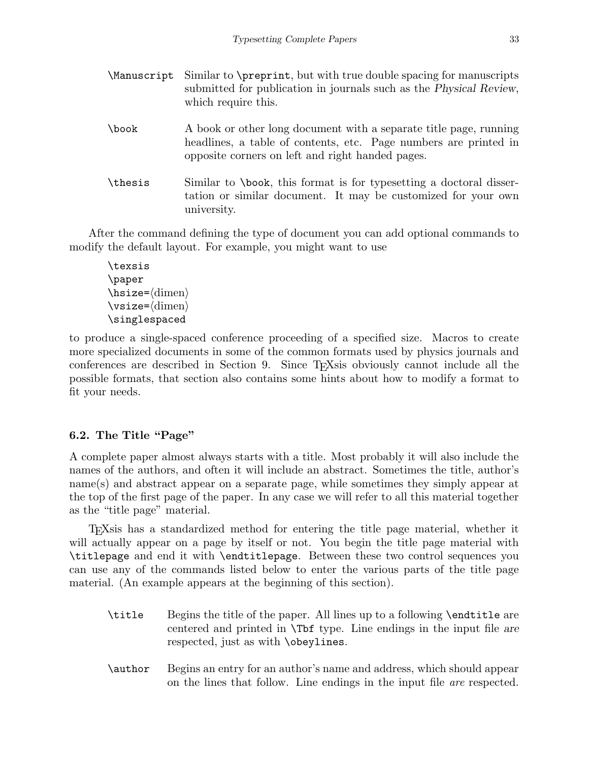| <i>Manuscript</i> | Similar to <b>\preprint</b> , but with true double spacing for manuscripts<br>submitted for publication in journals such as the Physical Review,<br>which require this.                   |
|-------------------|-------------------------------------------------------------------------------------------------------------------------------------------------------------------------------------------|
| \book             | A book or other long document with a separate title page, running<br>headlines, a table of contents, etc. Page numbers are printed in<br>opposite corners on left and right handed pages. |
| \thesis           | Similar to \book, this format is for typesetting a doctoral disser-<br>tation or similar document. It may be customized for your own<br>university.                                       |

After the command defining the type of document you can add optional commands to modify the default layout. For example, you might want to use

\texsis \paper  $\hbox{hsize}$  =  $\dim$  $\varepsilon$  \vsize= $\dimen$ \singlespaced

to produce a single-spaced conference proceeding of a specified size. Macros to create more specialized documents in some of the common formats used by physics journals and conferences are described in Section 9. Since TEXsis obviously cannot include all the possible formats, that section also contains some hints about how to modify a format to fit your needs.

# 6.2. The Title "Page"

A complete paper almost always starts with a title. Most probably it will also include the names of the authors, and often it will include an abstract. Sometimes the title, author's name(s) and abstract appear on a separate page, while sometimes they simply appear at the top of the first page of the paper. In any case we will refer to all this material together as the "title page" material.

TEXsis has a standardized method for entering the title page material, whether it will actually appear on a page by itself or not. You begin the title page material with \titlepage and end it with \endtitlepage. Between these two control sequences you can use any of the commands listed below to enter the various parts of the title page material. (An example appears at the beginning of this section).

- \title Begins the title of the paper. All lines up to a following \endtitle are centered and printed in \Tbf type. Line endings in the input file are respected, just as with \obeylines.
- \author Begins an entry for an author's name and address, which should appear on the lines that follow. Line endings in the input file are respected.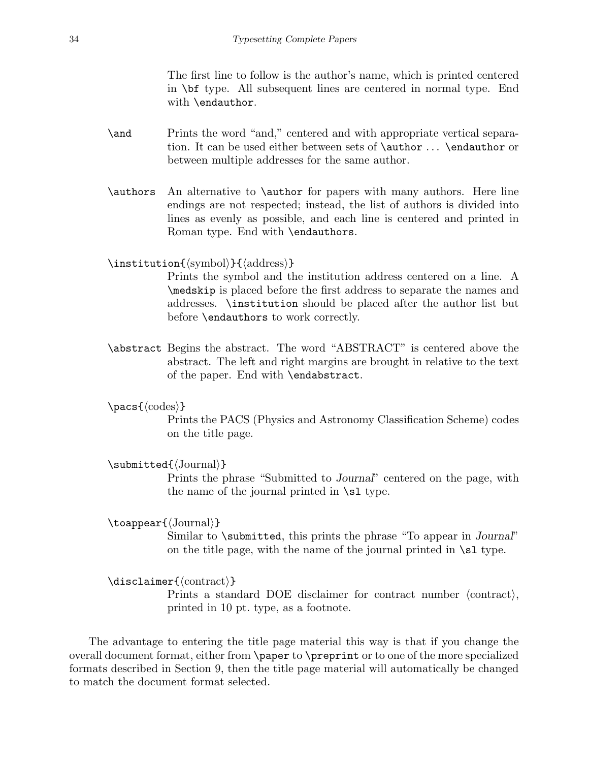The first line to follow is the author's name, which is printed centered in \bf type. All subsequent lines are centered in normal type. End with \endauthor.

- \and Prints the word "and," centered and with appropriate vertical separation. It can be used either between sets of \author . . . \endauthor or between multiple addresses for the same author.
- \authors An alternative to \author for papers with many authors. Here line endings are not respected; instead, the list of authors is divided into lines as evenly as possible, and each line is centered and printed in Roman type. End with \endauthors.

#### $\infty$  \institution{ $\langle \text{symbol}\rangle$ }{ $\langle \text{address}\rangle$ }

Prints the symbol and the institution address centered on a line. A \medskip is placed before the first address to separate the names and addresses. \institution should be placed after the author list but before \endauthors to work correctly.

- \abstract Begins the abstract. The word "ABSTRACT" is centered above the abstract. The left and right margins are brought in relative to the text of the paper. End with \endabstract.
- $\n\backslash pacs({\text{codes}})$

Prints the PACS (Physics and Astronomy Classification Scheme) codes on the title page.

 $\sum\text{total}(\text{Journal})$ 

Prints the phrase "Submitted to Journal" centered on the page, with the name of the journal printed in \sl type.

 $\to$  \toappear $\{\langle \text{Journal} \rangle\}$ 

Similar to \submitted, this prints the phrase "To appear in Journal" on the title page, with the name of the journal printed in  $\succeq$  type.

 $\dist$ isclaimer ${\langle \text{contract} \rangle}$ 

Prints a standard DOE disclaimer for contract number  $\langle$  contract $\rangle$ , printed in 10 pt. type, as a footnote.

The advantage to entering the title page material this way is that if you change the overall document format, either from \paper to \preprint or to one of the more specialized formats described in Section 9, then the title page material will automatically be changed to match the document format selected.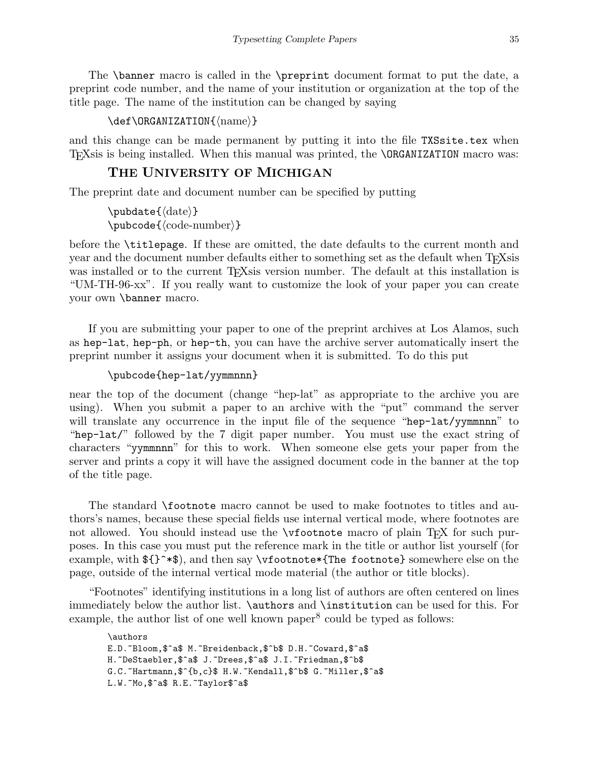The \banner macro is called in the \preprint document format to put the date, a preprint code number, and the name of your institution or organization at the top of the title page. The name of the institution can be changed by saying

\def\ORGANIZATION{\mame}}

and this change can be made permanent by putting it into the file TXSsite.tex when T<sub>E</sub>Xsis is being installed. When this manual was printed, the **\ORGANIZATION** macro was:

# THE UNIVERSITY OF MICHIGAN

The preprint date and document number can be specified by putting

```
\boldsymbol{\delta}\boldsymbol{\cdot} \pubcode{\langle code-number}}
```
before the \titlepage. If these are omitted, the date defaults to the current month and year and the document number defaults either to something set as the default when TEXsis was installed or to the current T<sub>E</sub>Xsis version number. The default at this installation is "UM-TH-96-xx". If you really want to customize the look of your paper you can create your own \banner macro.

If you are submitting your paper to one of the preprint archives at Los Alamos, such as hep-lat, hep-ph, or hep-th, you can have the archive server automatically insert the preprint number it assigns your document when it is submitted. To do this put

```
\pubcode{hep-lat/yymmnnn}
```
near the top of the document (change "hep-lat" as appropriate to the archive you are using). When you submit a paper to an archive with the "put" command the server will translate any occurrence in the input file of the sequence "hep-lat/yymmnnn" to "hep-lat/" followed by the 7 digit paper number. You must use the exact string of characters "yymmnnn" for this to work. When someone else gets your paper from the server and prints a copy it will have the assigned document code in the banner at the top of the title page.

The standard \footnote macro cannot be used to make footnotes to titles and authors's names, because these special fields use internal vertical mode, where footnotes are not allowed. You should instead use the **\vfootnote** macro of plain T<sub>E</sub>X for such purposes. In this case you must put the reference mark in the title or author list yourself (for example, with  $f\$ \*\$), and then say  $\nu$  footnote\*{The footnote} somewhere else on the page, outside of the internal vertical mode material (the author or title blocks).

"Footnotes" identifying institutions in a long list of authors are often centered on lines immediately below the author list. \authors and \institution can be used for this. For example, the author list of one well known paper<sup>8</sup> could be typed as follows:

\authors E.D.~Bloom,\$^a\$ M.~Breidenback,\$^b\$ D.H.~Coward,\$^a\$ H. DeStaebler,  $*\$  a\$ J. Drees,  $*\$  a\$ J.I. "Friedman,  $*\$ b\$ G.C.~Hartmann,  $\hat{s}(b, c)$ \$ H.W.~Kendall,  $\hat{s}(b, c)$ \$ G.~Miller,  $\hat{s}(a, c)$ L.W.~Mo,\$^a\$ R.E.~Taylor\$^a\$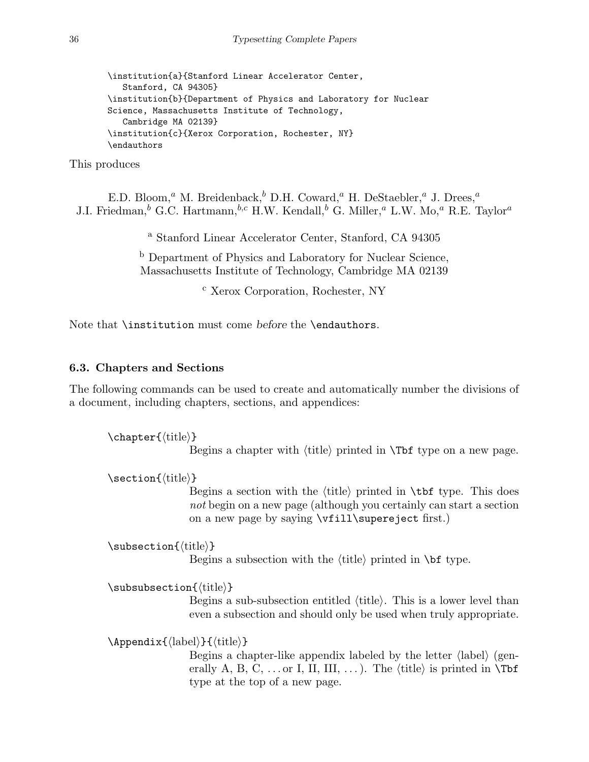```
\institution{a}{Stanford Linear Accelerator Center,
  Stanford, CA 94305}
\institution{b}{Department of Physics and Laboratory for Nuclear
Science, Massachusetts Institute of Technology,
   Cambridge MA 02139}
\institution{c}{Xerox Corporation, Rochester, NY}
\endauthors
```
This produces

E.D. Bloom,<sup>a</sup> M. Breidenback,<sup>b</sup> D.H. Coward,<sup>a</sup> H. DeStaebler,<sup>a</sup> J. Drees,<sup>a</sup> J.I. Friedman, <sup>b</sup> G.C. Hartmann, <sup>b,c</sup> H.W. Kendall, <sup>b</sup> G. Miller, <sup>a</sup> L.W. Mo, <sup>a</sup> R.E. Taylor<sup>a</sup>

<sup>a</sup> Stanford Linear Accelerator Center, Stanford, CA 94305

<sup>b</sup> Department of Physics and Laboratory for Nuclear Science, Massachusetts Institute of Technology, Cambridge MA 02139

<sup>c</sup> Xerox Corporation, Rochester, NY

Note that **\institution** must come before the **\endauthors.** 

### 6.3. Chapters and Sections

The following commands can be used to create and automatically number the divisions of a document, including chapters, sections, and appendices:

```
\text{thapter}\{\text{title}\}
```
Begins a chapter with  $\langle$  title $\rangle$  printed in  $\mathcal{F}$  type on a new page.

 $\setminus$ section $\{\langle title \rangle\}$ 

Begins a section with the  $\langle$ title $\rangle$  printed in  $\hat{}$ tbf type. This does not begin on a new page (although you certainly can start a section on a new page by saying \vfill\supereject first.)

```
\simeq \subsection{\langletitle}}
```
Begins a subsection with the  $\langle$  title $\rangle$  printed in  $\delta$  type.

```
\simeq \subsubsection{\langletitle}}
```
Begins a sub-subsection entitled  $\langle$ title $\rangle$ . This is a lower level than even a subsection and should only be used when truly appropriate.

 $\{\langle abel \rangle\}$ { $\langle title \rangle\}$ 

Begins a chapter-like appendix labeled by the letter  $\langle$ label $\rangle$  (generally A, B, C, ... or I, II, III, ...). The  $\langle$ title $\rangle$  is printed in \Tbf type at the top of a new page.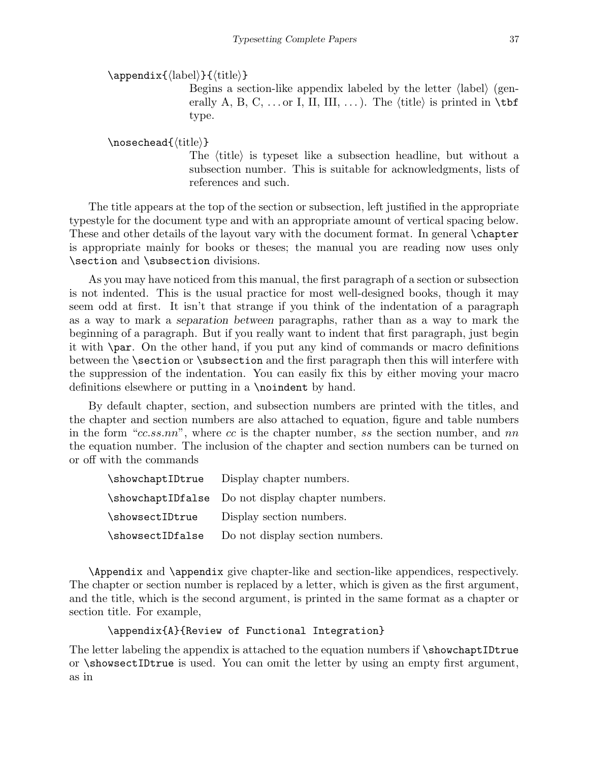```
\text{lambda}[k(\text{label})]
```
Begins a section-like appendix labeled by the letter  $\langle$ label $\rangle$  (generally A, B, C, ... or I, II, III, ...). The  $\langle$ title $\rangle$  is printed in \tbf type.

\nosechead{htitlei}

The (title) is typeset like a subsection headline, but without a subsection number. This is suitable for acknowledgments, lists of references and such.

The title appears at the top of the section or subsection, left justified in the appropriate typestyle for the document type and with an appropriate amount of vertical spacing below. These and other details of the layout vary with the document format. In general \chapter is appropriate mainly for books or theses; the manual you are reading now uses only \section and \subsection divisions.

As you may have noticed from this manual, the first paragraph of a section or subsection is not indented. This is the usual practice for most well-designed books, though it may seem odd at first. It isn't that strange if you think of the indentation of a paragraph as a way to mark a separation between paragraphs, rather than as a way to mark the beginning of a paragraph. But if you really want to indent that first paragraph, just begin it with \par. On the other hand, if you put any kind of commands or macro definitions between the \section or \subsection and the first paragraph then this will interfere with the suppression of the indentation. You can easily fix this by either moving your macro definitions elsewhere or putting in a \noindent by hand.

By default chapter, section, and subsection numbers are printed with the titles, and the chapter and section numbers are also attached to equation, figure and table numbers in the form " $cc\,ss\,nn$ ", where cc is the chapter number, ss the section number, and nn the equation number. The inclusion of the chapter and section numbers can be turned on or off with the commands

|                  | \showchaptIDtrue Display chapter numbers.         |  |  |
|------------------|---------------------------------------------------|--|--|
|                  | \showchaptIDfalse Do not display chapter numbers. |  |  |
| \showsectIDtrue  | Display section numbers.                          |  |  |
| \showsectIDfalse | Do not display section numbers.                   |  |  |

\Appendix and \appendix give chapter-like and section-like appendices, respectively. The chapter or section number is replaced by a letter, which is given as the first argument, and the title, which is the second argument, is printed in the same format as a chapter or section title. For example,

```
\appendix{A}{Review of Functional Integration}
```
The letter labeling the appendix is attached to the equation numbers if  $\sh{\text{showChapter}Dtrue}$ or \showsectIDtrue is used. You can omit the letter by using an empty first argument, as in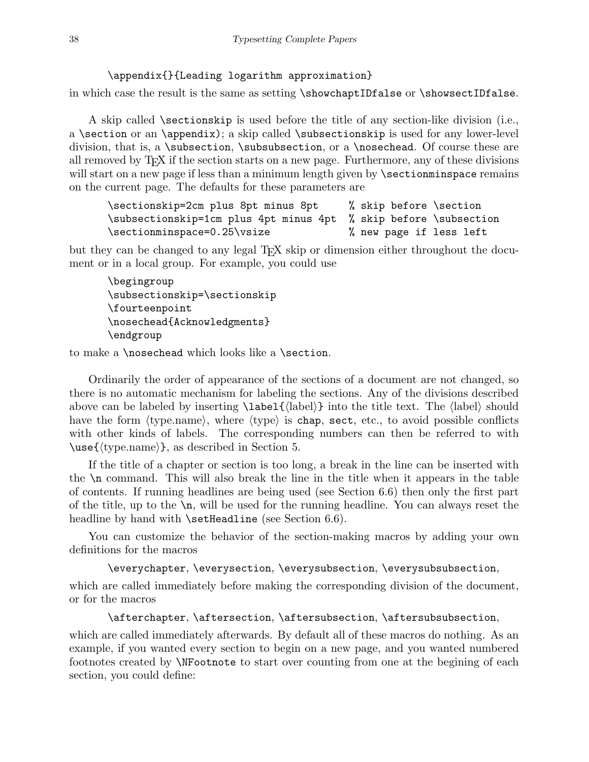# \appendix{}{Leading logarithm approximation}

in which case the result is the same as setting \showchaptIDfalse or \showsectIDfalse.

A skip called \sectionskip is used before the title of any section-like division (i.e., a  $\setminus$  a  $\epsilon$ ); a skip called  $\setminus$  subsectionskip is used for any lower-level division, that is, a \subsection, \subsubsection, or a \nosechead. Of course these are all removed by TEX if the section starts on a new page. Furthermore, any of these divisions will start on a new page if less than a minimum length given by **\sectionminspace** remains on the current page. The defaults for these parameters are

```
\sectionskip=2cm plus 8pt minus 8pt % skip before \section
\subsectionskip=1cm plus 4pt minus 4pt % skip before \subsection
\sectionminspace=0.25\vsize % new page if less left
```
but they can be changed to any legal T<sub>E</sub>X skip or dimension either throughout the document or in a local group. For example, you could use

```
\begingroup
\subsectionskip=\sectionskip
\fourteenpoint
\nosechead{Acknowledgments}
\endgroup
```
to make a **\nosechead** which looks like a **\section**.

Ordinarily the order of appearance of the sections of a document are not changed, so there is no automatic mechanism for labeling the sections. Any of the divisions described above can be labeled by inserting  $\label{label{label} \label{label}$  into the title text. The  $\langle$ label $\rangle$  should have the form  $\langle$ type.name $\rangle$ , where  $\langle$ type $\rangle$  is chap, sect, etc., to avoid possible conflicts with other kinds of labels. The corresponding numbers can then be referred to with  $\text{type.name}\},$  as described in Section 5.

If the title of a chapter or section is too long, a break in the line can be inserted with the \n command. This will also break the line in the title when it appears in the table of contents. If running headlines are being used (see Section 6.6) then only the first part of the title, up to the  $\nabla$ n, will be used for the running headline. You can always reset the headline by hand with **\setHeadline** (see Section 6.6).

You can customize the behavior of the section-making macros by adding your own definitions for the macros

```
\everychapter, \everysection, \everysubsection, \everysubsubsection,
```
which are called immediately before making the corresponding division of the document, or for the macros

```
\afterchapter, \aftersection, \aftersubsection, \aftersubsubsection,
```
which are called immediately afterwards. By default all of these macros do nothing. As an example, if you wanted every section to begin on a new page, and you wanted numbered footnotes created by \NFootnote to start over counting from one at the begining of each section, you could define: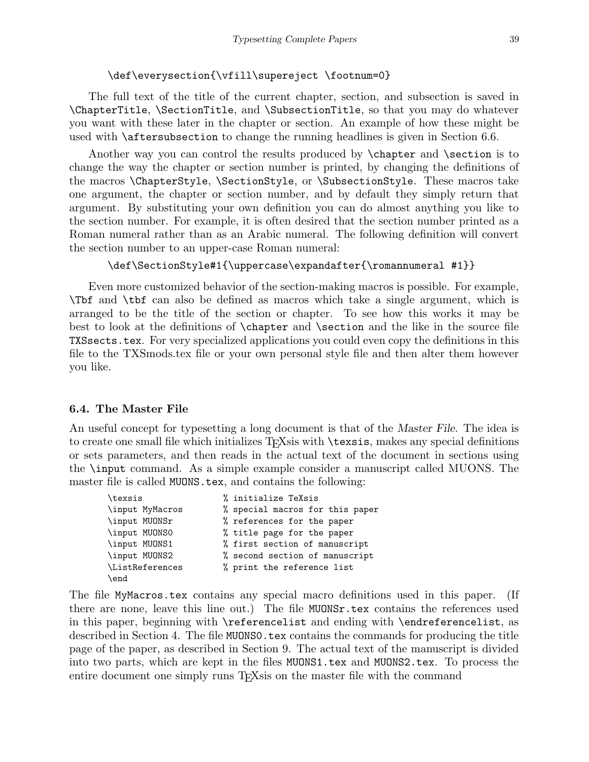# \def\everysection{\vfill\supereject \footnum=0}

The full text of the title of the current chapter, section, and subsection is saved in \ChapterTitle, \SectionTitle, and \SubsectionTitle, so that you may do whatever you want with these later in the chapter or section. An example of how these might be used with \aftersubsection to change the running headlines is given in Section 6.6.

Another way you can control the results produced by  $\char'$   $\char'$  and  $\acute{\phantom{\mathrm{Ker}}}\$ change the way the chapter or section number is printed, by changing the definitions of the macros \ChapterStyle, \SectionStyle, or \SubsectionStyle. These macros take one argument, the chapter or section number, and by default they simply return that argument. By substituting your own definition you can do almost anything you like to the section number. For example, it is often desired that the section number printed as a Roman numeral rather than as an Arabic numeral. The following definition will convert the section number to an upper-case Roman numeral:

```
\def\SectionStyle#1{\uppercase\expandafter{\romannumeral #1}}
```
Even more customized behavior of the section-making macros is possible. For example, \Tbf and \tbf can also be defined as macros which take a single argument, which is arranged to be the title of the section or chapter. To see how this works it may be best to look at the definitions of **\chapter** and **\section** and the like in the source file TXSsects.tex. For very specialized applications you could even copy the definitions in this file to the TXSmods.tex file or your own personal style file and then alter them however you like.

### 6.4. The Master File

An useful concept for typesetting a long document is that of the Master File. The idea is to create one small file which initializes T<sub>E</sub>Xsis with **\texsis**, makes any special definitions or sets parameters, and then reads in the actual text of the document in sections using the \input command. As a simple example consider a manuscript called MUONS. The master file is called MUONS.tex, and contains the following:

| \texsis                       | % initialize TeXsis             |  |
|-------------------------------|---------------------------------|--|
| \input MyMacros               | % special macros for this paper |  |
| \input MUONSr                 | % references for the paper      |  |
| \input MUONSO                 | % title page for the paper      |  |
| \input MUONS1                 | % first section of manuscript   |  |
| \input MUONS2                 | % second section of manuscript  |  |
| <i><b>\ListReferences</b></i> | % print the reference list      |  |
| \end                          |                                 |  |

The file MyMacros.tex contains any special macro definitions used in this paper. (If there are none, leave this line out.) The file MUONSr.tex contains the references used in this paper, beginning with \referencelist and ending with \endreferencelist, as described in Section 4. The file MUONS0.tex contains the commands for producing the title page of the paper, as described in Section 9. The actual text of the manuscript is divided into two parts, which are kept in the files MUONS1.tex and MUONS2.tex. To process the entire document one simply runs T<sub>E</sub>Xsis on the master file with the command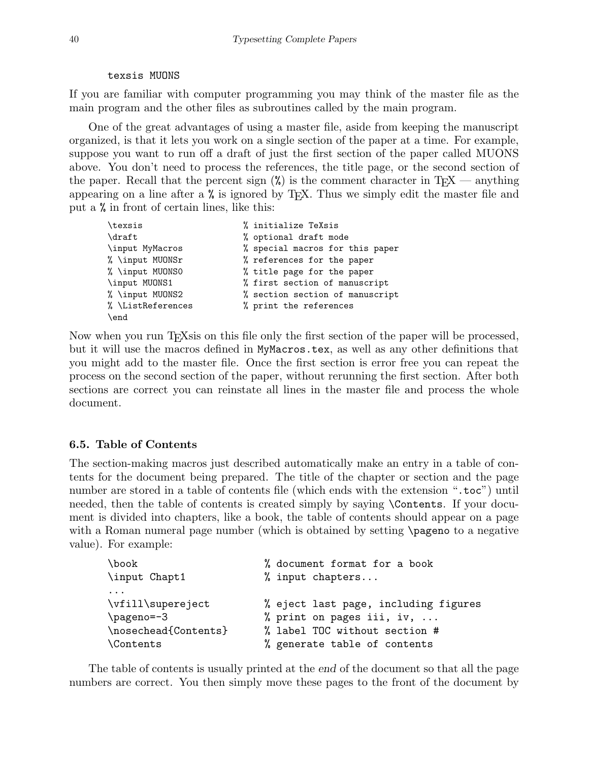#### texsis MUONS

If you are familiar with computer programming you may think of the master file as the main program and the other files as subroutines called by the main program.

One of the great advantages of using a master file, aside from keeping the manuscript organized, is that it lets you work on a single section of the paper at a time. For example, suppose you want to run off a draft of just the first section of the paper called MUONS above. You don't need to process the references, the title page, or the second section of the paper. Recall that the percent sign  $\mathcal{U}$  is the comment character in T<sub>EX</sub> — anything appearing on a line after a  $\%$  is ignored by T<sub>F</sub>X. Thus we simply edit the master file and put a % in front of certain lines, like this:

| \texsis           | % initialize TeXsis             |
|-------------------|---------------------------------|
| \draft            | % optional draft mode           |
| \input MyMacros   | % special macros for this paper |
| % \input MUONSr   | % references for the paper      |
| % \input MUONSO   | % title page for the paper      |
| \input MUONS1     | % first section of manuscript   |
| % \input MUONS2   | % section section of manuscript |
| % \ListReferences | % print the references          |
| $\end{bmatrix}$   |                                 |

Now when you run TEXsis on this file only the first section of the paper will be processed, but it will use the macros defined in MyMacros.tex, as well as any other definitions that you might add to the master file. Once the first section is error free you can repeat the process on the second section of the paper, without rerunning the first section. After both sections are correct you can reinstate all lines in the master file and process the whole document.

### 6.5. Table of Contents

The section-making macros just described automatically make an entry in a table of contents for the document being prepared. The title of the chapter or section and the page number are stored in a table of contents file (which ends with the extension ".toc") until needed, then the table of contents is created simply by saying \Contents. If your document is divided into chapters, like a book, the table of contents should appear on a page with a Roman numeral page number (which is obtained by setting **\pageno** to a negative value). For example:

| $\b{book}$           | % document format for a book         |
|----------------------|--------------------------------------|
| \input Chapt1        | % input chapters                     |
|                      |                                      |
| \vfill\supereject    | % eject last page, including figures |
| \pageno=-3           | % print on pages iii, iv, $\dots$    |
| \nosechead{Contents} | % label TOC without section #        |
| <b>Contents</b>      | % generate table of contents         |

The table of contents is usually printed at the end of the document so that all the page numbers are correct. You then simply move these pages to the front of the document by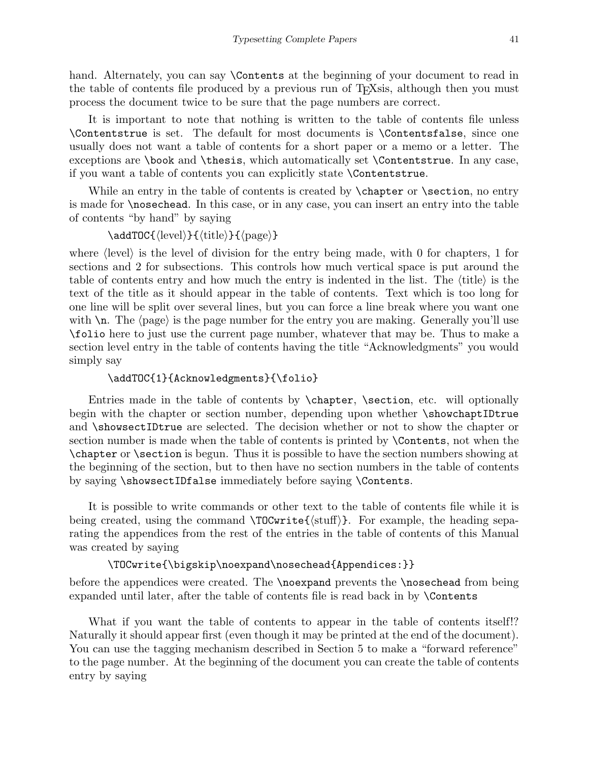hand. Alternately, you can say \Contents at the beginning of your document to read in the table of contents file produced by a previous run of TEXsis, although then you must process the document twice to be sure that the page numbers are correct.

It is important to note that nothing is written to the table of contents file unless \Contentstrue is set. The default for most documents is \Contentsfalse, since one usually does not want a table of contents for a short paper or a memo or a letter. The exceptions are \book and \thesis, which automatically set \Contentstrue. In any case, if you want a table of contents you can explicitly state \Contentstrue.

While an entry in the table of contents is created by **\chapter** or **\section**, no entry is made for \nosechead. In this case, or in any case, you can insert an entry into the table of contents "by hand" by saying

```
\adTOC{\text{level}}{\{\text{title}\}}{\text{page}}
```
where  $\langle$  level) is the level of division for the entry being made, with 0 for chapters, 1 for sections and 2 for subsections. This controls how much vertical space is put around the table of contents entry and how much the entry is indented in the list. The  $\langle$  title $\rangle$  is the text of the title as it should appear in the table of contents. Text which is too long for one line will be split over several lines, but you can force a line break where you want one with  $n$ . The (page) is the page number for the entry you are making. Generally you'll use \folio here to just use the current page number, whatever that may be. Thus to make a section level entry in the table of contents having the title "Acknowledgments" you would simply say

#### \addTOC{1}{Acknowledgments}{\folio}

Entries made in the table of contents by \chapter, \section, etc. will optionally begin with the chapter or section number, depending upon whether \showchaptIDtrue and \showsectIDtrue are selected. The decision whether or not to show the chapter or section number is made when the table of contents is printed by \Contents, not when the \chapter or \section is begun. Thus it is possible to have the section numbers showing at the beginning of the section, but to then have no section numbers in the table of contents by saying \showsectIDfalse immediately before saying \Contents.

It is possible to write commands or other text to the table of contents file while it is being created, using the command  $\TOCwrite{\stuff}$ . For example, the heading separating the appendices from the rest of the entries in the table of contents of this Manual was created by saying

#### \TOCwrite{\bigskip\noexpand\nosechead{Appendices:}}

before the appendices were created. The **\noexpand** prevents the **\nosechead** from being expanded until later, after the table of contents file is read back in by \Contents

What if you want the table of contents to appear in the table of contents itself!? Naturally it should appear first (even though it may be printed at the end of the document). You can use the tagging mechanism described in Section 5 to make a "forward reference" to the page number. At the beginning of the document you can create the table of contents entry by saying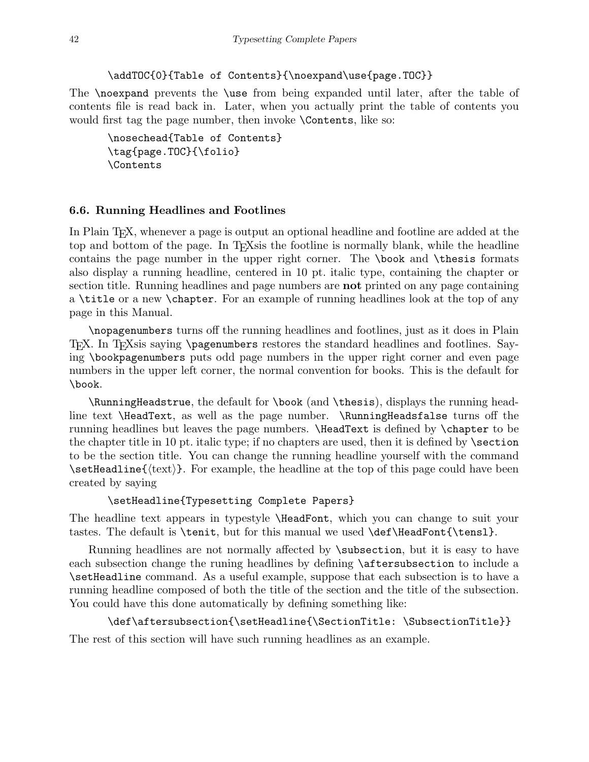# \addTOC{0}{Table of Contents}{\noexpand\use{page.TOC}}

The \noexpand prevents the \use from being expanded until later, after the table of contents file is read back in. Later, when you actually print the table of contents you would first tag the page number, then invoke **\Contents**, like so:

\nosechead{Table of Contents} \tag{page.TOC}{\folio} \Contents

### 6.6. Running Headlines and Footlines

In Plain TEX, whenever a page is output an optional headline and footline are added at the top and bottom of the page. In TEXsis the footline is normally blank, while the headline contains the page number in the upper right corner. The \book and \thesis formats also display a running headline, centered in 10 pt. italic type, containing the chapter or section title. Running headlines and page numbers are not printed on any page containing a \title or a new \chapter. For an example of running headlines look at the top of any page in this Manual.

\nopagenumbers turns off the running headlines and footlines, just as it does in Plain T<sub>EX</sub>. In T<sub>EX</sub>sis saying \pagenumbers restores the standard headlines and footlines. Saying \bookpagenumbers puts odd page numbers in the upper right corner and even page numbers in the upper left corner, the normal convention for books. This is the default for \book.

\RunningHeadstrue, the default for \book (and \thesis), displays the running headline text \HeadText, as well as the page number. \RunningHeadsfalse turns off the running headlines but leaves the page numbers. \HeadText is defined by \chapter to be the chapter title in 10 pt. italic type; if no chapters are used, then it is defined by  $\setminus$  section to be the section title. You can change the running headline yourself with the command  $\setminus$ setHeadline ${\text{text}}$ . For example, the headline at the top of this page could have been created by saying

### \setHeadline{Typesetting Complete Papers}

The headline text appears in typestyle \HeadFont, which you can change to suit your tastes. The default is \tenit, but for this manual we used \def\HeadFont{\tensl}.

Running headlines are not normally affected by \subsection, but it is easy to have each subsection change the runing headlines by defining \aftersubsection to include a \setHeadline command. As a useful example, suppose that each subsection is to have a running headline composed of both the title of the section and the title of the subsection. You could have this done automatically by defining something like:

# \def\aftersubsection{\setHeadline{\SectionTitle: \SubsectionTitle}}

The rest of this section will have such running headlines as an example.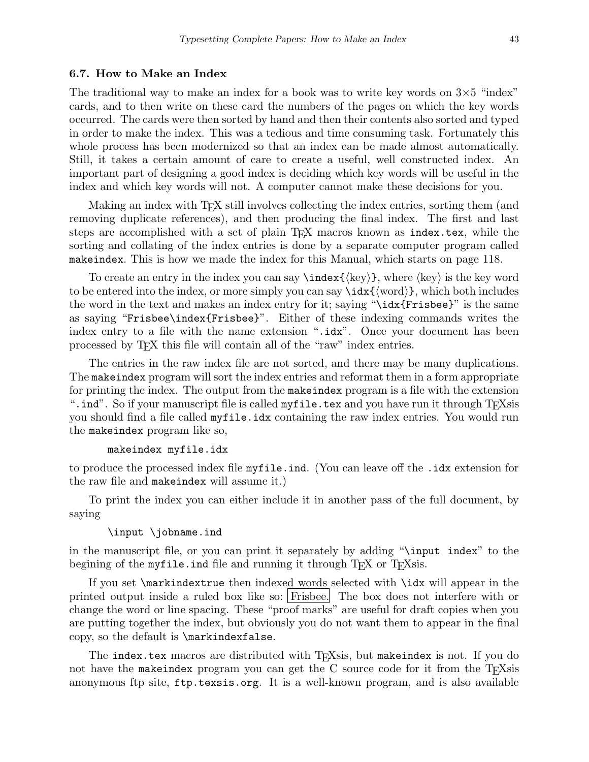#### 6.7. How to Make an Index

The traditional way to make an index for a book was to write key words on  $3\times5$  "index" cards, and to then write on these card the numbers of the pages on which the key words occurred. The cards were then sorted by hand and then their contents also sorted and typed in order to make the index. This was a tedious and time consuming task. Fortunately this whole process has been modernized so that an index can be made almost automatically. Still, it takes a certain amount of care to create a useful, well constructed index. An important part of designing a good index is deciding which key words will be useful in the index and which key words will not. A computer cannot make these decisions for you.

Making an index with T<sub>E</sub>X still involves collecting the index entries, sorting them (and removing duplicate references), and then producing the final index. The first and last steps are accomplished with a set of plain T<sub>E</sub>X macros known as index.tex, while the sorting and collating of the index entries is done by a separate computer program called makeindex. This is how we made the index for this Manual, which starts on page 118.

To create an entry in the index you can say  $\index{\key}$ , where  $\langle \text{key} \rangle$  is the key word to be entered into the index, or more simply you can say  $\idx{\downarrow}dx{\downarrow}(\text{word})$ , which both includes the word in the text and makes an index entry for it; saying "\idx{Frisbee}" is the same as saying "Frisbee\index{Frisbee}". Either of these indexing commands writes the index entry to a file with the name extension ".idx". Once your document has been processed by TEX this file will contain all of the "raw" index entries.

The entries in the raw index file are not sorted, and there may be many duplications. The makeindex program will sort the index entries and reformat them in a form appropriate for printing the index. The output from the makeindex program is a file with the extension ". ind". So if your manuscript file is called  $myfile.$  tex and you have run it through  $T_FX$ sis you should find a file called myfile.idx containing the raw index entries. You would run the makeindex program like so,

```
makeindex myfile.idx
```
to produce the processed index file myfile.ind. (You can leave off the .idx extension for the raw file and makeindex will assume it.)

To print the index you can either include it in another pass of the full document, by saying

#### \input \jobname.ind

in the manuscript file, or you can print it separately by adding "\input index" to the begining of the myfile.ind file and running it through T<sub>E</sub>X or T<sub>E</sub>Xsis.

If you set \markindextrue then indexed words selected with \idx will appear in the printed output inside a ruled box like so: Frisbee. The box does not interfere with or change the word or line spacing. These "proof marks" are useful for draft copies when you are putting together the index, but obviously you do not want them to appear in the final copy, so the default is \markindexfalse.

The index.tex macros are distributed with T<sub>E</sub>Xsis, but makeindex is not. If you do not have the makeindex program you can get the C source code for it from the T<sub>E</sub>Xsis anonymous ftp site, ftp.texsis.org. It is a well-known program, and is also available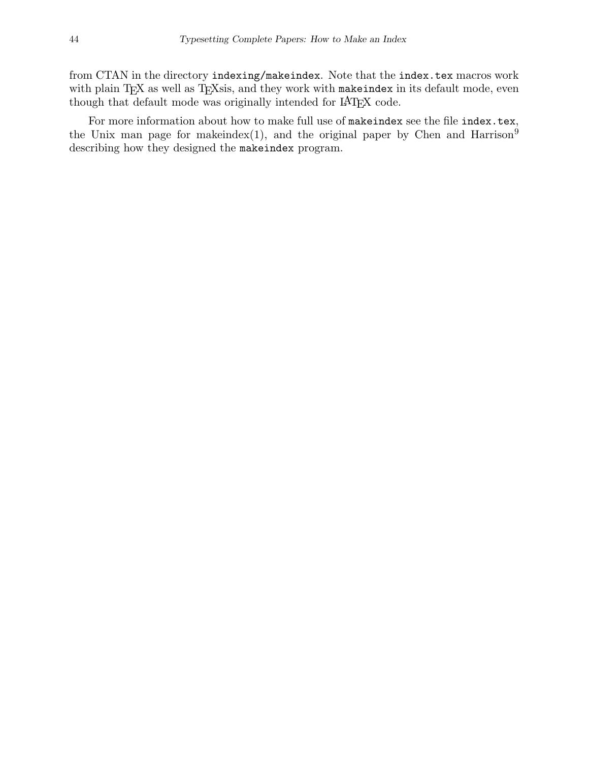from CTAN in the directory indexing/makeindex. Note that the index.tex macros work with plain TEX as well as TEXsis, and they work with makeindex in its default mode, even though that default mode was originally intended for IATFX code.

For more information about how to make full use of makeindex see the file index.tex, the Unix man page for makeindex(1), and the original paper by Chen and Harrison<sup>9</sup> describing how they designed the makeindex program.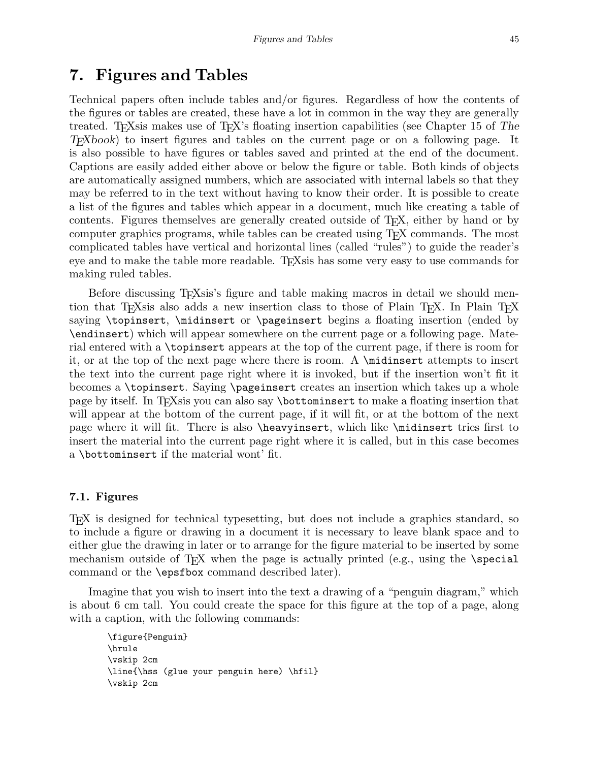# 7. Figures and Tables

Technical papers often include tables and/or figures. Regardless of how the contents of the figures or tables are created, these have a lot in common in the way they are generally treated. T<sub>EX</sub>S is makes use of T<sub>EX</sub>'s floating insertion capabilities (see Chapter 15 of The TEXbook) to insert figures and tables on the current page or on a following page. It is also possible to have figures or tables saved and printed at the end of the document. Captions are easily added either above or below the figure or table. Both kinds of objects are automatically assigned numbers, which are associated with internal labels so that they may be referred to in the text without having to know their order. It is possible to create a list of the figures and tables which appear in a document, much like creating a table of contents. Figures themselves are generally created outside of TEX, either by hand or by computer graphics programs, while tables can be created using TEX commands. The most complicated tables have vertical and horizontal lines (called "rules") to guide the reader's eye and to make the table more readable. T<sub>EX</sub> is has some very easy to use commands for making ruled tables.

Before discussing T<sub>E</sub>X<sub>sis</sub>'s figure and table making macros in detail we should mention that T<sub>E</sub>Xsis also adds a new insertion class to those of Plain T<sub>E</sub>X. In Plain T<sub>E</sub>X saying \topinsert, \midinsert or \pageinsert begins a floating insertion (ended by \endinsert) which will appear somewhere on the current page or a following page. Material entered with a \topinsert appears at the top of the current page, if there is room for it, or at the top of the next page where there is room. A \midinsert attempts to insert the text into the current page right where it is invoked, but if the insertion won't fit it becomes a \topinsert. Saying \pageinsert creates an insertion which takes up a whole page by itself. In T<sub>E</sub>Xsis you can also say **\bottominsert** to make a floating insertion that will appear at the bottom of the current page, if it will fit, or at the bottom of the next page where it will fit. There is also \heavyinsert, which like \midinsert tries first to insert the material into the current page right where it is called, but in this case becomes a \bottominsert if the material wont' fit.

### 7.1. Figures

TEX is designed for technical typesetting, but does not include a graphics standard, so to include a figure or drawing in a document it is necessary to leave blank space and to either glue the drawing in later or to arrange for the figure material to be inserted by some mechanism outside of  $T_{F}X$  when the page is actually printed (e.g., using the \special command or the \epsfbox command described later).

Imagine that you wish to insert into the text a drawing of a "penguin diagram," which is about 6 cm tall. You could create the space for this figure at the top of a page, along with a caption, with the following commands:

```
\figure{Penguin}
\hrule
\vskip 2cm
\line{\hss (glue your penguin here) \hfil}
\vskip 2cm
```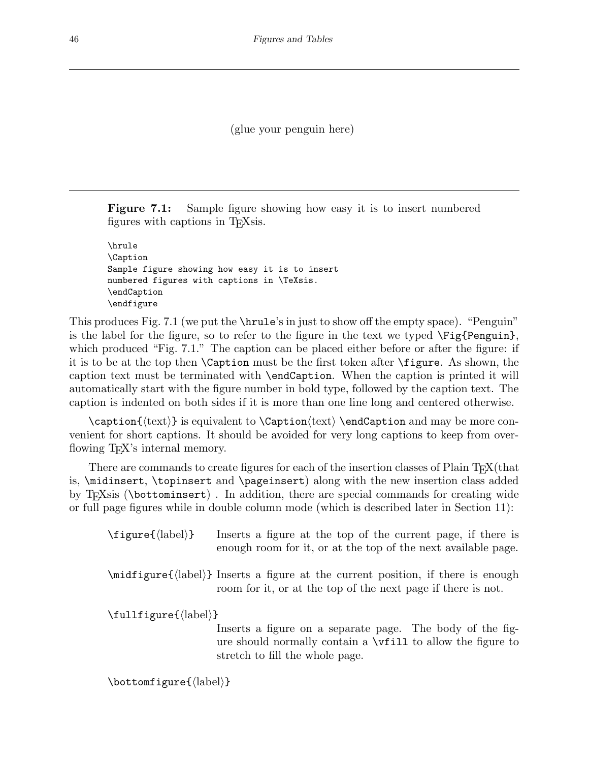(glue your penguin here)

**Figure 7.1:** Sample figure showing how easy it is to insert numbered figures with captions in T<sub>E</sub>Xsis.

\hrule \Caption Sample figure showing how easy it is to insert numbered figures with captions in \TeXsis. \endCaption \endfigure

This produces Fig. 7.1 (we put the \hrule's in just to show off the empty space). "Penguin" is the label for the figure, so to refer to the figure in the text we typed \Fig{Penguin}, which produced "Fig. 7.1." The caption can be placed either before or after the figure: if it is to be at the top then \Caption must be the first token after \figure. As shown, the caption text must be terminated with \endCaption. When the caption is printed it will automatically start with the figure number in bold type, followed by the caption text. The caption is indented on both sides if it is more than one line long and centered otherwise.

 $\c$ aption{ $\text{\texttt{text}}$  is equivalent to  $\text{\texttt{text}}$   $\text{\texttt{text}}$   $\text{\texttt{text}}$  and may be more convenient for short captions. It should be avoided for very long captions to keep from overflowing T<sub>E</sub>X's internal memory.

There are commands to create figures for each of the insertion classes of Plain T<sub>EX</sub>(that is, \midinsert, \topinsert and \pageinsert) along with the new insertion class added by TEXsis (\bottominsert) . In addition, there are special commands for creating wide or full page figures while in double column mode (which is described later in Section 11):

| $\frac{\langle \text{label} \rangle}{\langle \text{figure}}$ | Inserts a figure at the top of the current page, if there is<br>enough room for it, or at the top of the next available page.                    |
|--------------------------------------------------------------|--------------------------------------------------------------------------------------------------------------------------------------------------|
|                                                              | \midfigure{(label)} Inserts a figure at the current position, if there is enough<br>room for it, or at the top of the next page if there is not. |
| $\{fullfigure\{\label{label}}\}$                             |                                                                                                                                                  |
|                                                              | Inserts a figure on a separate page. The body of the fig-                                                                                        |
|                                                              | are should normally contain a $\forall$ fill to allow the figure to                                                                              |
|                                                              | stretch to fill the whole page.                                                                                                                  |

 $\boldsymbol{\delta}$  \bottomfigure{ $\langle$ label}}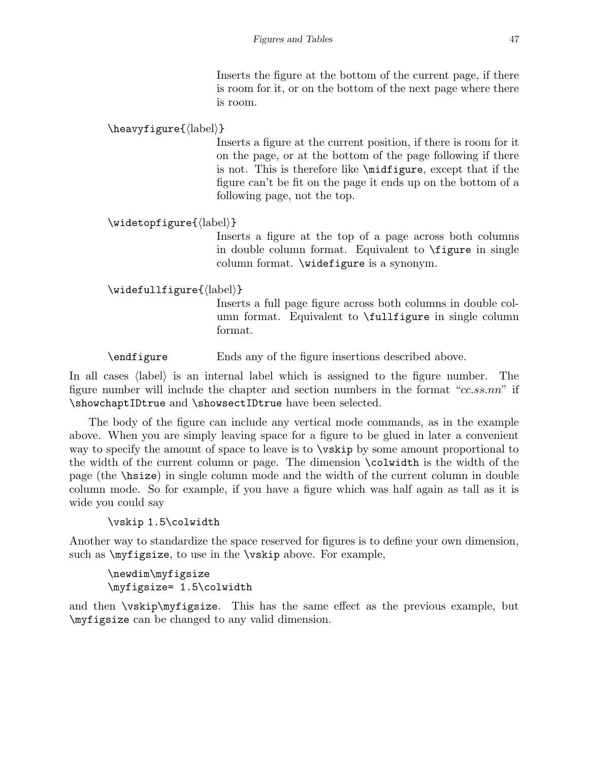Inserts the figure at the bottom of the current page, if there is room for it, or on the bottom of the next page where there is room.

# $\heavyfigure{\langle label \rangle}$

Inserts a figure at the current position, if there is room for it on the page, or at the bottom of the page following if there is not. This is therefore like \midfigure, except that if the figure can't be fit on the page it ends up on the bottom of a following page, not the top.

# $\widehat{\label{label}}$

Inserts a figure at the top of a page across both columns in double column format. Equivalent to \figure in single column format. \widefigure is a synonym.

# $\widehat{\label{label}}\$

Inserts a full page figure across both columns in double column format. Equivalent to \fullfigure in single column format.

\endfigure Ends any of the figure insertions described above.

In all cases  $\langle$ label $\rangle$  is an internal label which is assigned to the figure number. The figure number will include the chapter and section numbers in the format " $cc.s.nn$ " if \showchaptIDtrue and \showsectIDtrue have been selected.

The body of the figure can include any vertical mode commands, as in the example above. When you are simply leaving space for a figure to be glued in later a convenient way to specify the amount of space to leave is to  $\forall$ skip by some amount proportional to the width of the current column or page. The dimension \colwidth is the width of the page (the \hsize) in single column mode and the width of the current column in double column mode. So for example, if you have a figure which was half again as tall as it is wide you could say

```
\vskip 1.5\colwidth
```
Another way to standardize the space reserved for figures is to define your own dimension, such as  $\m{myfigsize}$ , to use in the  $\v{uskip}$  above. For example,

\newdim\myfigsize \myfigsize= 1.5\colwidth

and then \vskip\myfigsize. This has the same effect as the previous example, but \myfigsize can be changed to any valid dimension.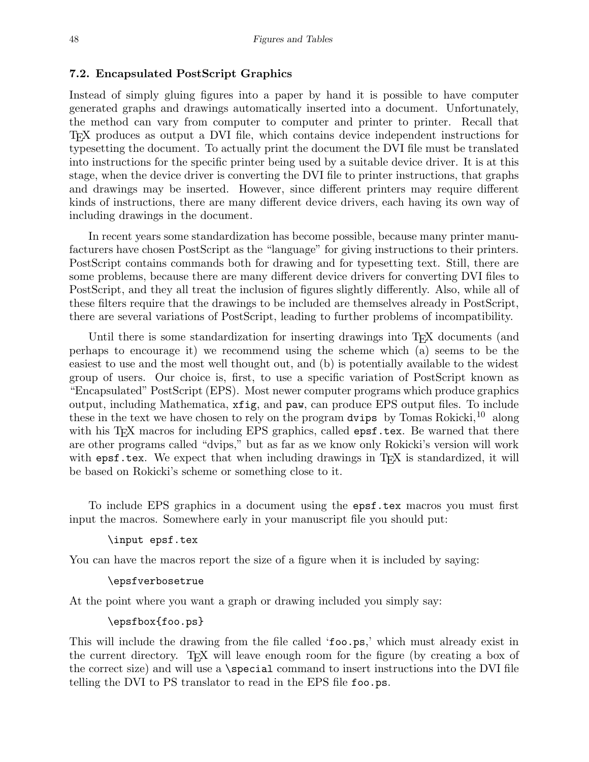#### 7.2. Encapsulated PostScript Graphics

Instead of simply gluing figures into a paper by hand it is possible to have computer generated graphs and drawings automatically inserted into a document. Unfortunately, the method can vary from computer to computer and printer to printer. Recall that TEX produces as output a DVI file, which contains device independent instructions for typesetting the document. To actually print the document the DVI file must be translated into instructions for the specific printer being used by a suitable device driver. It is at this stage, when the device driver is converting the DVI file to printer instructions, that graphs and drawings may be inserted. However, since different printers may require different kinds of instructions, there are many different device drivers, each having its own way of including drawings in the document.

In recent years some standardization has become possible, because many printer manufacturers have chosen PostScript as the "language" for giving instructions to their printers. PostScript contains commands both for drawing and for typesetting text. Still, there are some problems, because there are many different device drivers for converting DVI files to PostScript, and they all treat the inclusion of figures slightly differently. Also, while all of these filters require that the drawings to be included are themselves already in PostScript, there are several variations of PostScript, leading to further problems of incompatibility.

Until there is some standardization for inserting drawings into T<sub>EX</sub> documents (and perhaps to encourage it) we recommend using the scheme which (a) seems to be the easiest to use and the most well thought out, and (b) is potentially available to the widest group of users. Our choice is, first, to use a specific variation of PostScript known as "Encapsulated" PostScript (EPS). Most newer computer programs which produce graphics output, including Mathematica, xfig, and paw, can produce EPS output files. To include these in the text we have chosen to rely on the program dvips by Tomas Rokicki,  $^{10}$  along with his T<sub>E</sub>X macros for including EPS graphics, called epsf.tex. Be warned that there are other programs called "dvips," but as far as we know only Rokicki's version will work with  $epsf.text$ . We expect that when including drawings in  $TEX$  is standardized, it will be based on Rokicki's scheme or something close to it.

To include EPS graphics in a document using the epsf.tex macros you must first input the macros. Somewhere early in your manuscript file you should put:

#### \input epsf.tex

You can have the macros report the size of a figure when it is included by saying:

#### \epsfverbosetrue

At the point where you want a graph or drawing included you simply say:

#### \epsfbox{foo.ps}

This will include the drawing from the file called 'foo.ps,' which must already exist in the current directory. TEX will leave enough room for the figure (by creating a box of the correct size) and will use a \special command to insert instructions into the DVI file telling the DVI to PS translator to read in the EPS file foo.ps.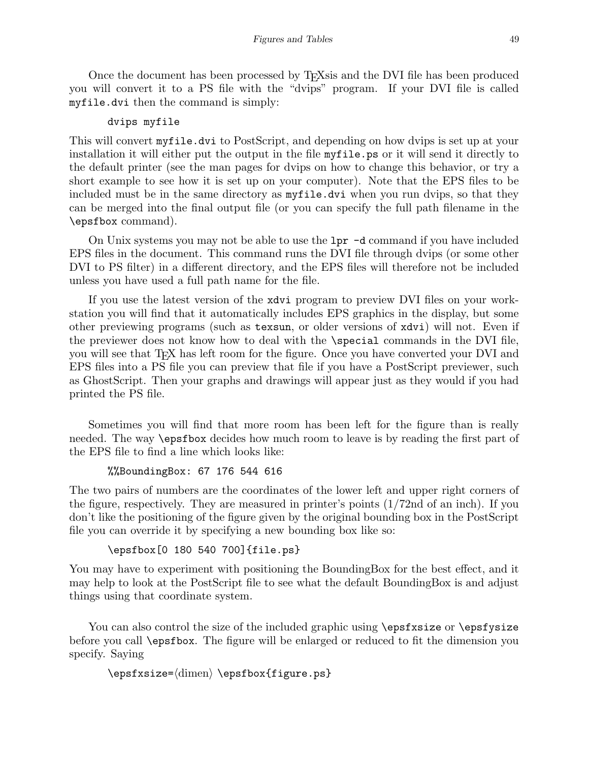Once the document has been processed by TEXsis and the DVI file has been produced you will convert it to a PS file with the "dvips" program. If your DVI file is called myfile.dvi then the command is simply:

### dvips myfile

This will convert myfile.dvi to PostScript, and depending on how dvips is set up at your installation it will either put the output in the file myfile.ps or it will send it directly to the default printer (see the man pages for dvips on how to change this behavior, or try a short example to see how it is set up on your computer). Note that the EPS files to be included must be in the same directory as myfile.dvi when you run dvips, so that they can be merged into the final output file (or you can specify the full path filename in the \epsfbox command).

On Unix systems you may not be able to use the  $1pr -d$  command if you have included EPS files in the document. This command runs the DVI file through dvips (or some other DVI to PS filter) in a different directory, and the EPS files will therefore not be included unless you have used a full path name for the file.

If you use the latest version of the xdvi program to preview DVI files on your workstation you will find that it automatically includes EPS graphics in the display, but some other previewing programs (such as texsun, or older versions of xdvi) will not. Even if the previewer does not know how to deal with the \special commands in the DVI file, you will see that T<sub>E</sub>X has left room for the figure. Once you have converted your DVI and EPS files into a PS file you can preview that file if you have a PostScript previewer, such as GhostScript. Then your graphs and drawings will appear just as they would if you had printed the PS file.

Sometimes you will find that more room has been left for the figure than is really needed. The way \epsfbox decides how much room to leave is by reading the first part of the EPS file to find a line which looks like:

```
%%BoundingBox: 67 176 544 616
```
The two pairs of numbers are the coordinates of the lower left and upper right corners of the figure, respectively. They are measured in printer's points  $(1/72nd)$  of an inch). If you don't like the positioning of the figure given by the original bounding box in the PostScript file you can override it by specifying a new bounding box like so:

```
\epsfbox[0 180 540 700]{file.ps}
```
You may have to experiment with positioning the BoundingBox for the best effect, and it may help to look at the PostScript file to see what the default BoundingBox is and adjust things using that coordinate system.

You can also control the size of the included graphic using \epsfxsize or \epsfysize before you call \epsfbox. The figure will be enlarged or reduced to fit the dimension you specify. Saying

```
\epsilon=\dimen\ \epsfbox{figure.ps}
```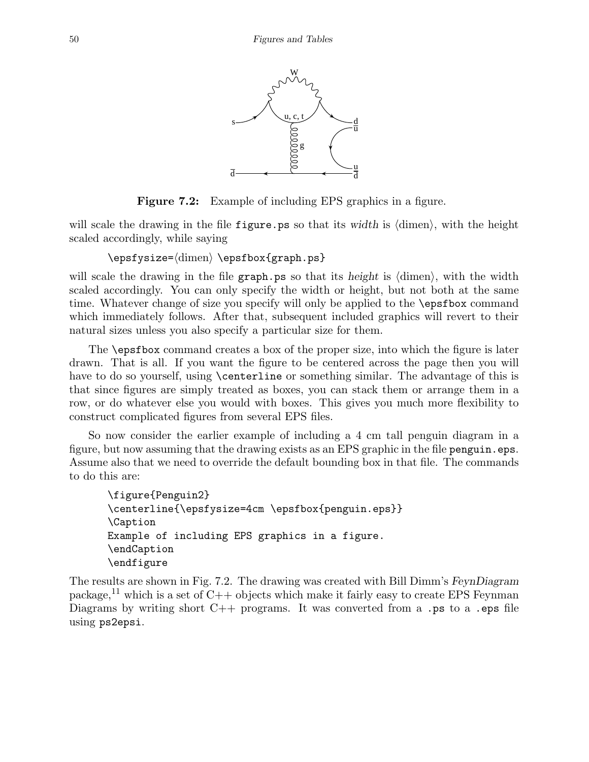

Figure 7.2: Example of including EPS graphics in a figure.

will scale the drawing in the file figure.ps so that its width is  $\langle \text{dimen} \rangle$ , with the height scaled accordingly, while saying

```
\epsilon = \dim\ \epsilonfox{graph.ps}
```
will scale the drawing in the file graph.ps so that its height is  $\langle$  dimen $\rangle$ , with the width scaled accordingly. You can only specify the width or height, but not both at the same time. Whatever change of size you specify will only be applied to the \epsfbox command which immediately follows. After that, subsequent included graphics will revert to their natural sizes unless you also specify a particular size for them.

The \epsfbox command creates a box of the proper size, into which the figure is later drawn. That is all. If you want the figure to be centered across the page then you will have to do so yourself, using **\centerline** or something similar. The advantage of this is that since figures are simply treated as boxes, you can stack them or arrange them in a row, or do whatever else you would with boxes. This gives you much more flexibility to construct complicated figures from several EPS files.

So now consider the earlier example of including a 4 cm tall penguin diagram in a figure, but now assuming that the drawing exists as an EPS graphic in the file penguin.eps. Assume also that we need to override the default bounding box in that file. The commands to do this are:

```
\figure{Penguin2}
\centerline{\epsfysize=4cm \epsfbox{penguin.eps}}
\Caption
Example of including EPS graphics in a figure.
\endCaption
\endfigure
```
The results are shown in Fig. 7.2. The drawing was created with Bill Dimm's FeynDiagram package,<sup>11</sup> which is a set of  $C++$  objects which make it fairly easy to create EPS Feynman Diagrams by writing short  $C++$  programs. It was converted from a .ps to a .eps file using ps2epsi.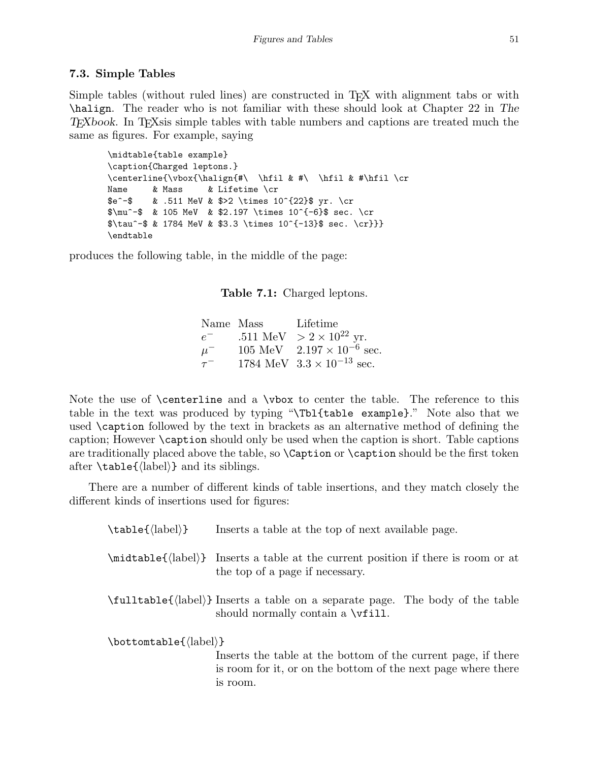# 7.3. Simple Tables

Simple tables (without ruled lines) are constructed in T<sub>E</sub>X with alignment tabs or with \halign. The reader who is not familiar with these should look at Chapter 22 in The T<sub>E</sub>Xbook. In T<sub>E</sub>Xsis simple tables with table numbers and captions are treated much the same as figures. For example, saying

\midtable{table example} \caption{Charged leptons.} \centerline{\vbox{\halign{#\ \hfil & #\ \hfil & #\hfil \cr Name & Mass & Lifetime \cr \$e^-\$ & .511 MeV & \$>2 \times 10^{22}\$ yr. \cr  $\mu^-\$  & 105 MeV & \$2.197 \times 10^{-6}\$ sec. \cr  $\tau^-\$  & 1784 MeV & \$3.3 \times 10^{-13}\$ sec. \cr}}} \endtable

produces the following table, in the middle of the page:

Table 7.1: Charged leptons.

Name Mass Lifetime  $e^-$ .511 MeV >  $2 \times 10^{22}$  yr.  $\mu^-$ − 105 MeV  $2.197 \times 10^{-6}$  sec.  $\tau^ 1784 \text{ MeV}$   $3.3 \times 10^{-13} \text{ sec.}$ 

Note the use of \centerline and a \vbox to center the table. The reference to this table in the text was produced by typing "\Tbl{table example}." Note also that we used \caption followed by the text in brackets as an alternative method of defining the caption; However \caption should only be used when the caption is short. Table captions are traditionally placed above the table, so \Caption or \caption should be the first token after  $\table{\label{label}}$  and its siblings.

There are a number of different kinds of table insertions, and they match closely the different kinds of insertions used for figures:

| $\label{label:label}$ | Inserts a table at the top of next available page.                                                                                            |
|-----------------------|-----------------------------------------------------------------------------------------------------------------------------------------------|
|                       | $\mathcal{A}\backslash \mathcal{A}$ [abel)} Inserts a table at the current position if there is room or at<br>the top of a page if necessary. |
|                       | \fulltable{\label\}} Inserts a table on a separate page. The body of the table<br>should normally contain a \vfill.                           |
| $\boldsymbol{\delta}$ | Inserts the table at the bottom of the current page, if there<br>is room for it, or on the bottom of the next page where there<br>is room.    |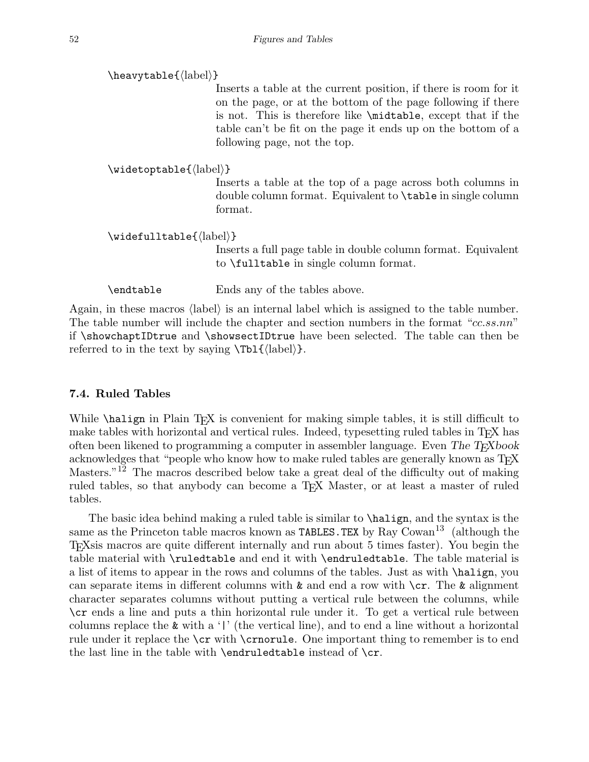```
\heavvtable{\langle label \rangle}
```
Inserts a table at the current position, if there is room for it on the page, or at the bottom of the page following if there is not. This is therefore like \midtable, except that if the table can't be fit on the page it ends up on the bottom of a following page, not the top.

```
\widehat{\label{label}}
```
Inserts a table at the top of a page across both columns in double column format. Equivalent to \table in single column format.

```
\widehat{\label{label}}
```
Inserts a full page table in double column format. Equivalent to \fulltable in single column format.

\endtable Ends any of the tables above.

Again, in these macros  $\langle$ label $\rangle$  is an internal label which is assigned to the table number. The table number will include the chapter and section numbers in the format " $cc.s.nn$ " if \showchaptIDtrue and \showsectIDtrue have been selected. The table can then be referred to in the text by saying  $\Theta$ .

### 7.4. Ruled Tables

While **\halign** in Plain T<sub>EX</sub> is convenient for making simple tables, it is still difficult to make tables with horizontal and vertical rules. Indeed, typesetting ruled tables in T<sub>E</sub>X has often been likened to programming a computer in assembler language. Even The  $T_F X book$ acknowledges that "people who know how to make ruled tables are generally known as TFX Masters."<sup>12</sup> The macros described below take a great deal of the difficulty out of making ruled tables, so that anybody can become a TEX Master, or at least a master of ruled tables.

The basic idea behind making a ruled table is similar to \halign, and the syntax is the same as the Princeton table macros known as TABLES. TEX by  $\text{Ray Cowan}^{13}$  (although the TEXsis macros are quite different internally and run about 5 times faster). You begin the table material with \ruledtable and end it with \endruledtable. The table material is a list of items to appear in the rows and columns of the tables. Just as with \halign, you can separate items in different columns with  $\&$  and end a row with  $\csc$ . The  $\&$  alignment character separates columns without putting a vertical rule between the columns, while \cr ends a line and puts a thin horizontal rule under it. To get a vertical rule between columns replace the & with a '|' (the vertical line), and to end a line without a horizontal rule under it replace the  $\cr$  with  $\cr$ crnorule. One important thing to remember is to end the last line in the table with \endruledtable instead of \cr.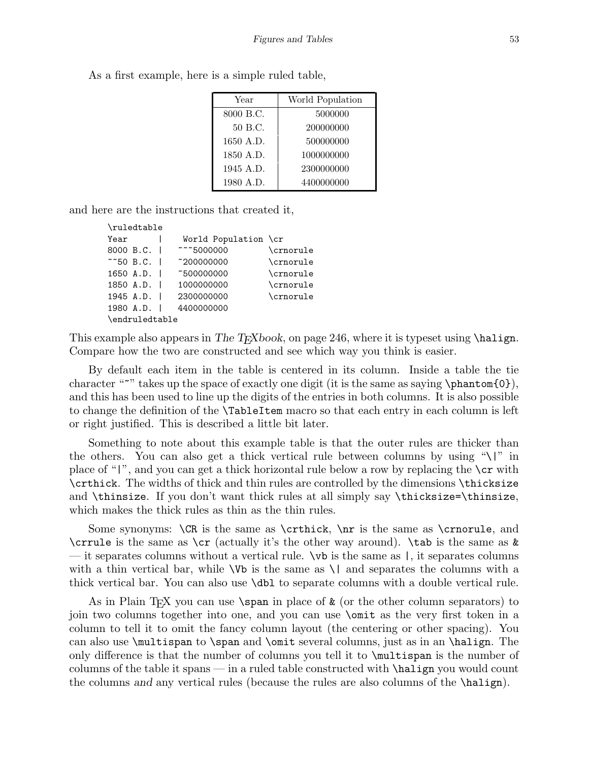| Year      | World Population |  |
|-----------|------------------|--|
| 8000 B.C. | 5000000          |  |
| 50 B.C.   | 200000000        |  |
| 1650 A.D. | 500000000        |  |
| 1850 A.D. | 1000000000       |  |
| 1945 A.D. | 2300000000       |  |
| 1980 A.D. | 4400000000       |  |

As a first example, here is a simple ruled table,

and here are the instructions that created it,

|                | \ruledtable       |  |                      |           |
|----------------|-------------------|--|----------------------|-----------|
| Year           |                   |  | World Population \cr |           |
|                | 8000 B.C. I       |  | 775000000            | \crnorule |
|                | ~750 B.C.         |  | ~200000000           | \crnorule |
|                | 1650 A.D.         |  | ~500000000           | \crnorule |
|                | 1850 A.D.         |  | 1000000000           | \crnorule |
|                | 1945 A.D. $\vert$ |  | 2300000000           | \crnorule |
|                | 1980 A.D.         |  | 4400000000           |           |
| \endruledtable |                   |  |                      |           |

This example also appears in The T<sub>E</sub>Xbook, on page 246, where it is typeset using  $\hbar$ lalign. Compare how the two are constructed and see which way you think is easier.

By default each item in the table is centered in its column. Inside a table the tie character """ takes up the space of exactly one digit (it is the same as saying  $\phi$ ), and this has been used to line up the digits of the entries in both columns. It is also possible to change the definition of the \TableItem macro so that each entry in each column is left or right justified. This is described a little bit later.

Something to note about this example table is that the outer rules are thicker than the others. You can also get a thick vertical rule between columns by using " $\lvert \rvert$ " in place of "|", and you can get a thick horizontal rule below a row by replacing the \cr with \crthick. The widths of thick and thin rules are controlled by the dimensions \thicksize and \thinsize. If you don't want thick rules at all simply say \thicksize=\thinsize, which makes the thick rules as thin as the thin rules.

Some synonyms:  $CR$  is the same as  $\crthick$ ,  $\nr$  is the same as  $\crthick$ \crrule is the same as \cr (actually it's the other way around). \tab is the same as & — it separates columns without a vertical rule. \vb is the same as |, it separates columns with a thin vertical bar, while  $\forall$ b is the same as  $\setminus$  and separates the columns with a thick vertical bar. You can also use \dbl to separate columns with a double vertical rule.

As in Plain T<sub>EX</sub> you can use  $\span$  in place of  $\&$  (or the other column separators) to join two columns together into one, and you can use \omit as the very first token in a column to tell it to omit the fancy column layout (the centering or other spacing). You can also use \multispan to \span and \omit several columns, just as in an \halign. The only difference is that the number of columns you tell it to \multispan is the number of columns of the table it spans — in a ruled table constructed with \halign you would count the columns and any vertical rules (because the rules are also columns of the \halign).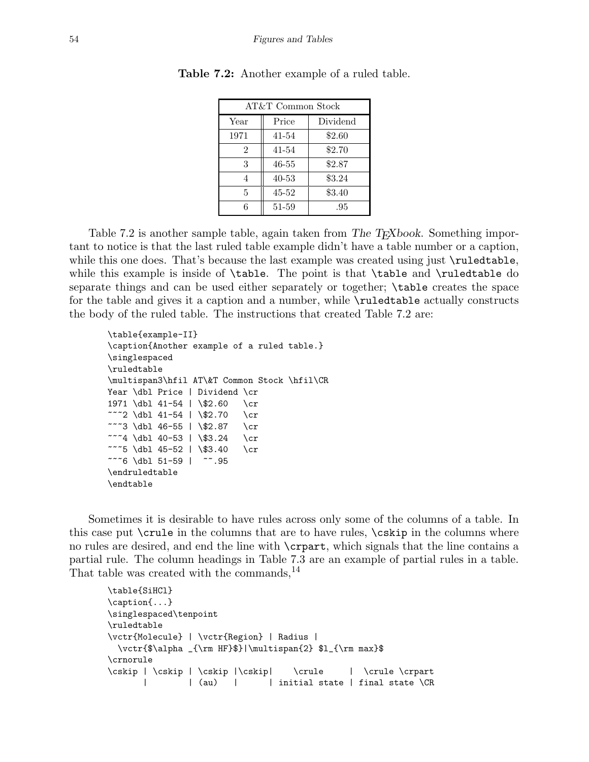| AT&T Common Stock |           |          |  |
|-------------------|-----------|----------|--|
| Year              | Price     | Dividend |  |
| 1971              | 41-54     | \$2.60   |  |
| 2                 | $41 - 54$ | \$2.70   |  |
| 3                 | $46 - 55$ | \$2.87   |  |
| 4                 | $40 - 53$ | \$3.24   |  |
| 5                 | $45 - 52$ | \$3.40   |  |
| հ                 | 51-59     | .95      |  |

Table 7.2: Another example of a ruled table.

Table 7.2 is another sample table, again taken from The T<sub>E</sub>Xbook. Something important to notice is that the last ruled table example didn't have a table number or a caption, while this one does. That's because the last example was created using just  $\rule{1.5cm}{0.1cm}$  ruledtable, while this example is inside of **\table.** The point is that **\table** and **\ruledtable** do separate things and can be used either separately or together; \table creates the space for the table and gives it a caption and a number, while \ruledtable actually constructs the body of the ruled table. The instructions that created Table 7.2 are:

```
\table{example-II}
\caption{Another example of a ruled table.}
\singlespaced
\ruledtable
\multispan3\hfil AT\&T Common Stock \hfil\CR
Year \dbl Price | Dividend \cr
1971 \dbl 41-54 | \$2.60 \cr
~~~2 \dbl 41-54 | \$2.70 \cr
~~~3 \dbl 46-55 | \$2.87 \cr
~~~4 \dbl 40-53 | \$3.24 \cr
~~~5 \dbl 45-52 | \$3.40 \cr
775 \dbl 51-59 | 77.95\endruledtable
\endtable
```
Sometimes it is desirable to have rules across only some of the columns of a table. In this case put  $\c{true}$  in the columns that are to have rules,  $\c{askip}$  in the columns where no rules are desired, and end the line with \crpart, which signals that the line contains a partial rule. The column headings in Table 7.3 are an example of partial rules in a table. That table was created with the commands,<sup>14</sup>

```
\table{SiHCl}
\caption{...}
\singlespaced\tenpoint
\ruledtable
\vctr{Molecule} | \vctr{Region} | Radius |
 \vctr{$\alpha _{\rm HF}$}|\multispan{2} $l_{\rm max}$
\crnorule
\cskip | \cskip | \cskip | \cskip | \crule | \crule \crpart
      | | (au) | | initial state | final state \CR
```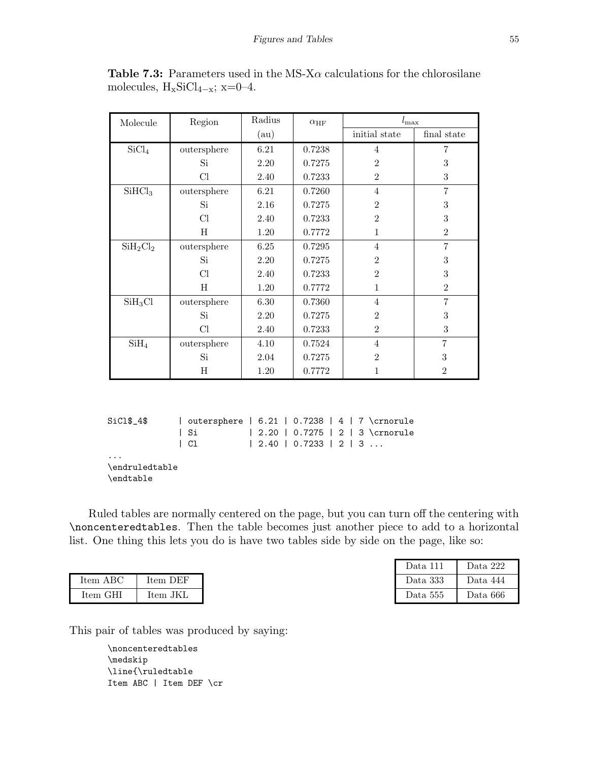| Molecule                         | Region               | Radius | $\alpha_{\rm HF}$ | $l_{\max}$     |                |  |
|----------------------------------|----------------------|--------|-------------------|----------------|----------------|--|
|                                  |                      | (au)   |                   | initial state  | final state    |  |
| SiCl <sub>4</sub>                | outersphere          | 6.21   | 0.7238            | 4              | 7              |  |
|                                  | Si                   | 2.20   | 0.7275            | $\overline{2}$ | $\sqrt{3}$     |  |
|                                  | Cl                   | 2.40   | 0.7233            | $\overline{2}$ | 3              |  |
| SiHCl <sub>3</sub>               | $\,$ outer<br>sphere | 6.21   | 0.7260            | $\overline{4}$ | 7              |  |
|                                  | Si                   | 2.16   | 0.7275            | $\overline{2}$ | 3              |  |
|                                  | Cl                   | 2.40   | 0.7233            | $\overline{2}$ | $\sqrt{3}$     |  |
|                                  | H                    | 1.20   | 0.7772            | 1              | $\overline{2}$ |  |
| SiH <sub>2</sub> Cl <sub>2</sub> | outersphere          | 6.25   | 0.7295            | $\overline{4}$ | 7              |  |
|                                  | Si                   | 2.20   | 0.7275            | $\overline{2}$ | 3              |  |
|                                  | Cl                   | 2.40   | 0.7233            | $\overline{2}$ | 3              |  |
|                                  | H                    | 1.20   | 0.7772            | 1              | $\overline{2}$ |  |
| SiH <sub>3</sub> Cl              | outersphere          | 6.30   | 0.7360            | $\overline{4}$ | 7              |  |
|                                  | Si                   | 2.20   | 0.7275            | $\overline{2}$ | $\sqrt{3}$     |  |
|                                  | Cl                   | 2.40   | 0.7233            | $\overline{2}$ | 3              |  |
| SiH <sub>4</sub>                 | outersphere          | 4.10   | 0.7524            | $\overline{4}$ | $\overline{7}$ |  |
|                                  | Si                   | 2.04   | 0.7275            | $\overline{2}$ | 3              |  |
|                                  | Η                    | 1.20   | 0.7772            | 1              | $\overline{2}$ |  |

Table 7.3: Parameters used in the MS-X $\alpha$  calculations for the chlorosilane molecules,  $H_xSiCl_{4-x}$ ; x=0–4.

| $SiCl$$ \$ $-4$$        | outersphere   6.21   0.7238   4   7 \crnorule |  |                       |  |  |                                 |
|-------------------------|-----------------------------------------------|--|-----------------------|--|--|---------------------------------|
|                         | l Si                                          |  |                       |  |  | 2.20   0.7275   2   3 \crnorule |
|                         | $\lfloor$ C <sub>1</sub>                      |  | 2.40   0.7233   2   3 |  |  |                                 |
| $\cdot$ $\cdot$ $\cdot$ |                                               |  |                       |  |  |                                 |
| \endruledtable          |                                               |  |                       |  |  |                                 |
| \endtable               |                                               |  |                       |  |  |                                 |

Ruled tables are normally centered on the page, but you can turn off the centering with \noncenteredtables. Then the table becomes just another piece to add to a horizontal list. One thing this lets you do is have two tables side by side on the page, like so:

| Item ABC | Item DEF |
|----------|----------|
| Item GHI | Item JKL |

| Data 111 | Data 222 |
|----------|----------|
| Data 333 | Data 444 |
| Data 555 | Data 666 |

This pair of tables was produced by saying:

\noncenteredtables \medskip \line{\ruledtable Item ABC | Item DEF \cr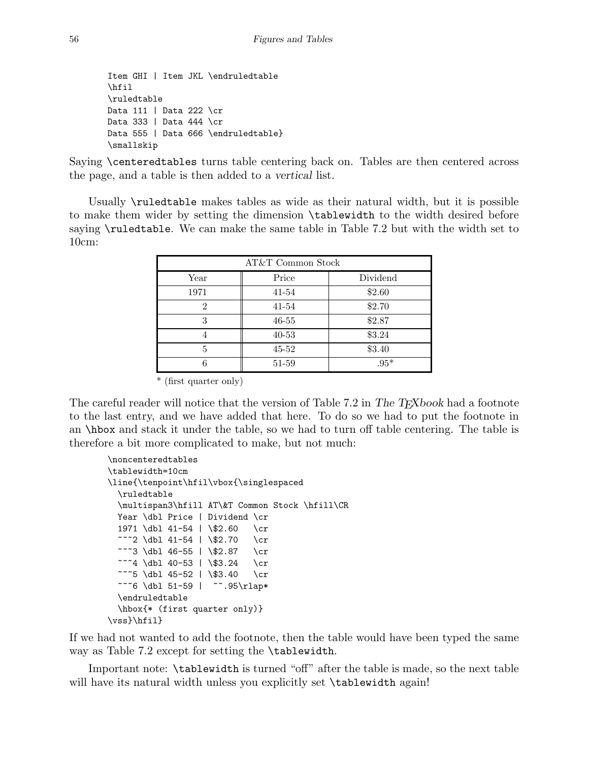```
Item GHI | Item JKL \endruledtable
\hfil
\ruledtable
Data 111 | Data 222 \cr
Data 333 | Data 444 \cr
Data 555 | Data 666 \endruledtable}
\smallskip
```
Saying \centeredtables turns table centering back on. Tables are then centered across the page, and a table is then added to a vertical list.

Usually \ruledtable makes tables as wide as their natural width, but it is possible to make them wider by setting the dimension \tablewidth to the width desired before saying \ruledtable. We can make the same table in Table 7.2 but with the width set to 10cm:

| AT&T Common Stock |           |          |  |  |  |
|-------------------|-----------|----------|--|--|--|
| Year              | Price     | Dividend |  |  |  |
| 1971              | $41 - 54$ | \$2.60   |  |  |  |
| 9                 | 41-54     | \$2.70   |  |  |  |
| 3                 | $46 - 55$ | \$2.87   |  |  |  |
|                   | $40 - 53$ | \$3.24   |  |  |  |
| 5                 | $45 - 52$ | \$3.40   |  |  |  |
|                   | 51-59     | $.95*$   |  |  |  |

\* (first quarter only)

The careful reader will notice that the version of Table 7.2 in The T<sub>E</sub>Xbook had a footnote to the last entry, and we have added that here. To do so we had to put the footnote in an \hbox and stack it under the table, so we had to turn off table centering. The table is therefore a bit more complicated to make, but not much:

```
\noncenteredtables
\tablewidth=10cm
\line{\tenpoint\hfil\vbox{\singlespaced
 \ruledtable
 \multispan3\hfill AT\&T Common Stock \hfill\CR
 Year \dbl Price | Dividend \cr
 1971 \dbl 41-54 | \$2.60 \cr
  ~~~2 \dbl 41-54 | \$2.70 \cr
  ~~~3 \dbl 46-55 | \$2.87 \cr
  ~~~4 \dbl 40-53 | \$3.24 \cr
  ~~~5 \dbl 45-52 | \$3.40 \cr
  ~7.6 \db1 51-59 | ~7.95\rlap*\endruledtable
  \hbox{* (first quarter only)}
\vss}\hfil}
```
If we had not wanted to add the footnote, then the table would have been typed the same way as Table 7.2 except for setting the \tablewidth.

Important note: \tablewidth is turned "off" after the table is made, so the next table will have its natural width unless you explicitly set **\tablewidth** again!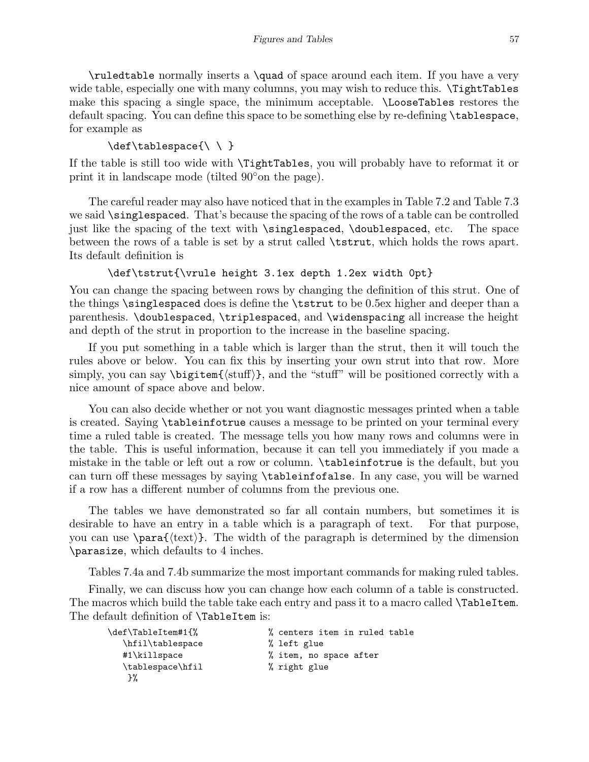\ruledtable normally inserts a \quad of space around each item. If you have a very wide table, especially one with many columns, you may wish to reduce this.  $\Pi$ ightTables make this spacing a single space, the minimum acceptable. \LooseTables restores the default spacing. You can define this space to be something else by re-defining \tablespace, for example as

# $\def\tabcommand{\cdotp\zeta{\S}$

If the table is still too wide with \TightTables, you will probably have to reformat it or print it in landscape mode (tilted 90°on the page).

The careful reader may also have noticed that in the examples in Table 7.2 and Table 7.3 we said \singlespaced. That's because the spacing of the rows of a table can be controlled just like the spacing of the text with \singlespaced, \doublespaced, etc. The space between the rows of a table is set by a strut called \tstrut, which holds the rows apart. Its default definition is

\def\tstrut{\vrule height 3.1ex depth 1.2ex width 0pt}

You can change the spacing between rows by changing the definition of this strut. One of the things \singlespaced does is define the \tstrut to be 0.5ex higher and deeper than a parenthesis. \doublespaced, \triplespaced, and \widenspacing all increase the height and depth of the strut in proportion to the increase in the baseline spacing.

If you put something in a table which is larger than the strut, then it will touch the rules above or below. You can fix this by inserting your own strut into that row. More simply, you can say  $\big\tilde{\partial}$ , and the "stuff" will be positioned correctly with a nice amount of space above and below.

You can also decide whether or not you want diagnostic messages printed when a table is created. Saying \tableinfotrue causes a message to be printed on your terminal every time a ruled table is created. The message tells you how many rows and columns were in the table. This is useful information, because it can tell you immediately if you made a mistake in the table or left out a row or column. \tableinfotrue is the default, but you can turn off these messages by saying \tableinfofalse. In any case, you will be warned if a row has a different number of columns from the previous one.

The tables we have demonstrated so far all contain numbers, but sometimes it is desirable to have an entry in a table which is a paragraph of text. For that purpose, you can use  $\partial_{\text{para}}(\text{text})$ . The width of the paragraph is determined by the dimension \parasize, which defaults to 4 inches.

Tables 7.4a and 7.4b summarize the most important commands for making ruled tables.

Finally, we can discuss how you can change how each column of a table is constructed. The macros which build the table take each entry and pass it to a macro called \TableItem. The default definition of **\TableItem** is:

```
\def\TableItem#1{% % centers item in ruled table
  \hfil\tablespace % left glue
  #1\killspace % item, no space after
  \tablespace\hfil % right glue
  }%
```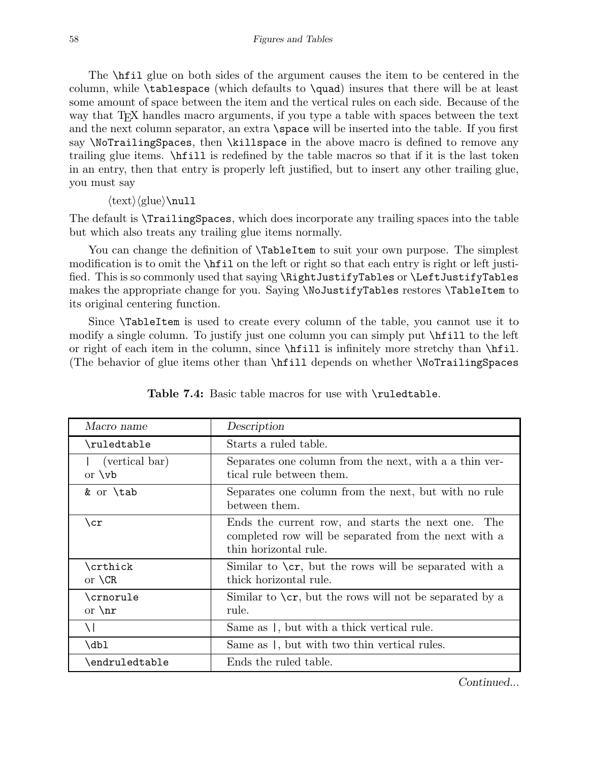The \hfil glue on both sides of the argument causes the item to be centered in the column, while \tablespace (which defaults to \quad) insures that there will be at least some amount of space between the item and the vertical rules on each side. Because of the way that T<sub>EX</sub> handles macro arguments, if you type a table with spaces between the text and the next column separator, an extra \space will be inserted into the table. If you first say \NoTrailingSpaces, then \killspace in the above macro is defined to remove any trailing glue items. \hfill is redefined by the table macros so that if it is the last token in an entry, then that entry is properly left justified, but to insert any other trailing glue, you must say

```
\langle \text{text}\rangle\null
```
The default is \TrailingSpaces, which does incorporate any trailing spaces into the table but which also treats any trailing glue items normally.

You can change the definition of  $\Theta$  and  $\Theta$  to suit your own purpose. The simplest modification is to omit the \hfil on the left or right so that each entry is right or left justified. This is so commonly used that saying \RightJustifyTables or \LeftJustifyTables makes the appropriate change for you. Saying \NoJustifyTables restores \TableItem to its original centering function.

Since \TableItem is used to create every column of the table, you cannot use it to modify a single column. To justify just one column you can simply put \hfill to the left or right of each item in the column, since  $\hbar$ ill is infinitely more stretchy than  $\hbar$ il. (The behavior of glue items other than \hfill depends on whether \NoTrailingSpaces

| Macro name                     | Description                                                                                                                         |
|--------------------------------|-------------------------------------------------------------------------------------------------------------------------------------|
| \ruledtable                    | Starts a ruled table.                                                                                                               |
| (vertical bar)<br>or $\forall$ | Separates one column from the next, with a a thin ver-<br>tical rule between them.                                                  |
| & or \tab                      | Separates one column from the next, but with no rule<br>between them.                                                               |
| \cr                            | Ends the current row, and starts the next one. The<br>completed row will be separated from the next with a<br>thin horizontal rule. |
| \crthick<br>or $CR$            | Similar to $\csc$ , but the rows will be separated with a<br>thick horizontal rule.                                                 |
| \crnorule<br>or $\nr$          | Similar to $\csc$ , but the rows will not be separated by a<br>rule.                                                                |
| \ l                            | Same as $\vert$ , but with a thick vertical rule.                                                                                   |
| \dbl                           | Same as , but with two thin vertical rules.                                                                                         |
| \endruledtable                 | Ends the ruled table.                                                                                                               |

Table 7.4: Basic table macros for use with \ruledtable.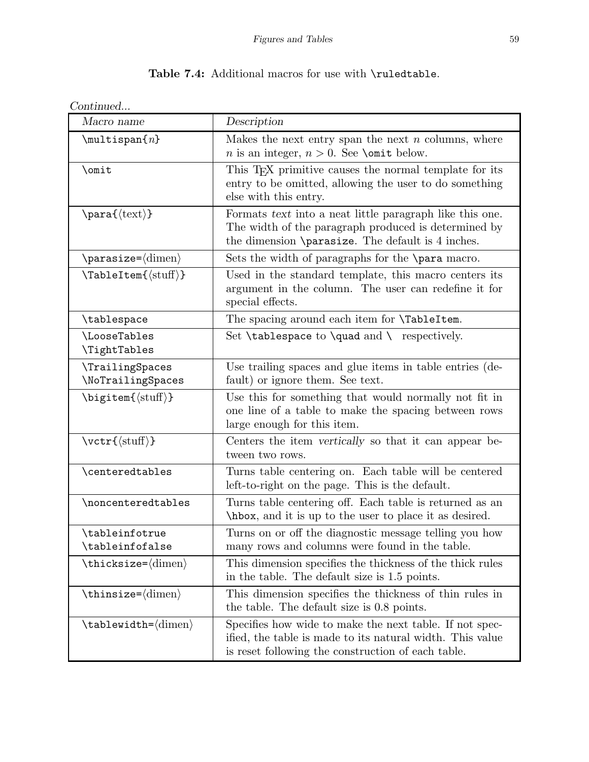| Table 7.4: Additional macros for use with \ruledtable. |  |  |  |  |
|--------------------------------------------------------|--|--|--|--|
|--------------------------------------------------------|--|--|--|--|

Continued...

| Macro name                                                              | Description                                                                                                                                                                |
|-------------------------------------------------------------------------|----------------------------------------------------------------------------------------------------------------------------------------------------------------------------|
| $\mathcal{m}$ ltispan $\{n\}$                                           | Makes the next entry span the next $n$ columns, where<br><i>n</i> is an integer, $n > 0$ . See \omit below.                                                                |
| \omit                                                                   | This T <sub>F</sub> X primitive causes the normal template for its<br>entry to be omitted, allowing the user to do something<br>else with this entry.                      |
| $\langle \text{text} \rangle$ }                                         | Formats text into a neat little paragraph like this one.<br>The width of the paragraph produced is determined by<br>the dimension \parasize. The default is 4 inches.      |
| $\n\partial$                                                            | Sets the width of paragraphs for the <b>\para</b> macro.                                                                                                                   |
| $\Theta$ \TableItem $\{\langle \text{stuff} \rangle\}$                  | Used in the standard template, this macro centers its<br>argument in the column. The user can redefine it for<br>special effects.                                          |
| \tablespace                                                             | The spacing around each item for <b>\TableItem</b> .                                                                                                                       |
| \LooseTables<br>\TightTables                                            | Set \tablespace to \quad and \ respectively.                                                                                                                               |
| \TrailingSpaces<br>\NoTrailingSpaces                                    | Use trailing spaces and glue items in table entries (de-<br>fault) or ignore them. See text.                                                                               |
| $\begin{align} \begin{array}{c} \text{bigitem} \end{array} \end{align}$ | Use this for something that would normally not fit in<br>one line of a table to make the spacing between rows<br>large enough for this item.                               |
| $\text{Vert}$                                                           | Centers the item vertically so that it can appear be-<br>tween two rows.                                                                                                   |
| \centeredtables                                                         | Turns table centering on. Each table will be centered<br>left-to-right on the page. This is the default.                                                                   |
| \noncenteredtables                                                      | Turns table centering off. Each table is returned as an<br>\hbox, and it is up to the user to place it as desired.                                                         |
| \tableinfotrue<br>\tableinfofalse                                       | Turns on or off the diagnostic message telling you how<br>many rows and columns were found in the table.                                                                   |
| $\theta$                                                                | This dimension specifies the thickness of the thick rules<br>in the table. The default size is 1.5 points.                                                                 |
| $\verb \thisize= \dimen\rangle $                                        | This dimension specifies the thickness of thin rules in<br>the table. The default size is 0.8 points.                                                                      |
| $\{\tanh\}$                                                             | Specifies how wide to make the next table. If not spec-<br>ified, the table is made to its natural width. This value<br>is reset following the construction of each table. |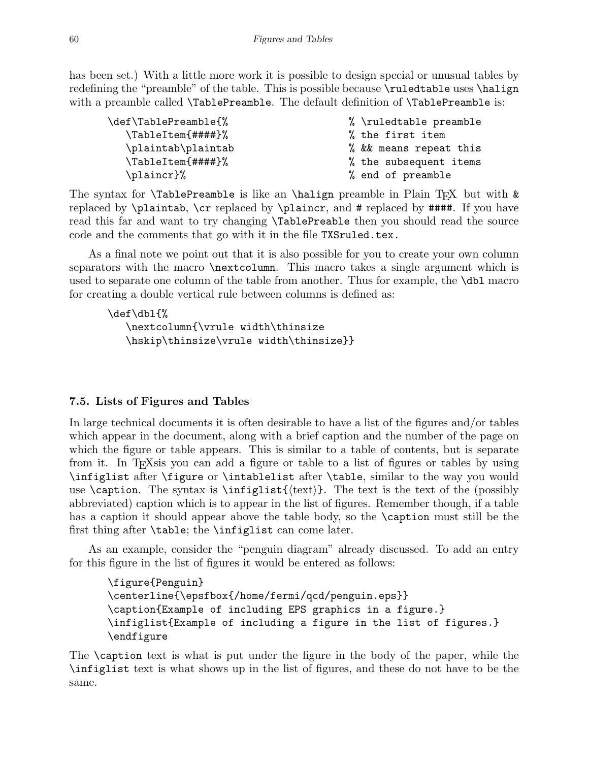has been set.) With a little more work it is possible to design special or unusual tables by redefining the "preamble" of the table. This is possible because  $\lceil \text{rule} \rceil$  ruledtable uses  $\hceil$ align with a preamble called **\TablePreamble**. The default definition of **\TablePreamble** is:

| \def\TablePreamble{% | % \ruledtable preamble |
|----------------------|------------------------|
| \TableItem{####}%    | % the first item       |
| \plaintab\plaintab   | % && means repeat this |
| \TableItem{####}%    | % the subsequent items |
| \plaincr}%           | % end of preamble      |

The syntax for  $\TablePreamble$  is like an  $\halign$  preamble in Plain T<sub>EX</sub> but with & replaced by \plaintab, \cr replaced by \plaincr, and # replaced by ####. If you have read this far and want to try changing \TablePreable then you should read the source code and the comments that go with it in the file TXSruled.tex.

As a final note we point out that it is also possible for you to create your own column separators with the macro **\nextcolumn**. This macro takes a single argument which is used to separate one column of the table from another. Thus for example, the \dbl macro for creating a double vertical rule between columns is defined as:

\def\dbl{% \nextcolumn{\vrule width\thinsize \hskip\thinsize\vrule width\thinsize}}

# 7.5. Lists of Figures and Tables

In large technical documents it is often desirable to have a list of the figures and/or tables which appear in the document, along with a brief caption and the number of the page on which the figure or table appears. This is similar to a table of contents, but is separate from it. In TEXsis you can add a figure or table to a list of figures or tables by using \infiglist after \figure or \intablelist after \table, similar to the way you would use  $\cap$ . The syntax is  $\in$ {text}. The text is the text of the (possibly abbreviated) caption which is to appear in the list of figures. Remember though, if a table has a caption it should appear above the table body, so the **\caption** must still be the first thing after \table; the \infiglist can come later.

As an example, consider the "penguin diagram" already discussed. To add an entry for this figure in the list of figures it would be entered as follows:

\figure{Penguin} \centerline{\epsfbox{/home/fermi/qcd/penguin.eps}} \caption{Example of including EPS graphics in a figure.} \infiglist{Example of including a figure in the list of figures.} \endfigure

The \caption text is what is put under the figure in the body of the paper, while the \infiglist text is what shows up in the list of figures, and these do not have to be the same.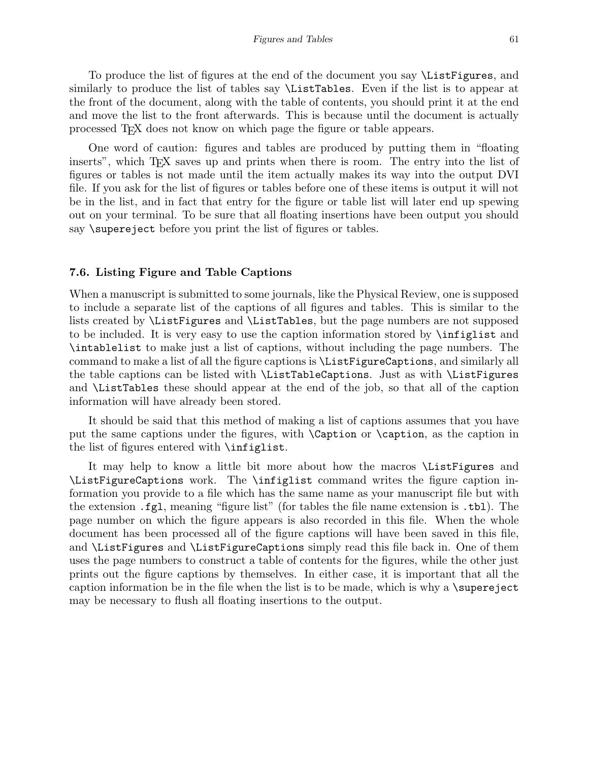To produce the list of figures at the end of the document you say \ListFigures, and similarly to produce the list of tables say \ListTables. Even if the list is to appear at the front of the document, along with the table of contents, you should print it at the end and move the list to the front afterwards. This is because until the document is actually processed TEX does not know on which page the figure or table appears.

One word of caution: figures and tables are produced by putting them in "floating inserts", which T<sub>E</sub>X saves up and prints when there is room. The entry into the list of figures or tables is not made until the item actually makes its way into the output DVI file. If you ask for the list of figures or tables before one of these items is output it will not be in the list, and in fact that entry for the figure or table list will later end up spewing out on your terminal. To be sure that all floating insertions have been output you should say **\supereject** before you print the list of figures or tables.

#### 7.6. Listing Figure and Table Captions

When a manuscript is submitted to some journals, like the Physical Review, one is supposed to include a separate list of the captions of all figures and tables. This is similar to the lists created by \ListFigures and \ListTables, but the page numbers are not supposed to be included. It is very easy to use the caption information stored by \infiglist and \intablelist to make just a list of captions, without including the page numbers. The command to make a list of all the figure captions is \ListFigureCaptions, and similarly all the table captions can be listed with \ListTableCaptions. Just as with \ListFigures and \ListTables these should appear at the end of the job, so that all of the caption information will have already been stored.

It should be said that this method of making a list of captions assumes that you have put the same captions under the figures, with \Caption or \caption, as the caption in the list of figures entered with \infiglist.

It may help to know a little bit more about how the macros \ListFigures and \ListFigureCaptions work. The \infiglist command writes the figure caption information you provide to a file which has the same name as your manuscript file but with the extension .fgl, meaning "figure list" (for tables the file name extension is .tbl). The page number on which the figure appears is also recorded in this file. When the whole document has been processed all of the figure captions will have been saved in this file, and \ListFigures and \ListFigureCaptions simply read this file back in. One of them uses the page numbers to construct a table of contents for the figures, while the other just prints out the figure captions by themselves. In either case, it is important that all the caption information be in the file when the list is to be made, which is why a  $\superscript{e-|}$ may be necessary to flush all floating insertions to the output.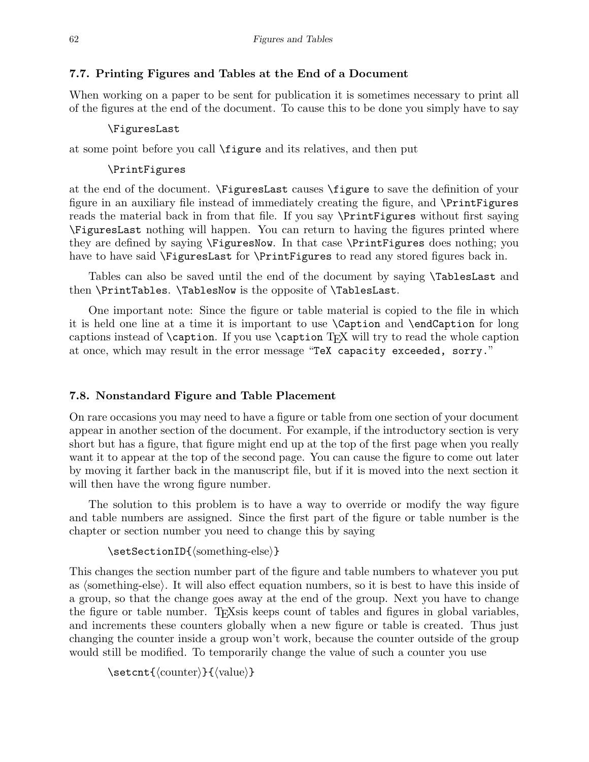# 7.7. Printing Figures and Tables at the End of a Document

When working on a paper to be sent for publication it is sometimes necessary to print all of the figures at the end of the document. To cause this to be done you simply have to say

## \FiguresLast

at some point before you call \figure and its relatives, and then put

# \PrintFigures

at the end of the document. \FiguresLast causes \figure to save the definition of your figure in an auxiliary file instead of immediately creating the figure, and \PrintFigures reads the material back in from that file. If you say \PrintFigures without first saying \FiguresLast nothing will happen. You can return to having the figures printed where they are defined by saying \FiguresNow. In that case \PrintFigures does nothing; you have to have said \FiguresLast for \PrintFigures to read any stored figures back in.

Tables can also be saved until the end of the document by saying \TablesLast and then \PrintTables. \TablesNow is the opposite of \TablesLast.

One important note: Since the figure or table material is copied to the file in which it is held one line at a time it is important to use \Caption and \endCaption for long captions instead of \caption. If you use \caption TEX will try to read the whole caption at once, which may result in the error message "TeX capacity exceeded, sorry."

# 7.8. Nonstandard Figure and Table Placement

On rare occasions you may need to have a figure or table from one section of your document appear in another section of the document. For example, if the introductory section is very short but has a figure, that figure might end up at the top of the first page when you really want it to appear at the top of the second page. You can cause the figure to come out later by moving it farther back in the manuscript file, but if it is moved into the next section it will then have the wrong figure number.

The solution to this problem is to have a way to override or modify the way figure and table numbers are assigned. Since the first part of the figure or table number is the chapter or section number you need to change this by saying

```
\setminussetSectionID{\langlesomething-else\rangle}
```
This changes the section number part of the figure and table numbers to whatever you put as  $\langle$  something-else $\rangle$ . It will also effect equation numbers, so it is best to have this inside of a group, so that the change goes away at the end of the group. Next you have to change the figure or table number. TEXsis keeps count of tables and figures in global variables, and increments these counters globally when a new figure or table is created. Thus just changing the counter inside a group won't work, because the counter outside of the group would still be modified. To temporarily change the value of such a counter you use

```
\setminussetcnt\{\langle counter \rangle\}\{\langle value \rangle\}
```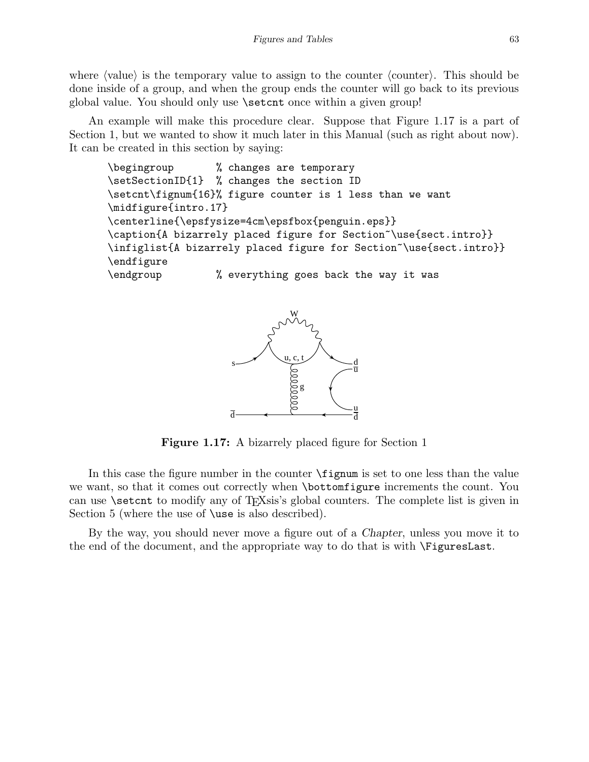where  $\langle$  value $\rangle$  is the temporary value to assign to the counter  $\langle$  counter). This should be done inside of a group, and when the group ends the counter will go back to its previous global value. You should only use \setcnt once within a given group!

An example will make this procedure clear. Suppose that Figure 1.17 is a part of Section 1, but we wanted to show it much later in this Manual (such as right about now). It can be created in this section by saying:

```
\begingroup % changes are temporary
\setSectionID{1} % changes the section ID
\setcnt\fignum{16}% figure counter is 1 less than we want
\midfigure{intro.17}
\centerline{\epsfysize=4cm\epsfbox{penguin.eps}}
\caption{A bizarrely placed figure for Section~\use{sect.intro}}
\infiglist{A bizarrely placed figure for Section~\use{sect.intro}}
\endfigure
\endgroup % everything goes back the way it was
```


**Figure 1.17:** A bizarrely placed figure for Section 1

In this case the figure number in the counter \fignum is set to one less than the value we want, so that it comes out correctly when \bottomfigure increments the count. You can use **\setcnt** to modify any of T<sub>E</sub>Xsis's global counters. The complete list is given in Section 5 (where the use of **\use** is also described).

By the way, you should never move a figure out of a Chapter, unless you move it to the end of the document, and the appropriate way to do that is with \FiguresLast.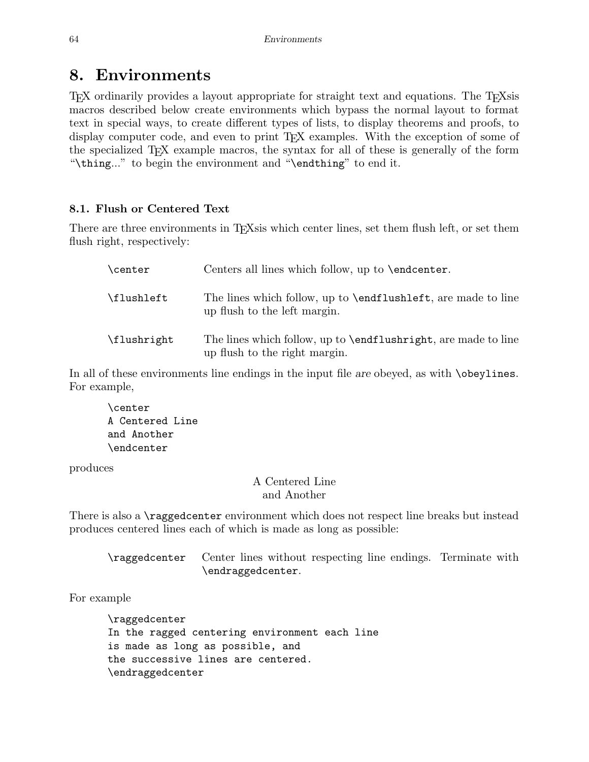# 8. Environments

T<sub>EX</sub> ordinarily provides a layout appropriate for straight text and equations. The T<sub>EX</sub>sis macros described below create environments which bypass the normal layout to format text in special ways, to create different types of lists, to display theorems and proofs, to display computer code, and even to print T<sub>EX</sub> examples. With the exception of some of the specialized TEX example macros, the syntax for all of these is generally of the form "\thing..." to begin the environment and "\endthing" to end it.

### 8.1. Flush or Centered Text

There are three environments in T<sub>E</sub>Xs is which center lines, set them flush left, or set them flush right, respectively:

| \center     | Centers all lines which follow, up to <b>\endcenter</b> .                                               |
|-------------|---------------------------------------------------------------------------------------------------------|
| \flushleft  | The lines which follow, up to <b>\endflushleft</b> , are made to line<br>up flush to the left margin.   |
| \flushright | The lines which follow, up to <b>\endflushright</b> , are made to line<br>up flush to the right margin. |

In all of these environments line endings in the input file are obeyed, as with \obeylines. For example,

\center A Centered Line and Another \endcenter

produces

# A Centered Line and Another

There is also a \raggedcenter environment which does not respect line breaks but instead produces centered lines each of which is made as long as possible:

| \raggedcenter Center lines without respecting line endings. Terminate with |  |
|----------------------------------------------------------------------------|--|
| \endraggedcenter.                                                          |  |

For example

\raggedcenter In the ragged centering environment each line is made as long as possible, and the successive lines are centered. \endraggedcenter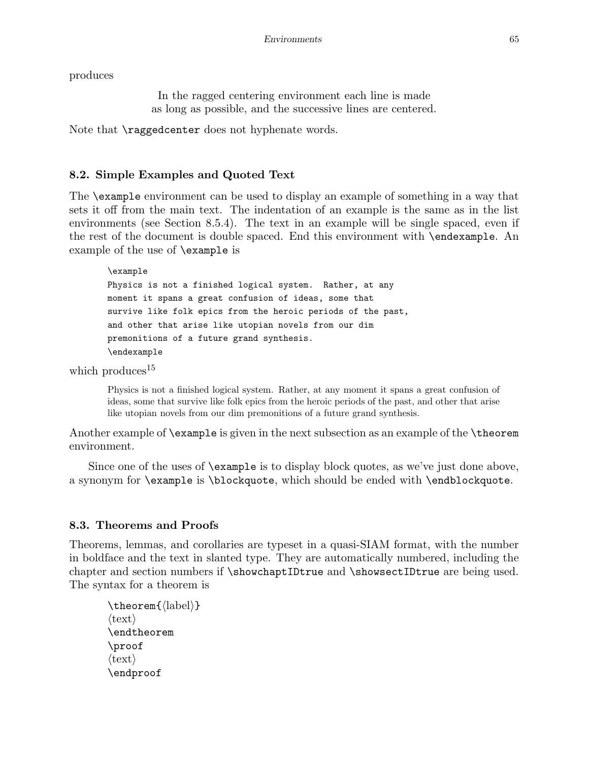produces

In the ragged centering environment each line is made as long as possible, and the successive lines are centered.

Note that **\raggedcenter** does not hyphenate words.

## 8.2. Simple Examples and Quoted Text

The \example environment can be used to display an example of something in a way that sets it off from the main text. The indentation of an example is the same as in the list environments (see Section 8.5.4). The text in an example will be single spaced, even if the rest of the document is double spaced. End this environment with \endexample. An example of the use of \example is

```
\example
Physics is not a finished logical system. Rather, at any
moment it spans a great confusion of ideas, some that
survive like folk epics from the heroic periods of the past,
and other that arise like utopian novels from our dim
premonitions of a future grand synthesis.
\endexample
```
which produces<sup>15</sup>

Physics is not a finished logical system. Rather, at any moment it spans a great confusion of ideas, some that survive like folk epics from the heroic periods of the past, and other that arise like utopian novels from our dim premonitions of a future grand synthesis.

Another example of \example is given in the next subsection as an example of the \theorem environment.

Since one of the uses of \example is to display block quotes, as we've just done above, a synonym for \example is \blockquote, which should be ended with \endblockquote.

## 8.3. Theorems and Proofs

Theorems, lemmas, and corollaries are typeset in a quasi-SIAM format, with the number in boldface and the text in slanted type. They are automatically numbered, including the chapter and section numbers if \showchaptIDtrue and \showsectIDtrue are being used. The syntax for a theorem is

```
\theta\theorem{\label}}
\langle \text{text}\rangle\endtheorem
\proof
\langle \text{text}\rangle\endproof
```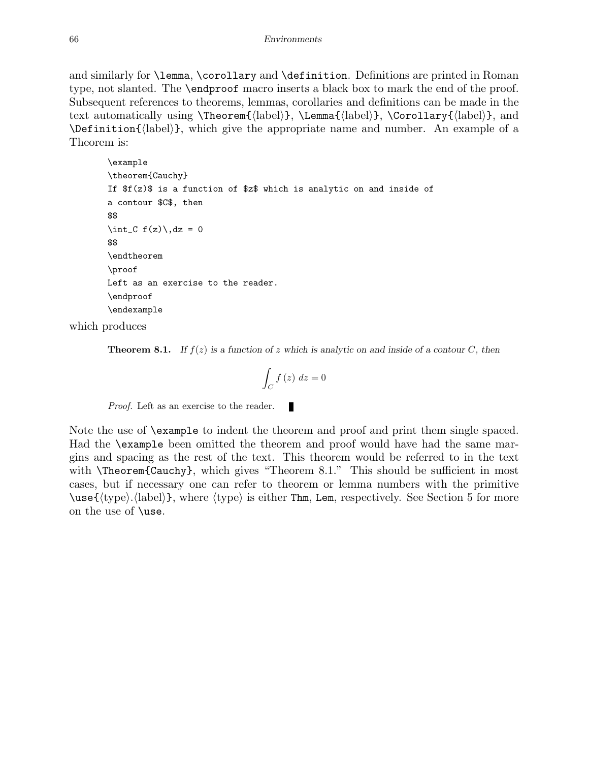and similarly for \lemma, \corollary and \definition. Definitions are printed in Roman type, not slanted. The \endproof macro inserts a black box to mark the end of the proof. Subsequent references to theorems, lemmas, corollaries and definitions can be made in the text automatically using  $\Theta_{\label{label}}$ ,  $\Lambda_{\label{label}}$ ,  $\Lambda_{\label{label}}$  $\Delta$ | \Definition{ $\langle$ |abel $\rangle$ }, which give the appropriate name and number. An example of a Theorem is:

```
\example
\theorem{Cauchy}
If $f(z)$ is a function of $z$ which is analytic on and inside of
a contour $C$, then
$$
\int_C f(z) \, dz = 0$$
\endtheorem
\proof
Left as an exercise to the reader.
\endproof
\endexample
```
which produces

**Theorem 8.1.** If  $f(z)$  is a function of z which is analytic on and inside of a contour C, then

$$
\int_C f(z) \ dz = 0
$$

Proof. Left as an exercise to the reader.

Note the use of \example to indent the theorem and proof and print them single spaced. Had the \example been omitted the theorem and proof would have had the same margins and spacing as the rest of the text. This theorem would be referred to in the text with **\Theorem{Cauchy}**, which gives "Theorem 8.1." This should be sufficient in most cases, but if necessary one can refer to theorem or lemma numbers with the primitive  $\text{type}.\langle \text{label} \rangle$ , where  $\langle \text{type} \rangle$  is either Thm, Lem, respectively. See Section 5 for more on the use of \use.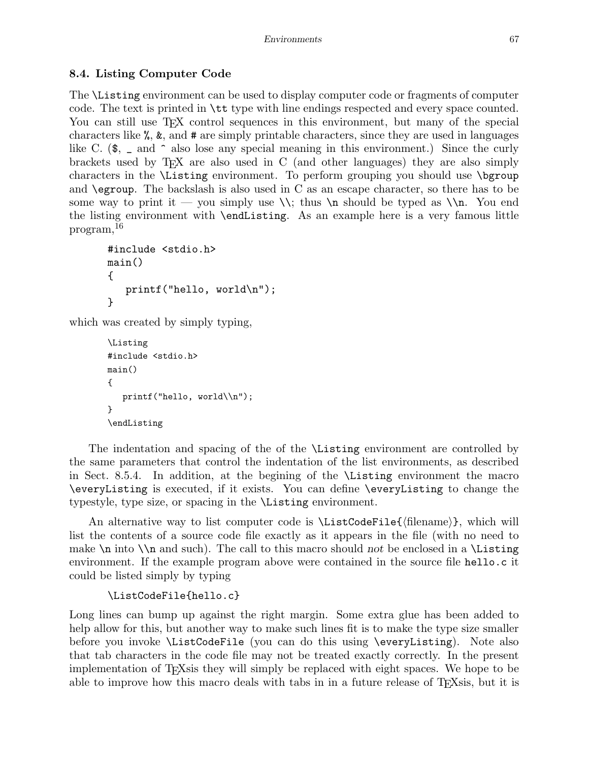# 8.4. Listing Computer Code

The \Listing environment can be used to display computer code or fragments of computer code. The text is printed in \tt type with line endings respected and every space counted. You can still use T<sub>EX</sub> control sequences in this environment, but many of the special characters like %, &, and # are simply printable characters, since they are used in languages like C.  $(\hat{\mathbf{S}}, \underline{\ } )$  and  $\hat{\ }$  also lose any special meaning in this environment.) Since the curly brackets used by TEX are also used in C (and other languages) they are also simply characters in the \Listing environment. To perform grouping you should use \bgroup and \egroup. The backslash is also used in C as an escape character, so there has to be some way to print it — you simply use  $\iota$ ; thus  $\nabla$  should be typed as  $\iota$ n. You end the listing environment with \endListing. As an example here is a very famous little program,<sup>16</sup>

```
#include <stdio.h>
main()
{
   printf("hello, world\n");
}
```
which was created by simply typing,

```
\Listing
#include <stdio.h>
main()
{
   printf("hello, world\\n");
}
\endListing
```
The indentation and spacing of the of the \Listing environment are controlled by the same parameters that control the indentation of the list environments, as described in Sect. 8.5.4. In addition, at the begining of the \Listing environment the macro \everyListing is executed, if it exists. You can define \everyListing to change the typestyle, type size, or spacing in the \Listing environment.

An alternative way to list computer code is  $\ListCodeFile{\flename}}$ , which will list the contents of a source code file exactly as it appears in the file (with no need to make  $\n$  into  $\n$ n and such). The call to this macro should not be enclosed in a  $\text{Listing}$ environment. If the example program above were contained in the source file hello.c it could be listed simply by typing

```
\ListCodeFile{hello.c}
```
Long lines can bump up against the right margin. Some extra glue has been added to help allow for this, but another way to make such lines fit is to make the type size smaller before you invoke \ListCodeFile (you can do this using \everyListing). Note also that tab characters in the code file may not be treated exactly correctly. In the present implementation of TEXsis they will simply be replaced with eight spaces. We hope to be able to improve how this macro deals with tabs in in a future release of T<sub>E</sub>Xsis, but it is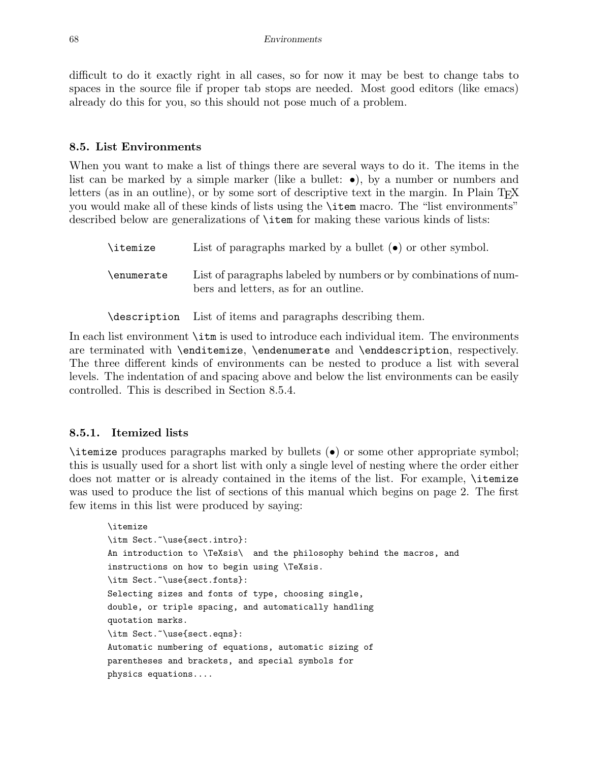difficult to do it exactly right in all cases, so for now it may be best to change tabs to spaces in the source file if proper tab stops are needed. Most good editors (like emacs) already do this for you, so this should not pose much of a problem.

### 8.5. List Environments

When you want to make a list of things there are several ways to do it. The items in the list can be marked by a simple marker (like a bullet:  $\bullet$ ), by a number or numbers and letters (as in an outline), or by some sort of descriptive text in the margin. In Plain T<sub>E</sub>X you would make all of these kinds of lists using the \item macro. The "list environments" described below are generalizations of \item for making these various kinds of lists:

| \itemize   | List of paragraphs marked by a bullet $(\bullet)$ or other symbol.                                       |
|------------|----------------------------------------------------------------------------------------------------------|
| \enumerate | List of paragraphs labeled by numbers or by combinations of num-<br>bers and letters, as for an outline. |

\description List of items and paragraphs describing them.

In each list environment \itm is used to introduce each individual item. The environments are terminated with \enditemize, \endenumerate and \enddescription, respectively. The three different kinds of environments can be nested to produce a list with several levels. The indentation of and spacing above and below the list environments can be easily controlled. This is described in Section 8.5.4.

### 8.5.1. Itemized lists

\itemize produces paragraphs marked by bullets (•) or some other appropriate symbol; this is usually used for a short list with only a single level of nesting where the order either does not matter or is already contained in the items of the list. For example, *litemize* was used to produce the list of sections of this manual which begins on page 2. The first few items in this list were produced by saying:

```
\itemize
\itm Sect.~\use{sect.intro}:
An introduction to \TeXsis\ and the philosophy behind the macros, and
instructions on how to begin using \TeXsis.
\itm Sect.<sup>~</sup>\use{sect.fonts}:
Selecting sizes and fonts of type, choosing single,
double, or triple spacing, and automatically handling
quotation marks.
\itm Sect.~\use{sect.eqns}:
Automatic numbering of equations, automatic sizing of
parentheses and brackets, and special symbols for
physics equations....
```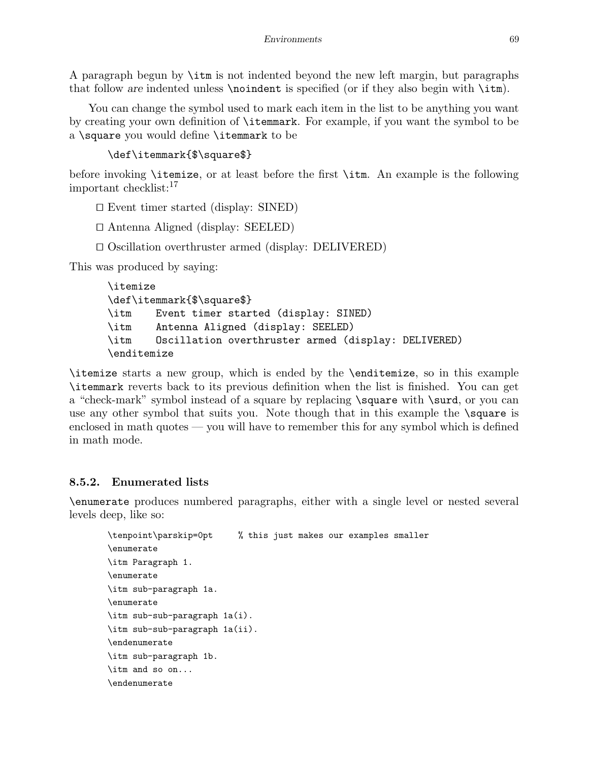A paragraph begun by \itm is not indented beyond the new left margin, but paragraphs that follow are indented unless  $\partial$  is specified (or if they also begin with  $\iota$ tm).

You can change the symbol used to mark each item in the list to be anything you want by creating your own definition of \itemmark. For example, if you want the symbol to be a \square you would define \itemmark to be

```
\def\itemmark{$\square$}
```
before invoking \itemize, or at least before the first \itm. An example is the following important checklist:<sup>17</sup>

 $\square$  Event timer started (display: SINED)

- $\Box$  Antenna Aligned (display: SEELED)
- $\square$  Oscillation overthruster armed (display: DELIVERED)

This was produced by saying:

```
\itemize
\def\itemmark{$\square$}
\itm Event timer started (display: SINED)
\itm Antenna Aligned (display: SEELED)
\itm Oscillation overthruster armed (display: DELIVERED)
\enditemize
```
\itemize starts a new group, which is ended by the \enditemize, so in this example \itemmark reverts back to its previous definition when the list is finished. You can get a "check-mark" symbol instead of a square by replacing \square with \surd, or you can use any other symbol that suits you. Note though that in this example the **\square** is enclosed in math quotes — you will have to remember this for any symbol which is defined in math mode.

# 8.5.2. Enumerated lists

\enumerate produces numbered paragraphs, either with a single level or nested several levels deep, like so:

```
\tenpoint\parskip=0pt % this just makes our examples smaller
\enumerate
\itm Paragraph 1.
\enumerate
\itm sub-paragraph 1a.
\enumerate
\itm sub-sub-paragraph 1a(i).
\itm sub-sub-paragraph 1a(ii).
\endenumerate
\itm sub-paragraph 1b.
\itm and so on...
\endenumerate
```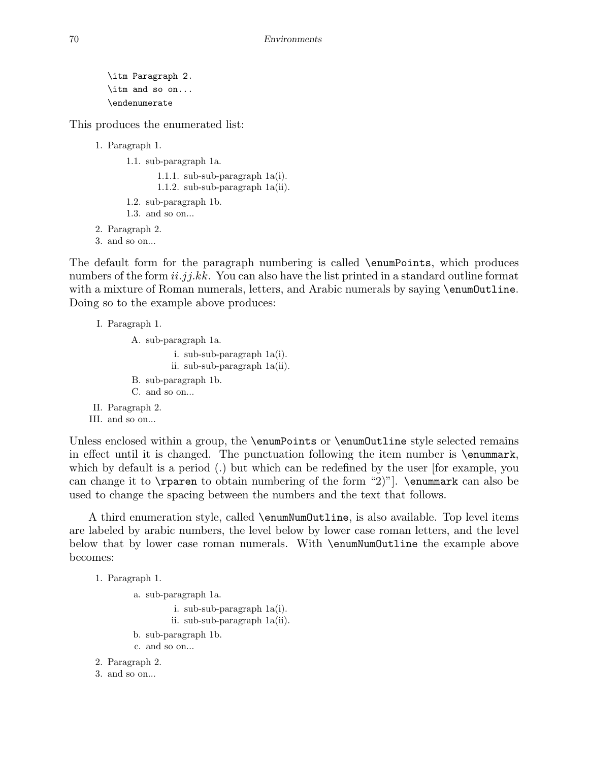```
\itm Paragraph 2.
\itm and so on...
\endenumerate
```
This produces the enumerated list:

- 1. Paragraph 1.
	- 1.1. sub-paragraph 1a.
		- 1.1.1. sub-sub-paragraph 1a(i).
		- 1.1.2. sub-sub-paragraph 1a(ii).
	- 1.2. sub-paragraph 1b.
	- 1.3. and so on...
- 2. Paragraph 2.
- 3. and so on...

The default form for the paragraph numbering is called \enumPoints, which produces numbers of the form  $ii.jj.kk$ . You can also have the list printed in a standard outline format with a mixture of Roman numerals, letters, and Arabic numerals by saying **\enumOutline.** Doing so to the example above produces:

```
I. Paragraph 1.
```

```
A. sub-paragraph 1a.
                   i. sub-sub-paragraph 1a(i).
                  ii. sub-sub-paragraph 1a(ii).
         B. sub-paragraph 1b.
         C. and so on...
II. Paragraph 2.
```
III. and so on...

Unless enclosed within a group, the **\enumPoints** or **\enumOutline** style selected remains in effect until it is changed. The punctuation following the item number is \enummark, which by default is a period (.) but which can be redefined by the user [for example, you can change it to  $\text{tr}$  to obtain numbering of the form "2)".  $\text{tr}$  can also be used to change the spacing between the numbers and the text that follows.

A third enumeration style, called \enumNumOutline, is also available. Top level items are labeled by arabic numbers, the level below by lower case roman letters, and the level below that by lower case roman numerals. With **\enumNumOutline** the example above becomes:

#### 1. Paragraph 1.

a. sub-paragraph 1a.

i. sub-sub-paragraph 1a(i).

- ii. sub-sub-paragraph 1a(ii).
- b. sub-paragraph 1b.
- c. and so on...

```
2. Paragraph 2.
```

```
3. and so on...
```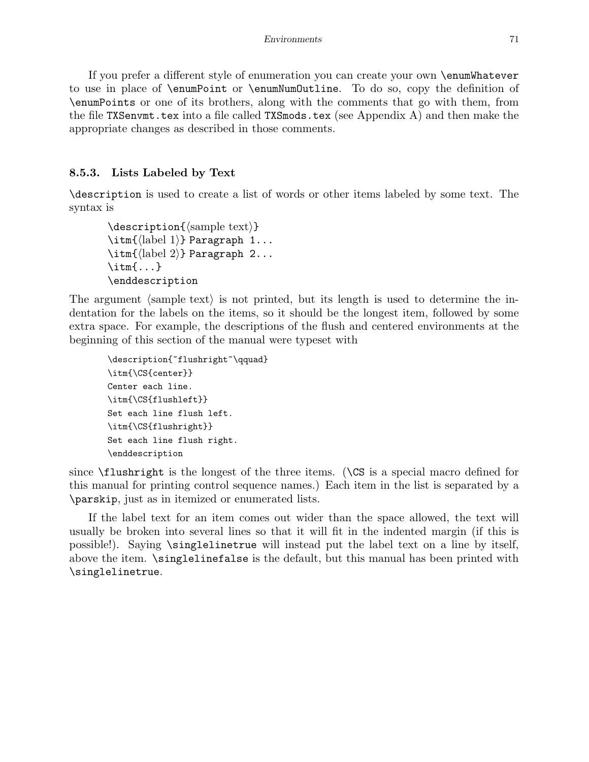If you prefer a different style of enumeration you can create your own \enumWhatever to use in place of \enumPoint or \enumNumOutline. To do so, copy the definition of \enumPoints or one of its brothers, along with the comments that go with them, from the file TXSenvmt.tex into a file called TXSmods.tex (see Appendix A) and then make the appropriate changes as described in those comments.

# 8.5.3. Lists Labeled by Text

\description is used to create a list of words or other items labeled by some text. The syntax is

```
\text{description} \\int_{\alpha} \itm{\label 1}} Paragraph 1...
\int_{\alpha} \itm{\label 2}} Paragraph 2...
\int_{\cdot}\enddescription
```
The argument  $\langle \text{sample text} \rangle$  is not printed, but its length is used to determine the indentation for the labels on the items, so it should be the longest item, followed by some extra space. For example, the descriptions of the flush and centered environments at the beginning of this section of the manual were typeset with

```
\description{~flushright~\qquad}
\itm{\CS{center}}
Center each line.
\itm{\CS{flushleft}}
Set each line flush left.
\itm{\CS{flushright}}
Set each line flush right.
\enddescription
```
since  $\theta$  is the longest of the three items. ( $\text{CS}$  is a special macro defined for this manual for printing control sequence names.) Each item in the list is separated by a \parskip, just as in itemized or enumerated lists.

If the label text for an item comes out wider than the space allowed, the text will usually be broken into several lines so that it will fit in the indented margin (if this is possible!). Saying \singlelinetrue will instead put the label text on a line by itself, above the item. \singlelinefalse is the default, but this manual has been printed with \singlelinetrue.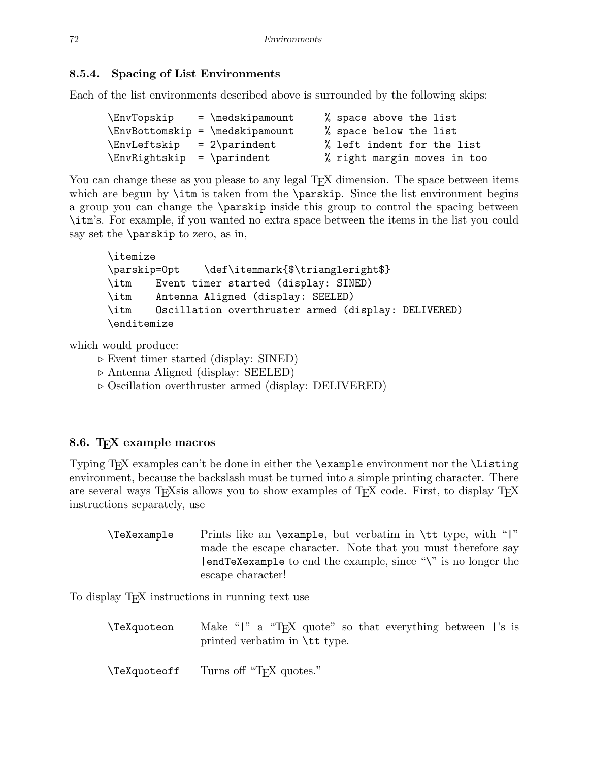# 8.5.4. Spacing of List Environments

Each of the list environments described above is surrounded by the following skips:

| <b>\EnvTopskip</b>                    | $= \n\medspace \text{measurable}$       |  | % space above the list |                             |
|---------------------------------------|-----------------------------------------|--|------------------------|-----------------------------|
|                                       | $\text{EnvBottomskip} = \text{medskip}$ |  | % space below the list |                             |
| $\text{EnvLeftskip} = 2\$             |                                         |  |                        | % left indent for the list  |
| $\text{EnvRightskip} = \text{parent}$ |                                         |  |                        | % right margin moves in too |

You can change these as you please to any legal T<sub>EX</sub> dimension. The space between items which are begun by  $\int$  itm is taken from the  $\partial$  since the list environment begins a group you can change the \parskip inside this group to control the spacing between \itm's. For example, if you wanted no extra space between the items in the list you could say set the \parskip to zero, as in,

```
\itemize
\parskip=0pt \def\itemmark{$\triangleright$}
\itm Event timer started (display: SINED)
\itm Antenna Aligned (display: SEELED)
\itm Oscillation overthruster armed (display: DELIVERED)
\enditemize
```
which would produce:

- $\triangleright$  Event timer started (display: SINED)
- $\triangleright$  Antenna Aligned (display: SEELED)
- $\triangleright$  Oscillation overthruster armed (display: DELIVERED)

# 8.6. T<sub>E</sub>X example macros

Typing T<sub>EX</sub> examples can't be done in either the **\example** environment nor the **\Listing** environment, because the backslash must be turned into a simple printing character. There are several ways T<sub>E</sub>Xsis allows you to show examples of T<sub>E</sub>X code. First, to display T<sub>E</sub>X instructions separately, use

| <b>\TeXexample</b> | Prints like an <b>\example</b> , but verbatim in <b>\tt</b> type, with " $\vert$ " |
|--------------------|------------------------------------------------------------------------------------|
|                    | made the escape character. Note that you must therefore say                        |
|                    | $ $ end TeXexample to end the example, since " $\mathcal{N}$ " is no longer the    |
|                    | escape character!                                                                  |

To display TEX instructions in running text use

| \TeXquoteon |                               |  |  | Make " $\vert$ " a "T <sub>F</sub> X quote" so that everything between $\vert$ 's is |  |  |
|-------------|-------------------------------|--|--|--------------------------------------------------------------------------------------|--|--|
|             | printed verbatim in \tt type. |  |  |                                                                                      |  |  |

\TeXquoteoff Turns off "TEX quotes."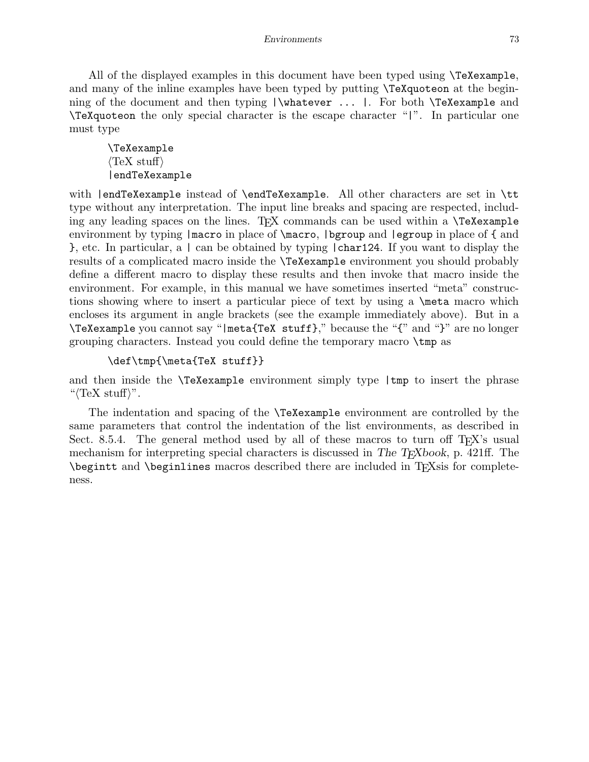All of the displayed examples in this document have been typed using \TeXexample, and many of the inline examples have been typed by putting \TeXquoteon at the beginning of the document and then typing |\whatever ... |. For both \TeXexample and \TeXquoteon the only special character is the escape character "|". In particular one must type

\TeXexample  $\langle$ TeX stuff $\rangle$ |endTeXexample

with |endTeXexample instead of \endTeXexample. All other characters are set in \tt type without any interpretation. The input line breaks and spacing are respected, including any leading spaces on the lines. T<sub>EX</sub> commands can be used within a  $\Tilde$ -XeXexample environment by typing |macro in place of  $\frac{\text{logroup}}{\text{mod}}$  |egroup in place of { and }, etc. In particular, a | can be obtained by typing |char124. If you want to display the results of a complicated macro inside the \TeXexample environment you should probably define a different macro to display these results and then invoke that macro inside the environment. For example, in this manual we have sometimes inserted "meta" constructions showing where to insert a particular piece of text by using a  $\mathcal{L}$  meta macro which encloses its argument in angle brackets (see the example immediately above). But in a \TeXexample you cannot say "|meta{TeX stuff}," because the "{" and "}" are no longer grouping characters. Instead you could define the temporary macro \tmp as

```
\def\tmp{\meta{TeX stuff}}
```
and then inside the \TeXexample environment simply type |tmp to insert the phrase " $\langle$ TeX stuff $\rangle$ ".

The indentation and spacing of the \TeXexample environment are controlled by the same parameters that control the indentation of the list environments, as described in Sect. 8.5.4. The general method used by all of these macros to turn off  $T_F X$ 's usual mechanism for interpreting special characters is discussed in The  $T_{F}X$ book, p. 421ff. The \begintt and \beginlines macros described there are included in TEXsis for completeness.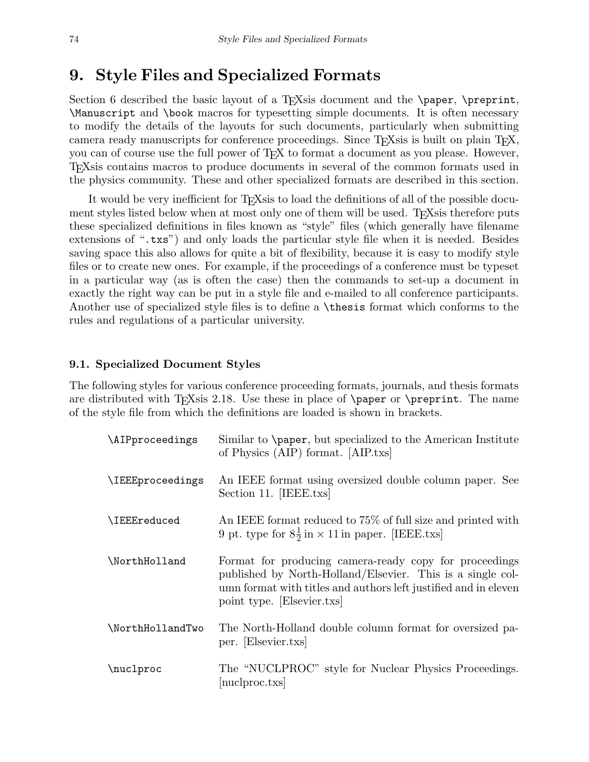# 9. Style Files and Specialized Formats

Section 6 described the basic layout of a T<sub>E</sub>Xsis document and the  $\paper$ ,  $\perp$ , \Manuscript and \book macros for typesetting simple documents. It is often necessary to modify the details of the layouts for such documents, particularly when submitting camera ready manuscripts for conference proceedings. Since TEXsis is built on plain TEX, you can of course use the full power of T<sub>EX</sub> to format a document as you please. However, TEXsis contains macros to produce documents in several of the common formats used in the physics community. These and other specialized formats are described in this section.

It would be very inefficient for TEXsis to load the definitions of all of the possible document styles listed below when at most only one of them will be used. To EXS is therefore puts these specialized definitions in files known as "style" files (which generally have filename extensions of ".txs") and only loads the particular style file when it is needed. Besides saving space this also allows for quite a bit of flexibility, because it is easy to modify style files or to create new ones. For example, if the proceedings of a conference must be typeset in a particular way (as is often the case) then the commands to set-up a document in exactly the right way can be put in a style file and e-mailed to all conference participants. Another use of specialized style files is to define a \thesis format which conforms to the rules and regulations of a particular university.

### 9.1. Specialized Document Styles

The following styles for various conference proceeding formats, journals, and thesis formats are distributed with T<sub>E</sub>Xsis 2.18. Use these in place of  $\operatorname{paper}$  or  $\operatorname{Preprint}$ . The name of the style file from which the definitions are loaded is shown in brackets.

| \AIPproceedings         | Similar to <b>\paper</b> , but specialized to the American Institute<br>of Physics (AIP) format. [AIP.txs]                                                                                                            |
|-------------------------|-----------------------------------------------------------------------------------------------------------------------------------------------------------------------------------------------------------------------|
| <b>\IEEEproceedings</b> | An IEEE format using oversized double column paper. See<br>Section 11. [IEEE.txs]                                                                                                                                     |
| \IEEEreduced            | An IEEE format reduced to 75% of full size and printed with<br>9 pt. type for $8\frac{1}{2}$ in $\times$ 11 in paper. [IEEE.txs]                                                                                      |
| \NorthHolland           | Format for producing camera-ready copy for proceedings<br>published by North-Holland/Elsevier. This is a single col-<br>umn format with titles and authors left justified and in eleven<br>point type. [Elsevier.txs] |
| \NorthHollandTwo        | The North-Holland double column format for oversized pa-<br>per. [Elsevier.txs]                                                                                                                                       |
| \nuclproc               | The "NUCLPROC" style for Nuclear Physics Proceedings.<br>[nuclproc.txs]                                                                                                                                               |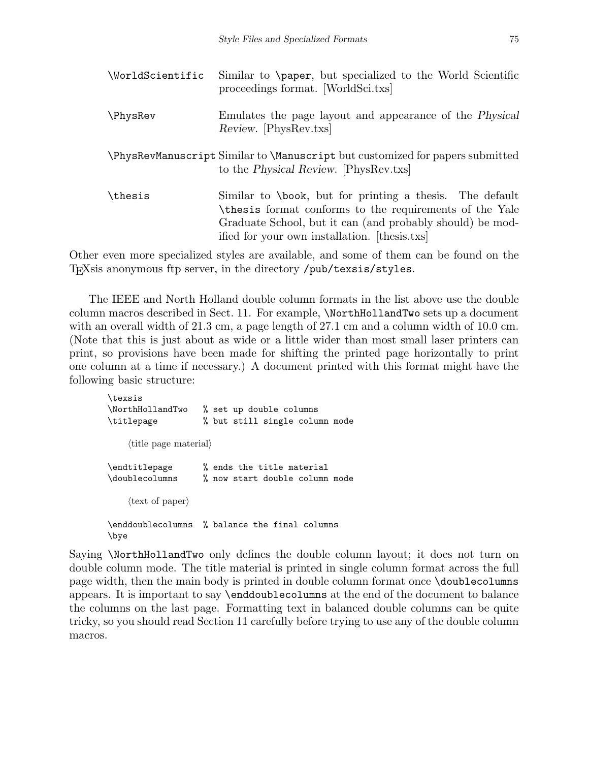| \WorldScientific | Similar to \paper, but specialized to the World Scientific<br>proceedings format. [WorldSci.txs]                                                                                                                                  |
|------------------|-----------------------------------------------------------------------------------------------------------------------------------------------------------------------------------------------------------------------------------|
| <b>\PhysRev</b>  | Emulates the page layout and appearance of the Physical<br>Review. [PhysRev.txs]                                                                                                                                                  |
|                  | \PhysRevManuscript Similar to \Manuscript but customized for papers submitted<br>to the Physical Review. [PhysRev.txs]                                                                                                            |
| \thesis          | Similar to \book, but for printing a thesis. The default<br>\thesis format conforms to the requirements of the Yale<br>Graduate School, but it can (and probably should) be mod-<br>ified for your own installation. [thesis.txs] |

Other even more specialized styles are available, and some of them can be found on the TEXsis anonymous ftp server, in the directory /pub/texsis/styles.

The IEEE and North Holland double column formats in the list above use the double column macros described in Sect. 11. For example, \NorthHollandTwo sets up a document with an overall width of 21.3 cm, a page length of 27.1 cm and a column width of 10.0 cm. (Note that this is just about as wide or a little wider than most small laser printers can print, so provisions have been made for shifting the printed page horizontally to print one column at a time if necessary.) A document printed with this format might have the following basic structure:

```
\texsis
\NorthHollandTwo % set up double columns
\titlepage % but still single column mode
    \langletitle page material\rangle\endtitlepage % ends the title material
\doublecolumns % now start double column mode
    \langle \text{text of paper} \rangle\enddoublecolumns % balance the final columns
\bye
```
Saying \NorthHollandTwo only defines the double column layout; it does not turn on double column mode. The title material is printed in single column format across the full page width, then the main body is printed in double column format once \doublecolumns appears. It is important to say \enddoublecolumns at the end of the document to balance the columns on the last page. Formatting text in balanced double columns can be quite tricky, so you should read Section 11 carefully before trying to use any of the double column macros.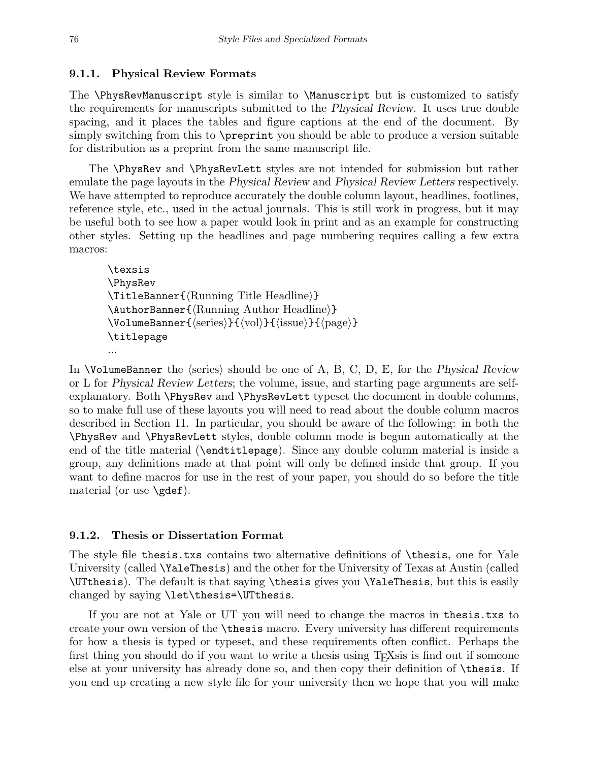#### 9.1.1. Physical Review Formats

The \PhysRevManuscript style is similar to \Manuscript but is customized to satisfy the requirements for manuscripts submitted to the Physical Review. It uses true double spacing, and it places the tables and figure captions at the end of the document. By simply switching from this to \preprint you should be able to produce a version suitable for distribution as a preprint from the same manuscript file.

The \PhysRev and \PhysRevLett styles are not intended for submission but rather emulate the page layouts in the Physical Review and Physical Review Letters respectively. We have attempted to reproduce accurately the double column layout, headlines, footlines, reference style, etc., used in the actual journals. This is still work in progress, but it may be useful both to see how a paper would look in print and as an example for constructing other styles. Setting up the headlines and page numbering requires calling a few extra macros:

```
\texsis
\PhysRev
\TitleBanner{(Running Title Headline)}
\{\text{Running Author}\}\VolumeBanner({\langle series\rangle}{\langle vol\rangle}{\langle issue\rangle}{\langle page\rangle}\titlepage
...
```
In **\VolumeBanner** the  $\langle$ series $\rangle$  should be one of A, B, C, D, E, for the *Physical Review* or L for Physical Review Letters; the volume, issue, and starting page arguments are selfexplanatory. Both \PhysRev and \PhysRevLett typeset the document in double columns, so to make full use of these layouts you will need to read about the double column macros described in Section 11. In particular, you should be aware of the following: in both the \PhysRev and \PhysRevLett styles, double column mode is begun automatically at the end of the title material (\endtitlepage). Since any double column material is inside a group, any definitions made at that point will only be defined inside that group. If you want to define macros for use in the rest of your paper, you should do so before the title material (or use  $\qquade$ ).

#### 9.1.2. Thesis or Dissertation Format

The style file thesis.txs contains two alternative definitions of \thesis, one for Yale University (called \YaleThesis) and the other for the University of Texas at Austin (called \UTthesis). The default is that saying \thesis gives you \YaleThesis, but this is easily changed by saying \let\thesis=\UTthesis.

If you are not at Yale or UT you will need to change the macros in thesis.txs to create your own version of the \thesis macro. Every university has different requirements for how a thesis is typed or typeset, and these requirements often conflict. Perhaps the first thing you should do if you want to write a thesis using T<sub>E</sub>Xsis is find out if someone else at your university has already done so, and then copy their definition of \thesis. If you end up creating a new style file for your university then we hope that you will make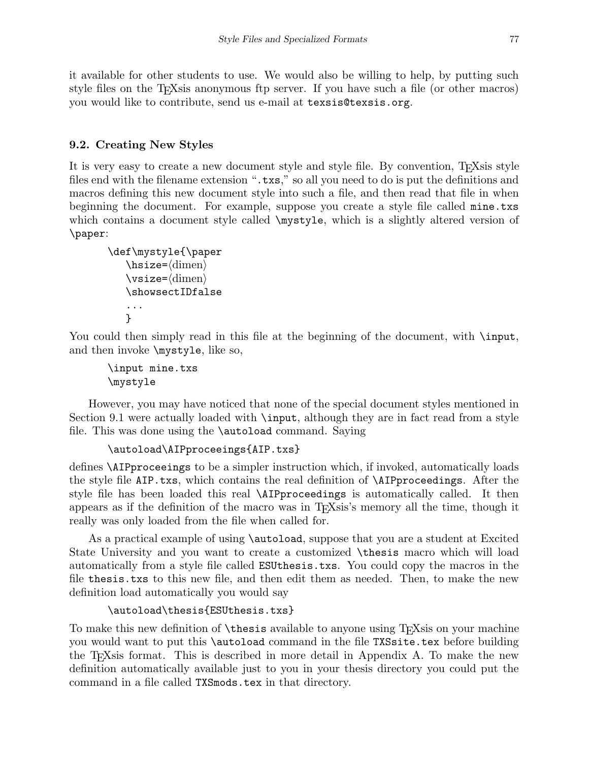it available for other students to use. We would also be willing to help, by putting such style files on the T<sub>E</sub>Xsis anonymous ftp server. If you have such a file (or other macros) you would like to contribute, send us e-mail at texsis@texsis.org.

# 9.2. Creating New Styles

It is very easy to create a new document style and style file. By convention, T<sub>E</sub>Xsis style files end with the filename extension ".txs," so all you need to do is put the definitions and macros defining this new document style into such a file, and then read that file in when beginning the document. For example, suppose you create a style file called mine.txs which contains a document style called  $\text{wstyle}$ , which is a slightly altered version of \paper:

```
\def\mystyle{\paper
    \hbox{\scriptsize\textsf{ldimen}}\varepsilon \vsize=\dimen\showsectIDfalse
    ...
    }
```
You could then simply read in this file at the beginning of the document, with **\input**, and then invoke \mystyle, like so,

\input mine.txs \mystyle

However, you may have noticed that none of the special document styles mentioned in Section 9.1 were actually loaded with  $\infty$ , although they are in fact read from a style file. This was done using the \autoload command. Saying

```
\autoload\AIPproceeings{AIP.txs}
```
defines \AIPproceeings to be a simpler instruction which, if invoked, automatically loads the style file AIP.txs, which contains the real definition of \AIPproceedings. After the style file has been loaded this real \AIPproceedings is automatically called. It then appears as if the definition of the macro was in T<sub>E</sub>Xsis's memory all the time, though it really was only loaded from the file when called for.

As a practical example of using **\autoload**, suppose that you are a student at Excited State University and you want to create a customized \thesis macro which will load automatically from a style file called ESUthesis.txs. You could copy the macros in the file thesis.txs to this new file, and then edit them as needed. Then, to make the new definition load automatically you would say

```
\autoload\thesis{ESUthesis.txs}
```
To make this new definition of  $\theta$  thesis available to anyone using T<sub>E</sub>Xsis on your machine you would want to put this **\autoload** command in the file TXSsite.tex before building the T<sub>E</sub>Xsis format. This is described in more detail in Appendix A. To make the new definition automatically available just to you in your thesis directory you could put the command in a file called TXSmods.tex in that directory.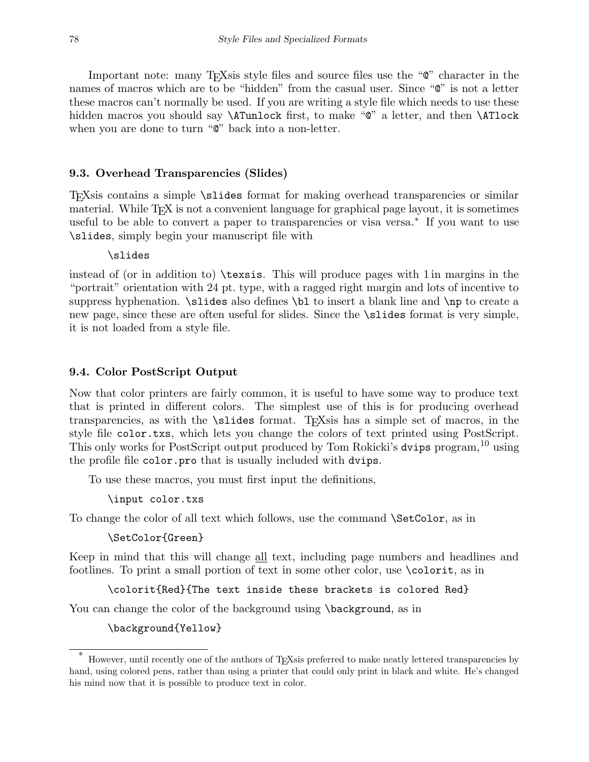Important note: many TEXsis style files and source files use the "@" character in the names of macros which are to be "hidden" from the casual user. Since "@" is not a letter these macros can't normally be used. If you are writing a style file which needs to use these hidden macros you should say **\ATunlock** first, to make " $\mathbb{Q}$ " a letter, and then **\ATlock** when you are done to turn "@" back into a non-letter.

### 9.3. Overhead Transparencies (Slides)

TEXsis contains a simple \slides format for making overhead transparencies or similar material. While T<sub>E</sub>X is not a convenient language for graphical page layout, it is sometimes useful to be able to convert a paper to transparencies or visa versa.<sup>\*</sup> If you want to use \slides, simply begin your manuscript file with

#### \slides

instead of (or in addition to) \texsis. This will produce pages with 1 in margins in the "portrait" orientation with 24 pt. type, with a ragged right margin and lots of incentive to suppress hyphenation.  $\sl$ ides also defines  $\blacksquare$ bl to insert a blank line and  $\spadesuit$ np to create a new page, since these are often useful for slides. Since the \slides format is very simple, it is not loaded from a style file.

### 9.4. Color PostScript Output

Now that color printers are fairly common, it is useful to have some way to produce text that is printed in different colors. The simplest use of this is for producing overhead transparencies, as with the \slides format. TrXsis has a simple set of macros, in the style file color.txs, which lets you change the colors of text printed using PostScript. This only works for PostScript output produced by Tom Rokicki's dvips program,<sup>10</sup> using the profile file color.pro that is usually included with dvips.

To use these macros, you must first input the definitions,

\input color.txs

To change the color of all text which follows, use the command \SetColor, as in

\SetColor{Green}

Keep in mind that this will change all text, including page numbers and headlines and footlines. To print a small portion of text in some other color, use \colorit, as in

\colorit{Red}{The text inside these brackets is colored Red}

You can change the color of the background using \background, as in

\background{Yellow}

However, until recently one of the authors of T<sub>E</sub>Xsis preferred to make neatly lettered transparencies by hand, using colored pens, rather than using a printer that could only print in black and white. He's changed his mind now that it is possible to produce text in color.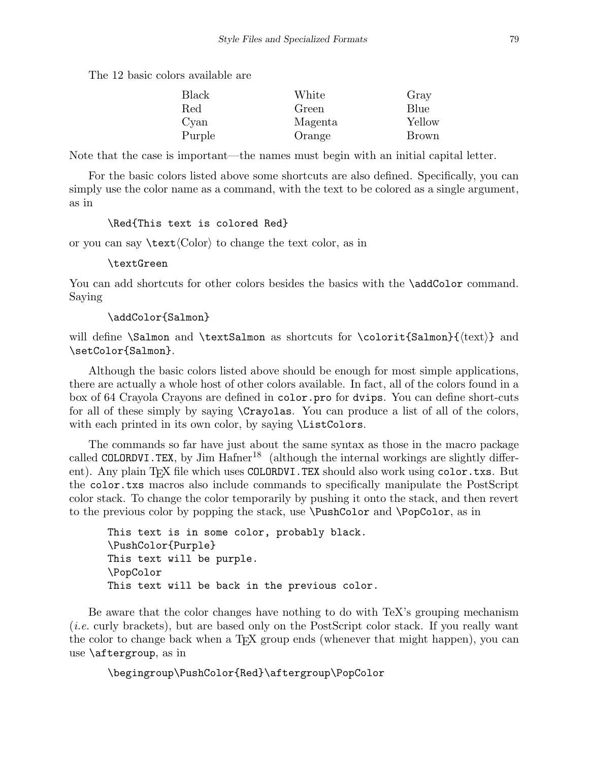The 12 basic colors available are

| <b>Black</b> | White   | Gray   |
|--------------|---------|--------|
| Red          | Green   | Blue   |
| Cyan         | Magenta | Yellow |
| Purple       | Orange  | Brown  |

Note that the case is important—the names must begin with an initial capital letter.

For the basic colors listed above some shortcuts are also defined. Specifically, you can simply use the color name as a command, with the text to be colored as a single argument, as in

```
\Red{This text is colored Red}
```
or you can say  $\text{Color}$  to change the text color, as in

\textGreen

You can add shortcuts for other colors besides the basics with the **\addColor** command. Saying

```
\addColor{Salmon}
```
will define  $\S$ almon and  $\text{Salmon}$  as shortcuts for  $\coloneq \S$ almon $({\text{Salmon}}({\text{text}}))$  and \setColor{Salmon}.

Although the basic colors listed above should be enough for most simple applications, there are actually a whole host of other colors available. In fact, all of the colors found in a box of 64 Crayola Crayons are defined in color.pro for dvips. You can define short-cuts for all of these simply by saying \Crayolas. You can produce a list of all of the colors, with each printed in its own color, by saying **\ListColors**.

The commands so far have just about the same syntax as those in the macro package called COLORDVI.TEX, by Jim  $\text{Hafner}^{18}$  (although the internal workings are slightly different). Any plain TEX file which uses COLORDVI. TEX should also work using color.txs. But the color.txs macros also include commands to specifically manipulate the PostScript color stack. To change the color temporarily by pushing it onto the stack, and then revert to the previous color by popping the stack, use \PushColor and \PopColor, as in

```
This text is in some color, probably black.
\PushColor{Purple}
This text will be purple.
\PopColor
This text will be back in the previous color.
```
Be aware that the color changes have nothing to do with TeX's grouping mechanism (i.e. curly brackets), but are based only on the PostScript color stack. If you really want the color to change back when a TEX group ends (whenever that might happen), you can use \aftergroup, as in

```
\begingroup\PushColor{Red}\aftergroup\PopColor
```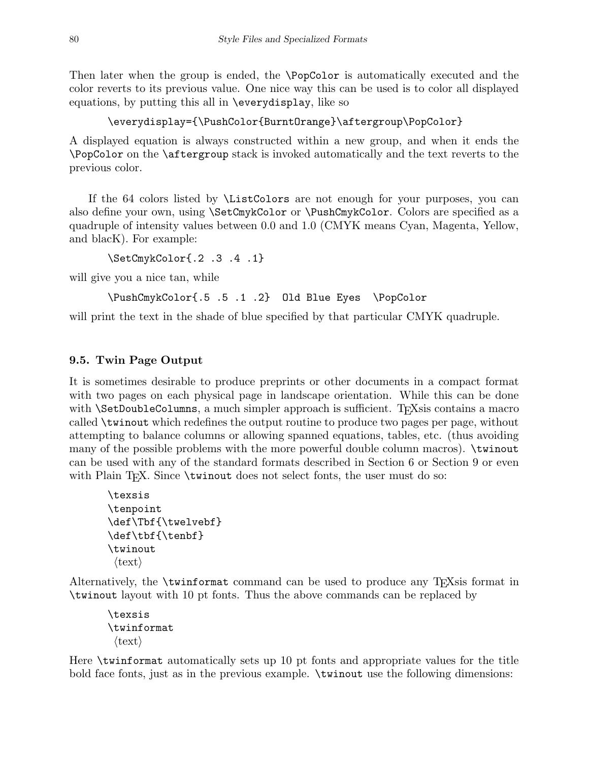Then later when the group is ended, the \PopColor is automatically executed and the color reverts to its previous value. One nice way this can be used is to color all displayed equations, by putting this all in \everydisplay, like so

```
\everydisplay={\PushColor{BurntOrange}\aftergroup\PopColor}
```
A displayed equation is always constructed within a new group, and when it ends the \PopColor on the \aftergroup stack is invoked automatically and the text reverts to the previous color.

If the 64 colors listed by \ListColors are not enough for your purposes, you can also define your own, using \SetCmykColor or \PushCmykColor. Colors are specified as a quadruple of intensity values between 0.0 and 1.0 (CMYK means Cyan, Magenta, Yellow, and blacK). For example:

```
\SetCmykColor{.2 .3 .4 .1}
```
will give you a nice tan, while

```
\PushCmykColor{.5 .5 .1 .2} Old Blue Eyes \PopColor
```
will print the text in the shade of blue specified by that particular CMYK quadruple.

## 9.5. Twin Page Output

It is sometimes desirable to produce preprints or other documents in a compact format with two pages on each physical page in landscape orientation. While this can be done with **\SetDoubleColumns**, a much simpler approach is sufficient. T<sub>E</sub>Xsis contains a macro called \twinout which redefines the output routine to produce two pages per page, without attempting to balance columns or allowing spanned equations, tables, etc. (thus avoiding many of the possible problems with the more powerful double column macros). \twinout can be used with any of the standard formats described in Section 6 or Section 9 or even with Plain T<sub>E</sub>X. Since \twinout does not select fonts, the user must do so:

```
\texsis
\tenpoint
\def\Tbf{\twelvebf}
\def\tbf{\tenbf}
\twinout
 \langle \text{text}\rangle
```
Alternatively, the  $\t{twinformat}$  command can be used to produce any T<sub>E</sub>Xs is format in \twinout layout with 10 pt fonts. Thus the above commands can be replaced by

\texsis \twinformat  $\langle \text{text}\rangle$ 

Here \twinformat automatically sets up 10 pt fonts and appropriate values for the title bold face fonts, just as in the previous example. \twinout use the following dimensions: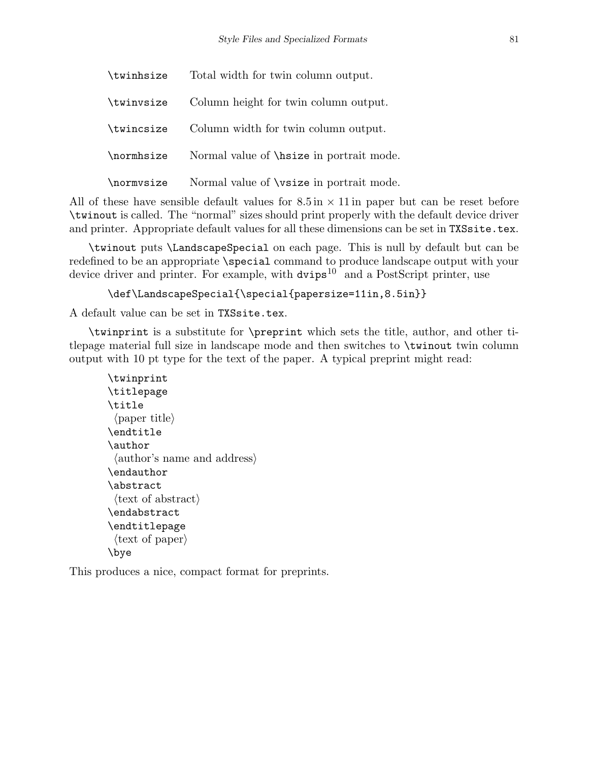| \twinhsize | Total width for twin column output.             |
|------------|-------------------------------------------------|
| \twinvsize | Column height for twin column output.           |
| \twincsize | Column width for twin column output.            |
| \normhsize | Normal value of <i>\hsize</i> in portrait mode. |
| \normvsize | Normal value of <b>\vsize</b> in portrait mode. |

All of these have sensible default values for  $8.5 \text{ in } \times 11 \text{ in paper}$  but can be reset before \twinout is called. The "normal" sizes should print properly with the default device driver and printer. Appropriate default values for all these dimensions can be set in TXSsite.tex.

\twinout puts \LandscapeSpecial on each page. This is null by default but can be redefined to be an appropriate \special command to produce landscape output with your device driver and printer. For example, with  $\frac{10}{10}$  and a PostScript printer, use

```
\def\LandscapeSpecial{\special{papersize=11in,8.5in}}
```
A default value can be set in TXSsite.tex.

\twinprint is a substitute for \preprint which sets the title, author, and other titlepage material full size in landscape mode and then switches to \twinout twin column output with 10 pt type for the text of the paper. A typical preprint might read:

```
\twinprint
\titlepage
\title
 \langle paper title\rangle\endtitle
\author
 \langle \text{author's name and address} \rangle\endauthor
\abstract
 \langle \text{text of abstract} \rangle\endabstract
\endtitlepage
 \langle \text{text of paper} \rangle\bye
```
This produces a nice, compact format for preprints.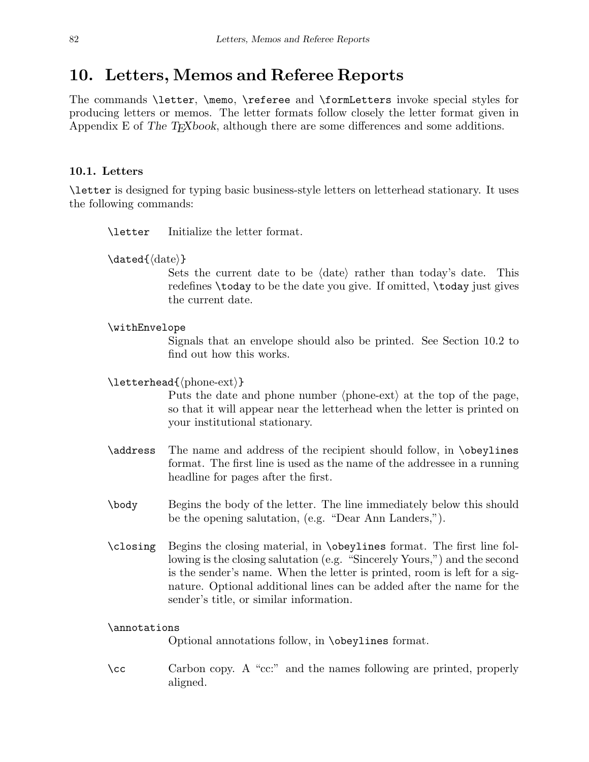# 10. Letters, Memos and Referee Reports

The commands \letter, \memo, \referee and \formLetters invoke special styles for producing letters or memos. The letter formats follow closely the letter format given in Appendix E of The  $T_F X book$ , although there are some differences and some additions.

### 10.1. Letters

\letter is designed for typing basic business-style letters on letterhead stationary. It uses the following commands:

- \letter Initialize the letter format.
- $\delta_{\delta}$

Sets the current date to be  $\langle \text{date} \rangle$  rather than today's date. This redefines \today to be the date you give. If omitted, \today just gives the current date.

\withEnvelope

Signals that an envelope should also be printed. See Section 10.2 to find out how this works.

 $\text{letterhead}\{\text{phone-ext}\}$ 

Puts the date and phone number  $\langle$  phone-ext $\rangle$  at the top of the page, so that it will appear near the letterhead when the letter is printed on your institutional stationary.

- \address The name and address of the recipient should follow, in \obeylines format. The first line is used as the name of the addressee in a running headline for pages after the first.
- \body Begins the body of the letter. The line immediately below this should be the opening salutation, (e.g. "Dear Ann Landers,").
- \closing Begins the closing material, in \obeylines format. The first line following is the closing salutation (e.g. "Sincerely Yours,") and the second is the sender's name. When the letter is printed, room is left for a signature. Optional additional lines can be added after the name for the sender's title, or similar information.

### \annotations

Optional annotations follow, in \obeylines format.

\cc Carbon copy. A "cc:" and the names following are printed, properly aligned.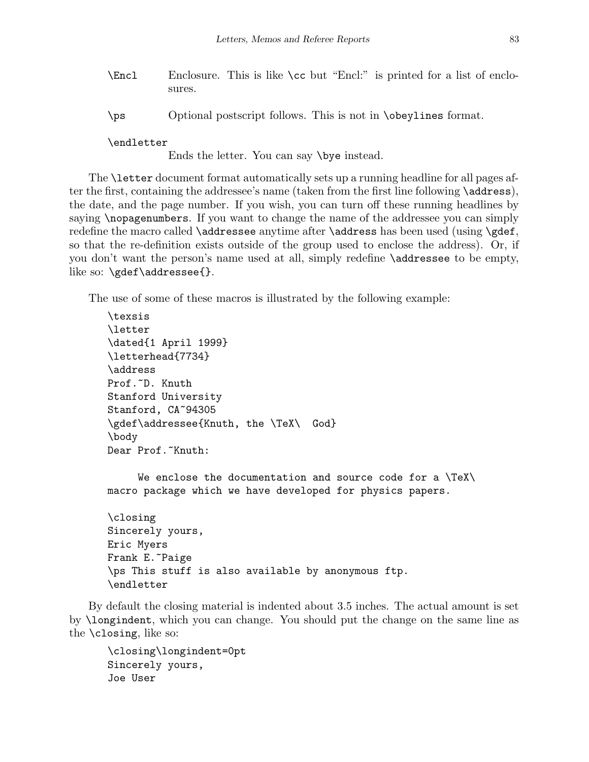- \Encl Enclosure. This is like \cc but "Encl:" is printed for a list of enclosures.
- \ps Optional postscript follows. This is not in \obeylines format.

### \endletter

Ends the letter. You can say \bye instead.

The \letter document format automatically sets up a running headline for all pages after the first, containing the addressee's name (taken from the first line following \address), the date, and the page number. If you wish, you can turn off these running headlines by saying \nopagenumbers. If you want to change the name of the addressee you can simply redefine the macro called  $\ad$ ressee anytime after  $\ad$ ress has been used (using  $\gcd f$ , so that the re-definition exists outside of the group used to enclose the address). Or, if you don't want the person's name used at all, simply redefine \addressee to be empty, like so: \gdef\addressee{}.

The use of some of these macros is illustrated by the following example:

```
\texsis
\letter
\dated{1 April 1999}
\letterhead{7734}
\address
Prof.~D. Knuth
Stanford University
Stanford, CA~94305
\gdef\addressee{Knuth, the \TeX\ God}
\body
Dear Prof. "Knuth:
```
We enclose the documentation and source code for a \TeX\ macro package which we have developed for physics papers.

```
\closing
Sincerely yours,
Eric Myers
Frank E. Paige
\ps This stuff is also available by anonymous ftp.
\endletter
```
By default the closing material is indented about 3.5 inches. The actual amount is set by \longindent, which you can change. You should put the change on the same line as the \closing, like so:

```
\closing\longindent=0pt
Sincerely yours,
Joe User
```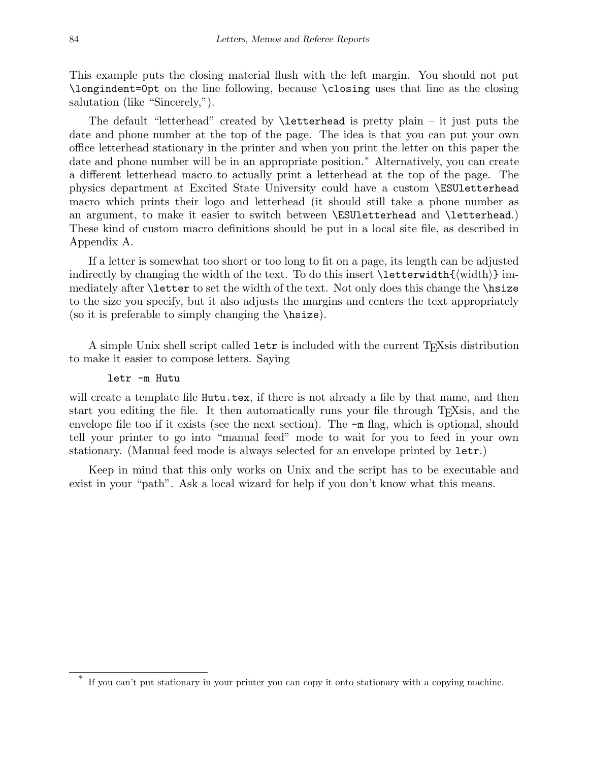This example puts the closing material flush with the left margin. You should not put \longindent=0pt on the line following, because \closing uses that line as the closing salutation (like "Sincerely,").

The default "letterhead" created by \letterhead is pretty plain – it just puts the date and phone number at the top of the page. The idea is that you can put your own office letterhead stationary in the printer and when you print the letter on this paper the date and phone number will be in an appropriate position.<sup>∗</sup> Alternatively, you can create a different letterhead macro to actually print a letterhead at the top of the page. The physics department at Excited State University could have a custom \ESUletterhead macro which prints their logo and letterhead (it should still take a phone number as an argument, to make it easier to switch between \ESUletterhead and \letterhead.) These kind of custom macro definitions should be put in a local site file, as described in Appendix A.

If a letter is somewhat too short or too long to fit on a page, its length can be adjusted indirectly by changing the width of the text. To do this insert  $\let$  texterwidth $\{\text{width}\}$  immediately after \letter to set the width of the text. Not only does this change the \hsize to the size you specify, but it also adjusts the margins and centers the text appropriately (so it is preferable to simply changing the  $\hbar$ size).

A simple Unix shell script called letr is included with the current T<sub>E</sub>Xsis distribution to make it easier to compose letters. Saying

#### letr -m Hutu

will create a template file Hutu.tex, if there is not already a file by that name, and then start you editing the file. It then automatically runs your file through TEXsis, and the envelope file too if it exists (see the next section). The  $-\mathbf{m}$  flag, which is optional, should tell your printer to go into "manual feed" mode to wait for you to feed in your own stationary. (Manual feed mode is always selected for an envelope printed by letr.)

Keep in mind that this only works on Unix and the script has to be executable and exist in your "path". Ask a local wizard for help if you don't know what this means.

<sup>\*</sup> If you can't put stationary in your printer you can copy it onto stationary with a copying machine.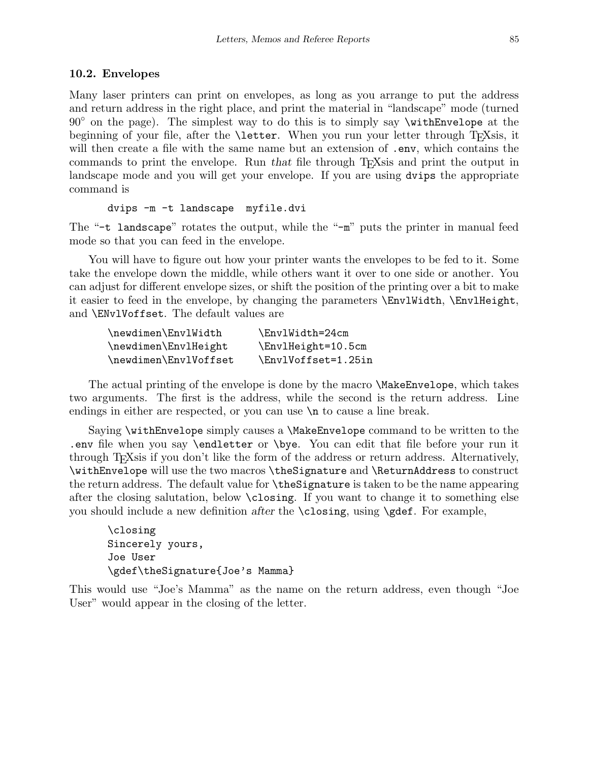### 10.2. Envelopes

Many laser printers can print on envelopes, as long as you arrange to put the address and return address in the right place, and print the material in "landscape" mode (turned  $90°$  on the page). The simplest way to do this is to simply say  $\tilde{\text{withEnvelope}}$  at the beginning of your file, after the **\letter**. When you run your letter through T<sub>E</sub>Xsis, it will then create a file with the same name but an extension of .env, which contains the commands to print the envelope. Run that file through T<sub>E</sub>Xsis and print the output in landscape mode and you will get your envelope. If you are using dvips the appropriate command is

#### dvips -m -t landscape myfile.dvi

The "-t landscape" rotates the output, while the "-m" puts the printer in manual feed mode so that you can feed in the envelope.

You will have to figure out how your printer wants the envelopes to be fed to it. Some take the envelope down the middle, while others want it over to one side or another. You can adjust for different envelope sizes, or shift the position of the printing over a bit to make it easier to feed in the envelope, by changing the parameters \EnvlWidth, \EnvlHeight, and \ENvlVoffset. The default values are

| \newdimen\EnvlWidth   | \EnvlWidth=24cm     |
|-----------------------|---------------------|
| \newdimen\EnvlHeight  | \EnvlHeight=10.5cm  |
| \newdimen\EnvlVoffset | \EnvlVoffset=1.25in |

The actual printing of the envelope is done by the macro \MakeEnvelope, which takes two arguments. The first is the address, while the second is the return address. Line endings in either are respected, or you can use  $\n\times$  to cause a line break.

Saying \withEnvelope simply causes a \MakeEnvelope command to be written to the .env file when you say \endletter or \bye. You can edit that file before your run it through TEXsis if you don't like the form of the address or return address. Alternatively, \withEnvelope will use the two macros \theSignature and \ReturnAddress to construct the return address. The default value for \theSignature is taken to be the name appearing after the closing salutation, below \closing. If you want to change it to something else you should include a new definition after the \closing, using \gdef. For example,

```
\closing
Sincerely yours,
Joe User
\gdef\theSignature{Joe's Mamma}
```
This would use "Joe's Mamma" as the name on the return address, even though "Joe User" would appear in the closing of the letter.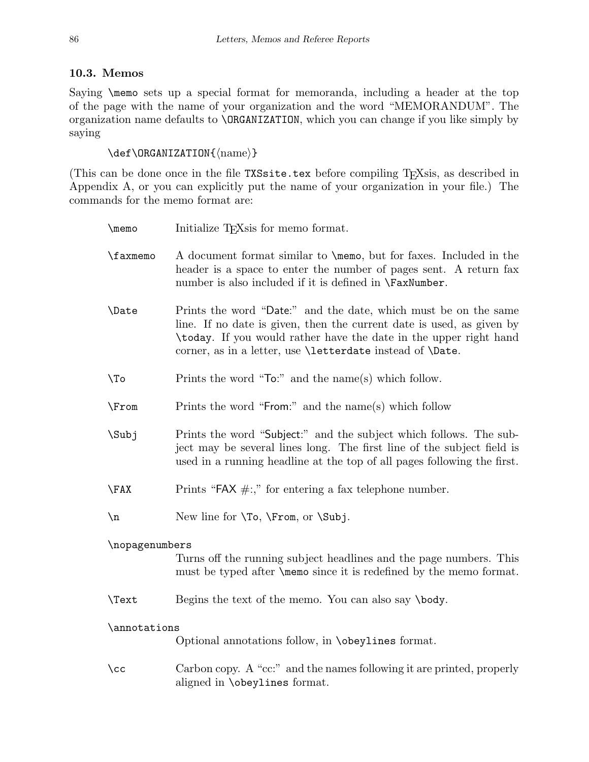### 10.3. Memos

Saying \memo sets up a special format for memoranda, including a header at the top of the page with the name of your organization and the word "MEMORANDUM". The organization name defaults to \ORGANIZATION, which you can change if you like simply by saying

\def\ORGANIZATION{\mame}}

(This can be done once in the file TXSsite.tex before compiling TEXsis, as described in Appendix A, or you can explicitly put the name of your organization in your file.) The commands for the memo format are:

| $\n\mu$        | Initialize T <sub>F</sub> Xsis for memo format.                                                                                                                                                                                                                                           |
|----------------|-------------------------------------------------------------------------------------------------------------------------------------------------------------------------------------------------------------------------------------------------------------------------------------------|
| \faxmemo       | A document format similar to $\lambda$ but for faxes. Included in the<br>header is a space to enter the number of pages sent. A return fax<br>number is also included if it is defined in <b>\FaxNumber</b> .                                                                             |
| \Date          | Prints the word "Date:" and the date, which must be on the same<br>line. If no date is given, then the current date is used, as given by<br>\today. If you would rather have the date in the upper right hand<br>corner, as in a letter, use <i>\letterdate</i> instead of <i>\Date</i> . |
| $\Gamma$       | Prints the word " $\overline{0}$ ". and the name(s) which follow.                                                                                                                                                                                                                         |
| $\Gamma$       | Prints the word "From:" and the name(s) which follow                                                                                                                                                                                                                                      |
| \Subj          | Prints the word "Subject:" and the subject which follows. The sub-<br>ject may be several lines long. The first line of the subject field is<br>used in a running headline at the top of all pages following the first.                                                                   |
| \FAX           | Prints "FAX $\#$ ;," for entering a fax telephone number.                                                                                                                                                                                                                                 |
| $\n\langle n$  | New line for $\To, \$ From, or \Subj.                                                                                                                                                                                                                                                     |
| \nopagenumbers | Turns off the running subject headlines and the page numbers. This<br>must be typed after <b>\memo</b> since it is redefined by the memo format.                                                                                                                                          |
| <b>\Text</b>   | Begins the text of the memo. You can also say \body.                                                                                                                                                                                                                                      |
| \annotations   | Optional annotations follow, in <b>\obeylines</b> format.                                                                                                                                                                                                                                 |
| $\setminus$ cc | Carbon copy. A "cc:" and the names following it are printed, properly<br>aligned in \obeylines format.                                                                                                                                                                                    |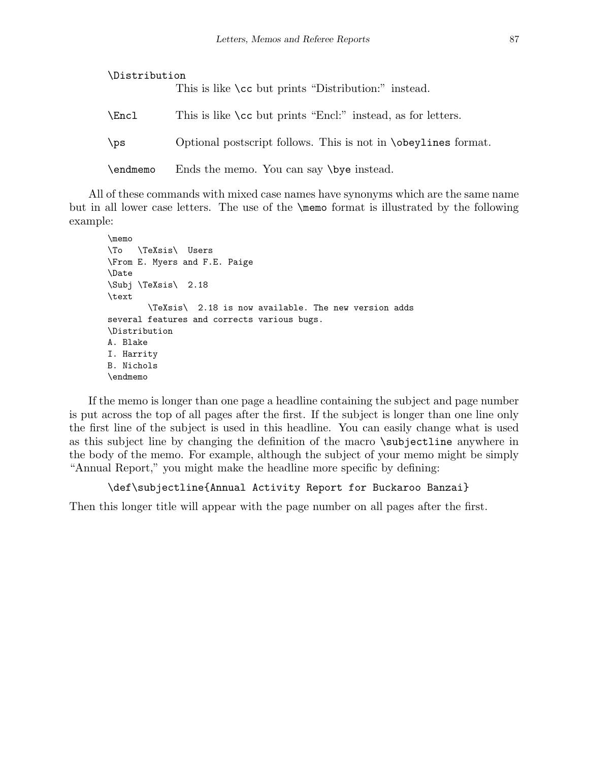| \Distribution |                                                                       |  |  |
|---------------|-----------------------------------------------------------------------|--|--|
|               | This is like \cc but prints "Distribution:" instead.                  |  |  |
| \Encl         | This is like $\cc$ but prints "Encl:" instead, as for letters.        |  |  |
| \DS           | Optional postscript follows. This is not in <b>\obeylines</b> format. |  |  |
| endmemo)      | Ends the memo. You can say \bye instead.                              |  |  |

All of these commands with mixed case names have synonyms which are the same name but in all lower case letters. The use of the \memo format is illustrated by the following example:

```
\memo
\To \TeXsis\ Users
\From E. Myers and F.E. Paige
\Date
\Subj \TeXsis\ 2.18
\text
        \TeXsis\ 2.18 is now available. The new version adds
several features and corrects various bugs.
\Distribution
A. Blake
I. Harrity
B. Nichols
\endmemo
```
If the memo is longer than one page a headline containing the subject and page number is put across the top of all pages after the first. If the subject is longer than one line only the first line of the subject is used in this headline. You can easily change what is used as this subject line by changing the definition of the macro \subjectline anywhere in the body of the memo. For example, although the subject of your memo might be simply "Annual Report," you might make the headline more specific by defining:

```
\def\subjectline{Annual Activity Report for Buckaroo Banzai}
```
Then this longer title will appear with the page number on all pages after the first.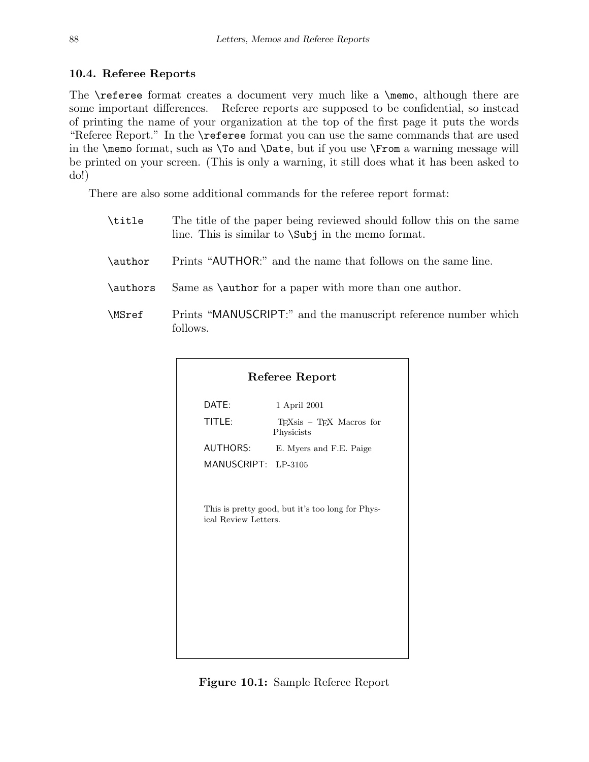## 10.4. Referee Reports

The \referee format creates a document very much like a \memo, although there are some important differences. Referee reports are supposed to be confidential, so instead of printing the name of your organization at the top of the first page it puts the words "Referee Report." In the \referee format you can use the same commands that are used in the \memo format, such as \To and \Date, but if you use \From a warning message will be printed on your screen. (This is only a warning, it still does what it has been asked to do!)

There are also some additional commands for the referee report format:

| \title   | The title of the paper being reviewed should follow this on the same<br>line. This is similar to $\Subj$ in the memo format. |
|----------|------------------------------------------------------------------------------------------------------------------------------|
| \author  | Prints "AUTHOR:" and the name that follows on the same line.                                                                 |
| \authors | Same as <b>\author</b> for a paper with more than one author.                                                                |
| \MSref   | Prints "MANUSCRIPT:" and the manuscript reference number which<br>follows.                                                   |

| Referee Report       |                                                  |
|----------------------|--------------------------------------------------|
| DATE:                | 1 April 2001                                     |
| TITLE:               | TEXsis - TEX Macros for<br>Physicists            |
| AUTHORS:             | E. Myers and F.E. Paige                          |
| MANUSCRIPT: LP-3105  |                                                  |
| ical Review Letters. | This is pretty good, but it's too long for Phys- |

Figure 10.1: Sample Referee Report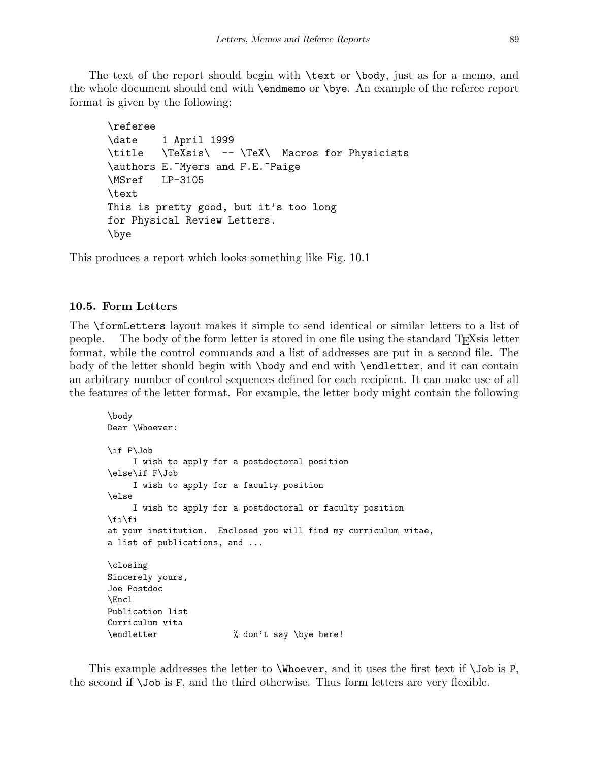The text of the report should begin with \text or \body, just as for a memo, and the whole document should end with \endmemo or \bye. An example of the referee report format is given by the following:

```
\referee
\date 1 April 1999
\title \TeXsis\ -- \TeX\ Macros for Physicists
\authors E.~Myers and F.E.~Paige
\MSref LP-3105
\text
This is pretty good, but it's too long
for Physical Review Letters.
\bye
```
This produces a report which looks something like Fig. 10.1

### 10.5. Form Letters

The \formLetters layout makes it simple to send identical or similar letters to a list of people. The body of the form letter is stored in one file using the standard TEXsis letter format, while the control commands and a list of addresses are put in a second file. The body of the letter should begin with \body and end with \endletter, and it can contain an arbitrary number of control sequences defined for each recipient. It can make use of all the features of the letter format. For example, the letter body might contain the following

```
\body
Dear \Whoever:
\if P\Job
     I wish to apply for a postdoctoral position
\else\if F\Job
     I wish to apply for a faculty position
\else
    I wish to apply for a postdoctoral or faculty position
\fi\fi
at your institution. Enclosed you will find my curriculum vitae,
a list of publications, and ...
\closing
Sincerely yours,
Joe Postdoc
\Encl
Publication list
Curriculum vita
\endletter % don't say \bye here!
```
This example addresses the letter to \Whoever, and it uses the first text if \Job is P, the second if \Job is F, and the third otherwise. Thus form letters are very flexible.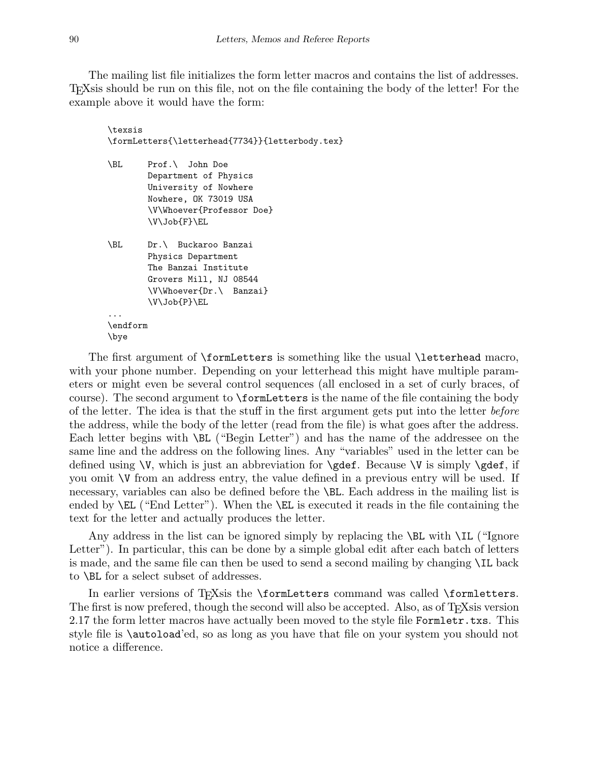The mailing list file initializes the form letter macros and contains the list of addresses. TEXsis should be run on this file, not on the file containing the body of the letter! For the example above it would have the form:

```
\texsis
\formLetters{\letterhead{7734}}{letterbody.tex}
\BL Prof.\ John Doe
       Department of Physics
       University of Nowhere
       Nowhere, OK 73019 USA
       \V\Whoever{Professor Doe}
       \V\Job{F}\EL
\BL Dr.\ Buckaroo Banzai
       Physics Department
       The Banzai Institute
       Grovers Mill, NJ 08544
       \V\Whoever{Dr.\ Banzai}
       \V\Job{P}\EL
...
\endform
\bye
```
The first argument of \formLetters is something like the usual \letterhead macro, with your phone number. Depending on your letterhead this might have multiple parameters or might even be several control sequences (all enclosed in a set of curly braces, of course). The second argument to \formLetters is the name of the file containing the body of the letter. The idea is that the stuff in the first argument gets put into the letter before the address, while the body of the letter (read from the file) is what goes after the address. Each letter begins with \BL ("Begin Letter") and has the name of the addressee on the same line and the address on the following lines. Any "variables" used in the letter can be defined using  $V$ , which is just an abbreviation for  $\gtrsim$  Because  $V$  is simply  $\gtrsim$  if you omit \V from an address entry, the value defined in a previous entry will be used. If necessary, variables can also be defined before the **\BL**. Each address in the mailing list is ended by **\EL** ("End Letter"). When the **\EL** is executed it reads in the file containing the text for the letter and actually produces the letter.

Any address in the list can be ignored simply by replacing the \BL with \IL ("Ignore") Letter"). In particular, this can be done by a simple global edit after each batch of letters is made, and the same file can then be used to send a second mailing by changing \IL back to \BL for a select subset of addresses.

In earlier versions of T<sub>F</sub>Xsis the **\formLetters** command was called **\formletters**. The first is now prefered, though the second will also be accepted. Also, as of T<sub>F</sub>Xsis version 2.17 the form letter macros have actually been moved to the style file Formletr.txs. This style file is \autoload'ed, so as long as you have that file on your system you should not notice a difference.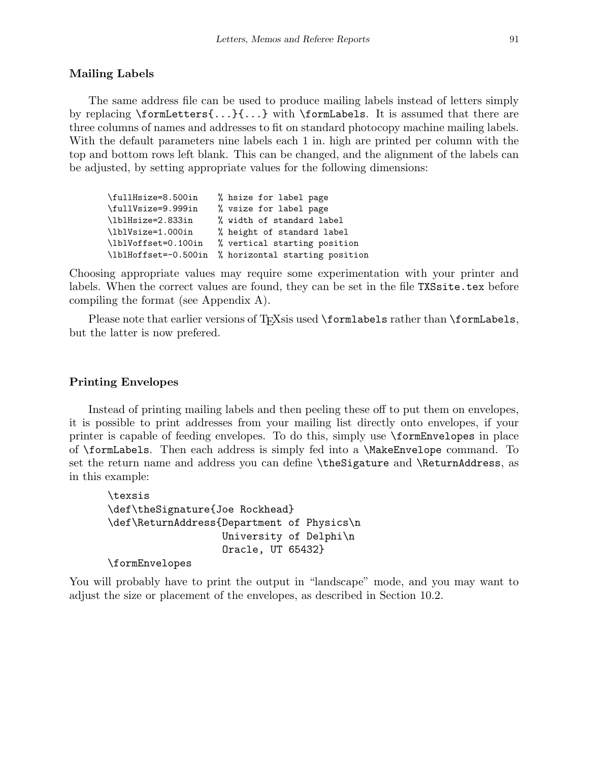#### Mailing Labels

The same address file can be used to produce mailing labels instead of letters simply by replacing \formLetters{...}{...} with \formLabels. It is assumed that there are three columns of names and addresses to fit on standard photocopy machine mailing labels. With the default parameters nine labels each 1 in. high are printed per column with the top and bottom rows left blank. This can be changed, and the alignment of the labels can be adjusted, by setting appropriate values for the following dimensions:

```
\fullHsize=8.500in % hsize for label page
\fullVsize=9.999in % vsize for label page
\lblHsize=2.833in % width of standard label
\lblVsize=1.000in % height of standard label<br>\lblVoffset=0.100in % vertical starting positi
                         % vertical starting position
\lblHoffset=-0.500in % horizontal starting position
```
Choosing appropriate values may require some experimentation with your printer and labels. When the correct values are found, they can be set in the file TXSsite.tex before compiling the format (see Appendix A).

Please note that earlier versions of T<sub>E</sub>Xsis used **\formlabels** rather than **\formLabels**, but the latter is now prefered.

#### Printing Envelopes

Instead of printing mailing labels and then peeling these off to put them on envelopes, it is possible to print addresses from your mailing list directly onto envelopes, if your printer is capable of feeding envelopes. To do this, simply use \formEnvelopes in place of \formLabels. Then each address is simply fed into a \MakeEnvelope command. To set the return name and address you can define \theSigature and \ReturnAddress, as in this example:

```
\texsis
\def\theSignature{Joe Rockhead}
\def\ReturnAddress{Department of Physics\n
                   University of Delphi\n
                   Oracle, UT 65432}
\formEnvelopes
```
You will probably have to print the output in "landscape" mode, and you may want to adjust the size or placement of the envelopes, as described in Section 10.2.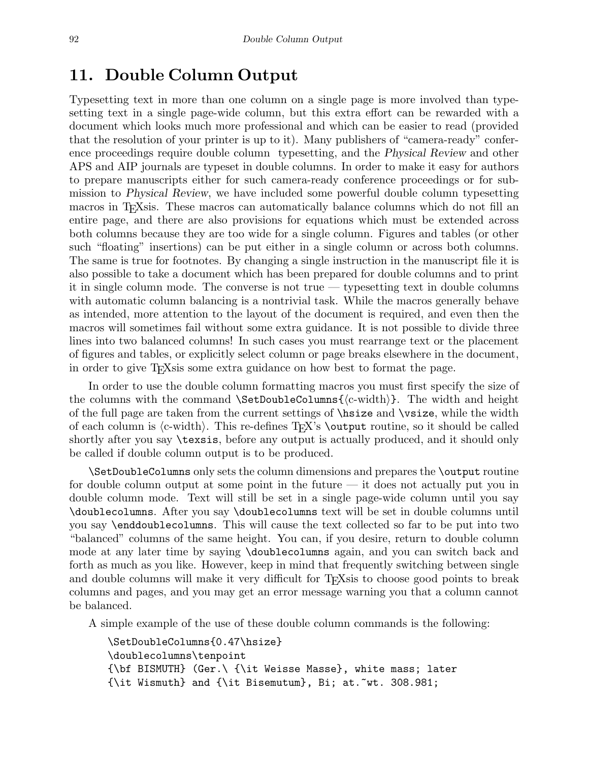# 11. Double Column Output

Typesetting text in more than one column on a single page is more involved than typesetting text in a single page-wide column, but this extra effort can be rewarded with a document which looks much more professional and which can be easier to read (provided that the resolution of your printer is up to it). Many publishers of "camera-ready" conference proceedings require double column typesetting, and the Physical Review and other APS and AIP journals are typeset in double columns. In order to make it easy for authors to prepare manuscripts either for such camera-ready conference proceedings or for submission to Physical Review, we have included some powerful double column typesetting macros in TEXsis. These macros can automatically balance columns which do not fill an entire page, and there are also provisions for equations which must be extended across both columns because they are too wide for a single column. Figures and tables (or other such "floating" insertions) can be put either in a single column or across both columns. The same is true for footnotes. By changing a single instruction in the manuscript file it is also possible to take a document which has been prepared for double columns and to print it in single column mode. The converse is not true — typesetting text in double columns with automatic column balancing is a nontrivial task. While the macros generally behave as intended, more attention to the layout of the document is required, and even then the macros will sometimes fail without some extra guidance. It is not possible to divide three lines into two balanced columns! In such cases you must rearrange text or the placement of figures and tables, or explicitly select column or page breaks elsewhere in the document, in order to give TEXsis some extra guidance on how best to format the page.

In order to use the double column formatting macros you must first specify the size of the columns with the command  $\Set{\c{c-width}}$ . The width and height of the full page are taken from the current settings of \hsize and \vsize, while the width of each column is  $\langle c\text{-width}\rangle$ . This re-defines T<sub>EX</sub>'s \output routine, so it should be called shortly after you say \texsis, before any output is actually produced, and it should only be called if double column output is to be produced.

\SetDoubleColumns only sets the column dimensions and prepares the \output routine for double column output at some point in the future — it does not actually put you in double column mode. Text will still be set in a single page-wide column until you say \doublecolumns. After you say \doublecolumns text will be set in double columns until you say \enddoublecolumns. This will cause the text collected so far to be put into two "balanced" columns of the same height. You can, if you desire, return to double column mode at any later time by saying \doublecolumns again, and you can switch back and forth as much as you like. However, keep in mind that frequently switching between single and double columns will make it very difficult for T<sub>E</sub>Xs is to choose good points to break columns and pages, and you may get an error message warning you that a column cannot be balanced.

A simple example of the use of these double column commands is the following:

\SetDoubleColumns{0.47\hsize} \doublecolumns\tenpoint {\bf BISMUTH} (Ger.\ {\it Weisse Masse}, white mass; later  $\{\it it Wismuth}\$  and  $\{\it it Bisemutum}\$ , Bi; at.~wt. 308.981;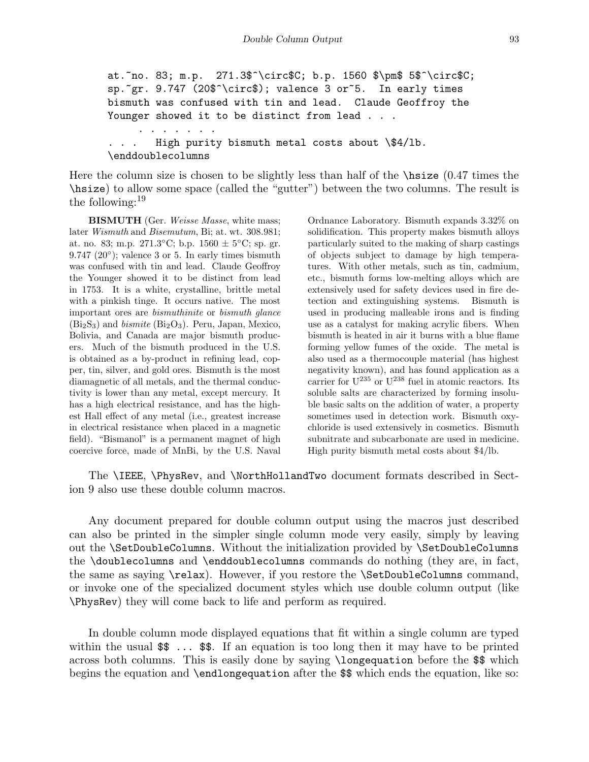```
at.~no. 83; m.p. 271.3$^\circ$C; b.p. 1560 $\pm$ 5$^\circ$C;
sp.~gr. 9.747 (20$^\circ$); valence 3 or~5. In early times
bismuth was confused with tin and lead. Claude Geoffroy the
Younger showed it to be distinct from lead . . .
             . . . . . . .
        High purity bismuth metal costs about \$4/lb.
\enddoublecolumns
```
Here the column size is chosen to be slightly less than half of the  $\hbar$ size (0.47 times the \hsize) to allow some space (called the "gutter") between the two columns. The result is the following:<sup>19</sup>

BISMUTH (Ger. Weisse Masse, white mass; later Wismuth and Bisemutum, Bi; at. wt. 308.981; at. no. 83; m.p. 271.3°C; b.p.  $1560 \pm 5$ °C; sp. gr. 9.747 (20 $^{\circ}$ ); valence 3 or 5. In early times bismuth was confused with tin and lead. Claude Geoffroy the Younger showed it to be distinct from lead in 1753. It is a white, crystalline, brittle metal with a pinkish tinge. It occurs native. The most important ores are bismuthinite or bismuth glance  $(Bi<sub>2</sub>S<sub>3</sub>)$  and *bismite*  $(Bi<sub>2</sub>O<sub>3</sub>)$ . Peru, Japan, Mexico, Bolivia, and Canada are major bismuth producers. Much of the bismuth produced in the U.S. is obtained as a by-product in refining lead, copper, tin, silver, and gold ores. Bismuth is the most diamagnetic of all metals, and the thermal conductivity is lower than any metal, except mercury. It has a high electrical resistance, and has the highest Hall effect of any metal (i.e., greatest increase in electrical resistance when placed in a magnetic field). "Bismanol" is a permanent magnet of high coercive force, made of MnBi, by the U.S. Naval

Ordnance Laboratory. Bismuth expands 3.32% on solidification. This property makes bismuth alloys particularly suited to the making of sharp castings of objects subject to damage by high temperatures. With other metals, such as tin, cadmium, etc., bismuth forms low-melting alloys which are extensively used for safety devices used in fire detection and extinguishing systems. Bismuth is used in producing malleable irons and is finding use as a catalyst for making acrylic fibers. When bismuth is heated in air it burns with a blue flame forming yellow fumes of the oxide. The metal is also used as a thermocouple material (has highest negativity known), and has found application as a carrier for  $U^{235}$  or  $U^{238}$  fuel in atomic reactors. Its soluble salts are characterized by forming insoluble basic salts on the addition of water, a property sometimes used in detection work. Bismuth oxychloride is used extensively in cosmetics. Bismuth subnitrate and subcarbonate are used in medicine. High purity bismuth metal costs about \$4/lb.

The \IEEE, \PhysRev, and \NorthHollandTwo document formats described in Section 9 also use these double column macros.

Any document prepared for double column output using the macros just described can also be printed in the simpler single column mode very easily, simply by leaving out the \SetDoubleColumns. Without the initialization provided by \SetDoubleColumns the \doublecolumns and \enddoublecolumns commands do nothing (they are, in fact, the same as saying \relax). However, if you restore the \SetDoubleColumns command, or invoke one of the specialized document styles which use double column output (like \PhysRev) they will come back to life and perform as required.

In double column mode displayed equations that fit within a single column are typed within the usual  $\$ ...  $\$ . If an equation is too long then it may have to be printed across both columns. This is easily done by saying \longequation before the \$\$ which begins the equation and \endlongequation after the \$\$ which ends the equation, like so: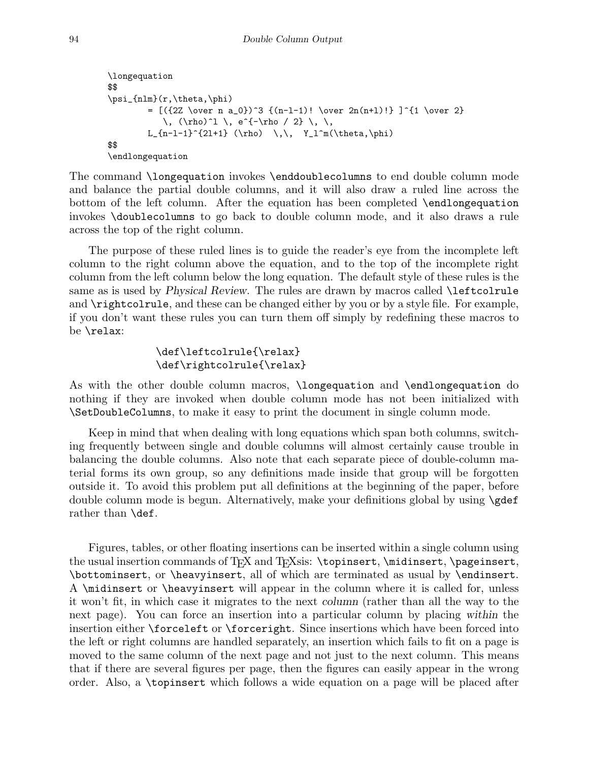```
\longequation
$$
\psi_{nlm}(r,\theta,\phi)
         = [(2Z \over n a_0])^3 {(n-1-1)! \over 2n(n+1)!}]^1 \over 2}\langle \cdot \rangle^1 \, \cdot \cdot \cdot / 2} \, \cdot \cdot \cdot / 2L_{n-1-1}^{2l+1} (\rho) \,\, Y_l^m(\theta,\phi)
$$
\endlongequation
```
The command \longequation invokes \enddoublecolumns to end double column mode and balance the partial double columns, and it will also draw a ruled line across the bottom of the left column. After the equation has been completed \endlongequation invokes \doublecolumns to go back to double column mode, and it also draws a rule across the top of the right column.

The purpose of these ruled lines is to guide the reader's eye from the incomplete left column to the right column above the equation, and to the top of the incomplete right column from the left column below the long equation. The default style of these rules is the same as is used by Physical Review. The rules are drawn by macros called **\leftcolrule** and \rightcolrule, and these can be changed either by you or by a style file. For example, if you don't want these rules you can turn them off simply by redefining these macros to be \relax:

### \def\leftcolrule{\relax} \def\rightcolrule{\relax}

As with the other double column macros, \longequation and \endlongequation do nothing if they are invoked when double column mode has not been initialized with \SetDoubleColumns, to make it easy to print the document in single column mode.

Keep in mind that when dealing with long equations which span both columns, switching frequently between single and double columns will almost certainly cause trouble in balancing the double columns. Also note that each separate piece of double-column material forms its own group, so any definitions made inside that group will be forgotten outside it. To avoid this problem put all definitions at the beginning of the paper, before double column mode is begun. Alternatively, make your definitions global by using \gdef rather than \def.

Figures, tables, or other floating insertions can be inserted within a single column using the usual insertion commands of T<sub>EX</sub> and T<sub>EX</sub>sis: \topinsert, \midinsert, \pageinsert, \bottominsert, or \heavyinsert, all of which are terminated as usual by \endinsert. A \midinsert or \heavyinsert will appear in the column where it is called for, unless it won't fit, in which case it migrates to the next column (rather than all the way to the next page). You can force an insertion into a particular column by placing within the insertion either \forceleft or \forceright. Since insertions which have been forced into the left or right columns are handled separately, an insertion which fails to fit on a page is moved to the same column of the next page and not just to the next column. This means that if there are several figures per page, then the figures can easily appear in the wrong order. Also, a \topinsert which follows a wide equation on a page will be placed after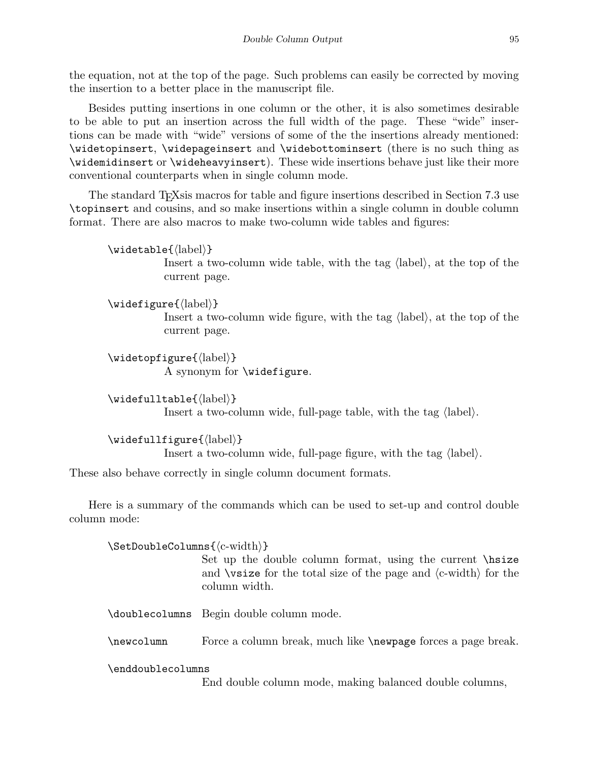the equation, not at the top of the page. Such problems can easily be corrected by moving the insertion to a better place in the manuscript file.

Besides putting insertions in one column or the other, it is also sometimes desirable to be able to put an insertion across the full width of the page. These "wide" insertions can be made with "wide" versions of some of the the insertions already mentioned: \widetopinsert, \widepageinsert and \widebottominsert (there is no such thing as \widemidinsert or \wideheavyinsert). These wide insertions behave just like their more conventional counterparts when in single column mode.

The standard T<sub>E</sub>Xsis macros for table and figure insertions described in Section 7.3 use \topinsert and cousins, and so make insertions within a single column in double column format. There are also macros to make two-column wide tables and figures:

```
\widehat{\label{label}}
```
Insert a two-column wide table, with the tag  $\langle$ label $\rangle$ , at the top of the current page.

```
\widehat{\label{label}}
```
Insert a two-column wide figure, with the tag  $\langle$ label $\rangle$ , at the top of the current page.

```
\widehat{\boldsymbol{\theta}}A synonym for \widefigure.
```

```
\widehat{\label{label}}Insert a two-column wide, full-page table, with the tag \langlelabel\rangle.
```

```
\widehat{\label{label}}
```
Insert a two-column wide, full-page figure, with the tag  $\langle$ label $\rangle$ .

These also behave correctly in single column document formats.

Here is a summary of the commands which can be used to set-up and control double column mode:

| $\Set{SetDoubleColumns({\c-width})}$ |                                                                                                                                                                            |
|--------------------------------------|----------------------------------------------------------------------------------------------------------------------------------------------------------------------------|
|                                      | Set up the double column format, using the current \hsize<br>and <b>\vsize</b> for the total size of the page and $\langle c\text{-width}\rangle$ for the<br>column width. |
|                                      | \doublecolumns Begin double column mode.                                                                                                                                   |
| \newcolumn                           | Force a column break, much like <b>\newpage</b> forces a page break.                                                                                                       |
|                                      |                                                                                                                                                                            |

\enddoublecolumns

End double column mode, making balanced double columns,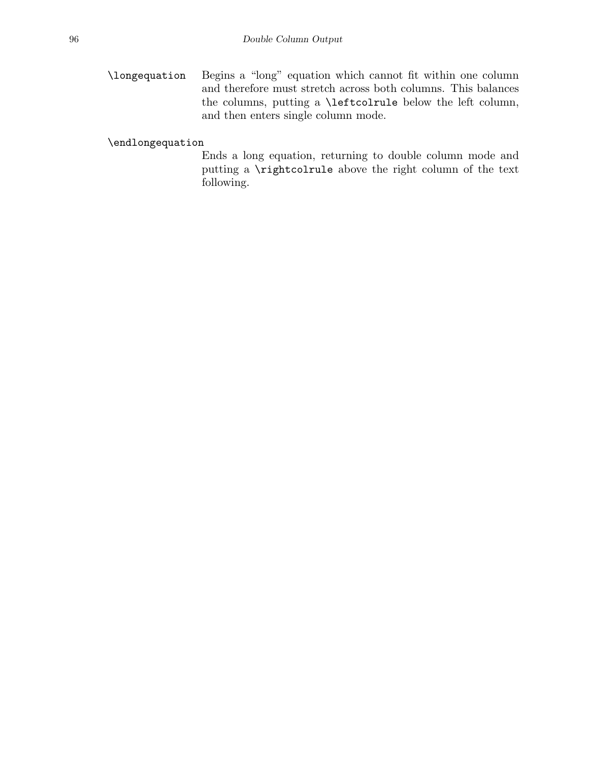\longequation Begins a "long" equation which cannot fit within one column and therefore must stretch across both columns. This balances the columns, putting a \leftcolrule below the left column, and then enters single column mode.

### \endlongequation

Ends a long equation, returning to double column mode and putting a \rightcolrule above the right column of the text following.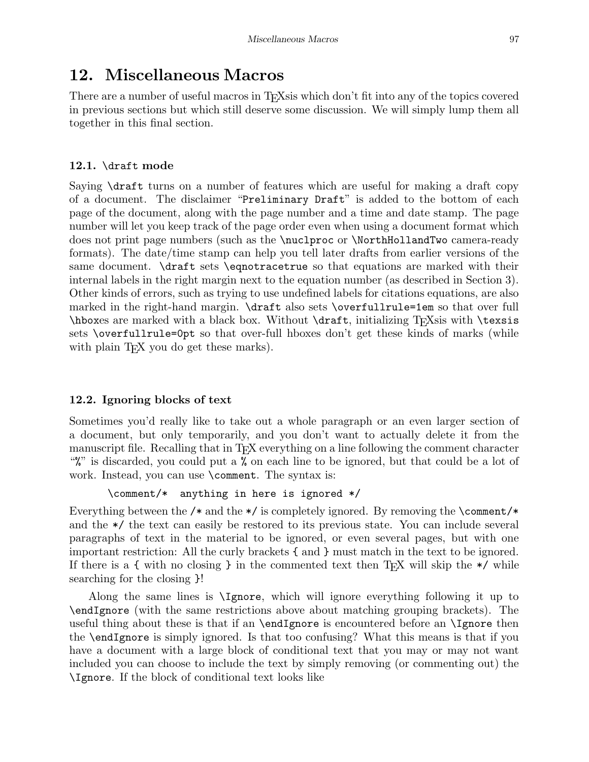# 12. Miscellaneous Macros

There are a number of useful macros in T<sub>E</sub>Xs is which don't fit into any of the topics covered in previous sections but which still deserve some discussion. We will simply lump them all together in this final section.

# 12.1. \draft mode

Saying \draft turns on a number of features which are useful for making a draft copy of a document. The disclaimer "Preliminary Draft" is added to the bottom of each page of the document, along with the page number and a time and date stamp. The page number will let you keep track of the page order even when using a document format which does not print page numbers (such as the \nuclproc or \NorthHollandTwo camera-ready formats). The date/time stamp can help you tell later drafts from earlier versions of the same document. \draft sets \eqnotracetrue so that equations are marked with their internal labels in the right margin next to the equation number (as described in Section 3). Other kinds of errors, such as trying to use undefined labels for citations equations, are also marked in the right-hand margin. \draft also sets \overfullrule=1em so that over full  $\hbar$  \hboxes are marked with a black box. Without  $\dagger$ , initializing T<sub>E</sub>Xsis with  $\text{t}$ sets \overfullrule=0pt so that over-full hboxes don't get these kinds of marks (while with plain T<sub>EX</sub> you do get these marks).

# 12.2. Ignoring blocks of text

Sometimes you'd really like to take out a whole paragraph or an even larger section of a document, but only temporarily, and you don't want to actually delete it from the manuscript file. Recalling that in T<sub>E</sub>X everything on a line following the comment character "%" is discarded, you could put a % on each line to be ignored, but that could be a lot of work. Instead, you can use \comment. The syntax is:

```
\comment/* anything in here is ignored */
```
Everything between the  $/*$  and the  $*/$  is completely ignored. By removing the \comment/ $*$ and the \*/ the text can easily be restored to its previous state. You can include several paragraphs of text in the material to be ignored, or even several pages, but with one important restriction: All the curly brackets { and } must match in the text to be ignored. If there is a  $\{$  with no closing  $\}$  in the commented text then T<sub>E</sub>X will skip the  $\ast$ / while searching for the closing }!

Along the same lines is \Ignore, which will ignore everything following it up to \endIgnore (with the same restrictions above about matching grouping brackets). The useful thing about these is that if an \endIgnore is encountered before an \Ignore then the \endIgnore is simply ignored. Is that too confusing? What this means is that if you have a document with a large block of conditional text that you may or may not want included you can choose to include the text by simply removing (or commenting out) the \Ignore. If the block of conditional text looks like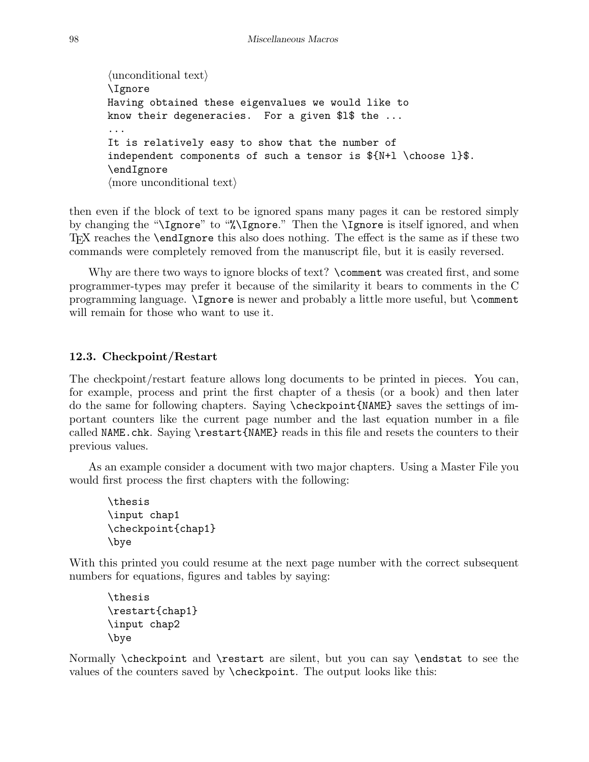```
\langleunconditional text\rangle\Ignore
Having obtained these eigenvalues we would like to
know their degeneracies. For a given $l$ the ...
...
It is relatively easy to show that the number of
independent components of such a tensor is f(N+1 \cdot \text{choose 1}).
\endIgnore
\langle more unconditional text\rangle
```
then even if the block of text to be ignored spans many pages it can be restored simply by changing the "\Ignore" to "%\Ignore." Then the \Ignore is itself ignored, and when T<sub>EX</sub> reaches the **\endIgnore** this also does nothing. The effect is the same as if these two commands were completely removed from the manuscript file, but it is easily reversed.

Why are there two ways to ignore blocks of text? \comment was created first, and some programmer-types may prefer it because of the similarity it bears to comments in the C programming language. \Ignore is newer and probably a little more useful, but \comment will remain for those who want to use it.

### 12.3. Checkpoint/Restart

The checkpoint/restart feature allows long documents to be printed in pieces. You can, for example, process and print the first chapter of a thesis (or a book) and then later do the same for following chapters. Saying \checkpoint{NAME} saves the settings of important counters like the current page number and the last equation number in a file called NAME.chk. Saying \restart{NAME} reads in this file and resets the counters to their previous values.

As an example consider a document with two major chapters. Using a Master File you would first process the first chapters with the following:

```
\thesis
\input chap1
\checkpoint{chap1}
\bye
```
With this printed you could resume at the next page number with the correct subsequent numbers for equations, figures and tables by saying:

```
\thesis
\restart{chap1}
\input chap2
\bye
```
Normally \checkpoint and \restart are silent, but you can say \endstat to see the values of the counters saved by \checkpoint. The output looks like this: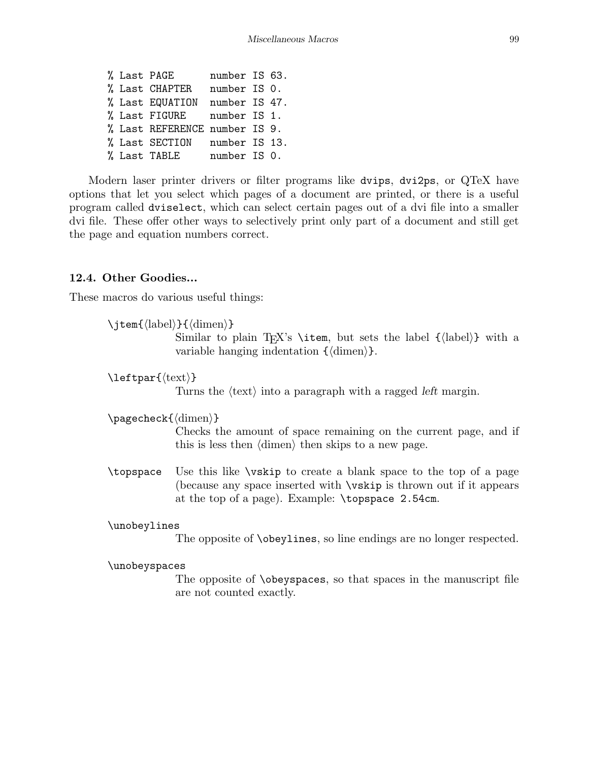% Last PAGE number IS 63. % Last CHAPTER number IS 0. % Last EQUATION number IS 47. % Last FIGURE number IS 1. % Last REFERENCE number IS 9. % Last SECTION number IS 13. % Last TABLE number IS 0.

Modern laser printer drivers or filter programs like dvips, dvi2ps, or QTeX have options that let you select which pages of a document are printed, or there is a useful program called dviselect, which can select certain pages out of a dvi file into a smaller dvi file. These offer other ways to selectively print only part of a document and still get the page and equation numbers correct.

#### 12.4. Other Goodies...

These macros do various useful things:

```
\{\langle label \rangle\}{\langle dimen \rangle\}
```
Similar to plain T<sub>EX</sub>'s \item, but sets the label  ${\langle \text{label} \rangle}$  with a variable hanging indentation  $\{\langle \text{dimen} \rangle\}.$ 

 $\left\langle \text{test}\right\rangle$ 

Turns the  $\langle \text{text} \rangle$  into a paragraph with a ragged left margin.

```
\text{dimen}
```
Checks the amount of space remaining on the current page, and if this is less then  $\langle$  dimen $\rangle$  then skips to a new page.

\topspace Use this like \vskip to create a blank space to the top of a page (because any space inserted with \vskip is thrown out if it appears at the top of a page). Example: \topspace 2.54cm.

#### \unobeylines

The opposite of \obeylines, so line endings are no longer respected.

#### \unobeyspaces

The opposite of \obeyspaces, so that spaces in the manuscript file are not counted exactly.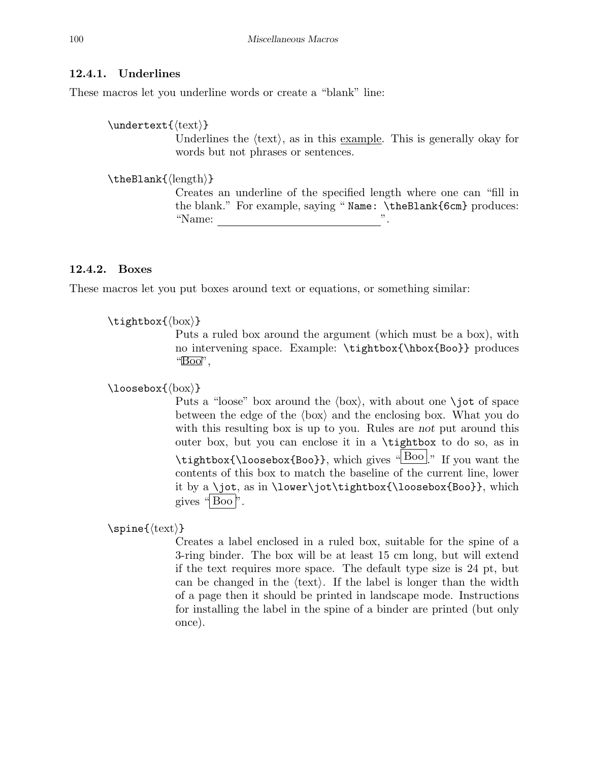### 12.4.1. Underlines

These macros let you underline words or create a "blank" line:

 $\mathcal{\text{text}}$ 

Underlines the  $\langle \text{text} \rangle$ , as in this example. This is generally okay for words but not phrases or sentences.

 $\theta$ length)}

Creates an underline of the specified length where one can "fill in the blank." For example, saying " Name: \theBlank{6cm} produces: "Name:

### 12.4.2. Boxes

These macros let you put boxes around text or equations, or something similar:

 $\text{tightbox}$ { $\text{box}}$ }

Puts a ruled box around the argument (which must be a box), with no intervening space. Example: \tightbox{\hbox{Boo}} produces " $Boo$ ",

 $\lozenge$ loosebox $\{\langle$ box $\rangle\}$ 

Puts a "loose" box around the  $\langle$ box $\rangle$ , with about one  $\setminus$ jot of space between the edge of the  $\langle$ box $\rangle$  and the enclosing box. What you do with this resulting box is up to you. Rules are not put around this outer box, but you can enclose it in a \tightbox to do so, as in  $\text{tightbox}$ {\tightbox{\loosebox{Boo}}, which gives "  $\text{Boo}$ ." If you want the contents of this box to match the baseline of the current line, lower it by a \jot, as in \lower\jot\tightbox{\loosebox{Boo}}, which gives " $\overline{\text{Boo}}$ ".

 $\frac{\text{text}}{\text{}}$ 

Creates a label enclosed in a ruled box, suitable for the spine of a 3-ring binder. The box will be at least 15 cm long, but will extend if the text requires more space. The default type size is 24 pt, but can be changed in the  $\langle \text{text.} \rangle$ . If the label is longer than the width of a page then it should be printed in landscape mode. Instructions for installing the label in the spine of a binder are printed (but only once).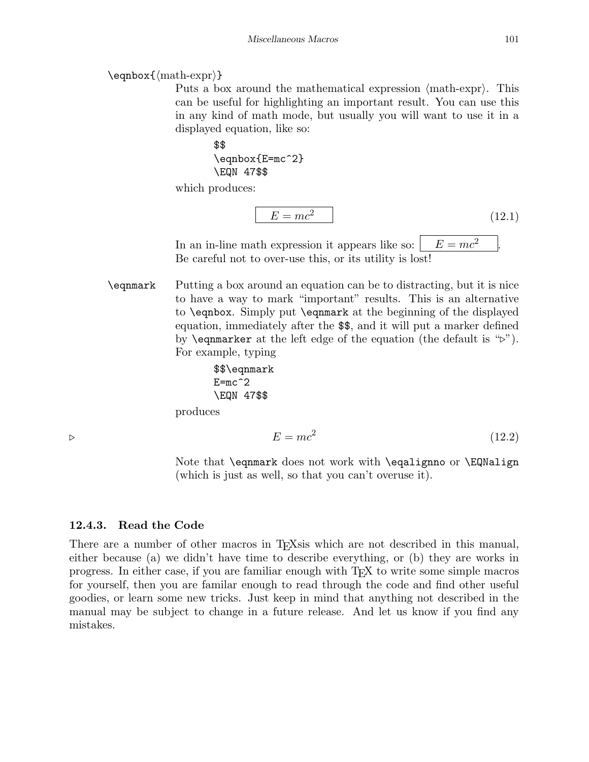### $\text{qnbox}$ { $\text{math-expr}$ }

Puts a box around the mathematical expression  $\langle \text{math-expr} \rangle$ . This can be useful for highlighting an important result. You can use this in any kind of math mode, but usually you will want to use it in a displayed equation, like so:

\$\$ \eqnbox{E=mc^2} \EQN 47\$\$

which produces:

$$
E = mc^2 \tag{12.1}
$$

In an in-line math expression it appears like so:  $E = mc^2$ Be careful not to over-use this, or its utility is lost!

\eqnmark Putting a box around an equation can be to distracting, but it is nice to have a way to mark "important" results. This is an alternative to \eqnbox. Simply put \eqnmark at the beginning of the displayed equation, immediately after the \$\$, and it will put a marker defined by **\eqnmarker** at the left edge of the equation (the default is " $\triangleright$ "). For example, typing

$$
\\@$\eqno{\n \$\eqno{\n 5 = mc^2}\n E = mc^2\n }\n EQN 47$$
$$

produces

$$
\triangleright \qquad \qquad E = mc^2 \qquad \qquad (12.2)
$$

Note that \eqnmark does not work with \eqalignno or \EQNalign (which is just as well, so that you can't overuse it).

### 12.4.3. Read the Code

There are a number of other macros in T<sub>E</sub>Xsis which are not described in this manual, either because (a) we didn't have time to describe everything, or (b) they are works in progress. In either case, if you are familiar enough with TEX to write some simple macros for yourself, then you are familar enough to read through the code and find other useful goodies, or learn some new tricks. Just keep in mind that anything not described in the manual may be subject to change in a future release. And let us know if you find any mistakes.

.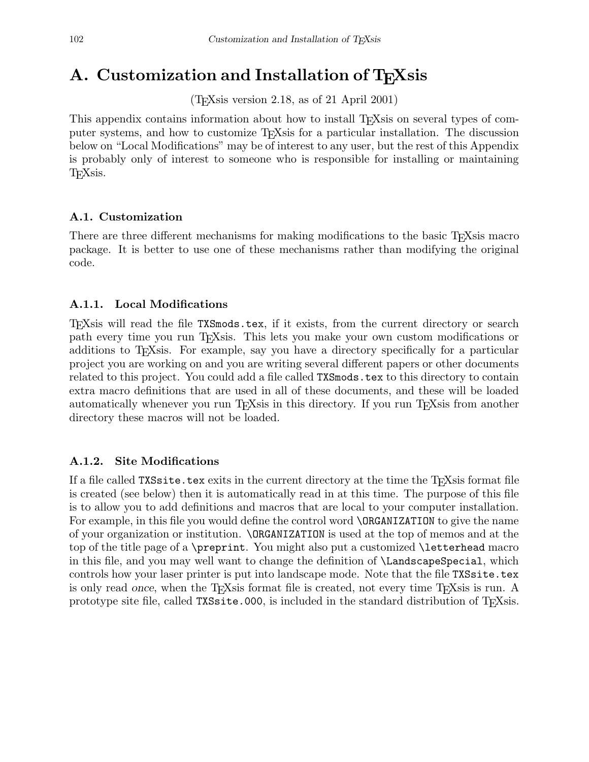# A. Customization and Installation of T<sub>E</sub>Xsis

(TEXsis version 2.18, as of 21 April 2001)

This appendix contains information about how to install T<sub>E</sub>Xsis on several types of computer systems, and how to customize TEXsis for a particular installation. The discussion below on "Local Modifications" may be of interest to any user, but the rest of this Appendix is probably only of interest to someone who is responsible for installing or maintaining T<sub>F</sub>Xsis.

## A.1. Customization

There are three different mechanisms for making modifications to the basic T<sub>E</sub>Xsis macro package. It is better to use one of these mechanisms rather than modifying the original code.

## A.1.1. Local Modifications

TEXsis will read the file TXSmods.tex, if it exists, from the current directory or search path every time you run TEXsis. This lets you make your own custom modifications or additions to TEXsis. For example, say you have a directory specifically for a particular project you are working on and you are writing several different papers or other documents related to this project. You could add a file called TXSmods.tex to this directory to contain extra macro definitions that are used in all of these documents, and these will be loaded automatically whenever you run T<sub>E</sub>Xsis in this directory. If you run T<sub>E</sub>Xsis from another directory these macros will not be loaded.

## A.1.2. Site Modifications

If a file called TXS site.tex exits in the current directory at the time the T<sub>E</sub>Xsis format file is created (see below) then it is automatically read in at this time. The purpose of this file is to allow you to add definitions and macros that are local to your computer installation. For example, in this file you would define the control word \ORGANIZATION to give the name of your organization or institution. \ORGANIZATION is used at the top of memos and at the top of the title page of a \preprint. You might also put a customized \letterhead macro in this file, and you may well want to change the definition of \LandscapeSpecial, which controls how your laser printer is put into landscape mode. Note that the file TXSsite.tex is only read once, when the T<sub>E</sub>Xsis format file is created, not every time T<sub>E</sub>Xsis is run. A prototype site file, called TXSsite.000, is included in the standard distribution of T<sub>E</sub>Xsis.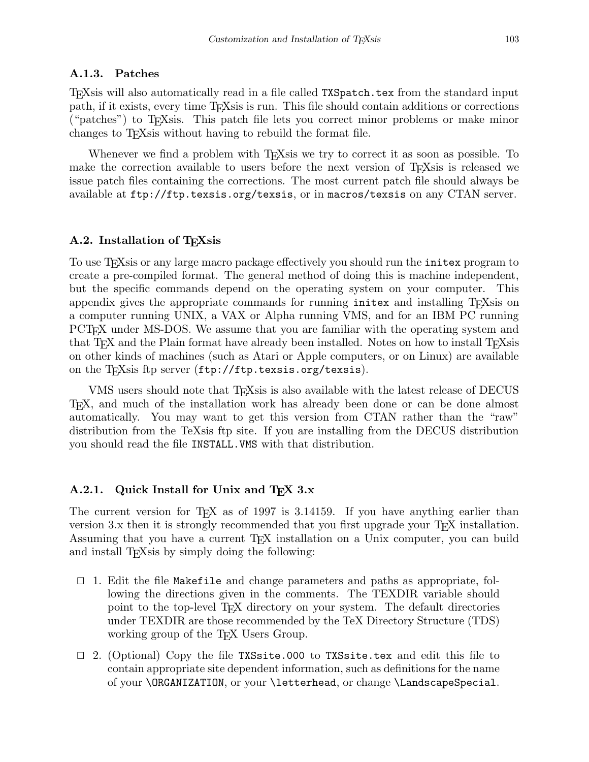### A.1.3. Patches

TEXsis will also automatically read in a file called TXSpatch.tex from the standard input path, if it exists, every time T<sub>E</sub>Xsis is run. This file should contain additions or corrections ("patches") to TEXsis. This patch file lets you correct minor problems or make minor changes to T<sub>E</sub>Xs is without having to rebuild the format file.

Whenever we find a problem with T<sub>E</sub>Xs is we try to correct it as soon as possible. To make the correction available to users before the next version of T<sub>E</sub>Xsis is released we issue patch files containing the corrections. The most current patch file should always be available at ftp://ftp.texsis.org/texsis, or in macros/texsis on any CTAN server.

### A.2. Installation of TEXsis

To use TEXsis or any large macro package effectively you should run the initex program to create a pre-compiled format. The general method of doing this is machine independent, but the specific commands depend on the operating system on your computer. This appendix gives the appropriate commands for running initex and installing T<sub>E</sub>Xsis on a computer running UNIX, a VAX or Alpha running VMS, and for an IBM PC running PCTEX under MS-DOS. We assume that you are familiar with the operating system and that T<sub>EX</sub> and the Plain format have already been installed. Notes on how to install T<sub>E</sub>Xsis on other kinds of machines (such as Atari or Apple computers, or on Linux) are available on the T<sub>F</sub>Xsis ftp server (ftp://ftp.texsis.org/texsis).

VMS users should note that T<sub>E</sub>Xsis is also available with the latest release of DECUS TEX, and much of the installation work has already been done or can be done almost automatically. You may want to get this version from CTAN rather than the "raw" distribution from the TeXsis ftp site. If you are installing from the DECUS distribution you should read the file INSTALL.VMS with that distribution.

### A.2.1. Quick Install for Unix and  $T_F X$  3.x

The current version for T<sub>E</sub>X as of 1997 is 3.14159. If you have anything earlier than version 3.x then it is strongly recommended that you first upgrade your T<sub>E</sub>X installation. Assuming that you have a current T<sub>E</sub>X installation on a Unix computer, you can build and install T<sub>E</sub>Xsis by simply doing the following:

- $\Box$  1. Edit the file Makefile and change parameters and paths as appropriate, following the directions given in the comments. The TEXDIR variable should point to the top-level TEX directory on your system. The default directories under TEXDIR are those recommended by the TeX Directory Structure (TDS) working group of the T<sub>EX</sub> Users Group.
- $\Box$  2. (Optional) Copy the file TXSsite.000 to TXSsite.tex and edit this file to contain appropriate site dependent information, such as definitions for the name of your \ORGANIZATION, or your \letterhead, or change \LandscapeSpecial.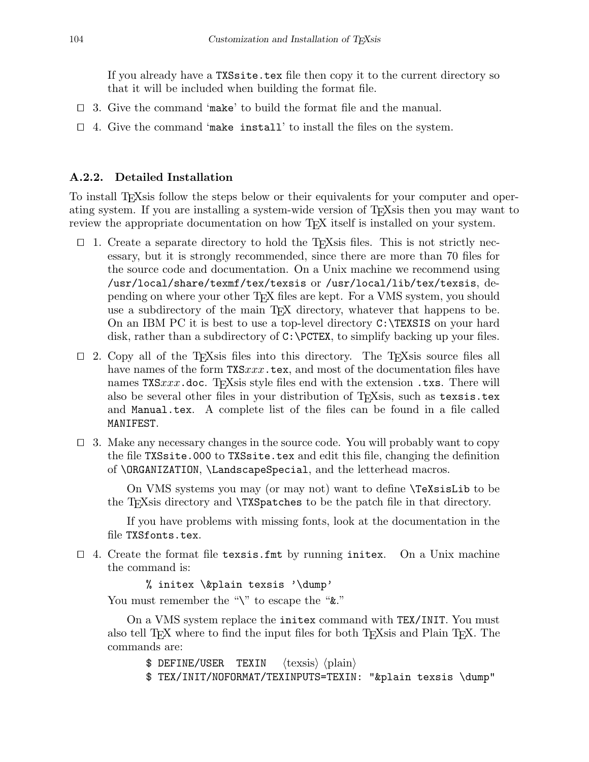If you already have a TXSsite.tex file then copy it to the current directory so that it will be included when building the format file.

- $\Box$  3. Give the command 'make' to build the format file and the manual.
- $\Box$  4. Give the command 'make install' to install the files on the system.

## A.2.2. Detailed Installation

To install T<sub>E</sub>Xs is follow the steps below or their equivalents for your computer and operating system. If you are installing a system-wide version of TEXsis then you may want to review the appropriate documentation on how T<sub>EX</sub> itself is installed on your system.

- $\Box$  1. Create a separate directory to hold the T<sub>E</sub>Xsis files. This is not strictly necessary, but it is strongly recommended, since there are more than 70 files for the source code and documentation. On a Unix machine we recommend using /usr/local/share/texmf/tex/texsis or /usr/local/lib/tex/texsis, depending on where your other TEX files are kept. For a VMS system, you should use a subdirectory of the main T<sub>E</sub>X directory, whatever that happens to be. On an IBM PC it is best to use a top-level directory C:\TEXSIS on your hard disk, rather than a subdirectory of C:\PCTEX, to simplify backing up your files.
- $\Box$  2. Copy all of the T<sub>E</sub>Xsis files into this directory. The T<sub>E</sub>Xsis source files all have names of the form  $TXSxxx$ .tex, and most of the documentation files have names TXSxxx.doc. T<sub>EX</sub>S is style files end with the extension .txs. There will also be several other files in your distribution of T<sub>E</sub>Xsis, such as texsis.tex and Manual.tex. A complete list of the files can be found in a file called MANIFEST.
- $\Box$  3. Make any necessary changes in the source code. You will probably want to copy the file TXSsite.000 to TXSsite.tex and edit this file, changing the definition of \ORGANIZATION, \LandscapeSpecial, and the letterhead macros.

On VMS systems you may (or may not) want to define \TeXsisLib to be the T<sub>E</sub>Xsis directory and **\TXSpatches** to be the patch file in that directory.

If you have problems with missing fonts, look at the documentation in the file TXSfonts.tex.

 $\Box$  4. Create the format file texsis.fmt by running initex. On a Unix machine the command is:

% initex \&plain texsis '\dump'

You must remember the "\" to escape the "&."

On a VMS system replace the initex command with TEX/INIT. You must also tell T<sub>EX</sub> where to find the input files for both T<sub>EX</sub>s and Plain T<sub>EX</sub>. The commands are:

 $\frac{1}{2}$  DEFINE/USER TEXIN  $\langle \text{texsis} \rangle$   $\langle \text{plain} \rangle$ 

\$ TEX/INIT/NOFORMAT/TEXINPUTS=TEXIN: "&plain texsis \dump"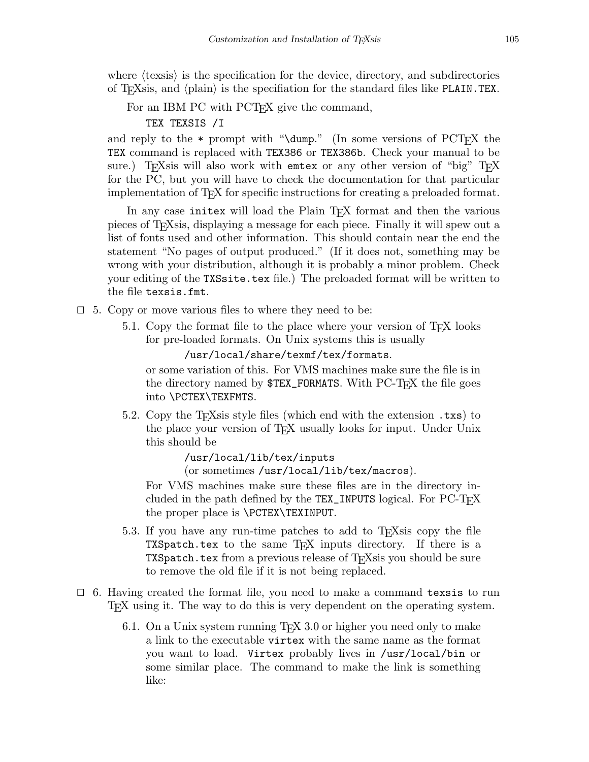where  $\langle \text{texsis} \rangle$  is the specification for the device, directory, and subdirectories of T<sub>E</sub>Xsis, and  $\langle$  plain $\rangle$  is the specifiation for the standard files like PLAIN.TEX.

For an IBM PC with PCT<sub>F</sub>X give the command,

### TEX TEXSIS /I

and reply to the  $*$  prompt with "\dump." (In some versions of PCT<sub>EX</sub> the TEX command is replaced with TEX386 or TEX386b. Check your manual to be sure.) T<sub>E</sub>Xsis will also work with emtex or any other version of "big" T<sub>E</sub>X for the PC, but you will have to check the documentation for that particular implementation of TEX for specific instructions for creating a preloaded format.

In any case initex will load the Plain TFX format and then the various pieces of TEXsis, displaying a message for each piece. Finally it will spew out a list of fonts used and other information. This should contain near the end the statement "No pages of output produced." (If it does not, something may be wrong with your distribution, although it is probably a minor problem. Check your editing of the TXSsite.tex file.) The preloaded format will be written to the file texsis.fmt.

- $\Box$  5. Copy or move various files to where they need to be:
	- 5.1. Copy the format file to the place where your version of T<sub>E</sub>X looks for pre-loaded formats. On Unix systems this is usually

/usr/local/share/texmf/tex/formats.

or some variation of this. For VMS machines make sure the file is in the directory named by  $TEX_FORMATS$ . With PC-T<sub>E</sub>X the file goes into \PCTEX\TEXFMTS.

5.2. Copy the TEXsis style files (which end with the extension .txs) to the place your version of T<sub>EX</sub> usually looks for input. Under Unix this should be

> /usr/local/lib/tex/inputs (or sometimes /usr/local/lib/tex/macros).

For VMS machines make sure these files are in the directory included in the path defined by the  $TEX_$ INPUTS logical. For  $PC_TEX$ the proper place is \PCTEX\TEXINPUT.

- 5.3. If you have any run-time patches to add to T<sub>E</sub>Xsis copy the file TXSpatch.tex to the same T<sub>E</sub>X inputs directory. If there is a TXSpatch.tex from a previous release of T<sub>E</sub>Xsis you should be sure to remove the old file if it is not being replaced.
- $\Box$  6. Having created the format file, you need to make a command texs is to run TEX using it. The way to do this is very dependent on the operating system.
	- 6.1. On a Unix system running TEX 3.0 or higher you need only to make a link to the executable virtex with the same name as the format you want to load. Virtex probably lives in /usr/local/bin or some similar place. The command to make the link is something like: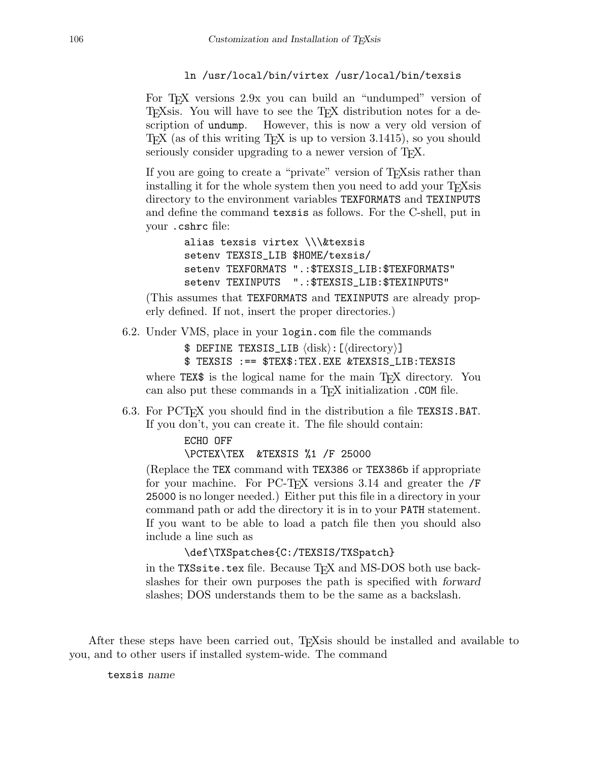### ln /usr/local/bin/virtex /usr/local/bin/texsis

For T<sub>EX</sub> versions 2.9x you can build an "undumped" version of TEXsis. You will have to see the TEX distribution notes for a description of **undump**. However, this is now a very old version of However, this is now a very old version of TEX (as of this writing TEX is up to version 3.1415), so you should seriously consider upgrading to a newer version of T<sub>E</sub>X.

If you are going to create a "private" version of T<sub>E</sub>Xsis rather than installing it for the whole system then you need to add your T<sub>E</sub>Xsis directory to the environment variables TEXFORMATS and TEXINPUTS and define the command texsis as follows. For the C-shell, put in your .cshrc file:

```
alias texsis virtex \\\&texsis
setenv TEXSIS_LIB $HOME/texsis/
setenv TEXFORMATS ".:$TEXSIS_LIB:$TEXFORMATS"
setenv TEXINPUTS ".:$TEXSIS_LIB:$TEXINPUTS"
```
(This assumes that TEXFORMATS and TEXINPUTS are already properly defined. If not, insert the proper directories.)

6.2. Under VMS, place in your login.com file the commands

 $\text{\$ DEFINE TEXSIS_LIB} \langle disk \rangle : [\langle directory \rangle]$ 

\$ TEXSIS :== \$TEX\$:TEX.EXE &TEXSIS\_LIB:TEXSIS

where TEX\$ is the logical name for the main T<sub>F</sub>X directory. You can also put these commands in a T<sub>E</sub>X initialization .COM file.

6.3. For PCT<sub>F</sub>X you should find in the distribution a file TEXSIS.BAT. If you don't, you can create it. The file should contain:

> ECHO OFF \PCTEX\TEX &TEXSIS %1 /F 25000

(Replace the TEX command with TEX386 or TEX386b if appropriate for your machine. For PC-T<sub>EX</sub> versions  $3.14$  and greater the  $/F$ 25000 is no longer needed.) Either put this file in a directory in your command path or add the directory it is in to your PATH statement. If you want to be able to load a patch file then you should also include a line such as

### \def\TXSpatches{C:/TEXSIS/TXSpatch}

in the TXS site.tex file. Because T<sub>E</sub>X and MS-DOS both use backslashes for their own purposes the path is specified with forward slashes; DOS understands them to be the same as a backslash.

After these steps have been carried out, TEXsis should be installed and available to you, and to other users if installed system-wide. The command

texsis name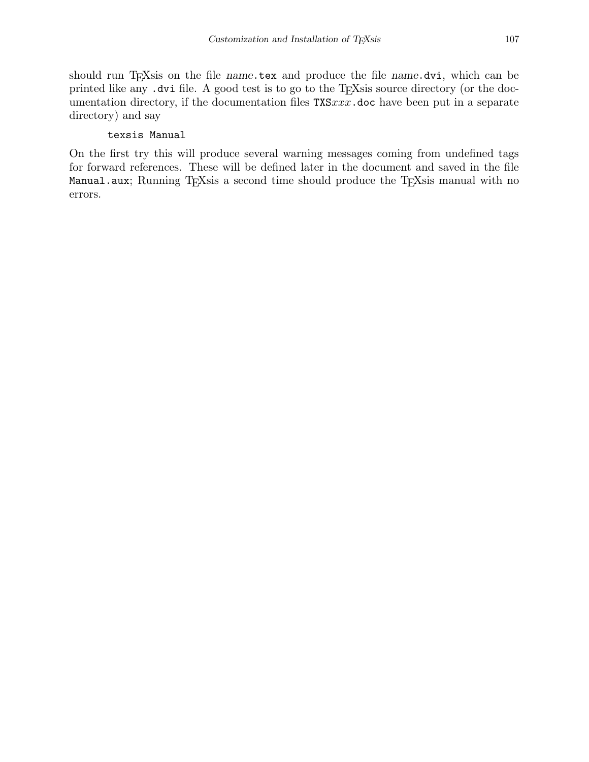should run TEXsis on the file name.tex and produce the file name.dvi, which can be printed like any .dvi file. A good test is to go to the T<sub>E</sub>Xsis source directory (or the documentation directory, if the documentation files  $TXSxxx$ .doc have been put in a separate directory) and say

### texsis Manual

On the first try this will produce several warning messages coming from undefined tags for forward references. These will be defined later in the document and saved in the file Manual.aux; Running TEXsis a second time should produce the TEXsis manual with no errors.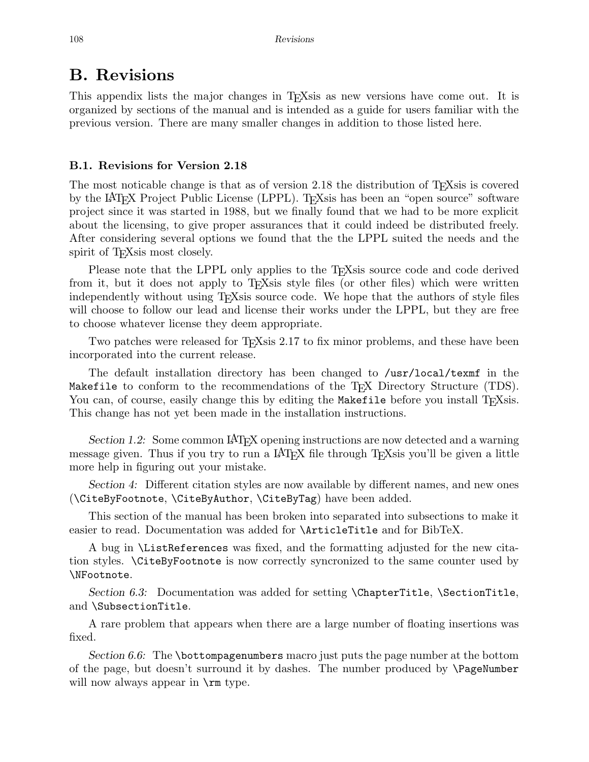## B. Revisions

This appendix lists the major changes in T<sub>E</sub>Xsis as new versions have come out. It is organized by sections of the manual and is intended as a guide for users familiar with the previous version. There are many smaller changes in addition to those listed here.

### B.1. Revisions for Version 2.18

The most noticable change is that as of version 2.18 the distribution of T<sub>E</sub>Xsis is covered by the LATEX Project Public License (LPPL). TEXsis has been an "open source" software project since it was started in 1988, but we finally found that we had to be more explicit about the licensing, to give proper assurances that it could indeed be distributed freely. After considering several options we found that the the LPPL suited the needs and the spirit of T<sub>E</sub>Xsis most closely.

Please note that the LPPL only applies to the T<sub>E</sub>Xsis source code and code derived from it, but it does not apply to T<sub>E</sub>Xsis style files (or other files) which were written independently without using T<sub>E</sub>Xsis source code. We hope that the authors of style files will choose to follow our lead and license their works under the LPPL, but they are free to choose whatever license they deem appropriate.

Two patches were released for T<sub>E</sub>Xsis 2.17 to fix minor problems, and these have been incorporated into the current release.

The default installation directory has been changed to /usr/local/texmf in the Makefile to conform to the recommendations of the T<sub>EX</sub> Directory Structure (TDS). You can, of course, easily change this by editing the Makefile before you install T<sub>E</sub>Xsis. This change has not yet been made in the installation instructions.

Section 1.2: Some common LAT<sub>EX</sub> opening instructions are now detected and a warning message given. Thus if you try to run a IAT<sub>E</sub>X file through T<sub>E</sub>Xsis you'll be given a little more help in figuring out your mistake.

Section 4: Different citation styles are now available by different names, and new ones (\CiteByFootnote, \CiteByAuthor, \CiteByTag) have been added.

This section of the manual has been broken into separated into subsections to make it easier to read. Documentation was added for \ArticleTitle and for BibTeX.

A bug in \ListReferences was fixed, and the formatting adjusted for the new citation styles. \CiteByFootnote is now correctly syncronized to the same counter used by \NFootnote.

Section 6.3: Documentation was added for setting \ChapterTitle, \SectionTitle, and \SubsectionTitle.

A rare problem that appears when there are a large number of floating insertions was fixed.

Section 6.6: The **\bottompagenumbers** macro just puts the page number at the bottom of the page, but doesn't surround it by dashes. The number produced by \PageNumber will now always appear in  $\rm\$ r type.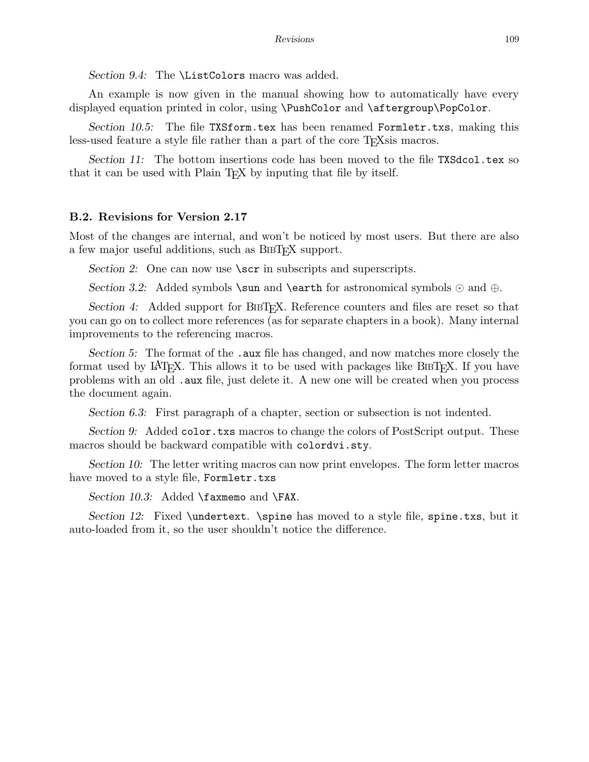Section 9.4: The \ListColors macro was added.

An example is now given in the manual showing how to automatically have every displayed equation printed in color, using \PushColor and \aftergroup\PopColor.

Section 10.5: The file TXSform.tex has been renamed Formletr.txs, making this less-used feature a style file rather than a part of the core T<sub>E</sub>Xsis macros.

Section 11: The bottom insertions code has been moved to the file TXSdcol.tex so that it can be used with Plain TEX by inputing that file by itself.

### B.2. Revisions for Version 2.17

Most of the changes are internal, and won't be noticed by most users. But there are also a few major useful additions, such as BIBT<sub>EX</sub> support.

Section 2: One can now use  $\text{scr}$  in subscripts and superscripts.

Section 3.2: Added symbols **\sun** and **\earth** for astronomical symbols  $\odot$  and  $\oplus$ .

Section 4: Added support for BIBT<sub>EX</sub>. Reference counters and files are reset so that you can go on to collect more references (as for separate chapters in a book). Many internal improvements to the referencing macros.

Section 5: The format of the .aux file has changed, and now matches more closely the format used by LAT<sub>EX</sub>. This allows it to be used with packages like BIBT<sub>EX</sub>. If you have problems with an old .aux file, just delete it. A new one will be created when you process the document again.

Section 6.3: First paragraph of a chapter, section or subsection is not indented.

Section 9: Added color.txs macros to change the colors of PostScript output. These macros should be backward compatible with colordvi.sty.

Section 10: The letter writing macros can now print envelopes. The form letter macros have moved to a style file, Formletr.txs

Section 10.3: Added \faxmemo and \FAX.

Section 12: Fixed \undertext. \spine has moved to a style file, spine.txs, but it auto-loaded from it, so the user shouldn't notice the difference.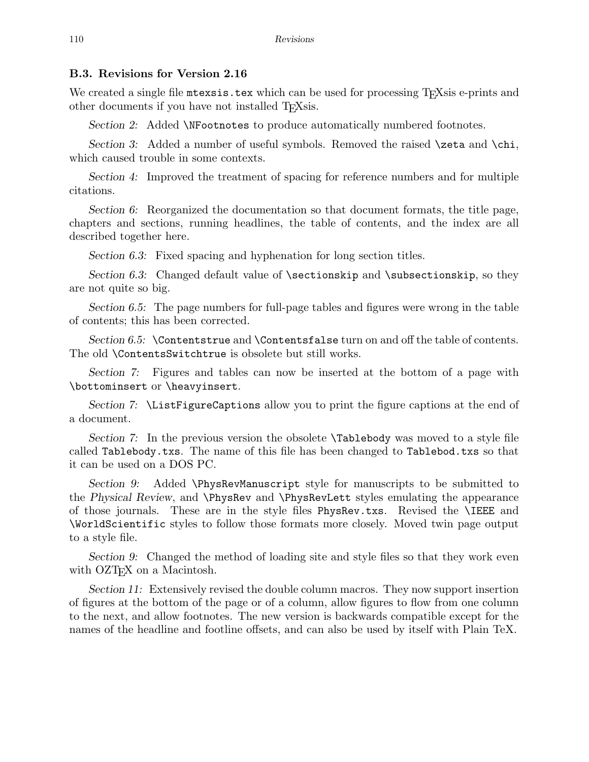### B.3. Revisions for Version 2.16

We created a single file mtexsis.tex which can be used for processing T<sub>E</sub>Xsis e-prints and other documents if you have not installed T<sub>E</sub>Xsis.

Section 2: Added *NF*ootnotes to produce automatically numbered footnotes.

Section 3: Added a number of useful symbols. Removed the raised **\zeta** and **\chi**, which caused trouble in some contexts.

Section 4: Improved the treatment of spacing for reference numbers and for multiple citations.

Section 6: Reorganized the documentation so that document formats, the title page, chapters and sections, running headlines, the table of contents, and the index are all described together here.

Section 6.3: Fixed spacing and hyphenation for long section titles.

Section 6.3: Changed default value of \sectionskip and \subsectionskip, so they are not quite so big.

Section 6.5: The page numbers for full-page tables and figures were wrong in the table of contents; this has been corrected.

Section 6.5: \Contentstrue and \Contentsfalse turn on and off the table of contents. The old \ContentsSwitchtrue is obsolete but still works.

Section 7: Figures and tables can now be inserted at the bottom of a page with \bottominsert or \heavyinsert.

Section 7: \ListFigureCaptions allow you to print the figure captions at the end of a document.

Section 7: In the previous version the obsolete **\Tablebody** was moved to a style file called Tablebody.txs. The name of this file has been changed to Tablebod.txs so that it can be used on a DOS PC.

Section 9: Added \PhysRevManuscript style for manuscripts to be submitted to the Physical Review, and \PhysRev and \PhysRevLett styles emulating the appearance of those journals. These are in the style files PhysRev.txs. Revised the \IEEE and \WorldScientific styles to follow those formats more closely. Moved twin page output to a style file.

Section 9: Changed the method of loading site and style files so that they work even with OZT<sub>E</sub>X on a Macintosh.

Section 11: Extensively revised the double column macros. They now support insertion of figures at the bottom of the page or of a column, allow figures to flow from one column to the next, and allow footnotes. The new version is backwards compatible except for the names of the headline and footline offsets, and can also be used by itself with Plain TeX.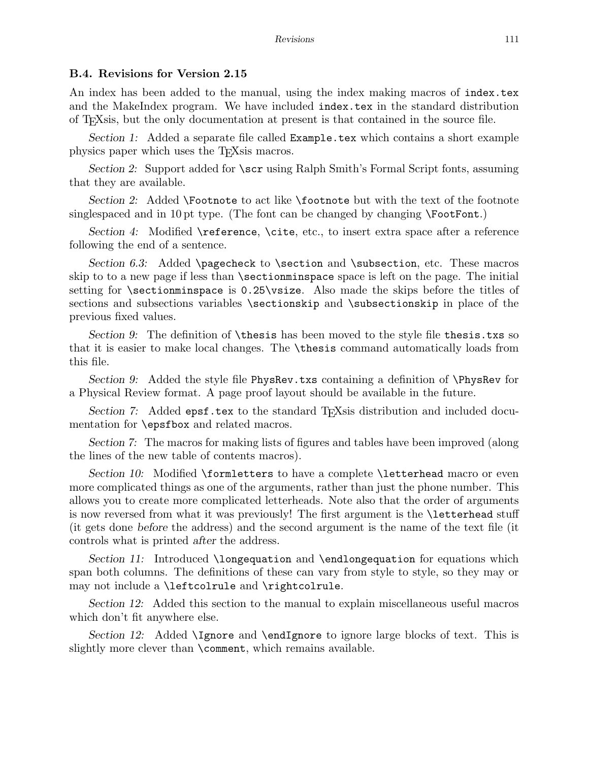### B.4. Revisions for Version 2.15

An index has been added to the manual, using the index making macros of index.tex and the MakeIndex program. We have included index.tex in the standard distribution of TEXsis, but the only documentation at present is that contained in the source file.

Section 1: Added a separate file called Example.tex which contains a short example physics paper which uses the TEXsis macros.

Section 2: Support added for **\scr** using Ralph Smith's Formal Script fonts, assuming that they are available.

Section 2: Added \Footnote to act like \footnote but with the text of the footnote singlespaced and in 10 pt type. (The font can be changed by changing \FootFont.)

Section 4: Modified \reference, \cite, etc., to insert extra space after a reference following the end of a sentence.

Section 6.3: Added \pagecheck to \section and \subsection, etc. These macros skip to to a new page if less than \sectionminspace space is left on the page. The initial setting for \sectionminspace is 0.25\vsize. Also made the skips before the titles of sections and subsections variables \sectionskip and \subsectionskip in place of the previous fixed values.

Section 9: The definition of \thesis has been moved to the style file thesis.txs so that it is easier to make local changes. The \thesis command automatically loads from this file.

Section 9: Added the style file PhysRev.txs containing a definition of **\PhysRev** for a Physical Review format. A page proof layout should be available in the future.

Section 7: Added epst.tex to the standard T<sub>E</sub>Xsis distribution and included documentation for \epsfbox and related macros.

Section 7: The macros for making lists of figures and tables have been improved (along the lines of the new table of contents macros).

Section 10: Modified **\formletters** to have a complete **\letterhead** macro or even more complicated things as one of the arguments, rather than just the phone number. This allows you to create more complicated letterheads. Note also that the order of arguments is now reversed from what it was previously! The first argument is the \letterhead stuff (it gets done before the address) and the second argument is the name of the text file (it controls what is printed after the address.

Section 11: Introduced \longequation and \endlongequation for equations which span both columns. The definitions of these can vary from style to style, so they may or may not include a \leftcolrule and \rightcolrule.

Section 12: Added this section to the manual to explain miscellaneous useful macros which don't fit anywhere else.

Section 12: Added **Ignore** and **\endIgnore** to ignore large blocks of text. This is slightly more clever than \comment, which remains available.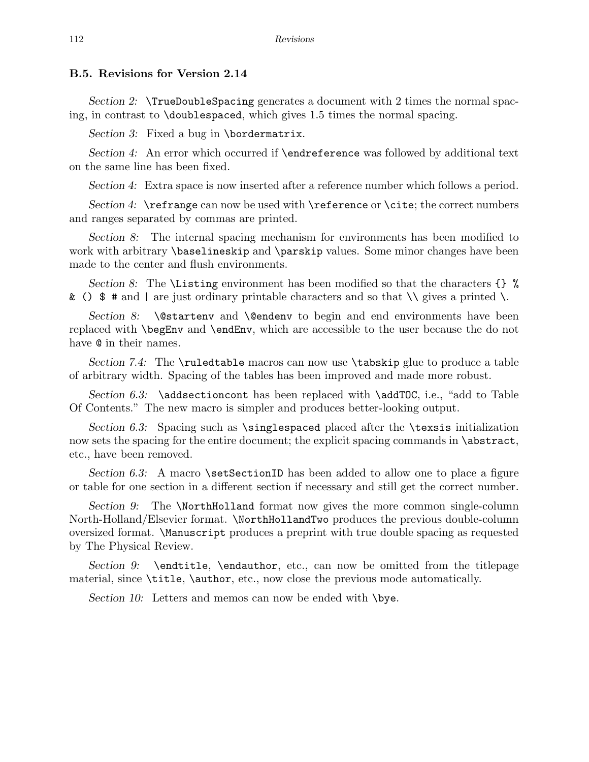### B.5. Revisions for Version 2.14

Section 2: \TrueDoubleSpacing generates a document with 2 times the normal spacing, in contrast to \doublespaced, which gives 1.5 times the normal spacing.

Section 3: Fixed a bug in \bordermatrix.

Section 4: An error which occurred if **\endreference** was followed by additional text on the same line has been fixed.

Section 4: Extra space is now inserted after a reference number which follows a period.

Section 4:  $\text{refimage can now be used with } \text{reference or } \text{et}$ ; the correct numbers and ranges separated by commas are printed.

Section 8: The internal spacing mechanism for environments has been modified to work with arbitrary \baselineskip and \parskip values. Some minor changes have been made to the center and flush environments.

Section 8: The \Listing environment has been modified so that the characters  $\{\}$  %  $\&$  ()  $\&$  # and | are just ordinary printable characters and so that  $\setminus \&$  gives a printed  $\setminus$ .

Section 8: \@startenv and \@endenv to begin and end environments have been replaced with \begEnv and \endEnv, which are accessible to the user because the do not have  $\mathbf{\circ}$  in their names.

Section 7.4: The \ruledtable macros can now use \tabskip glue to produce a table of arbitrary width. Spacing of the tables has been improved and made more robust.

Section 6.3: \addsectioncont has been replaced with \addTOC, i.e., "add to Table Of Contents." The new macro is simpler and produces better-looking output.

Section 6.3: Spacing such as \singlespaced placed after the \texsis initialization now sets the spacing for the entire document; the explicit spacing commands in **\abstract**, etc., have been removed.

Section 6.3: A macro \setSectionID has been added to allow one to place a figure or table for one section in a different section if necessary and still get the correct number.

Section 9: The **\NorthHolland** format now gives the more common single-column North-Holland/Elsevier format. \NorthHollandTwo produces the previous double-column oversized format. \Manuscript produces a preprint with true double spacing as requested by The Physical Review.

Section 9: **\endtitle, \endauthor,** etc., can now be omitted from the titlepage material, since \title, \author, etc., now close the previous mode automatically.

Section 10: Letters and memos can now be ended with  $\iota$  by e.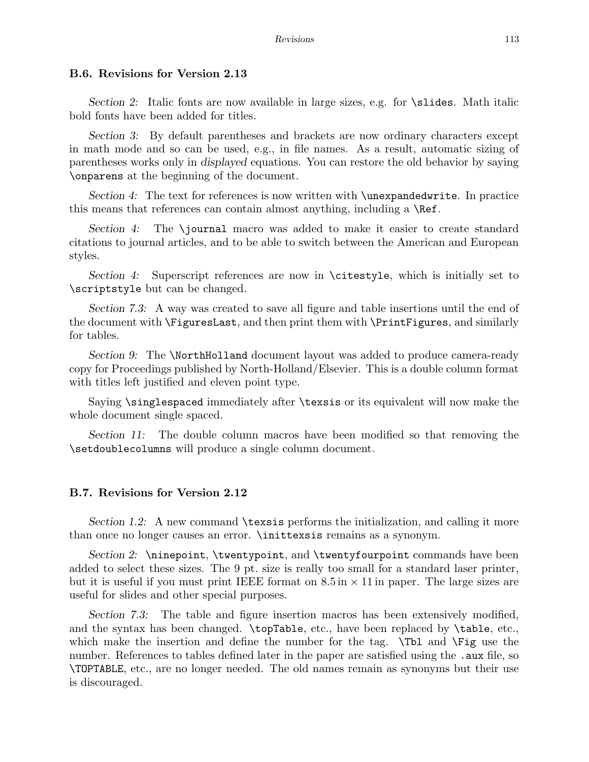### B.6. Revisions for Version 2.13

Section 2: Italic fonts are now available in large sizes, e.g. for \slides. Math italic bold fonts have been added for titles.

Section 3: By default parentheses and brackets are now ordinary characters except in math mode and so can be used, e.g., in file names. As a result, automatic sizing of parentheses works only in displayed equations. You can restore the old behavior by saying \onparens at the beginning of the document.

Section 4: The text for references is now written with **\unexpandedwrite**. In practice this means that references can contain almost anything, including a \Ref.

Section 4: The **\journal** macro was added to make it easier to create standard citations to journal articles, and to be able to switch between the American and European styles.

Section 4: Superscript references are now in \citestyle, which is initially set to \scriptstyle but can be changed.

Section 7.3: A way was created to save all figure and table insertions until the end of the document with \FiguresLast, and then print them with \PrintFigures, and similarly for tables.

Section 9: The *NorthHolland document layout was added to produce camera-ready* copy for Proceedings published by North-Holland/Elsevier. This is a double column format with titles left justified and eleven point type.

Saying \singlespaced immediately after \texsis or its equivalent will now make the whole document single spaced.

Section 11: The double column macros have been modified so that removing the \setdoublecolumns will produce a single column document.

### B.7. Revisions for Version 2.12

Section 1.2: A new command **\texsis** performs the initialization, and calling it more than once no longer causes an error. \inittexsis remains as a synonym.

Section 2: \ninepoint, \twentypoint, and \twentyfourpoint commands have been added to select these sizes. The 9 pt. size is really too small for a standard laser printer, but it is useful if you must print IEEE format on  $8.5 \text{ in } \times 11 \text{ in paper}$ . The large sizes are useful for slides and other special purposes.

Section 7.3: The table and figure insertion macros has been extensively modified, and the syntax has been changed. \topTable, etc., have been replaced by \table, etc., which make the insertion and define the number for the tag.  $\Theta$  and  $\Fig$  use the number. References to tables defined later in the paper are satisfied using the . aux file, so \TOPTABLE, etc., are no longer needed. The old names remain as synonyms but their use is discouraged.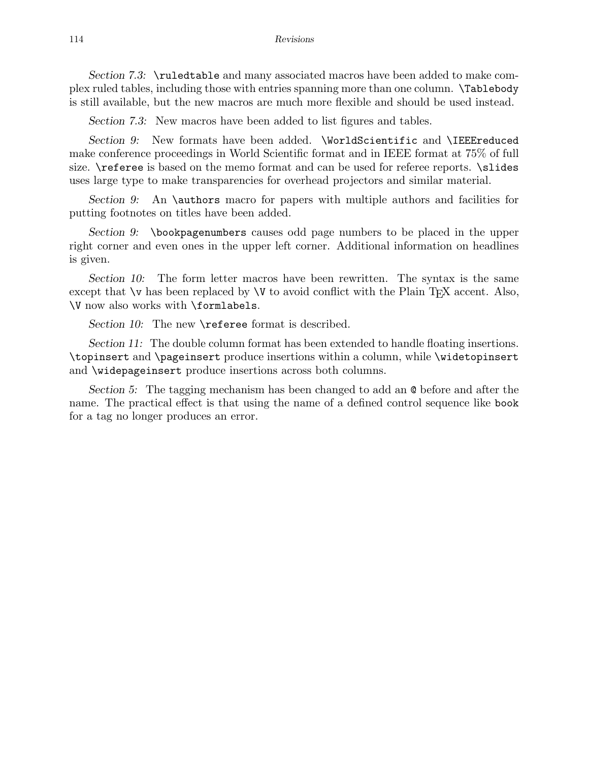#### 114 Revisions

Section 7.3: \ruledtable and many associated macros have been added to make complex ruled tables, including those with entries spanning more than one column. \Tablebody is still available, but the new macros are much more flexible and should be used instead.

Section 7.3: New macros have been added to list figures and tables.

Section 9: New formats have been added. \WorldScientific and \IEEEreduced make conference proceedings in World Scientific format and in IEEE format at 75% of full size.  $\text{reference}$  is based on the memo format and can be used for referee reports.  $\text{indices}$ uses large type to make transparencies for overhead projectors and similar material.

Section 9: An \authors macro for papers with multiple authors and facilities for putting footnotes on titles have been added.

Section 9: \bookpagenumbers causes odd page numbers to be placed in the upper right corner and even ones in the upper left corner. Additional information on headlines is given.

Section 10: The form letter macros have been rewritten. The syntax is the same except that  $\vee$  has been replaced by  $\vee$  to avoid conflict with the Plain T<sub>E</sub>X accent. Also, \V now also works with \formlabels.

Section 10: The new **\referee** format is described.

Section 11: The double column format has been extended to handle floating insertions. \topinsert and \pageinsert produce insertions within a column, while \widetopinsert and \widepageinsert produce insertions across both columns.

Section 5: The tagging mechanism has been changed to add an @ before and after the name. The practical effect is that using the name of a defined control sequence like book for a tag no longer produces an error.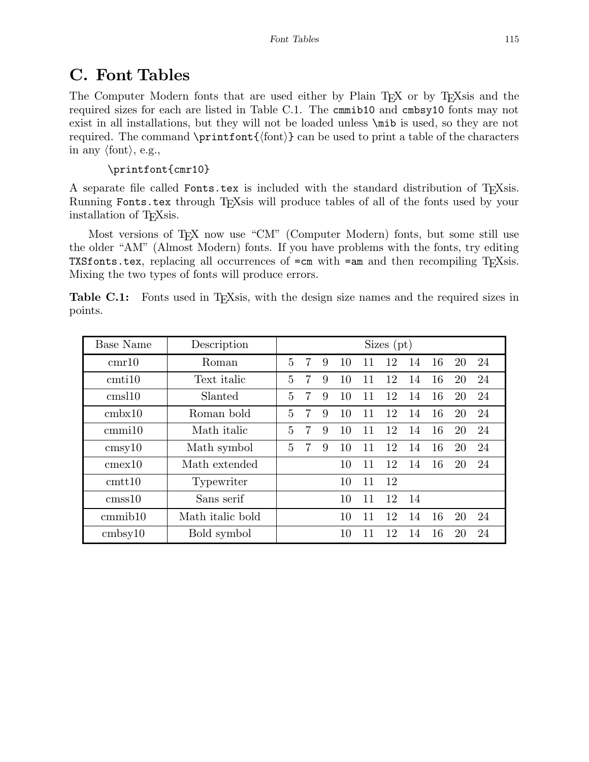# C. Font Tables

The Computer Modern fonts that are used either by Plain T<sub>EX</sub> or by T<sub>EX</sub>sis and the required sizes for each are listed in Table C.1. The cmmib10 and cmbsy10 fonts may not exist in all installations, but they will not be loaded unless \mib is used, so they are not required. The command  $\print{font}$  (font) can be used to print a table of the characters in any  $\langle \text{font} \rangle$ , e.g.,

\printfont{cmr10}

A separate file called Fonts.tex is included with the standard distribution of T<sub>E</sub>Xsis. Running Fonts.tex through T<sub>E</sub>Xsis will produce tables of all of the fonts used by your installation of T<sub>E</sub>Xsis.

Most versions of T<sub>F</sub>X now use "CM" (Computer Modern) fonts, but some still use the older "AM" (Almost Modern) fonts. If you have problems with the fonts, try editing TXSfonts.tex, replacing all occurrences of  $=$ cm with  $=$ am and then recompiling T $\overline{F}$ Xsis. Mixing the two types of fonts will produce errors.

| <b>Table C.1:</b> Fonts used in T <sub>F</sub> Xsis, with the design size names and the required sizes in |  |  |  |  |  |  |  |
|-----------------------------------------------------------------------------------------------------------|--|--|--|--|--|--|--|
| points.                                                                                                   |  |  |  |  |  |  |  |

| <b>Base Name</b>           | Description      | Sizes $(pt)$ |                |   |    |    |    |    |    |    |    |
|----------------------------|------------------|--------------|----------------|---|----|----|----|----|----|----|----|
| cmr10                      | Roman            | $\mathbf{5}$ | $\overline{7}$ | 9 | 10 | 11 | 12 | 14 | 16 | 20 | 24 |
| cmti10                     | Text italic      | $\mathbf{5}$ | $\overline{7}$ | 9 | 10 | 11 | 12 | 14 | 16 | 20 | 24 |
| cmsl10                     | Slanted          | 5            | 7              | 9 | 10 | 11 | 12 | 14 | 16 | 20 | 24 |
| cmbx10                     | Roman bold       | 5            | 7              | 9 | 10 | 11 | 12 | 14 | 16 | 20 | 24 |
| cmmi10                     | Math italic      | 5            | 7              | 9 | 10 | 11 | 12 | 14 | 16 | 20 | 24 |
| cmsyl0                     | Math symbol      | 5            | $\overline{7}$ | 9 | 10 | 11 | 12 | 14 | 16 | 20 | 24 |
| cmex10                     | Math extended    |              |                |   | 10 | 11 | 12 | 14 | 16 | 20 | 24 |
| $\mathrm{cm}t\mathrm{t}10$ | Typewriter       |              |                |   | 10 | 11 | 12 |    |    |    |    |
| cmss10                     | Sans serif       |              |                |   | 10 | 11 | 12 | 14 |    |    |    |
| cmmib10                    | Math italic bold |              |                |   | 10 | 11 | 12 | 14 | 16 | 20 | 24 |
| $cm$ bsy $10$              | Bold symbol      |              |                |   | 10 | 11 | 12 | 14 | 16 | 20 | 24 |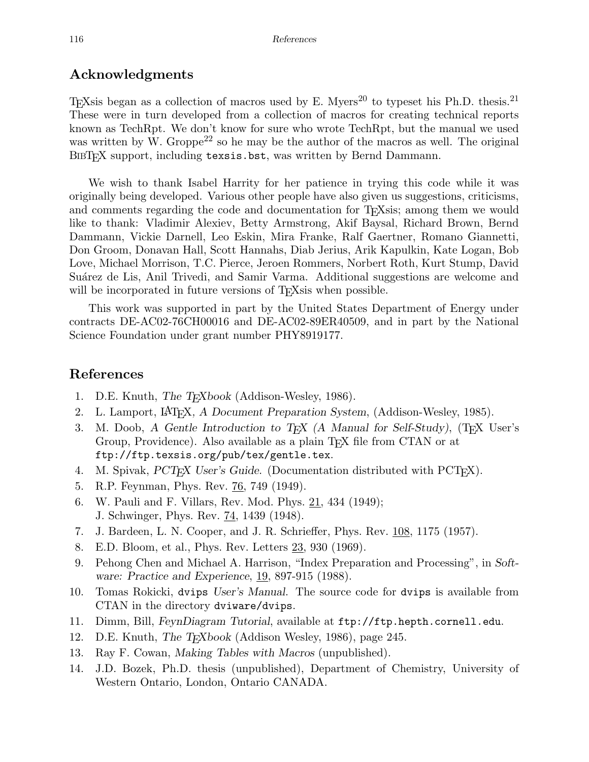## Acknowledgments

T<sub>E</sub>Xsis began as a collection of macros used by E. Myers<sup>20</sup> to typeset his Ph.D. thesis.<sup>21</sup> These were in turn developed from a collection of macros for creating technical reports known as TechRpt. We don't know for sure who wrote TechRpt, but the manual we used was written by W. Groppe<sup>22</sup> so he may be the author of the macros as well. The original BIBTEX support, including texsis.bst, was written by Bernd Dammann.

We wish to thank Isabel Harrity for her patience in trying this code while it was originally being developed. Various other people have also given us suggestions, criticisms, and comments regarding the code and documentation for T<sub>E</sub>Xsis; among them we would like to thank: Vladimir Alexiev, Betty Armstrong, Akif Baysal, Richard Brown, Bernd Dammann, Vickie Darnell, Leo Eskin, Mira Franke, Ralf Gaertner, Romano Giannetti, Don Groom, Donavan Hall, Scott Hannahs, Diab Jerius, Arik Kapulkin, Kate Logan, Bob Love, Michael Morrison, T.C. Pierce, Jeroen Rommers, Norbert Roth, Kurt Stump, David Suárez de Lis, Anil Trivedi, and Samir Varma. Additional suggestions are welcome and will be incorporated in future versions of T<sub>E</sub>Xsis when possible.

This work was supported in part by the United States Department of Energy under contracts DE-AC02-76CH00016 and DE-AC02-89ER40509, and in part by the National Science Foundation under grant number PHY8919177.

### References

- 1. D.E. Knuth, The T<sub>E</sub>Xbook (Addison-Wesley, 1986).
- 2. L. Lamport, LAT<sub>E</sub>X, A Document Preparation System, (Addison-Wesley, 1985).
- 3. M. Doob, A Gentle Introduction to T<sub>E</sub>X (A Manual for Self-Study), (T<sub>E</sub>X User's Group, Providence). Also available as a plain T<sub>E</sub>X file from CTAN or at ftp://ftp.texsis.org/pub/tex/gentle.tex.
- 4. M. Spivak,  $PCTFX$  User's Guide. (Documentation distributed with  $PCTFX$ ).
- 5. R.P. Feynman, Phys. Rev. 76, 749 (1949).
- 6. W. Pauli and F. Villars, Rev. Mod. Phys. 21, 434 (1949); J. Schwinger, Phys. Rev. 74, 1439 (1948).
- 7. J. Bardeen, L. N. Cooper, and J. R. Schrieffer, Phys. Rev. 108, 1175 (1957).
- 8. E.D. Bloom, et al., Phys. Rev. Letters 23, 930 (1969).
- 9. Pehong Chen and Michael A. Harrison, "Index Preparation and Processing", in Software: Practice and Experience, 19, 897-915 (1988).
- 10. Tomas Rokicki, dvips User's Manual. The source code for dvips is available from CTAN in the directory dviware/dvips.
- 11. Dimm, Bill, FeynDiagram Tutorial, available at ftp://ftp.hepth.cornell.edu.
- 12. D.E. Knuth, *The T<sub>E</sub>Xbook* (Addison Wesley, 1986), page 245.
- 13. Ray F. Cowan, Making Tables with Macros (unpublished).
- 14. J.D. Bozek, Ph.D. thesis (unpublished), Department of Chemistry, University of Western Ontario, London, Ontario CANADA.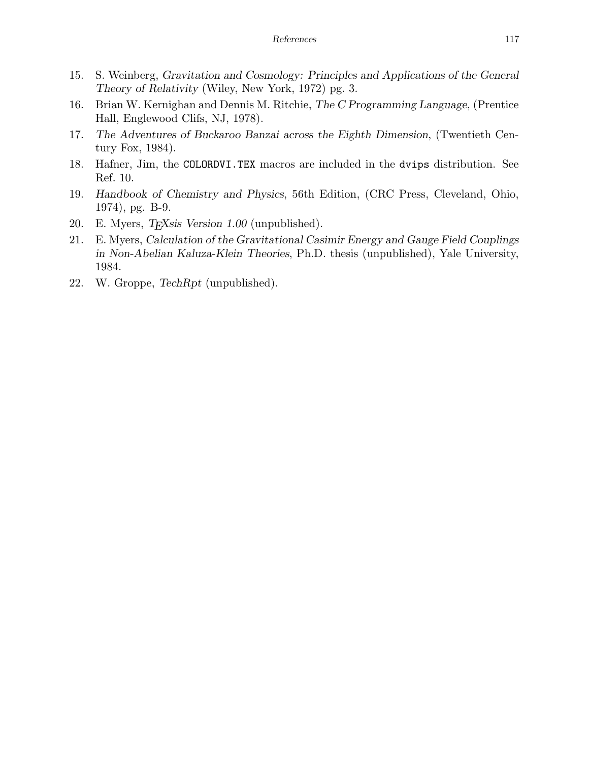- 15. S. Weinberg, Gravitation and Cosmology: Principles and Applications of the General Theory of Relativity (Wiley, New York, 1972) pg. 3.
- 16. Brian W. Kernighan and Dennis M. Ritchie, The C Programming Language, (Prentice Hall, Englewood Clifs, NJ, 1978).
- 17. The Adventures of Buckaroo Banzai across the Eighth Dimension, (Twentieth Century Fox, 1984).
- 18. Hafner, Jim, the COLORDVI.TEX macros are included in the dvips distribution. See Ref. 10.
- 19. Handbook of Chemistry and Physics, 56th Edition, (CRC Press, Cleveland, Ohio, 1974), pg. B-9.
- 20. E. Myers, T<sub>F</sub>Xsis Version 1.00 (unpublished).
- 21. E. Myers, Calculation of the Gravitational Casimir Energy and Gauge Field Couplings in Non-Abelian Kaluza-Klein Theories, Ph.D. thesis (unpublished), Yale University, 1984.
- 22. W. Groppe, TechRpt (unpublished).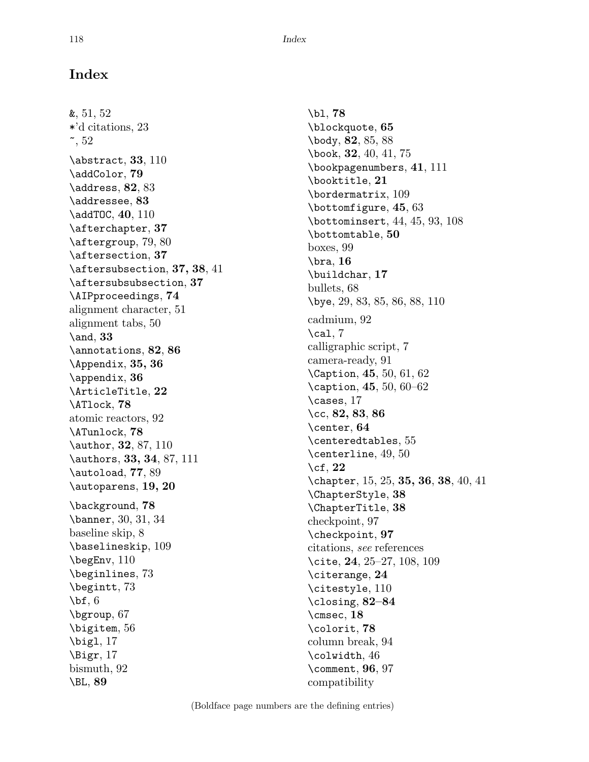## Index

&, 51, 52 \*'d citations, 23  $\tilde{}$ , 52 \abstract, 33, 110 \addColor, 79 \address, 82, 83 \addressee, 83 \addT0C, 40, 110 \afterchapter, 37 \aftergroup, 79, 80 \aftersection, 37 \aftersubsection, 37, 38, 41 \aftersubsubsection, 37 \AIPproceedings, 74 alignment character, 51 alignment tabs, 50  $\lambda$ , 33 \annotations, 82, 86 \Appendix, 35, 36 \appendix, 36 \ArticleTitle, 22 \ATlock, 78 atomic reactors, 92 \ATunlock, 78 \author, 32, 87, 110 \authors, 33, 34, 87, 111 \autoload, 77, 89 \autoparens, 19, 20 \background, 78 \banner, 30, 31, 34 baseline skip, 8 \baselineskip, 109 \begEnv, 110 \beginlines, 73 \begintt, 73  $\mathcal{b}$ f, 6 \bgroup, 67 \bigitem, 56 \bigl, 17 \Bigr, 17 bismuth, 92 \BL, 89

\bl, 78 \blockquote, 65 \body, 82, 85, 88 \book, 32, 40, 41, 75 \bookpagenumbers, 41, 111 \booktitle, 21 \bordermatrix, 109 \bottomfigure, 45, 63 \bottominsert, 44, 45, 93, 108 \bottomtable, 50 boxes, 99 \bra, 16 \buildchar, 17 bullets, 68 \bye, 29, 83, 85, 86, 88, 110 cadmium, 92  $\cal$ al, 7 calligraphic script, 7 camera-ready, 91 \Caption, 45, 50, 61, 62 \caption, 45, 50, 60–62 \cases, 17 \cc, 82, 83, 86 \center, 64 \centeredtables, 55 \centerline, 49, 50  $\c{f}$ , 22 \chapter, 15, 25, 35, 36, 38, 40, 41 \ChapterStyle, 38 \ChapterTitle, 38 checkpoint, 97 \checkpoint, 97 citations, see references \cite, 24, 25–27, 108, 109 \citerange, 24 \citestyle, 110 \closing, 82–84 \cmsec, 18 \colorit, 78 column break, 94 \colwidth, 46 \comment, 96, 97 compatibility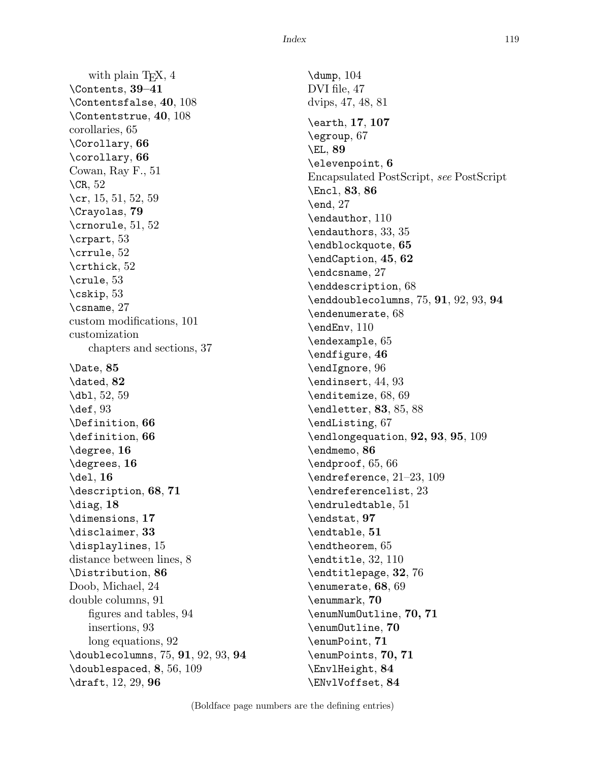with plain  $T_F X$ , 4 \Contents, 39–41 \Contentsfalse, 40, 108 \Contentstrue, 40, 108 corollaries, 65 \Corollary, 66 \corollary, 66 Cowan, Ray F., 51  $\mathcal{CR}, 52$ \cr, 15, 51, 52, 59 \Crayolas, 79 \crnorule, 51, 52 \crpart, 53 \crrule, 52 \crthick, 52 \crule, 53  $\cosh p, 53$ \csname, 27 custom modifications, 101 customization chapters and sections, 37 \Date, 85 \dated, 82 \dbl, 52, 59 \def, 93 \Definition, 66 \definition, 66 \degree, 16 \degrees, 16 \del, 16 \description, 68, 71  $\lambda$ diag, 18 \dimensions, 17 \disclaimer, 33 \displaylines, 15 distance between lines, 8 \Distribution, 86 Doob, Michael, 24 double columns, 91 figures and tables, 94 insertions, 93 long equations, 92 \doublecolumns, 75, 91, 92, 93, 94 \doublespaced, 8, 56, 109 \draft, 12, 29, 96

\dump, 104 DVI file, 47 dvips, 47, 48, 81 \earth, 17, 107 \egroup, 67 \EL, 89 \elevenpoint, 6 Encapsulated PostScript, see PostScript \Encl, 83, 86  $\end{math}$  27 \endauthor, 110 \endauthors, 33, 35 \endblockquote, 65 \endCaption, 45, 62 \endcsname, 27 \enddescription, 68  $\end{sublecolumns}$ ,  $75, 91, 92, 93, 94$ \endenumerate, 68 \endEnv, 110 \endexample, 65 \endfigure, 46 \endIgnore, 96 \endinsert, 44, 93 \enditemize, 68, 69 \endletter, 83, 85, 88 \endListing, 67  $\lambda$ 93, 95, 109 \endmemo, 86 \endproof, 65, 66 \endreference, 21–23, 109 \endreferencelist, 23 \endruledtable, 51 \endstat, 97 \endtable, 51 \endtheorem, 65 \endtitle, 32, 110 \endtitlepage, 32, 76 \enumerate, 68, 69 \enummark, 70 \enumNumOutline, 70, 71 \enumOutline, 70 \enumPoint, 71 \enumPoints, 70, 71 \EnvlHeight, 84 \ENvlVoffset, 84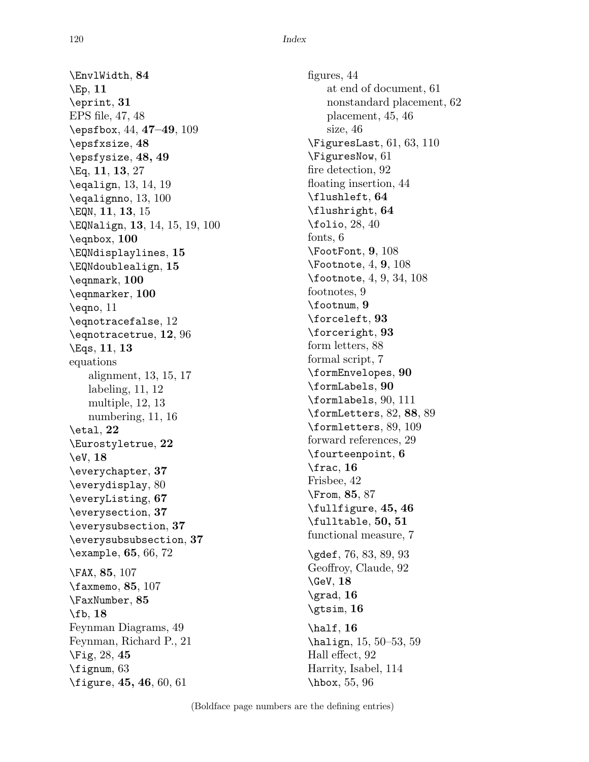\EnvlWidth, 84 \Ep, 11 \eprint, 31 EPS file, 47, 48 \epsfbox, 44, 47–49, 109 \epsfxsize, 48 \epsfysize, 48, 49 \Eq, 11, 13, 27 \eqalign, 13, 14, 19 \eqalignno, 13, 100 \EQN, 11, 13, 15 \EQNalign, 13, 14, 15, 19, 100 \eqnbox, 100 \EQNdisplaylines, 15 \EQNdoublealign, 15 \eqnmark, 100 \eqnmarker, 100 \eqno, 11 \eqnotracefalse, 12 \eqnotracetrue, 12, 96  $\text{Eqs}, 11, 13$ equations alignment, 13, 15, 17 labeling, 11, 12 multiple, 12, 13 numbering, 11, 16  $\eta$ . 22 \Eurostyletrue, 22  $\text{eV}, 18$ \everychapter, 37 \everydisplay, 80 \everyListing, 67 \everysection, 37 \everysubsection, 37 \everysubsubsection, 37 \example, 65, 66, 72 \FAX, 85, 107 \faxmemo, 85, 107 \FaxNumber, 85 \fb, 18 Feynman Diagrams, 49 Feynman, Richard P., 21 \Fig, 28, 45 \fignum, 63 \figure, 45, 46, 60, 61

figures, 44 at end of document, 61 nonstandard placement, 62 placement, 45, 46 size, 46 \FiguresLast, 61, 63, 110 \FiguresNow, 61 fire detection, 92 floating insertion, 44 \flushleft, 64 \flushright, 64 \folio, 28, 40 fonts, 6 \FootFont, 9, 108 \Footnote, 4, 9, 108 \footnote, 4, 9, 34, 108 footnotes, 9 \footnum, 9 \forceleft, 93 \forceright, 93 form letters, 88 formal script, 7 \formEnvelopes, 90 \formLabels, 90 \formlabels, 90, 111 \formLetters, 82, 88, 89 \formletters, 89, 109 forward references, 29 \fourteenpoint, 6  $\frac{16}{}$ Frisbee, 42 \From, 85, 87 \fullfigure, 45, 46  $\setminus$ fulltable,  $50, 51$ functional measure, 7 \gdef, 76, 83, 89, 93 Geoffroy, Claude, 92  $\big\{$ GeV, 18  $\gamma$  and, 16  $\text{stsim}, 16$ \half, 16 \halign, 15, 50–53, 59 Hall effect, 92 Harrity, Isabel, 114 \hbox, 55, 96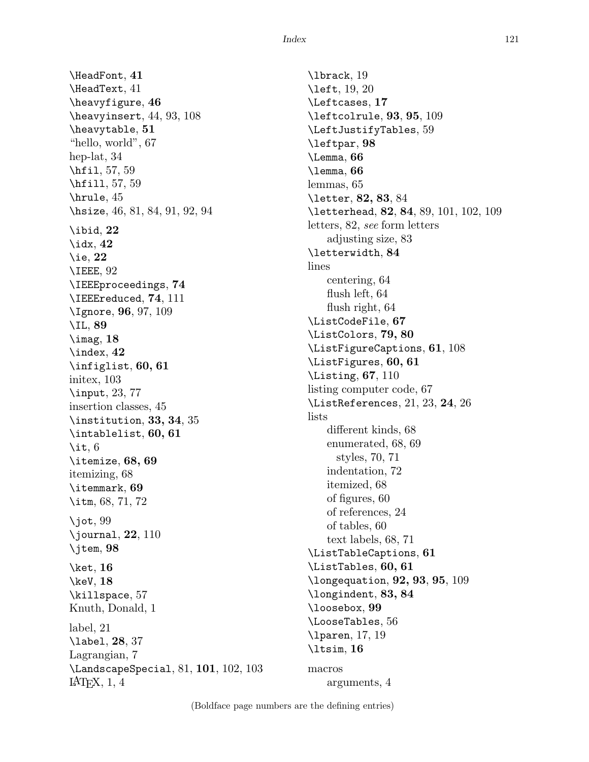\HeadFont, 41 \HeadText, 41 \heavyfigure, 46 \heavyinsert, 44, 93, 108 \heavytable, 51 "hello, world", 67 hep-lat, 34 \hfil, 57, 59 \hfill, 57, 59 \hrule, 45 \hsize, 46, 81, 84, 91, 92, 94  $\tilde{22}$  $\hat{42}$ \ie, 22 \IEEE, 92 \IEEEproceedings, 74 \IEEEreduced, 74, 111 \Ignore, 96, 97, 109  $\setminus$ IL, 89  $\langle$ imag, 18  $\lambda$ 42 \infiglist, 60, 61 initex, 103 \input, 23, 77 insertion classes, 45 \institution, 33, 34, 35 \intablelist, 60, 61  $\setminus$ it, 6 \itemize, 68, 69 itemizing, 68 \itemmark, 69 \itm, 68, 71, 72  $\int$ iot, 99  $\lambda$ journal, 22, 110 \jtem, 98 \ket,  $16$ \keV, 18 \killspace, 57 Knuth, Donald, 1 label, 21 \label, 28, 37 Lagrangian, 7 \LandscapeSpecial, 81, 101, 102, 103  $LAT$ <sub>F</sub>X, 1, 4

\lbrack, 19 \left, 19, 20 \Leftcases, 17 \leftcolrule, 93, 95, 109 \LeftJustifyTables, 59 \leftpar, 98 \Lemma, 66 \lemma, 66 lemmas, 65 \letter, 82, 83, 84 \letterhead, 82, 84, 89, 101, 102, 109 letters, 82, see form letters adjusting size, 83 \letterwidth, 84 lines centering, 64 flush left, 64 flush right, 64 \ListCodeFile, 67 \ListColors, 79, 80 \ListFigureCaptions, 61, 108 \ListFigures, 60, 61 \Listing, 67, 110 listing computer code, 67 \ListReferences, 21, 23, 24, 26 lists different kinds, 68 enumerated, 68, 69 styles, 70, 71 indentation, 72 itemized, 68 of figures, 60 of references, 24 of tables, 60 text labels, 68, 71 \ListTableCaptions, 61 \ListTables, 60, 61 \longequation, 92, 93, 95, 109 \longindent, 83, 84 \loosebox, 99 \LooseTables, 56 \lparen, 17, 19 \ltsim, 16 macros arguments, 4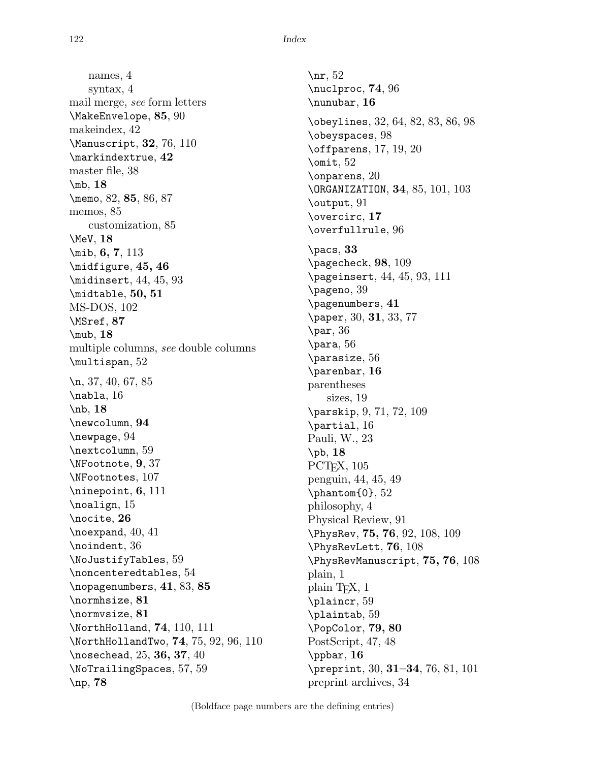names, 4 syntax, 4 mail merge, see form letters \MakeEnvelope, 85, 90 makeindex, 42 \Manuscript, 32, 76, 110 \markindextrue, 42 master file, 38  $\mathbb{b}, 18$ \memo, 82, 85, 86, 87 memos, 85 customization, 85 \MeV, 18 \mib, 6, 7, 113 \midfigure, 45, 46 \midinsert, 44, 45, 93 \midtable, 50, 51 MS-DOS, 102 \MSref, 87  $\mu$ b, 18 multiple columns, see double columns \multispan, 52 \n, 37, 40, 67, 85 \nabla, 16  $\nh, 18$ \newcolumn, 94 \newpage, 94 \nextcolumn, 59 \NFootnote, 9, 37 \NFootnotes, 107 \ninepoint, 6, 111 \noalign, 15 \nocite, 26 \noexpand, 40, 41 \noindent, 36 \NoJustifyTables, 59 \noncenteredtables, 54 \nopagenumbers, 41, 83, 85 \normhsize, 81 \normvsize, 81 \NorthHolland, 74, 110, 111 \NorthHollandTwo, 74, 75, 92, 96, 110 \nosechead, 25, 36, 37, 40 \NoTrailingSpaces, 57, 59 \np, 78

\nr, 52 \nuclproc, 74, 96 \nunubar, 16 \obeylines, 32, 64, 82, 83, 86, 98 \obeyspaces, 98 \offparens, 17, 19, 20  $\setminus$ omit,  $52$ \onparens, 20 \ORGANIZATION, 34, 85, 101, 103 \output, 91 \overcirc, 17 \overfullrule, 96 \pacs, 33  $\langle$ pagecheck,  $98, 109$ \pageinsert, 44, 45, 93, 111 \pageno, 39  $\{$ pagenumbers,  $41$ \paper, 30, 31, 33, 77  $\bar{36}$ \para, 56 \parasize, 56 \parenbar, 16 parentheses sizes, 19 \parskip, 9, 71, 72, 109 \partial, 16 Pauli, W., 23  $\pb$ , 18 PCTEX, 105 penguin, 44, 45, 49  $\lambda$ 0}, 52 philosophy, 4 Physical Review, 91 \PhysRev, 75, 76, 92, 108, 109 \PhysRevLett, 76, 108 \PhysRevManuscript, 75, 76, 108 plain, 1 plain T<sub>E</sub>X, 1 \plaincr, 59 \plaintab, 59 \PopColor, 79, 80 PostScript, 47, 48 \ppbar, 16 \preprint, 30, 31–34, 76, 81, 101 preprint archives, 34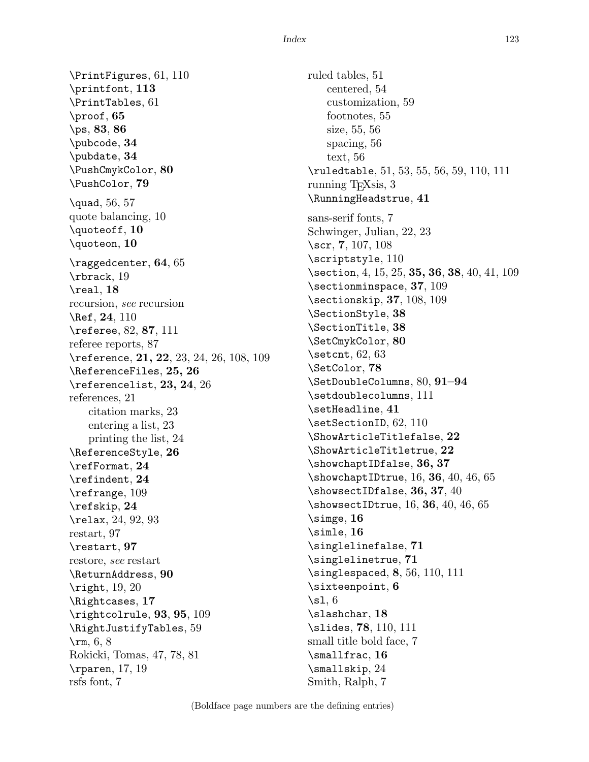\PrintFigures, 61, 110 \printfont, 113 \PrintTables, 61 \proof, 65 \ps, 83, 86 \pubcode, 34 \pubdate, 34 \PushCmykColor, 80 \PushColor, 79 \quad, 56, 57 quote balancing, 10 \quoteoff, 10 \quoteon, 10 \raggedcenter, 64, 65 \rbrack, 19 \real, 18 recursion, see recursion \Ref, 24, 110 \referee, 82, 87, 111 referee reports, 87 \reference, 21, 22, 23, 24, 26, 108, 109 \ReferenceFiles, 25, 26 \referencelist, 23, 24, 26 references, 21 citation marks, 23 entering a list, 23 printing the list, 24 \ReferenceStyle, 26 \refFormat, 24 \refindent, 24 \refrange, 109 \refskip, 24 \relax, 24, 92, 93 restart, 97 \restart, 97 restore, see restart \ReturnAddress, 90 \right, 19, 20 \Rightcases, 17 \rightcolrule, 93, 95, 109 \RightJustifyTables, 59  $\rm\,cm, 6, 8$ Rokicki, Tomas, 47, 78, 81 \rparen, 17, 19 rsfs font, 7

ruled tables, 51 centered, 54 customization, 59 footnotes, 55 size, 55, 56 spacing, 56 text, 56 \ruledtable, 51, 53, 55, 56, 59, 110, 111 running T<sub>E</sub>Xsis, 3 \RunningHeadstrue, 41 sans-serif fonts, 7 Schwinger, Julian, 22, 23 \scr, 7, 107, 108 \scriptstyle, 110 \section, 4, 15, 25, 35, 36, 38, 40, 41, 109 \sectionminspace, 37, 109 \sectionskip, 37, 108, 109 \SectionStyle, 38 \SectionTitle, 38 \SetCmykColor, 80 \setcnt, 62, 63 \SetColor, 78 \SetDoubleColumns, 80, 91–94 \setdoublecolumns, 111 \setHeadline, 41 \setSectionID, 62, 110 \ShowArticleTitlefalse, 22 \ShowArticleTitletrue, 22 \showchaptIDfalse, 36, 37  $\lambda$ showchaptIDtrue, 16, 36, 40, 46, 65 \showsectIDfalse, 36, 37, 40  $\kappa$ showsectIDtrue, 16, 36, 40, 46, 65  $\langle$ simge, 16  $\binom{16}{ }$ \singlelinefalse, 71 \singlelinetrue, 71 \singlespaced, 8, 56, 110, 111 \sixteenpoint, 6  $\setminus$ sl,  $6$ \slashchar, 18 \slides, 78, 110, 111 small title bold face, 7 \smallfrac, 16 \smallskip, 24 Smith, Ralph, 7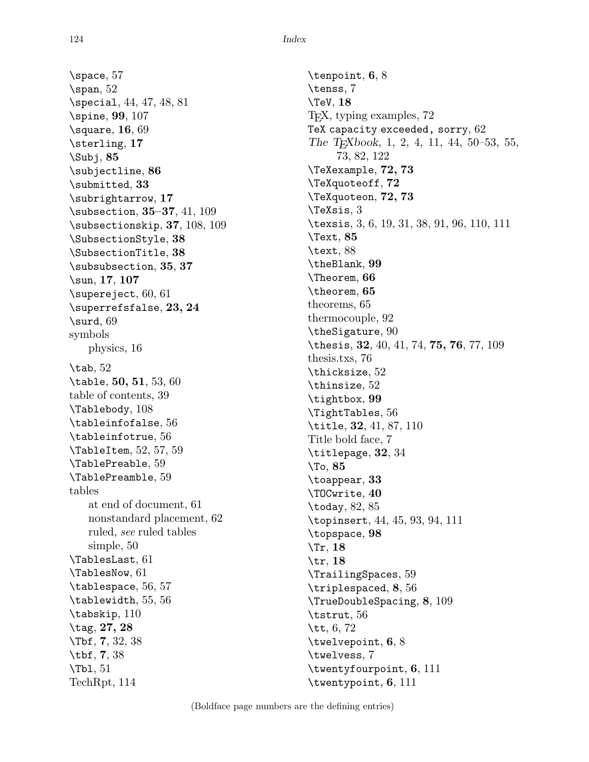\space, 57  $\gamma$ , 52 \special, 44, 47, 48, 81 \spine, 99, 107  $\setminus$ square, 16, 69 \sterling, 17  $\text{Subj}, 85$ \subjectline, 86 \submitted, 33 \subrightarrow, 17 \subsection, 35–37, 41, 109 \subsectionskip, 37, 108, 109 \SubsectionStyle, 38 \SubsectionTitle, 38 \subsubsection, 35, 37 \sun, 17, 107 \supereject, 60, 61 \superrefsfalse, 23, 24  $\sqrt{69}$ symbols physics, 16  $\times$  52 \table, 50, 51, 53, 60 table of contents, 39 \Tablebody, 108 \tableinfofalse, 56 \tableinfotrue, 56 \TableItem, 52, 57, 59 \TablePreable, 59 \TablePreamble, 59 tables at end of document, 61 nonstandard placement, 62 ruled, see ruled tables simple, 50 \TablesLast, 61 \TablesNow, 61 \tablespace, 56, 57 \tablewidth, 55, 56 \tabskip, 110 \tag, 27, 28 \Tbf, 7, 32, 38 \tbf, 7, 38 \Tbl, 51 TechRpt, 114

\tenpoint, 6, 8 \tenss, 7 \TeV, 18 TEX, typing examples, 72 TeX capacity exceeded, sorry,  $62$ The T<sub>E</sub>Xbook, 1, 2, 4, 11, 44, 50–53, 55, 73, 82, 122 \TeXexample, 72, 73 \TeXquoteoff, 72 \TeXquoteon, 72, 73 \TeXsis, 3 \texsis, 3, 6, 19, 31, 38, 91, 96, 110, 111 \Text, 85 \text, 88 \theBlank, 99 \Theorem, 66 \theorem, 65 theorems, 65 thermocouple, 92 \theSigature, 90 \thesis, 32, 40, 41, 74, 75, 76, 77, 109 thesis.txs, 76 \thicksize, 52 \thinsize, 52 \tightbox, 99 \TightTables, 56 \title, 32, 41, 87, 110 Title bold face, 7  $\texttt{\texttt{1}epage}, 32, 34$ \To, 85 \toappear, 33 \TOCwrite, 40 \today, 82, 85 \topinsert, 44, 45, 93, 94, 111 \topspace, 98 \Tr, 18 \tr, 18 \TrailingSpaces, 59 \triplespaced, 8, 56 \TrueDoubleSpacing, 8, 109 \tstrut, 56 \tt, 6, 72 \twelvepoint, 6, 8 \twelvess, 7 \twentyfourpoint, 6, 111 \twentypoint, 6, 111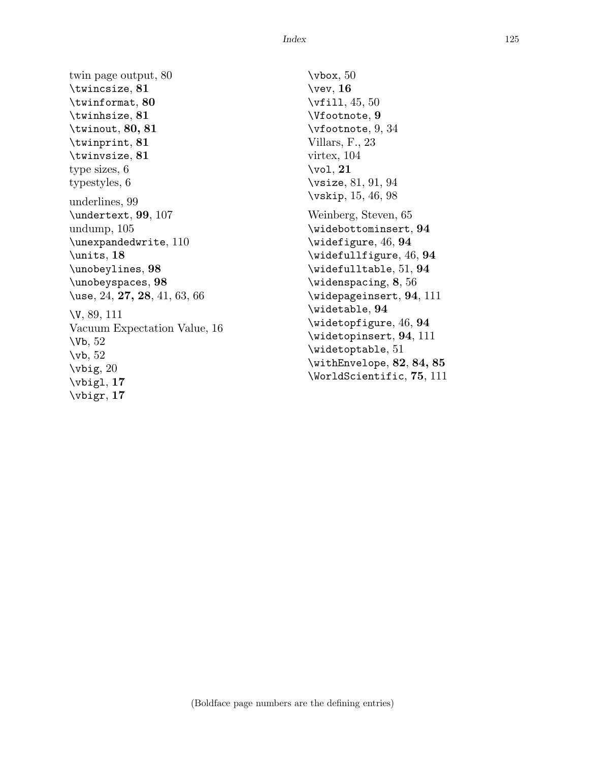twin page output, 80 \twincsize, 81 \twinformat, 80 \twinhsize, 81 \twinout, 80, 81 \twinprint, 81 \twinvsize, 81 type sizes, 6 typestyles, 6 underlines, 99 \undertext, 99, 107 undump, 105 \unexpandedwrite, 110 \units, 18 \unobeylines, 98 \unobeyspaces, 98 \use, 24, 27, 28, 41, 63, 66 \V, 89, 111 Vacuum Expectation Value, 16  $Vb, 52$  $\forall$ vb, 52  $\forall$ ibig, 20 \vbigl, 17 \vbigr, 17

\vbox, 50  $\forall$ ev, 16 \vfill, 45, 50 \Vfootnote, 9 \vfootnote, 9, 34 Villars, F., 23 virtex, 104 \vol, 21 \vsize, 81, 91, 94 \vskip, 15, 46, 98 Weinberg, Steven, 65 \widebottominsert, 94 \widefigure, 46, 94 \widefullfigure, 46, 94 \widefulltable, 51, 94 \widenspacing, 8, 56 \widepageinsert, 94, 111 \widetable, 94 \widetopfigure, 46, 94 \widetopinsert, 94, 111 \widetoptable, 51 \withEnvelope, 82, 84, 85 \WorldScientific, 75, 111